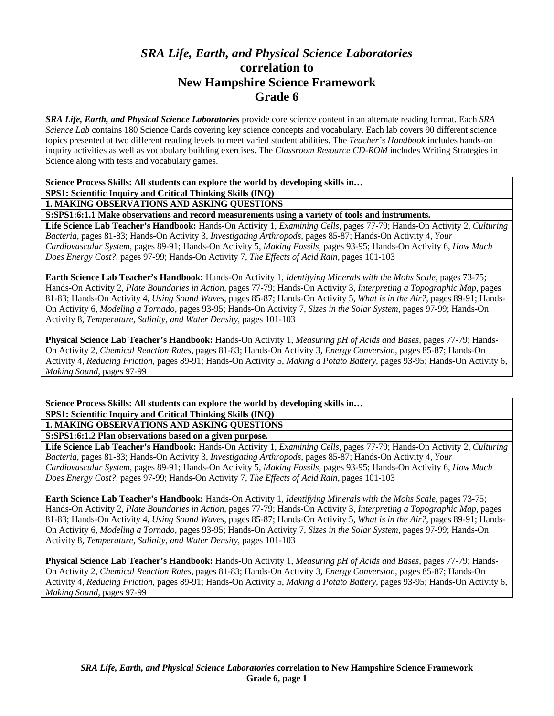# *SRA Life, Earth, and Physical Science Laboratories*  **correlation to New Hampshire Science Framework Grade 6**

*SRA Life, Earth, and Physical Science Laboratories* provide core science content in an alternate reading format. Each *SRA Science Lab* contains 180 Science Cards covering key science concepts and vocabulary. Each lab covers 90 different science topics presented at two different reading levels to meet varied student abilities. The *Teacher's Handbook* includes hands-on inquiry activities as well as vocabulary building exercises. The *Classroom Resource CD-ROM* includes Writing Strategies in Science along with tests and vocabulary games.

**Science Process Skills: All students can explore the world by developing skills in…** 

**SPS1: Scientific Inquiry and Critical Thinking Skills (INQ)** 

**1. MAKING OBSERVATIONS AND ASKING QUESTIONS** 

**S:SPS1:6:1.1 Make observations and record measurements using a variety of tools and instruments.** 

**Life Science Lab Teacher's Handbook:** Hands-On Activity 1, *Examining Cells,* pages 77-79; Hands-On Activity 2, *Culturing Bacteria,* pages 81-83; Hands-On Activity 3, *Investigating Arthropods,* pages 85-87; Hands-On Activity 4, *Your Cardiovascular System,* pages 89-91; Hands-On Activity 5, *Making Fossils,* pages 93-95; Hands-On Activity 6, *How Much Does Energy Cost?,* pages 97-99; Hands-On Activity 7, *The Effects of Acid Rain,* pages 101-103

**Earth Science Lab Teacher's Handbook:** Hands-On Activity 1, *Identifying Minerals with the Mohs Scale,* pages 73-75; Hands-On Activity 2, *Plate Boundaries in Action,* pages 77-79; Hands-On Activity 3, *Interpreting a Topographic Map,* pages 81-83; Hands-On Activity 4, *Using Sound Waves,* pages 85-87; Hands-On Activity 5, *What is in the Air?,* pages 89-91; Hands-On Activity 6, *Modeling a Tornado,* pages 93-95; Hands-On Activity 7, *Sizes in the Solar System,* pages 97-99; Hands-On Activity 8, *Temperature, Salinity, and Water Density,* pages 101-103

**Physical Science Lab Teacher's Handbook:** Hands-On Activity 1, *Measuring pH of Acids and Bases,* pages 77-79; Hands-On Activity 2, *Chemical Reaction Rates,* pages 81-83; Hands-On Activity 3, *Energy Conversion,* pages 85-87; Hands-On Activity 4, *Reducing Friction,* pages 89-91; Hands-On Activity 5, *Making a Potato Battery,* pages 93-95; Hands-On Activity 6, *Making Sound,* pages 97-99

**Science Process Skills: All students can explore the world by developing skills in… SPS1: Scientific Inquiry and Critical Thinking Skills (INQ) 1. MAKING OBSERVATIONS AND ASKING QUESTIONS** 

**S:SPS1:6:1.2 Plan observations based on a given purpose.** 

**Life Science Lab Teacher's Handbook:** Hands-On Activity 1, *Examining Cells,* pages 77-79; Hands-On Activity 2, *Culturing Bacteria,* pages 81-83; Hands-On Activity 3, *Investigating Arthropods,* pages 85-87; Hands-On Activity 4, *Your Cardiovascular System,* pages 89-91; Hands-On Activity 5, *Making Fossils,* pages 93-95; Hands-On Activity 6, *How Much Does Energy Cost?,* pages 97-99; Hands-On Activity 7, *The Effects of Acid Rain,* pages 101-103

**Earth Science Lab Teacher's Handbook:** Hands-On Activity 1, *Identifying Minerals with the Mohs Scale,* pages 73-75; Hands-On Activity 2, *Plate Boundaries in Action,* pages 77-79; Hands-On Activity 3, *Interpreting a Topographic Map,* pages 81-83; Hands-On Activity 4, *Using Sound Waves,* pages 85-87; Hands-On Activity 5, *What is in the Air?,* pages 89-91; Hands-On Activity 6, *Modeling a Tornado,* pages 93-95; Hands-On Activity 7, *Sizes in the Solar System,* pages 97-99; Hands-On Activity 8, *Temperature, Salinity, and Water Density,* pages 101-103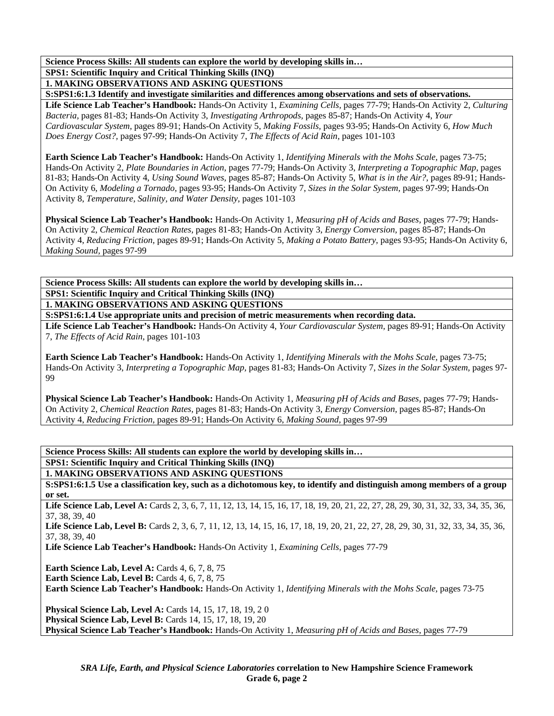**SPS1: Scientific Inquiry and Critical Thinking Skills (INQ)** 

**1. MAKING OBSERVATIONS AND ASKING QUESTIONS** 

**S:SPS1:6:1.3 Identify and investigate similarities and differences among observations and sets of observations.** 

**Life Science Lab Teacher's Handbook:** Hands-On Activity 1, *Examining Cells,* pages 77-79; Hands-On Activity 2, *Culturing Bacteria,* pages 81-83; Hands-On Activity 3, *Investigating Arthropods,* pages 85-87; Hands-On Activity 4, *Your Cardiovascular System,* pages 89-91; Hands-On Activity 5, *Making Fossils,* pages 93-95; Hands-On Activity 6, *How Much Does Energy Cost?,* pages 97-99; Hands-On Activity 7, *The Effects of Acid Rain,* pages 101-103

**Earth Science Lab Teacher's Handbook:** Hands-On Activity 1, *Identifying Minerals with the Mohs Scale,* pages 73-75; Hands-On Activity 2, *Plate Boundaries in Action,* pages 77-79; Hands-On Activity 3, *Interpreting a Topographic Map,* pages 81-83; Hands-On Activity 4, *Using Sound Waves,* pages 85-87; Hands-On Activity 5, *What is in the Air?,* pages 89-91; Hands-On Activity 6, *Modeling a Tornado,* pages 93-95; Hands-On Activity 7, *Sizes in the Solar System,* pages 97-99; Hands-On Activity 8, *Temperature, Salinity, and Water Density,* pages 101-103

**Physical Science Lab Teacher's Handbook:** Hands-On Activity 1, *Measuring pH of Acids and Bases,* pages 77-79; Hands-On Activity 2, *Chemical Reaction Rates,* pages 81-83; Hands-On Activity 3, *Energy Conversion,* pages 85-87; Hands-On Activity 4, *Reducing Friction,* pages 89-91; Hands-On Activity 5, *Making a Potato Battery,* pages 93-95; Hands-On Activity 6, *Making Sound,* pages 97-99

**Science Process Skills: All students can explore the world by developing skills in… SPS1: Scientific Inquiry and Critical Thinking Skills (INQ)** 

**1. MAKING OBSERVATIONS AND ASKING QUESTIONS** 

**S:SPS1:6:1.4 Use appropriate units and precision of metric measurements when recording data.** 

**Life Science Lab Teacher's Handbook:** Hands-On Activity 4, *Your Cardiovascular System,* pages 89-91; Hands-On Activity 7, *The Effects of Acid Rain,* pages 101-103

**Earth Science Lab Teacher's Handbook:** Hands-On Activity 1, *Identifying Minerals with the Mohs Scale,* pages 73-75; Hands-On Activity 3, *Interpreting a Topographic Map,* pages 81-83; Hands-On Activity 7, *Sizes in the Solar System,* pages 97- 99

**Physical Science Lab Teacher's Handbook:** Hands-On Activity 1, *Measuring pH of Acids and Bases,* pages 77-79; Hands-On Activity 2, *Chemical Reaction Rates,* pages 81-83; Hands-On Activity 3, *Energy Conversion,* pages 85-87; Hands-On Activity 4, *Reducing Friction,* pages 89-91; Hands-On Activity 6, *Making Sound,* pages 97-99

**Science Process Skills: All students can explore the world by developing skills in…** 

**SPS1: Scientific Inquiry and Critical Thinking Skills (INQ)** 

**1. MAKING OBSERVATIONS AND ASKING QUESTIONS** 

**S:SPS1:6:1.5 Use a classification key, such as a dichotomous key, to identify and distinguish among members of a group or set.** 

Life Science Lab, Level A: Cards 2, 3, 6, 7, 11, 12, 13, 14, 15, 16, 17, 18, 19, 20, 21, 22, 27, 28, 29, 30, 31, 32, 33, 34, 35, 36, 37, 38, 39, 40

Life Science Lab, Level B: Cards 2, 3, 6, 7, 11, 12, 13, 14, 15, 16, 17, 18, 19, 20, 21, 22, 27, 28, 29, 30, 31, 32, 33, 34, 35, 36, 37, 38, 39, 40

**Life Science Lab Teacher's Handbook:** Hands-On Activity 1, *Examining Cells,* pages 77-79

**Earth Science Lab, Level A: Cards 4, 6, 7, 8, 75 Earth Science Lab, Level B: Cards 4, 6, 7, 8, 75** 

**Earth Science Lab Teacher's Handbook:** Hands-On Activity 1, *Identifying Minerals with the Mohs Scale,* pages 73-75

**Physical Science Lab, Level A:** Cards 14, 15, 17, 18, 19, 2 0 **Physical Science Lab, Level B:** Cards 14, 15, 17, 18, 19, 20 **Physical Science Lab Teacher's Handbook:** Hands-On Activity 1, *Measuring pH of Acids and Bases,* pages 77-79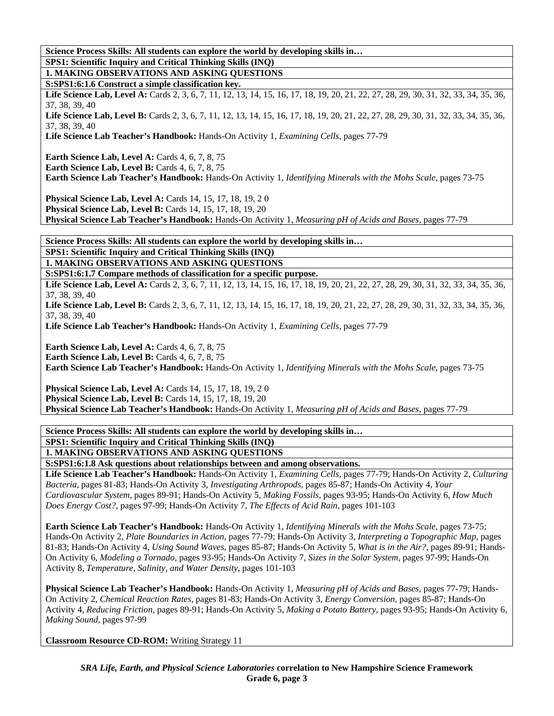**Science Process Skills: All students can explore the world by developing skills in… SPS1: Scientific Inquiry and Critical Thinking Skills (INQ)** 

**1. MAKING OBSERVATIONS AND ASKING QUESTIONS** 

**S:SPS1:6:1.6 Construct a simple classification key.** 

Life Science Lab, Level A: Cards 2, 3, 6, 7, 11, 12, 13, 14, 15, 16, 17, 18, 19, 20, 21, 22, 27, 28, 29, 30, 31, 32, 33, 34, 35, 36, 37, 38, 39, 40

Life Science Lab, Level B: Cards 2, 3, 6, 7, 11, 12, 13, 14, 15, 16, 17, 18, 19, 20, 21, 22, 27, 28, 29, 30, 31, 32, 33, 34, 35, 36, 37, 38, 39, 40

**Life Science Lab Teacher's Handbook:** Hands-On Activity 1, *Examining Cells,* pages 77-79

**Earth Science Lab, Level A: Cards 4, 6, 7, 8, 75** 

**Earth Science Lab, Level B: Cards 4, 6, 7, 8, 75** 

**Earth Science Lab Teacher's Handbook:** Hands-On Activity 1, *Identifying Minerals with the Mohs Scale,* pages 73-75

**Physical Science Lab, Level A: Cards 14, 15, 17, 18, 19, 20** 

**Physical Science Lab, Level B: Cards 14, 15, 17, 18, 19, 20** 

**Physical Science Lab Teacher's Handbook:** Hands-On Activity 1, *Measuring pH of Acids and Bases,* pages 77-79

**Science Process Skills: All students can explore the world by developing skills in…** 

**SPS1: Scientific Inquiry and Critical Thinking Skills (INQ)** 

**1. MAKING OBSERVATIONS AND ASKING QUESTIONS** 

**S:SPS1:6:1.7 Compare methods of classification for a specific purpose.** 

Life Science Lab, Level A: Cards 2, 3, 6, 7, 11, 12, 13, 14, 15, 16, 17, 18, 19, 20, 21, 22, 27, 28, 29, 30, 31, 32, 33, 34, 35, 36, 37, 38, 39, 40

Life Science Lab, Level B: Cards 2, 3, 6, 7, 11, 12, 13, 14, 15, 16, 17, 18, 19, 20, 21, 22, 27, 28, 29, 30, 31, 32, 33, 34, 35, 36, 37, 38, 39, 40

**Life Science Lab Teacher's Handbook:** Hands-On Activity 1, *Examining Cells,* pages 77-79

**Earth Science Lab, Level A: Cards 4, 6, 7, 8, 75** 

**Earth Science Lab, Level B: Cards 4, 6, 7, 8, 75** 

**Earth Science Lab Teacher's Handbook:** Hands-On Activity 1, *Identifying Minerals with the Mohs Scale,* pages 73-75

**Physical Science Lab, Level A: Cards 14, 15, 17, 18, 19, 20 Physical Science Lab, Level B: Cards 14, 15, 17, 18, 19, 20 Physical Science Lab Teacher's Handbook:** Hands-On Activity 1, *Measuring pH of Acids and Bases,* pages 77-79

### **Science Process Skills: All students can explore the world by developing skills in…**

#### **SPS1: Scientific Inquiry and Critical Thinking Skills (INQ)**

## **1. MAKING OBSERVATIONS AND ASKING QUESTIONS**

**S:SPS1:6:1.8 Ask questions about relationships between and among observations.** 

**Life Science Lab Teacher's Handbook:** Hands-On Activity 1, *Examining Cells,* pages 77-79; Hands-On Activity 2, *Culturing Bacteria,* pages 81-83; Hands-On Activity 3, *Investigating Arthropods,* pages 85-87; Hands-On Activity 4, *Your Cardiovascular System,* pages 89-91; Hands-On Activity 5, *Making Fossils,* pages 93-95; Hands-On Activity 6, *How Much Does Energy Cost?,* pages 97-99; Hands-On Activity 7, *The Effects of Acid Rain,* pages 101-103

**Earth Science Lab Teacher's Handbook:** Hands-On Activity 1, *Identifying Minerals with the Mohs Scale,* pages 73-75; Hands-On Activity 2, *Plate Boundaries in Action,* pages 77-79; Hands-On Activity 3, *Interpreting a Topographic Map,* pages 81-83; Hands-On Activity 4, *Using Sound Waves,* pages 85-87; Hands-On Activity 5, *What is in the Air?,* pages 89-91; Hands-On Activity 6, *Modeling a Tornado,* pages 93-95; Hands-On Activity 7, *Sizes in the Solar System,* pages 97-99; Hands-On Activity 8, *Temperature, Salinity, and Water Density,* pages 101-103

**Physical Science Lab Teacher's Handbook:** Hands-On Activity 1, *Measuring pH of Acids and Bases,* pages 77-79; Hands-On Activity 2, *Chemical Reaction Rates,* pages 81-83; Hands-On Activity 3, *Energy Conversion,* pages 85-87; Hands-On Activity 4, *Reducing Friction,* pages 89-91; Hands-On Activity 5, *Making a Potato Battery,* pages 93-95; Hands-On Activity 6, *Making Sound,* pages 97-99

**Classroom Resource CD-ROM:** Writing Strategy 11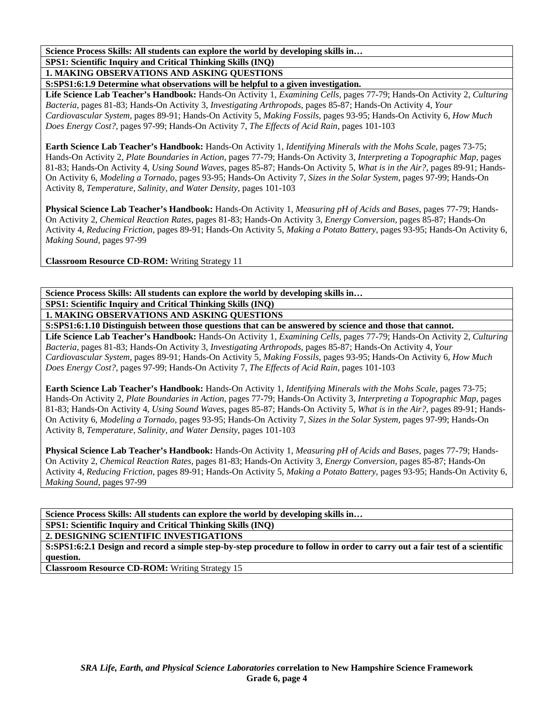**Science Process Skills: All students can explore the world by developing skills in… SPS1: Scientific Inquiry and Critical Thinking Skills (INQ)** 

**1. MAKING OBSERVATIONS AND ASKING QUESTIONS** 

**S:SPS1:6:1.9 Determine what observations will be helpful to a given investigation.** 

**Life Science Lab Teacher's Handbook:** Hands-On Activity 1, *Examining Cells,* pages 77-79; Hands-On Activity 2, *Culturing Bacteria,* pages 81-83; Hands-On Activity 3, *Investigating Arthropods,* pages 85-87; Hands-On Activity 4, *Your Cardiovascular System,* pages 89-91; Hands-On Activity 5, *Making Fossils,* pages 93-95; Hands-On Activity 6, *How Much Does Energy Cost?,* pages 97-99; Hands-On Activity 7, *The Effects of Acid Rain,* pages 101-103

**Earth Science Lab Teacher's Handbook:** Hands-On Activity 1, *Identifying Minerals with the Mohs Scale,* pages 73-75; Hands-On Activity 2, *Plate Boundaries in Action,* pages 77-79; Hands-On Activity 3, *Interpreting a Topographic Map,* pages 81-83; Hands-On Activity 4, *Using Sound Waves,* pages 85-87; Hands-On Activity 5, *What is in the Air?,* pages 89-91; Hands-On Activity 6, *Modeling a Tornado,* pages 93-95; Hands-On Activity 7, *Sizes in the Solar System,* pages 97-99; Hands-On Activity 8, *Temperature, Salinity, and Water Density,* pages 101-103

**Physical Science Lab Teacher's Handbook:** Hands-On Activity 1, *Measuring pH of Acids and Bases,* pages 77-79; Hands-On Activity 2, *Chemical Reaction Rates,* pages 81-83; Hands-On Activity 3, *Energy Conversion,* pages 85-87; Hands-On Activity 4, *Reducing Friction,* pages 89-91; Hands-On Activity 5, *Making a Potato Battery,* pages 93-95; Hands-On Activity 6, *Making Sound,* pages 97-99

**Classroom Resource CD-ROM:** Writing Strategy 11

**Science Process Skills: All students can explore the world by developing skills in… SPS1: Scientific Inquiry and Critical Thinking Skills (INQ) 1. MAKING OBSERVATIONS AND ASKING QUESTIONS** 

**S:SPS1:6:1.10 Distinguish between those questions that can be answered by science and those that cannot.** 

**Life Science Lab Teacher's Handbook:** Hands-On Activity 1, *Examining Cells,* pages 77-79; Hands-On Activity 2, *Culturing Bacteria,* pages 81-83; Hands-On Activity 3, *Investigating Arthropods,* pages 85-87; Hands-On Activity 4, *Your Cardiovascular System,* pages 89-91; Hands-On Activity 5, *Making Fossils,* pages 93-95; Hands-On Activity 6, *How Much Does Energy Cost?,* pages 97-99; Hands-On Activity 7, *The Effects of Acid Rain,* pages 101-103

**Earth Science Lab Teacher's Handbook:** Hands-On Activity 1, *Identifying Minerals with the Mohs Scale,* pages 73-75; Hands-On Activity 2, *Plate Boundaries in Action,* pages 77-79; Hands-On Activity 3, *Interpreting a Topographic Map,* pages 81-83; Hands-On Activity 4, *Using Sound Waves,* pages 85-87; Hands-On Activity 5, *What is in the Air?,* pages 89-91; Hands-On Activity 6, *Modeling a Tornado,* pages 93-95; Hands-On Activity 7, *Sizes in the Solar System,* pages 97-99; Hands-On Activity 8, *Temperature, Salinity, and Water Density,* pages 101-103

**Physical Science Lab Teacher's Handbook:** Hands-On Activity 1, *Measuring pH of Acids and Bases,* pages 77-79; Hands-On Activity 2, *Chemical Reaction Rates,* pages 81-83; Hands-On Activity 3, *Energy Conversion,* pages 85-87; Hands-On Activity 4, *Reducing Friction,* pages 89-91; Hands-On Activity 5, *Making a Potato Battery,* pages 93-95; Hands-On Activity 6, *Making Sound,* pages 97-99

**Science Process Skills: All students can explore the world by developing skills in…** 

**SPS1: Scientific Inquiry and Critical Thinking Skills (INQ)** 

**2. DESIGNING SCIENTIFIC INVESTIGATIONS** 

**S:SPS1:6:2.1 Design and record a simple step-by-step procedure to follow in order to carry out a fair test of a scientific question.** 

**Classroom Resource CD-ROM:** Writing Strategy 15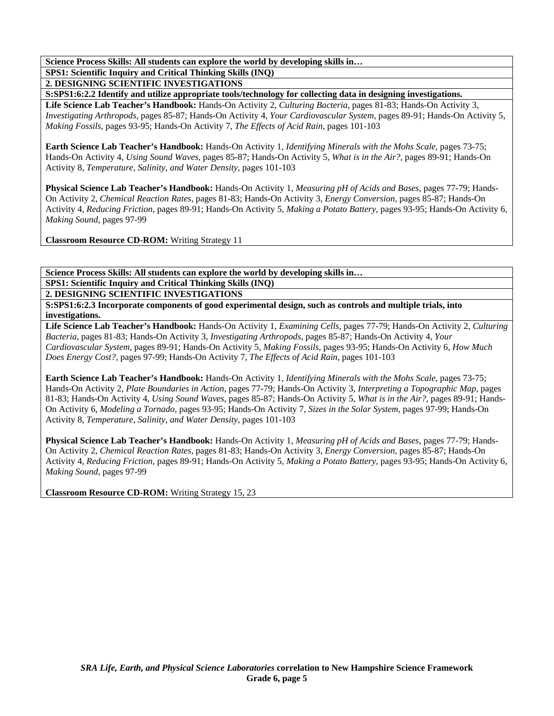**SPS1: Scientific Inquiry and Critical Thinking Skills (INQ)** 

**2. DESIGNING SCIENTIFIC INVESTIGATIONS** 

**S:SPS1:6:2.2 Identify and utilize appropriate tools/technology for collecting data in designing investigations.** 

**Life Science Lab Teacher's Handbook:** Hands-On Activity 2, *Culturing Bacteria,* pages 81-83; Hands-On Activity 3, *Investigating Arthropods,* pages 85-87; Hands-On Activity 4, *Your Cardiovascular System,* pages 89-91; Hands-On Activity 5, *Making Fossils,* pages 93-95; Hands-On Activity 7, *The Effects of Acid Rain,* pages 101-103

**Earth Science Lab Teacher's Handbook:** Hands-On Activity 1, *Identifying Minerals with the Mohs Scale,* pages 73-75; Hands-On Activity 4, *Using Sound Waves,* pages 85-87; Hands-On Activity 5, *What is in the Air?,* pages 89-91; Hands-On Activity 8, *Temperature, Salinity, and Water Density,* pages 101-103

**Physical Science Lab Teacher's Handbook:** Hands-On Activity 1, *Measuring pH of Acids and Bases,* pages 77-79; Hands-On Activity 2, *Chemical Reaction Rates,* pages 81-83; Hands-On Activity 3, *Energy Conversion,* pages 85-87; Hands-On Activity 4, *Reducing Friction,* pages 89-91; Hands-On Activity 5, *Making a Potato Battery,* pages 93-95; Hands-On Activity 6, *Making Sound,* pages 97-99

**Classroom Resource CD-ROM:** Writing Strategy 11

**Science Process Skills: All students can explore the world by developing skills in…** 

**SPS1: Scientific Inquiry and Critical Thinking Skills (INQ)** 

**2. DESIGNING SCIENTIFIC INVESTIGATIONS** 

**S:SPS1:6:2.3 Incorporate components of good experimental design, such as controls and multiple trials, into investigations.** 

**Life Science Lab Teacher's Handbook:** Hands-On Activity 1, *Examining Cells,* pages 77-79; Hands-On Activity 2, *Culturing Bacteria,* pages 81-83; Hands-On Activity 3, *Investigating Arthropods,* pages 85-87; Hands-On Activity 4, *Your Cardiovascular System,* pages 89-91; Hands-On Activity 5, *Making Fossils,* pages 93-95; Hands-On Activity 6, *How Much Does Energy Cost?,* pages 97-99; Hands-On Activity 7, *The Effects of Acid Rain,* pages 101-103

**Earth Science Lab Teacher's Handbook:** Hands-On Activity 1, *Identifying Minerals with the Mohs Scale,* pages 73-75; Hands-On Activity 2, *Plate Boundaries in Action,* pages 77-79; Hands-On Activity 3, *Interpreting a Topographic Map,* pages 81-83; Hands-On Activity 4, *Using Sound Waves,* pages 85-87; Hands-On Activity 5, *What is in the Air?,* pages 89-91; Hands-On Activity 6, *Modeling a Tornado,* pages 93-95; Hands-On Activity 7, *Sizes in the Solar System,* pages 97-99; Hands-On Activity 8, *Temperature, Salinity, and Water Density,* pages 101-103

**Physical Science Lab Teacher's Handbook:** Hands-On Activity 1, *Measuring pH of Acids and Bases,* pages 77-79; Hands-On Activity 2, *Chemical Reaction Rates,* pages 81-83; Hands-On Activity 3, *Energy Conversion,* pages 85-87; Hands-On Activity 4, *Reducing Friction,* pages 89-91; Hands-On Activity 5, *Making a Potato Battery,* pages 93-95; Hands-On Activity 6, *Making Sound,* pages 97-99

**Classroom Resource CD-ROM:** Writing Strategy 15, 23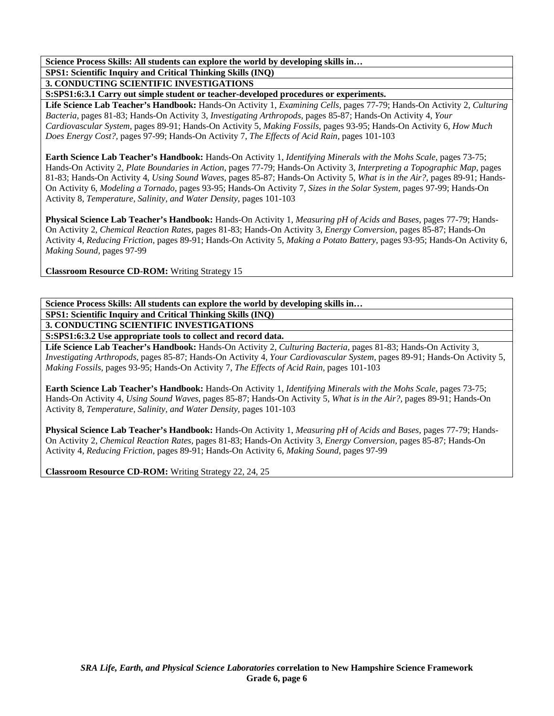**Science Process Skills: All students can explore the world by developing skills in… SPS1: Scientific Inquiry and Critical Thinking Skills (INQ)** 

**3. CONDUCTING SCIENTIFIC INVESTIGATIONS** 

**S:SPS1:6:3.1 Carry out simple student or teacher-developed procedures or experiments.** 

**Life Science Lab Teacher's Handbook:** Hands-On Activity 1, *Examining Cells,* pages 77-79; Hands-On Activity 2, *Culturing Bacteria,* pages 81-83; Hands-On Activity 3, *Investigating Arthropods,* pages 85-87; Hands-On Activity 4, *Your Cardiovascular System,* pages 89-91; Hands-On Activity 5, *Making Fossils,* pages 93-95; Hands-On Activity 6, *How Much Does Energy Cost?,* pages 97-99; Hands-On Activity 7, *The Effects of Acid Rain,* pages 101-103

**Earth Science Lab Teacher's Handbook:** Hands-On Activity 1, *Identifying Minerals with the Mohs Scale,* pages 73-75; Hands-On Activity 2, *Plate Boundaries in Action,* pages 77-79; Hands-On Activity 3, *Interpreting a Topographic Map,* pages 81-83; Hands-On Activity 4, *Using Sound Waves,* pages 85-87; Hands-On Activity 5, *What is in the Air?,* pages 89-91; Hands-On Activity 6, *Modeling a Tornado,* pages 93-95; Hands-On Activity 7, *Sizes in the Solar System,* pages 97-99; Hands-On Activity 8, *Temperature, Salinity, and Water Density,* pages 101-103

**Physical Science Lab Teacher's Handbook:** Hands-On Activity 1, *Measuring pH of Acids and Bases,* pages 77-79; Hands-On Activity 2, *Chemical Reaction Rates,* pages 81-83; Hands-On Activity 3, *Energy Conversion,* pages 85-87; Hands-On Activity 4, *Reducing Friction,* pages 89-91; Hands-On Activity 5, *Making a Potato Battery,* pages 93-95; Hands-On Activity 6, *Making Sound,* pages 97-99

**Classroom Resource CD-ROM:** Writing Strategy 15

**Science Process Skills: All students can explore the world by developing skills in… SPS1: Scientific Inquiry and Critical Thinking Skills (INQ) 3. CONDUCTING SCIENTIFIC INVESTIGATIONS** 

**S:SPS1:6:3.2 Use appropriate tools to collect and record data.** 

**Life Science Lab Teacher's Handbook:** Hands-On Activity 2, *Culturing Bacteria,* pages 81-83; Hands-On Activity 3, *Investigating Arthropods,* pages 85-87; Hands-On Activity 4, *Your Cardiovascular System,* pages 89-91; Hands-On Activity 5, *Making Fossils,* pages 93-95; Hands-On Activity 7, *The Effects of Acid Rain,* pages 101-103

**Earth Science Lab Teacher's Handbook:** Hands-On Activity 1, *Identifying Minerals with the Mohs Scale,* pages 73-75; Hands-On Activity 4, *Using Sound Waves,* pages 85-87; Hands-On Activity 5, *What is in the Air?,* pages 89-91; Hands-On Activity 8, *Temperature, Salinity, and Water Density,* pages 101-103

**Physical Science Lab Teacher's Handbook:** Hands-On Activity 1, *Measuring pH of Acids and Bases,* pages 77-79; Hands-On Activity 2, *Chemical Reaction Rates,* pages 81-83; Hands-On Activity 3, *Energy Conversion,* pages 85-87; Hands-On Activity 4, *Reducing Friction,* pages 89-91; Hands-On Activity 6, *Making Sound,* pages 97-99

**Classroom Resource CD-ROM:** Writing Strategy 22, 24, 25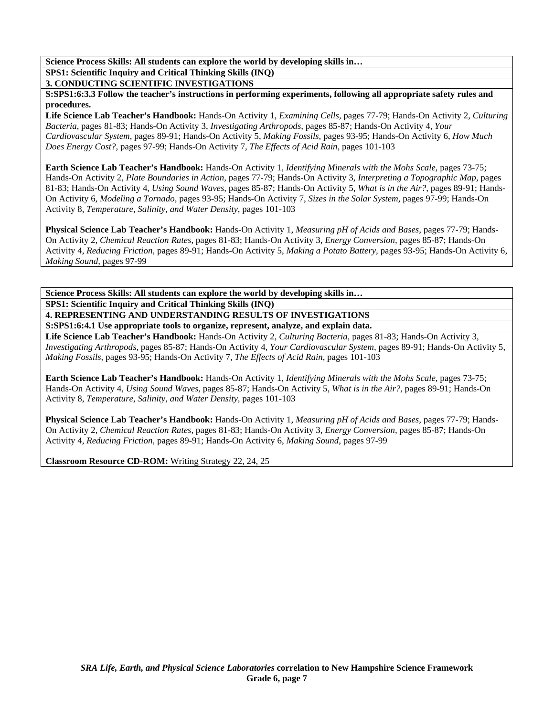**SPS1: Scientific Inquiry and Critical Thinking Skills (INQ)** 

**3. CONDUCTING SCIENTIFIC INVESTIGATIONS** 

**S:SPS1:6:3.3 Follow the teacher's instructions in performing experiments, following all appropriate safety rules and procedures.** 

**Life Science Lab Teacher's Handbook:** Hands-On Activity 1, *Examining Cells,* pages 77-79; Hands-On Activity 2, *Culturing Bacteria,* pages 81-83; Hands-On Activity 3, *Investigating Arthropods,* pages 85-87; Hands-On Activity 4, *Your Cardiovascular System,* pages 89-91; Hands-On Activity 5, *Making Fossils,* pages 93-95; Hands-On Activity 6, *How Much Does Energy Cost?,* pages 97-99; Hands-On Activity 7, *The Effects of Acid Rain,* pages 101-103

**Earth Science Lab Teacher's Handbook:** Hands-On Activity 1, *Identifying Minerals with the Mohs Scale,* pages 73-75; Hands-On Activity 2, *Plate Boundaries in Action,* pages 77-79; Hands-On Activity 3, *Interpreting a Topographic Map,* pages 81-83; Hands-On Activity 4, *Using Sound Waves,* pages 85-87; Hands-On Activity 5, *What is in the Air?,* pages 89-91; Hands-On Activity 6, *Modeling a Tornado,* pages 93-95; Hands-On Activity 7, *Sizes in the Solar System,* pages 97-99; Hands-On Activity 8, *Temperature, Salinity, and Water Density,* pages 101-103

**Physical Science Lab Teacher's Handbook:** Hands-On Activity 1, *Measuring pH of Acids and Bases,* pages 77-79; Hands-On Activity 2, *Chemical Reaction Rates,* pages 81-83; Hands-On Activity 3, *Energy Conversion,* pages 85-87; Hands-On Activity 4, *Reducing Friction,* pages 89-91; Hands-On Activity 5, *Making a Potato Battery,* pages 93-95; Hands-On Activity 6, *Making Sound,* pages 97-99

**Science Process Skills: All students can explore the world by developing skills in… SPS1: Scientific Inquiry and Critical Thinking Skills (INQ) 4. REPRESENTING AND UNDERSTANDING RESULTS OF INVESTIGATIONS** 

**S:SPS1:6:4.1 Use appropriate tools to organize, represent, analyze, and explain data.** 

**Life Science Lab Teacher's Handbook:** Hands-On Activity 2, *Culturing Bacteria,* pages 81-83; Hands-On Activity 3, *Investigating Arthropods,* pages 85-87; Hands-On Activity 4, *Your Cardiovascular System,* pages 89-91; Hands-On Activity 5, *Making Fossils,* pages 93-95; Hands-On Activity 7, *The Effects of Acid Rain,* pages 101-103

**Earth Science Lab Teacher's Handbook:** Hands-On Activity 1, *Identifying Minerals with the Mohs Scale,* pages 73-75; Hands-On Activity 4, *Using Sound Waves,* pages 85-87; Hands-On Activity 5, *What is in the Air?,* pages 89-91; Hands-On Activity 8, *Temperature, Salinity, and Water Density,* pages 101-103

**Physical Science Lab Teacher's Handbook:** Hands-On Activity 1, *Measuring pH of Acids and Bases,* pages 77-79; Hands-On Activity 2, *Chemical Reaction Rates,* pages 81-83; Hands-On Activity 3, *Energy Conversion,* pages 85-87; Hands-On Activity 4, *Reducing Friction,* pages 89-91; Hands-On Activity 6, *Making Sound,* pages 97-99

**Classroom Resource CD-ROM:** Writing Strategy 22, 24, 25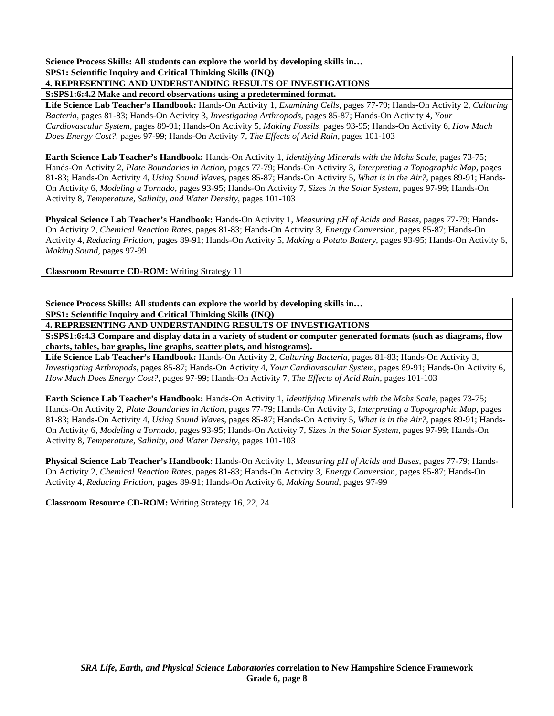**Science Process Skills: All students can explore the world by developing skills in… SPS1: Scientific Inquiry and Critical Thinking Skills (INQ)** 

**4. REPRESENTING AND UNDERSTANDING RESULTS OF INVESTIGATIONS** 

**S:SPS1:6:4.2 Make and record observations using a predetermined format.** 

**Life Science Lab Teacher's Handbook:** Hands-On Activity 1, *Examining Cells,* pages 77-79; Hands-On Activity 2, *Culturing Bacteria,* pages 81-83; Hands-On Activity 3, *Investigating Arthropods,* pages 85-87; Hands-On Activity 4, *Your Cardiovascular System,* pages 89-91; Hands-On Activity 5, *Making Fossils,* pages 93-95; Hands-On Activity 6, *How Much Does Energy Cost?,* pages 97-99; Hands-On Activity 7, *The Effects of Acid Rain,* pages 101-103

**Earth Science Lab Teacher's Handbook:** Hands-On Activity 1, *Identifying Minerals with the Mohs Scale,* pages 73-75; Hands-On Activity 2, *Plate Boundaries in Action,* pages 77-79; Hands-On Activity 3, *Interpreting a Topographic Map,* pages 81-83; Hands-On Activity 4, *Using Sound Waves,* pages 85-87; Hands-On Activity 5, *What is in the Air?,* pages 89-91; Hands-On Activity 6, *Modeling a Tornado,* pages 93-95; Hands-On Activity 7, *Sizes in the Solar System,* pages 97-99; Hands-On Activity 8, *Temperature, Salinity, and Water Density,* pages 101-103

**Physical Science Lab Teacher's Handbook:** Hands-On Activity 1, *Measuring pH of Acids and Bases,* pages 77-79; Hands-On Activity 2, *Chemical Reaction Rates,* pages 81-83; Hands-On Activity 3, *Energy Conversion,* pages 85-87; Hands-On Activity 4, *Reducing Friction,* pages 89-91; Hands-On Activity 5, *Making a Potato Battery,* pages 93-95; Hands-On Activity 6, *Making Sound,* pages 97-99

**Classroom Resource CD-ROM:** Writing Strategy 11

**Science Process Skills: All students can explore the world by developing skills in… SPS1: Scientific Inquiry and Critical Thinking Skills (INQ)** 

**4. REPRESENTING AND UNDERSTANDING RESULTS OF INVESTIGATIONS** 

**S:SPS1:6:4.3 Compare and display data in a variety of student or computer generated formats (such as diagrams, flow charts, tables, bar graphs, line graphs, scatter plots, and histograms).** 

**Life Science Lab Teacher's Handbook:** Hands-On Activity 2, *Culturing Bacteria,* pages 81-83; Hands-On Activity 3, *Investigating Arthropods,* pages 85-87; Hands-On Activity 4, *Your Cardiovascular System,* pages 89-91; Hands-On Activity 6, *How Much Does Energy Cost?,* pages 97-99; Hands-On Activity 7, *The Effects of Acid Rain,* pages 101-103

**Earth Science Lab Teacher's Handbook:** Hands-On Activity 1, *Identifying Minerals with the Mohs Scale,* pages 73-75; Hands-On Activity 2, *Plate Boundaries in Action,* pages 77-79; Hands-On Activity 3, *Interpreting a Topographic Map,* pages 81-83; Hands-On Activity 4, *Using Sound Waves,* pages 85-87; Hands-On Activity 5, *What is in the Air?,* pages 89-91; Hands-On Activity 6, *Modeling a Tornado,* pages 93-95; Hands-On Activity 7, *Sizes in the Solar System,* pages 97-99; Hands-On Activity 8, *Temperature, Salinity, and Water Density,* pages 101-103

**Physical Science Lab Teacher's Handbook:** Hands-On Activity 1, *Measuring pH of Acids and Bases,* pages 77-79; Hands-On Activity 2, *Chemical Reaction Rates,* pages 81-83; Hands-On Activity 3, *Energy Conversion,* pages 85-87; Hands-On Activity 4, *Reducing Friction,* pages 89-91; Hands-On Activity 6, *Making Sound,* pages 97-99

**Classroom Resource CD-ROM:** Writing Strategy 16, 22, 24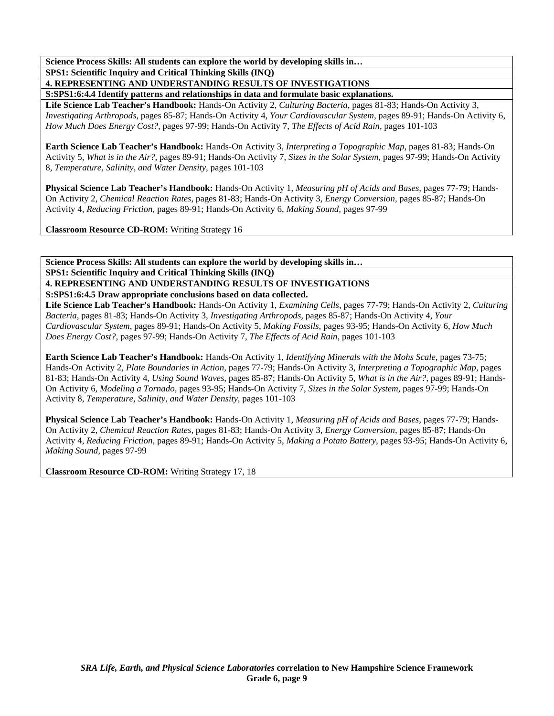#### **Science Process Skills: All students can explore the world by developing skills in… SPS1: Scientific Inquiry and Critical Thinking Skills (INQ)**

## **4. REPRESENTING AND UNDERSTANDING RESULTS OF INVESTIGATIONS**

**S:SPS1:6:4.4 Identify patterns and relationships in data and formulate basic explanations.** 

**Life Science Lab Teacher's Handbook:** Hands-On Activity 2, *Culturing Bacteria,* pages 81-83; Hands-On Activity 3, *Investigating Arthropods,* pages 85-87; Hands-On Activity 4, *Your Cardiovascular System,* pages 89-91; Hands-On Activity 6, *How Much Does Energy Cost?,* pages 97-99; Hands-On Activity 7, *The Effects of Acid Rain,* pages 101-103

**Earth Science Lab Teacher's Handbook:** Hands-On Activity 3, *Interpreting a Topographic Map,* pages 81-83; Hands-On Activity 5, *What is in the Air?,* pages 89-91; Hands-On Activity 7, *Sizes in the Solar System,* pages 97-99; Hands-On Activity 8, *Temperature, Salinity, and Water Density,* pages 101-103

**Physical Science Lab Teacher's Handbook:** Hands-On Activity 1, *Measuring pH of Acids and Bases,* pages 77-79; Hands-On Activity 2, *Chemical Reaction Rates,* pages 81-83; Hands-On Activity 3, *Energy Conversion,* pages 85-87; Hands-On Activity 4, *Reducing Friction,* pages 89-91; Hands-On Activity 6, *Making Sound,* pages 97-99

**Classroom Resource CD-ROM:** Writing Strategy 16

**Science Process Skills: All students can explore the world by developing skills in… SPS1: Scientific Inquiry and Critical Thinking Skills (INQ) 4. REPRESENTING AND UNDERSTANDING RESULTS OF INVESTIGATIONS** 

**S:SPS1:6:4.5 Draw appropriate conclusions based on data collected.** 

**Life Science Lab Teacher's Handbook:** Hands-On Activity 1, *Examining Cells,* pages 77-79; Hands-On Activity 2, *Culturing Bacteria,* pages 81-83; Hands-On Activity 3, *Investigating Arthropods,* pages 85-87; Hands-On Activity 4, *Your Cardiovascular System,* pages 89-91; Hands-On Activity 5, *Making Fossils,* pages 93-95; Hands-On Activity 6, *How Much Does Energy Cost?,* pages 97-99; Hands-On Activity 7, *The Effects of Acid Rain,* pages 101-103

**Earth Science Lab Teacher's Handbook:** Hands-On Activity 1, *Identifying Minerals with the Mohs Scale,* pages 73-75; Hands-On Activity 2, *Plate Boundaries in Action,* pages 77-79; Hands-On Activity 3, *Interpreting a Topographic Map,* pages 81-83; Hands-On Activity 4, *Using Sound Waves,* pages 85-87; Hands-On Activity 5, *What is in the Air?,* pages 89-91; Hands-On Activity 6, *Modeling a Tornado,* pages 93-95; Hands-On Activity 7, *Sizes in the Solar System,* pages 97-99; Hands-On Activity 8, *Temperature, Salinity, and Water Density,* pages 101-103

**Physical Science Lab Teacher's Handbook:** Hands-On Activity 1, *Measuring pH of Acids and Bases,* pages 77-79; Hands-On Activity 2, *Chemical Reaction Rates,* pages 81-83; Hands-On Activity 3, *Energy Conversion,* pages 85-87; Hands-On Activity 4, *Reducing Friction,* pages 89-91; Hands-On Activity 5, *Making a Potato Battery,* pages 93-95; Hands-On Activity 6, *Making Sound,* pages 97-99

**Classroom Resource CD-ROM:** Writing Strategy 17, 18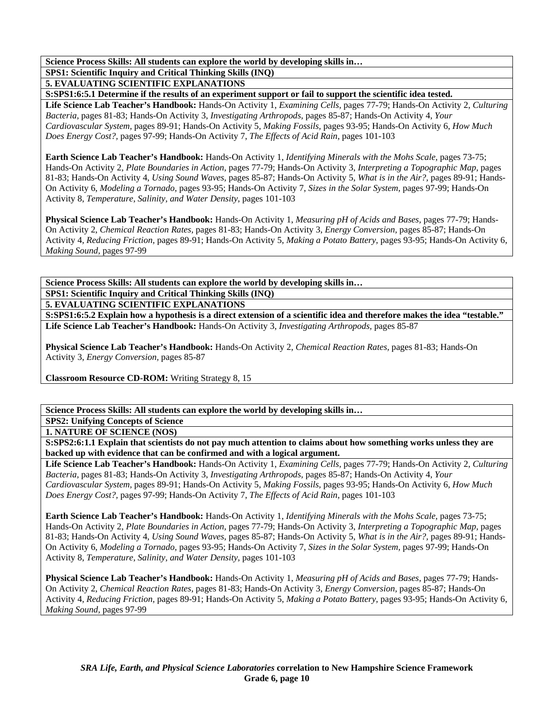**Science Process Skills: All students can explore the world by developing skills in… SPS1: Scientific Inquiry and Critical Thinking Skills (INQ) 5. EVALUATING SCIENTIFIC EXPLANATIONS** 

**S:SPS1:6:5.1 Determine if the results of an experiment support or fail to support the scientific idea tested.** 

**Life Science Lab Teacher's Handbook:** Hands-On Activity 1, *Examining Cells,* pages 77-79; Hands-On Activity 2, *Culturing Bacteria,* pages 81-83; Hands-On Activity 3, *Investigating Arthropods,* pages 85-87; Hands-On Activity 4, *Your Cardiovascular System,* pages 89-91; Hands-On Activity 5, *Making Fossils,* pages 93-95; Hands-On Activity 6, *How Much Does Energy Cost?,* pages 97-99; Hands-On Activity 7, *The Effects of Acid Rain,* pages 101-103

**Earth Science Lab Teacher's Handbook:** Hands-On Activity 1, *Identifying Minerals with the Mohs Scale,* pages 73-75; Hands-On Activity 2, *Plate Boundaries in Action,* pages 77-79; Hands-On Activity 3, *Interpreting a Topographic Map,* pages 81-83; Hands-On Activity 4, *Using Sound Waves,* pages 85-87; Hands-On Activity 5, *What is in the Air?,* pages 89-91; Hands-On Activity 6, *Modeling a Tornado,* pages 93-95; Hands-On Activity 7, *Sizes in the Solar System,* pages 97-99; Hands-On Activity 8, *Temperature, Salinity, and Water Density,* pages 101-103

**Physical Science Lab Teacher's Handbook:** Hands-On Activity 1, *Measuring pH of Acids and Bases,* pages 77-79; Hands-On Activity 2, *Chemical Reaction Rates,* pages 81-83; Hands-On Activity 3, *Energy Conversion,* pages 85-87; Hands-On Activity 4, *Reducing Friction,* pages 89-91; Hands-On Activity 5, *Making a Potato Battery,* pages 93-95; Hands-On Activity 6, *Making Sound,* pages 97-99

**Science Process Skills: All students can explore the world by developing skills in… SPS1: Scientific Inquiry and Critical Thinking Skills (INQ)** 

**5. EVALUATING SCIENTIFIC EXPLANATIONS** 

**S:SPS1:6:5.2 Explain how a hypothesis is a direct extension of a scientific idea and therefore makes the idea "testable." Life Science Lab Teacher's Handbook:** Hands-On Activity 3, *Investigating Arthropods,* pages 85-87

**Physical Science Lab Teacher's Handbook:** Hands-On Activity 2, *Chemical Reaction Rates,* pages 81-83; Hands-On Activity 3, *Energy Conversion,* pages 85-87

**Classroom Resource CD-ROM:** Writing Strategy 8, 15

**Science Process Skills: All students can explore the world by developing skills in…** 

**SPS2: Unifying Concepts of Science 1. NATURE OF SCIENCE (NOS)** 

**S:SPS2:6:1.1 Explain that scientists do not pay much attention to claims about how something works unless they are backed up with evidence that can be confirmed and with a logical argument.** 

**Life Science Lab Teacher's Handbook:** Hands-On Activity 1, *Examining Cells,* pages 77-79; Hands-On Activity 2, *Culturing Bacteria,* pages 81-83; Hands-On Activity 3, *Investigating Arthropods,* pages 85-87; Hands-On Activity 4, *Your Cardiovascular System,* pages 89-91; Hands-On Activity 5, *Making Fossils,* pages 93-95; Hands-On Activity 6, *How Much Does Energy Cost?,* pages 97-99; Hands-On Activity 7, *The Effects of Acid Rain,* pages 101-103

**Earth Science Lab Teacher's Handbook:** Hands-On Activity 1, *Identifying Minerals with the Mohs Scale,* pages 73-75; Hands-On Activity 2, *Plate Boundaries in Action,* pages 77-79; Hands-On Activity 3, *Interpreting a Topographic Map,* pages 81-83; Hands-On Activity 4, *Using Sound Waves,* pages 85-87; Hands-On Activity 5, *What is in the Air?,* pages 89-91; Hands-On Activity 6, *Modeling a Tornado,* pages 93-95; Hands-On Activity 7, *Sizes in the Solar System,* pages 97-99; Hands-On Activity 8, *Temperature, Salinity, and Water Density,* pages 101-103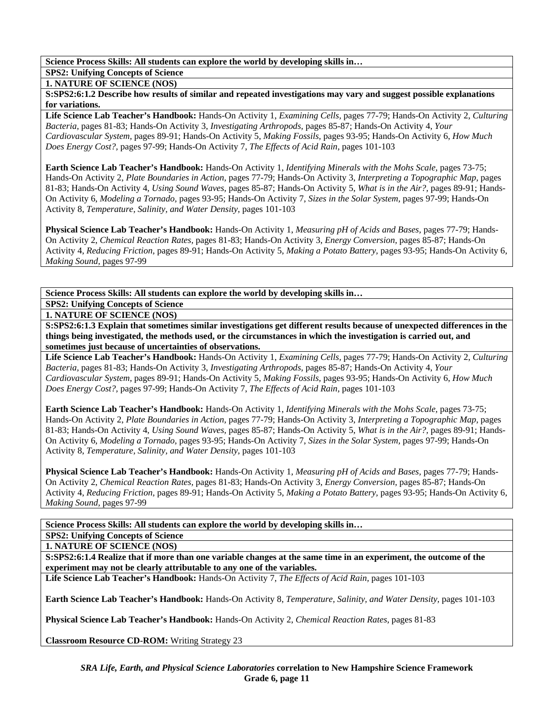**SPS2: Unifying Concepts of Science** 

**1. NATURE OF SCIENCE (NOS)** 

**S:SPS2:6:1.2 Describe how results of similar and repeated investigations may vary and suggest possible explanations for variations.** 

**Life Science Lab Teacher's Handbook:** Hands-On Activity 1, *Examining Cells,* pages 77-79; Hands-On Activity 2, *Culturing Bacteria,* pages 81-83; Hands-On Activity 3, *Investigating Arthropods,* pages 85-87; Hands-On Activity 4, *Your Cardiovascular System,* pages 89-91; Hands-On Activity 5, *Making Fossils,* pages 93-95; Hands-On Activity 6, *How Much Does Energy Cost?,* pages 97-99; Hands-On Activity 7, *The Effects of Acid Rain,* pages 101-103

**Earth Science Lab Teacher's Handbook:** Hands-On Activity 1, *Identifying Minerals with the Mohs Scale,* pages 73-75; Hands-On Activity 2, *Plate Boundaries in Action,* pages 77-79; Hands-On Activity 3, *Interpreting a Topographic Map,* pages 81-83; Hands-On Activity 4, *Using Sound Waves,* pages 85-87; Hands-On Activity 5, *What is in the Air?,* pages 89-91; Hands-On Activity 6, *Modeling a Tornado,* pages 93-95; Hands-On Activity 7, *Sizes in the Solar System,* pages 97-99; Hands-On Activity 8, *Temperature, Salinity, and Water Density,* pages 101-103

**Physical Science Lab Teacher's Handbook:** Hands-On Activity 1, *Measuring pH of Acids and Bases,* pages 77-79; Hands-On Activity 2, *Chemical Reaction Rates,* pages 81-83; Hands-On Activity 3, *Energy Conversion,* pages 85-87; Hands-On Activity 4, *Reducing Friction,* pages 89-91; Hands-On Activity 5, *Making a Potato Battery,* pages 93-95; Hands-On Activity 6, *Making Sound,* pages 97-99

**Science Process Skills: All students can explore the world by developing skills in…** 

#### **SPS2: Unifying Concepts of Science 1. NATURE OF SCIENCE (NOS)**

**S:SPS2:6:1.3 Explain that sometimes similar investigations get different results because of unexpected differences in the things being investigated, the methods used, or the circumstances in which the investigation is carried out, and sometimes just because of uncertainties of observations.** 

**Life Science Lab Teacher's Handbook:** Hands-On Activity 1, *Examining Cells,* pages 77-79; Hands-On Activity 2, *Culturing Bacteria,* pages 81-83; Hands-On Activity 3, *Investigating Arthropods,* pages 85-87; Hands-On Activity 4, *Your Cardiovascular System,* pages 89-91; Hands-On Activity 5, *Making Fossils,* pages 93-95; Hands-On Activity 6, *How Much Does Energy Cost?,* pages 97-99; Hands-On Activity 7, *The Effects of Acid Rain,* pages 101-103

**Earth Science Lab Teacher's Handbook:** Hands-On Activity 1, *Identifying Minerals with the Mohs Scale,* pages 73-75; Hands-On Activity 2, *Plate Boundaries in Action,* pages 77-79; Hands-On Activity 3, *Interpreting a Topographic Map,* pages 81-83; Hands-On Activity 4, *Using Sound Waves,* pages 85-87; Hands-On Activity 5, *What is in the Air?,* pages 89-91; Hands-On Activity 6, *Modeling a Tornado,* pages 93-95; Hands-On Activity 7, *Sizes in the Solar System,* pages 97-99; Hands-On Activity 8, *Temperature, Salinity, and Water Density,* pages 101-103

**Physical Science Lab Teacher's Handbook:** Hands-On Activity 1, *Measuring pH of Acids and Bases,* pages 77-79; Hands-On Activity 2, *Chemical Reaction Rates,* pages 81-83; Hands-On Activity 3, *Energy Conversion,* pages 85-87; Hands-On Activity 4, *Reducing Friction,* pages 89-91; Hands-On Activity 5, *Making a Potato Battery,* pages 93-95; Hands-On Activity 6, *Making Sound,* pages 97-99

**Science Process Skills: All students can explore the world by developing skills in…** 

**SPS2: Unifying Concepts of Science** 

**1. NATURE OF SCIENCE (NOS)** 

**S:SPS2:6:1.4 Realize that if more than one variable changes at the same time in an experiment, the outcome of the experiment may not be clearly attributable to any one of the variables.** 

**Life Science Lab Teacher's Handbook:** Hands-On Activity 7, *The Effects of Acid Rain,* pages 101-103

**Earth Science Lab Teacher's Handbook:** Hands-On Activity 8, *Temperature, Salinity, and Water Density,* pages 101-103

**Physical Science Lab Teacher's Handbook:** Hands-On Activity 2, *Chemical Reaction Rates,* pages 81-83

**Classroom Resource CD-ROM:** Writing Strategy 23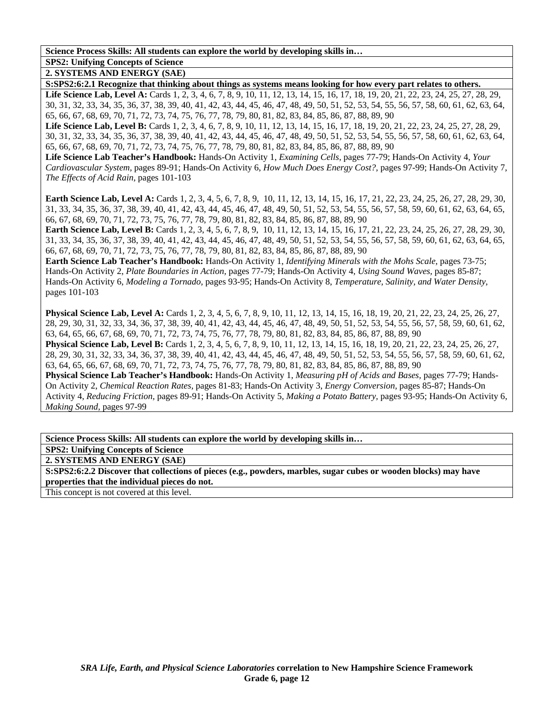#### **Science Process Skills: All students can explore the world by developing skills in… SPS2: Unifying Concepts of Science**

**2. SYSTEMS AND ENERGY (SAE)** 

**S:SPS2:6:2.1 Recognize that thinking about things as systems means looking for how every part relates to others.** 

Life Science Lab, Level A: Cards 1, 2, 3, 4, 6, 7, 8, 9, 10, 11, 12, 13, 14, 15, 16, 17, 18, 19, 20, 21, 22, 23, 24, 25, 27, 28, 29, 30, 31, 32, 33, 34, 35, 36, 37, 38, 39, 40, 41, 42, 43, 44, 45, 46, 47, 48, 49, 50, 51, 52, 53, 54, 55, 56, 57, 58, 60, 61, 62, 63, 64, 65, 66, 67, 68, 69, 70, 71, 72, 73, 74, 75, 76, 77, 78, 79, 80, 81, 82, 83, 84, 85, 86, 87, 88, 89, 90

Life Science Lab, Level B: Cards 1, 2, 3, 4, 6, 7, 8, 9, 10, 11, 12, 13, 14, 15, 16, 17, 18, 19, 20, 21, 22, 23, 24, 25, 27, 28, 29, 30, 31, 32, 33, 34, 35, 36, 37, 38, 39, 40, 41, 42, 43, 44, 45, 46, 47, 48, 49, 50, 51, 52, 53, 54, 55, 56, 57, 58, 60, 61, 62, 63, 64, 65, 66, 67, 68, 69, 70, 71, 72, 73, 74, 75, 76, 77, 78, 79, 80, 81, 82, 83, 84, 85, 86, 87, 88, 89, 90

**Life Science Lab Teacher's Handbook:** Hands-On Activity 1, *Examining Cells,* pages 77-79; Hands-On Activity 4, *Your Cardiovascular System,* pages 89-91; Hands-On Activity 6, *How Much Does Energy Cost?,* pages 97-99; Hands-On Activity 7, *The Effects of Acid Rain,* pages 101-103

**Earth Science Lab, Level A:** Cards 1, 2, 3, 4, 5, 6, 7, 8, 9, 10, 11, 12, 13, 14, 15, 16, 17, 21, 22, 23, 24, 25, 26, 27, 28, 29, 30, 31, 33, 34, 35, 36, 37, 38, 39, 40, 41, 42, 43, 44, 45, 46, 47, 48, 49, 50, 51, 52, 53, 54, 55, 56, 57, 58, 59, 60, 61, 62, 63, 64, 65, 66, 67, 68, 69, 70, 71, 72, 73, 75, 76, 77, 78, 79, 80, 81, 82, 83, 84, 85, 86, 87, 88, 89, 90

**Earth Science Lab, Level B:** Cards 1, 2, 3, 4, 5, 6, 7, 8, 9, 10, 11, 12, 13, 14, 15, 16, 17, 21, 22, 23, 24, 25, 26, 27, 28, 29, 30, 31, 33, 34, 35, 36, 37, 38, 39, 40, 41, 42, 43, 44, 45, 46, 47, 48, 49, 50, 51, 52, 53, 54, 55, 56, 57, 58, 59, 60, 61, 62, 63, 64, 65, 66, 67, 68, 69, 70, 71, 72, 73, 75, 76, 77, 78, 79, 80, 81, 82, 83, 84, 85, 86, 87, 88, 89, 90

**Earth Science Lab Teacher's Handbook:** Hands-On Activity 1, *Identifying Minerals with the Mohs Scale,* pages 73-75; Hands-On Activity 2, *Plate Boundaries in Action,* pages 77-79; Hands-On Activity 4, *Using Sound Waves,* pages 85-87; Hands-On Activity 6, *Modeling a Tornado,* pages 93-95; Hands-On Activity 8, *Temperature, Salinity, and Water Density,* pages 101-103

**Physical Science Lab, Level A:** Cards 1, 2, 3, 4, 5, 6, 7, 8, 9, 10, 11, 12, 13, 14, 15, 16, 18, 19, 20, 21, 22, 23, 24, 25, 26, 27, 28, 29, 30, 31, 32, 33, 34, 36, 37, 38, 39, 40, 41, 42, 43, 44, 45, 46, 47, 48, 49, 50, 51, 52, 53, 54, 55, 56, 57, 58, 59, 60, 61, 62, 63, 64, 65, 66, 67, 68, 69, 70, 71, 72, 73, 74, 75, 76, 77, 78, 79, 80, 81, 82, 83, 84, 85, 86, 87, 88, 89, 90 **Physical Science Lab, Level B:** Cards 1, 2, 3, 4, 5, 6, 7, 8, 9, 10, 11, 12, 13, 14, 15, 16, 18, 19, 20, 21, 22, 23, 24, 25, 26, 27, 28, 29, 30, 31, 32, 33, 34, 36, 37, 38, 39, 40, 41, 42, 43, 44, 45, 46, 47, 48, 49, 50, 51, 52, 53, 54, 55, 56, 57, 58, 59, 60, 61, 62, 63, 64, 65, 66, 67, 68, 69, 70, 71, 72, 73, 74, 75, 76, 77, 78, 79, 80, 81, 82, 83, 84, 85, 86, 87, 88, 89, 90 **Physical Science Lab Teacher's Handbook:** Hands-On Activity 1, *Measuring pH of Acids and Bases,* pages 77-79; Hands-On Activity 2, *Chemical Reaction Rates,* pages 81-83; Hands-On Activity 3, *Energy Conversion,* pages 85-87; Hands-On Activity 4, *Reducing Friction,* pages 89-91; Hands-On Activity 5, *Making a Potato Battery,* pages 93-95; Hands-On Activity 6, *Making Sound,* pages 97-99

**Science Process Skills: All students can explore the world by developing skills in…** 

**SPS2: Unifying Concepts of Science** 

**2. SYSTEMS AND ENERGY (SAE)** 

**S:SPS2:6:2.2 Discover that collections of pieces (e.g., powders, marbles, sugar cubes or wooden blocks) may have properties that the individual pieces do not.** 

This concept is not covered at this level.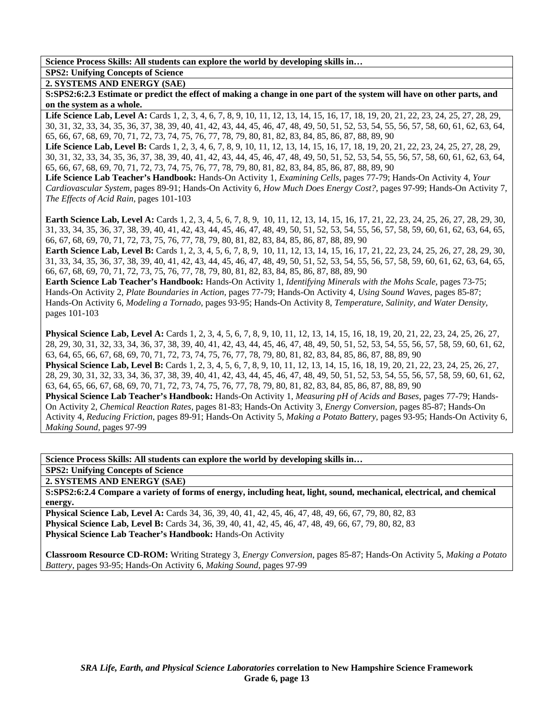## **SPS2: Unifying Concepts of Science**

**2. SYSTEMS AND ENERGY (SAE)** 

**S:SPS2:6:2.3 Estimate or predict the effect of making a change in one part of the system will have on other parts, and on the system as a whole.** 

Life Science Lab, Level A: Cards 1, 2, 3, 4, 6, 7, 8, 9, 10, 11, 12, 13, 14, 15, 16, 17, 18, 19, 20, 21, 22, 23, 24, 25, 27, 28, 29, 30, 31, 32, 33, 34, 35, 36, 37, 38, 39, 40, 41, 42, 43, 44, 45, 46, 47, 48, 49, 50, 51, 52, 53, 54, 55, 56, 57, 58, 60, 61, 62, 63, 64, 65, 66, 67, 68, 69, 70, 71, 72, 73, 74, 75, 76, 77, 78, 79, 80, 81, 82, 83, 84, 85, 86, 87, 88, 89, 90

Life Science Lab, Level B: Cards 1, 2, 3, 4, 6, 7, 8, 9, 10, 11, 12, 13, 14, 15, 16, 17, 18, 19, 20, 21, 22, 23, 24, 25, 27, 28, 29, 30, 31, 32, 33, 34, 35, 36, 37, 38, 39, 40, 41, 42, 43, 44, 45, 46, 47, 48, 49, 50, 51, 52, 53, 54, 55, 56, 57, 58, 60, 61, 62, 63, 64, 65, 66, 67, 68, 69, 70, 71, 72, 73, 74, 75, 76, 77, 78, 79, 80, 81, 82, 83, 84, 85, 86, 87, 88, 89, 90

**Life Science Lab Teacher's Handbook:** Hands-On Activity 1, *Examining Cells,* pages 77-79; Hands-On Activity 4, *Your Cardiovascular System,* pages 89-91; Hands-On Activity 6, *How Much Does Energy Cost?,* pages 97-99; Hands-On Activity 7, *The Effects of Acid Rain,* pages 101-103

**Earth Science Lab, Level A:** Cards 1, 2, 3, 4, 5, 6, 7, 8, 9, 10, 11, 12, 13, 14, 15, 16, 17, 21, 22, 23, 24, 25, 26, 27, 28, 29, 30, 31, 33, 34, 35, 36, 37, 38, 39, 40, 41, 42, 43, 44, 45, 46, 47, 48, 49, 50, 51, 52, 53, 54, 55, 56, 57, 58, 59, 60, 61, 62, 63, 64, 65, 66, 67, 68, 69, 70, 71, 72, 73, 75, 76, 77, 78, 79, 80, 81, 82, 83, 84, 85, 86, 87, 88, 89, 90

**Earth Science Lab, Level B:** Cards 1, 2, 3, 4, 5, 6, 7, 8, 9, 10, 11, 12, 13, 14, 15, 16, 17, 21, 22, 23, 24, 25, 26, 27, 28, 29, 30, 31, 33, 34, 35, 36, 37, 38, 39, 40, 41, 42, 43, 44, 45, 46, 47, 48, 49, 50, 51, 52, 53, 54, 55, 56, 57, 58, 59, 60, 61, 62, 63, 64, 65, 66, 67, 68, 69, 70, 71, 72, 73, 75, 76, 77, 78, 79, 80, 81, 82, 83, 84, 85, 86, 87, 88, 89, 90

**Earth Science Lab Teacher's Handbook:** Hands-On Activity 1, *Identifying Minerals with the Mohs Scale,* pages 73-75; Hands-On Activity 2, *Plate Boundaries in Action,* pages 77-79; Hands-On Activity 4, *Using Sound Waves,* pages 85-87; Hands-On Activity 6, *Modeling a Tornado,* pages 93-95; Hands-On Activity 8, *Temperature, Salinity, and Water Density,* pages 101-103

**Physical Science Lab, Level A:** Cards 1, 2, 3, 4, 5, 6, 7, 8, 9, 10, 11, 12, 13, 14, 15, 16, 18, 19, 20, 21, 22, 23, 24, 25, 26, 27, 28, 29, 30, 31, 32, 33, 34, 36, 37, 38, 39, 40, 41, 42, 43, 44, 45, 46, 47, 48, 49, 50, 51, 52, 53, 54, 55, 56, 57, 58, 59, 60, 61, 62, 63, 64, 65, 66, 67, 68, 69, 70, 71, 72, 73, 74, 75, 76, 77, 78, 79, 80, 81, 82, 83, 84, 85, 86, 87, 88, 89, 90 **Physical Science Lab, Level B:** Cards 1, 2, 3, 4, 5, 6, 7, 8, 9, 10, 11, 12, 13, 14, 15, 16, 18, 19, 20, 21, 22, 23, 24, 25, 26, 27, 28, 29, 30, 31, 32, 33, 34, 36, 37, 38, 39, 40, 41, 42, 43, 44, 45, 46, 47, 48, 49, 50, 51, 52, 53, 54, 55, 56, 57, 58, 59, 60, 61, 62, 63, 64, 65, 66, 67, 68, 69, 70, 71, 72, 73, 74, 75, 76, 77, 78, 79, 80, 81, 82, 83, 84, 85, 86, 87, 88, 89, 90 **Physical Science Lab Teacher's Handbook:** Hands-On Activity 1, *Measuring pH of Acids and Bases,* pages 77-79; Hands-On Activity 2, *Chemical Reaction Rates,* pages 81-83; Hands-On Activity 3, *Energy Conversion,* pages 85-87; Hands-On Activity 4, *Reducing Friction,* pages 89-91; Hands-On Activity 5, *Making a Potato Battery,* pages 93-95; Hands-On Activity 6, *Making Sound,* pages 97-99

**Science Process Skills: All students can explore the world by developing skills in…** 

#### **SPS2: Unifying Concepts of Science**

**2. SYSTEMS AND ENERGY (SAE)** 

**S:SPS2:6:2.4 Compare a variety of forms of energy, including heat, light, sound, mechanical, electrical, and chemical energy.** 

**Physical Science Lab, Level A:** Cards 34, 36, 39, 40, 41, 42, 45, 46, 47, 48, 49, 66, 67, 79, 80, 82, 83 **Physical Science Lab, Level B:** Cards 34, 36, 39, 40, 41, 42, 45, 46, 47, 48, 49, 66, 67, 79, 80, 82, 83 **Physical Science Lab Teacher's Handbook:** Hands-On Activity

**Classroom Resource CD-ROM:** Writing Strategy 3, *Energy Conversion,* pages 85-87; Hands-On Activity 5, *Making a Potato Battery,* pages 93-95; Hands-On Activity 6, *Making Sound,* pages 97-99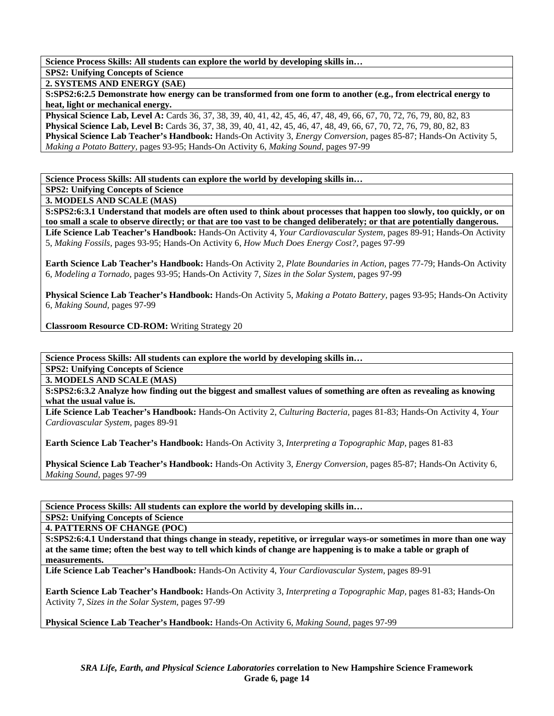**SPS2: Unifying Concepts of Science** 

**2. SYSTEMS AND ENERGY (SAE)** 

**S:SPS2:6:2.5 Demonstrate how energy can be transformed from one form to another (e.g., from electrical energy to heat, light or mechanical energy.** 

**Physical Science Lab, Level A:** Cards 36, 37, 38, 39, 40, 41, 42, 45, 46, 47, 48, 49, 66, 67, 70, 72, 76, 79, 80, 82, 83 **Physical Science Lab, Level B:** Cards 36, 37, 38, 39, 40, 41, 42, 45, 46, 47, 48, 49, 66, 67, 70, 72, 76, 79, 80, 82, 83 **Physical Science Lab Teacher's Handbook:** Hands-On Activity 3, *Energy Conversion,* pages 85-87; Hands-On Activity 5, *Making a Potato Battery,* pages 93-95; Hands-On Activity 6, *Making Sound,* pages 97-99

**Science Process Skills: All students can explore the world by developing skills in…** 

**SPS2: Unifying Concepts of Science** 

**3. MODELS AND SCALE (MAS)** 

**S:SPS2:6:3.1 Understand that models are often used to think about processes that happen too slowly, too quickly, or on too small a scale to observe directly; or that are too vast to be changed deliberately; or that are potentially dangerous. Life Science Lab Teacher's Handbook:** Hands-On Activity 4, *Your Cardiovascular System,* pages 89-91; Hands-On Activity 5, *Making Fossils,* pages 93-95; Hands-On Activity 6, *How Much Does Energy Cost?,* pages 97-99

**Earth Science Lab Teacher's Handbook:** Hands-On Activity 2, *Plate Boundaries in Action,* pages 77-79; Hands-On Activity 6, *Modeling a Tornado,* pages 93-95; Hands-On Activity 7, *Sizes in the Solar System,* pages 97-99

**Physical Science Lab Teacher's Handbook:** Hands-On Activity 5, *Making a Potato Battery,* pages 93-95; Hands-On Activity 6, *Making Sound,* pages 97-99

**Classroom Resource CD-ROM:** Writing Strategy 20

**Science Process Skills: All students can explore the world by developing skills in…** 

**SPS2: Unifying Concepts of Science** 

**3. MODELS AND SCALE (MAS)** 

**S:SPS2:6:3.2 Analyze how finding out the biggest and smallest values of something are often as revealing as knowing what the usual value is.** 

**Life Science Lab Teacher's Handbook:** Hands-On Activity 2, *Culturing Bacteria,* pages 81-83; Hands-On Activity 4, *Your Cardiovascular System,* pages 89-91

**Earth Science Lab Teacher's Handbook:** Hands-On Activity 3, *Interpreting a Topographic Map,* pages 81-83

**Physical Science Lab Teacher's Handbook:** Hands-On Activity 3, *Energy Conversion,* pages 85-87; Hands-On Activity 6, *Making Sound,* pages 97-99

**Science Process Skills: All students can explore the world by developing skills in…** 

**SPS2: Unifying Concepts of Science** 

**4. PATTERNS OF CHANGE (POC)** 

**S:SPS2:6:4.1 Understand that things change in steady, repetitive, or irregular ways-or sometimes in more than one way at the same time; often the best way to tell which kinds of change are happening is to make a table or graph of measurements.** 

**Life Science Lab Teacher's Handbook:** Hands-On Activity 4, *Your Cardiovascular System,* pages 89-91

**Earth Science Lab Teacher's Handbook:** Hands-On Activity 3, *Interpreting a Topographic Map,* pages 81-83; Hands-On Activity 7, *Sizes in the Solar System,* pages 97-99

**Physical Science Lab Teacher's Handbook:** Hands-On Activity 6, *Making Sound,* pages 97-99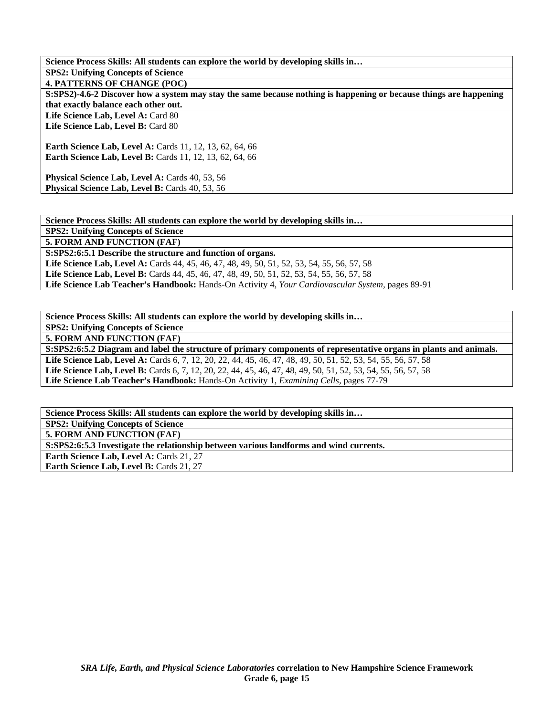**Science Process Skills: All students can explore the world by developing skills in… SPS2: Unifying Concepts of Science 4. PATTERNS OF CHANGE (POC) S:SPS2)-4.6-2 Discover how a system may stay the same because nothing is happening or because things are happening that exactly balance each other out.**  Life Science Lab, Level A: Card 80 Life Science Lab, Level B: Card 80 **Earth Science Lab, Level A: Cards 11, 12, 13, 62, 64, 66 Earth Science Lab, Level B:** Cards 11, 12, 13, 62, 64, 66 Physical Science Lab, Level A: Cards 40, 53, 56 Physical Science Lab, Level B: Cards 40, 53, 56

**Science Process Skills: All students can explore the world by developing skills in…** 

**SPS2: Unifying Concepts of Science** 

**5. FORM AND FUNCTION (FAF)** 

**S:SPS2:6:5.1 Describe the structure and function of organs.** 

**Life Science Lab, Level A:** Cards 44, 45, 46, 47, 48, 49, 50, 51, 52, 53, 54, 55, 56, 57, 58

**Life Science Lab, Level B:** Cards 44, 45, 46, 47, 48, 49, 50, 51, 52, 53, 54, 55, 56, 57, 58

**Life Science Lab Teacher's Handbook:** Hands-On Activity 4, *Your Cardiovascular System,* pages 89-91

**Science Process Skills: All students can explore the world by developing skills in…** 

**SPS2: Unifying Concepts of Science** 

**5. FORM AND FUNCTION (FAF)** 

**S:SPS2:6:5.2 Diagram and label the structure of primary components of representative organs in plants and animals. Life Science Lab, Level A:** Cards 6, 7, 12, 20, 22, 44, 45, 46, 47, 48, 49, 50, 51, 52, 53, 54, 55, 56, 57, 58 **Life Science Lab, Level B:** Cards 6, 7, 12, 20, 22, 44, 45, 46, 47, 48, 49, 50, 51, 52, 53, 54, 55, 56, 57, 58 **Life Science Lab Teacher's Handbook:** Hands-On Activity 1, *Examining Cells,* pages 77-79

**Science Process Skills: All students can explore the world by developing skills in… SPS2: Unifying Concepts of Science** 

**5. FORM AND FUNCTION (FAF)** 

**S:SPS2:6:5.3 Investigate the relationship between various landforms and wind currents.** 

**Earth Science Lab, Level A: Cards 21, 27** Earth Science Lab, Level B: Cards 21, 27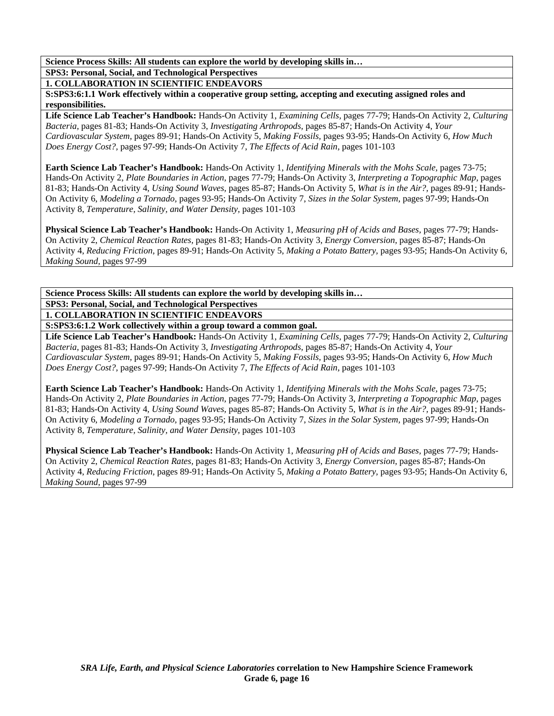**SPS3: Personal, Social, and Technological Perspectives** 

**1. COLLABORATION IN SCIENTIFIC ENDEAVORS** 

**S:SPS3:6:1.1 Work effectively within a cooperative group setting, accepting and executing assigned roles and responsibilities.** 

**Life Science Lab Teacher's Handbook:** Hands-On Activity 1, *Examining Cells,* pages 77-79; Hands-On Activity 2, *Culturing Bacteria,* pages 81-83; Hands-On Activity 3, *Investigating Arthropods,* pages 85-87; Hands-On Activity 4, *Your Cardiovascular System,* pages 89-91; Hands-On Activity 5, *Making Fossils,* pages 93-95; Hands-On Activity 6, *How Much Does Energy Cost?,* pages 97-99; Hands-On Activity 7, *The Effects of Acid Rain,* pages 101-103

**Earth Science Lab Teacher's Handbook:** Hands-On Activity 1, *Identifying Minerals with the Mohs Scale,* pages 73-75; Hands-On Activity 2, *Plate Boundaries in Action,* pages 77-79; Hands-On Activity 3, *Interpreting a Topographic Map,* pages 81-83; Hands-On Activity 4, *Using Sound Waves,* pages 85-87; Hands-On Activity 5, *What is in the Air?,* pages 89-91; Hands-On Activity 6, *Modeling a Tornado,* pages 93-95; Hands-On Activity 7, *Sizes in the Solar System,* pages 97-99; Hands-On Activity 8, *Temperature, Salinity, and Water Density,* pages 101-103

**Physical Science Lab Teacher's Handbook:** Hands-On Activity 1, *Measuring pH of Acids and Bases,* pages 77-79; Hands-On Activity 2, *Chemical Reaction Rates,* pages 81-83; Hands-On Activity 3, *Energy Conversion,* pages 85-87; Hands-On Activity 4, *Reducing Friction,* pages 89-91; Hands-On Activity 5, *Making a Potato Battery,* pages 93-95; Hands-On Activity 6, *Making Sound,* pages 97-99

**Science Process Skills: All students can explore the world by developing skills in… SPS3: Personal, Social, and Technological Perspectives 1. COLLABORATION IN SCIENTIFIC ENDEAVORS** 

**S:SPS3:6:1.2 Work collectively within a group toward a common goal.** 

**Life Science Lab Teacher's Handbook:** Hands-On Activity 1, *Examining Cells,* pages 77-79; Hands-On Activity 2, *Culturing Bacteria,* pages 81-83; Hands-On Activity 3, *Investigating Arthropods,* pages 85-87; Hands-On Activity 4, *Your Cardiovascular System,* pages 89-91; Hands-On Activity 5, *Making Fossils,* pages 93-95; Hands-On Activity 6, *How Much Does Energy Cost?,* pages 97-99; Hands-On Activity 7, *The Effects of Acid Rain,* pages 101-103

**Earth Science Lab Teacher's Handbook:** Hands-On Activity 1, *Identifying Minerals with the Mohs Scale,* pages 73-75; Hands-On Activity 2, *Plate Boundaries in Action,* pages 77-79; Hands-On Activity 3, *Interpreting a Topographic Map,* pages 81-83; Hands-On Activity 4, *Using Sound Waves,* pages 85-87; Hands-On Activity 5, *What is in the Air?,* pages 89-91; Hands-On Activity 6, *Modeling a Tornado,* pages 93-95; Hands-On Activity 7, *Sizes in the Solar System,* pages 97-99; Hands-On Activity 8, *Temperature, Salinity, and Water Density,* pages 101-103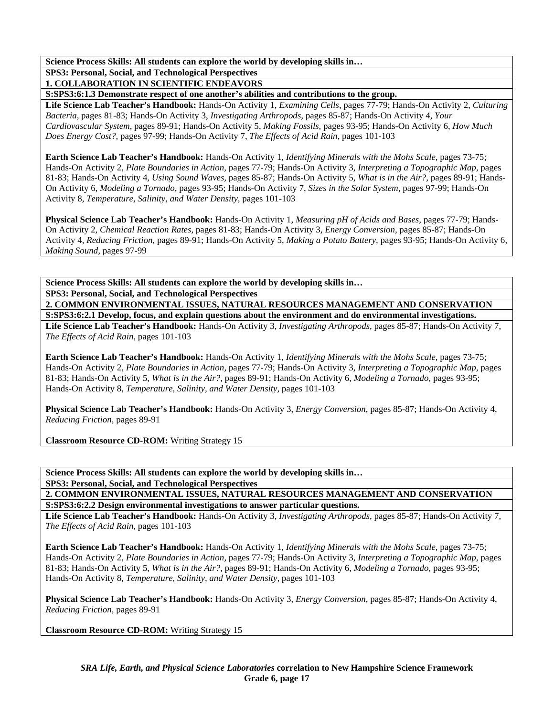**SPS3: Personal, Social, and Technological Perspectives** 

**1. COLLABORATION IN SCIENTIFIC ENDEAVORS** 

**S:SPS3:6:1.3 Demonstrate respect of one another's abilities and contributions to the group.** 

**Life Science Lab Teacher's Handbook:** Hands-On Activity 1, *Examining Cells,* pages 77-79; Hands-On Activity 2, *Culturing Bacteria,* pages 81-83; Hands-On Activity 3, *Investigating Arthropods,* pages 85-87; Hands-On Activity 4, *Your Cardiovascular System,* pages 89-91; Hands-On Activity 5, *Making Fossils,* pages 93-95; Hands-On Activity 6, *How Much Does Energy Cost?,* pages 97-99; Hands-On Activity 7, *The Effects of Acid Rain,* pages 101-103

**Earth Science Lab Teacher's Handbook:** Hands-On Activity 1, *Identifying Minerals with the Mohs Scale,* pages 73-75; Hands-On Activity 2, *Plate Boundaries in Action,* pages 77-79; Hands-On Activity 3, *Interpreting a Topographic Map,* pages 81-83; Hands-On Activity 4, *Using Sound Waves,* pages 85-87; Hands-On Activity 5, *What is in the Air?,* pages 89-91; Hands-On Activity 6, *Modeling a Tornado,* pages 93-95; Hands-On Activity 7, *Sizes in the Solar System,* pages 97-99; Hands-On Activity 8, *Temperature, Salinity, and Water Density,* pages 101-103

**Physical Science Lab Teacher's Handbook:** Hands-On Activity 1, *Measuring pH of Acids and Bases,* pages 77-79; Hands-On Activity 2, *Chemical Reaction Rates,* pages 81-83; Hands-On Activity 3, *Energy Conversion,* pages 85-87; Hands-On Activity 4, *Reducing Friction,* pages 89-91; Hands-On Activity 5, *Making a Potato Battery,* pages 93-95; Hands-On Activity 6, *Making Sound,* pages 97-99

**Science Process Skills: All students can explore the world by developing skills in… SPS3: Personal, Social, and Technological Perspectives** 

**2. COMMON ENVIRONMENTAL ISSUES, NATURAL RESOURCES MANAGEMENT AND CONSERVATION S:SPS3:6:2.1 Develop, focus, and explain questions about the environment and do environmental investigations.** 

**Life Science Lab Teacher's Handbook:** Hands-On Activity 3, *Investigating Arthropods,* pages 85-87; Hands-On Activity 7, *The Effects of Acid Rain,* pages 101-103

**Earth Science Lab Teacher's Handbook:** Hands-On Activity 1, *Identifying Minerals with the Mohs Scale,* pages 73-75; Hands-On Activity 2, *Plate Boundaries in Action,* pages 77-79; Hands-On Activity 3, *Interpreting a Topographic Map,* pages 81-83; Hands-On Activity 5, *What is in the Air?,* pages 89-91; Hands-On Activity 6, *Modeling a Tornado,* pages 93-95; Hands-On Activity 8, *Temperature, Salinity, and Water Density,* pages 101-103

**Physical Science Lab Teacher's Handbook:** Hands-On Activity 3, *Energy Conversion,* pages 85-87; Hands-On Activity 4, *Reducing Friction,* pages 89-91

**Classroom Resource CD-ROM:** Writing Strategy 15

**Science Process Skills: All students can explore the world by developing skills in…** 

**SPS3: Personal, Social, and Technological Perspectives** 

**2. COMMON ENVIRONMENTAL ISSUES, NATURAL RESOURCES MANAGEMENT AND CONSERVATION S:SPS3:6:2.2 Design environmental investigations to answer particular questions.** 

**Life Science Lab Teacher's Handbook:** Hands-On Activity 3, *Investigating Arthropods,* pages 85-87; Hands-On Activity 7, *The Effects of Acid Rain,* pages 101-103

**Earth Science Lab Teacher's Handbook:** Hands-On Activity 1, *Identifying Minerals with the Mohs Scale,* pages 73-75; Hands-On Activity 2, *Plate Boundaries in Action,* pages 77-79; Hands-On Activity 3, *Interpreting a Topographic Map,* pages 81-83; Hands-On Activity 5, *What is in the Air?,* pages 89-91; Hands-On Activity 6, *Modeling a Tornado,* pages 93-95; Hands-On Activity 8, *Temperature, Salinity, and Water Density,* pages 101-103

**Physical Science Lab Teacher's Handbook:** Hands-On Activity 3, *Energy Conversion,* pages 85-87; Hands-On Activity 4, *Reducing Friction,* pages 89-91

**Classroom Resource CD-ROM:** Writing Strategy 15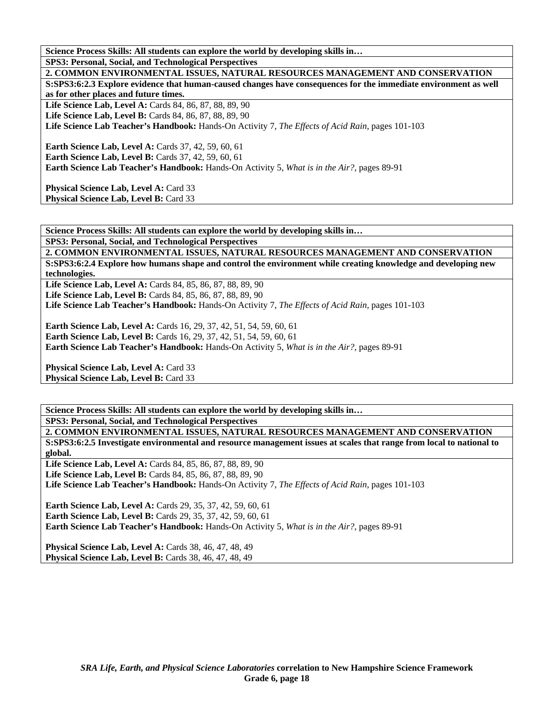**Science Process Skills: All students can explore the world by developing skills in… SPS3: Personal, Social, and Technological Perspectives** 

**2. COMMON ENVIRONMENTAL ISSUES, NATURAL RESOURCES MANAGEMENT AND CONSERVATION S:SPS3:6:2.3 Explore evidence that human-caused changes have consequences for the immediate environment as well as for other places and future times.**  Life Science Lab, Level A: Cards 84, 86, 87, 88, 89, 90 Life Science Lab, Level B: Cards 84, 86, 87, 88, 89, 90 **Life Science Lab Teacher's Handbook:** Hands-On Activity 7, *The Effects of Acid Rain,* pages 101-103 **Earth Science Lab, Level A: Cards 37, 42, 59, 60, 61 Earth Science Lab, Level B: Cards 37, 42, 59, 60, 61 Earth Science Lab Teacher's Handbook:** Hands-On Activity 5, *What is in the Air?,* pages 89-91

Physical Science Lab, Level A: Card 33 Physical Science Lab, Level B: Card 33

**Science Process Skills: All students can explore the world by developing skills in…** 

**SPS3: Personal, Social, and Technological Perspectives** 

**2. COMMON ENVIRONMENTAL ISSUES, NATURAL RESOURCES MANAGEMENT AND CONSERVATION S:SPS3:6:2.4 Explore how humans shape and control the environment while creating knowledge and developing new technologies.** 

**Life Science Lab, Level A:** Cards 84, 85, 86, 87, 88, 89, 90 **Life Science Lab, Level B:** Cards 84, 85, 86, 87, 88, 89, 90 **Life Science Lab Teacher's Handbook:** Hands-On Activity 7, *The Effects of Acid Rain,* pages 101-103

**Earth Science Lab, Level A: Cards 16, 29, 37, 42, 51, 54, 59, 60, 61 Earth Science Lab, Level B:** Cards 16, 29, 37, 42, 51, 54, 59, 60, 61 **Earth Science Lab Teacher's Handbook:** Hands-On Activity 5, *What is in the Air?,* pages 89-91

Physical Science Lab, Level A: Card 33 Physical Science Lab, Level B: Card 33

**Science Process Skills: All students can explore the world by developing skills in… SPS3: Personal, Social, and Technological Perspectives** 

**2. COMMON ENVIRONMENTAL ISSUES, NATURAL RESOURCES MANAGEMENT AND CONSERVATION S:SPS3:6:2.5 Investigate environmental and resource management issues at scales that range from local to national to global. Life Science Lab, Level A:** Cards 84, 85, 86, 87, 88, 89, 90 **Life Science Lab, Level B:** Cards 84, 85, 86, 87, 88, 89, 90 **Life Science Lab Teacher's Handbook:** Hands-On Activity 7, *The Effects of Acid Rain,* pages 101-103

**Earth Science Lab, Level A:** Cards 29, 35, 37, 42, 59, 60, 61 **Earth Science Lab, Level B:** Cards 29, 35, 37, 42, 59, 60, 61 **Earth Science Lab Teacher's Handbook:** Hands-On Activity 5, *What is in the Air?,* pages 89-91

**Physical Science Lab, Level A: Cards 38, 46, 47, 48, 49 Physical Science Lab, Level B: Cards 38, 46, 47, 48, 49**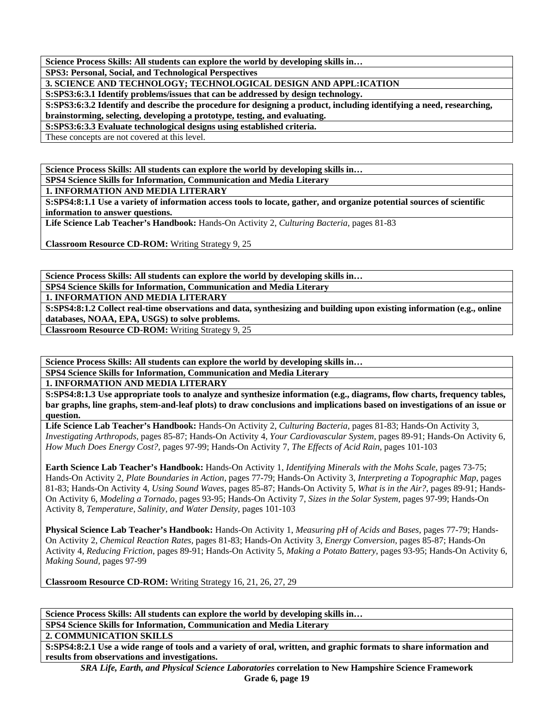**SPS3: Personal, Social, and Technological Perspectives** 

**3. SCIENCE AND TECHNOLOGY; TECHNOLOGICAL DESIGN AND APPL:ICATION** 

**S:SPS3:6:3.1 Identify problems/issues that can be addressed by design technology.** 

**S:SPS3:6:3.2 Identify and describe the procedure for designing a product, including identifying a need, researching, brainstorming, selecting, developing a prototype, testing, and evaluating.** 

**S:SPS3:6:3.3 Evaluate technological designs using established criteria.** 

These concepts are not covered at this level.

**Science Process Skills: All students can explore the world by developing skills in…** 

**SPS4 Science Skills for Information, Communication and Media Literary** 

**1. INFORMATION AND MEDIA LITERARY** 

**S:SPS4:8:1.1 Use a variety of information access tools to locate, gather, and organize potential sources of scientific information to answer questions.** 

**Life Science Lab Teacher's Handbook:** Hands-On Activity 2, *Culturing Bacteria,* pages 81-83

**Classroom Resource CD-ROM:** Writing Strategy 9, 25

**Science Process Skills: All students can explore the world by developing skills in…** 

**SPS4 Science Skills for Information, Communication and Media Literary** 

**1. INFORMATION AND MEDIA LITERARY** 

**S:SPS4:8:1.2 Collect real-time observations and data, synthesizing and building upon existing information (e.g., online databases, NOAA, EPA, USGS) to solve problems.** 

**Classroom Resource CD-ROM:** Writing Strategy 9, 25

**Science Process Skills: All students can explore the world by developing skills in…** 

**SPS4 Science Skills for Information, Communication and Media Literary** 

**1. INFORMATION AND MEDIA LITERARY** 

**S:SPS4:8:1.3 Use appropriate tools to analyze and synthesize information (e.g., diagrams, flow charts, frequency tables, bar graphs, line graphs, stem-and-leaf plots) to draw conclusions and implications based on investigations of an issue or question.** 

**Life Science Lab Teacher's Handbook:** Hands-On Activity 2, *Culturing Bacteria,* pages 81-83; Hands-On Activity 3, *Investigating Arthropods,* pages 85-87; Hands-On Activity 4, *Your Cardiovascular System,* pages 89-91; Hands-On Activity 6, *How Much Does Energy Cost?,* pages 97-99; Hands-On Activity 7, *The Effects of Acid Rain,* pages 101-103

**Earth Science Lab Teacher's Handbook:** Hands-On Activity 1, *Identifying Minerals with the Mohs Scale,* pages 73-75; Hands-On Activity 2, *Plate Boundaries in Action,* pages 77-79; Hands-On Activity 3, *Interpreting a Topographic Map,* pages 81-83; Hands-On Activity 4, *Using Sound Waves,* pages 85-87; Hands-On Activity 5, *What is in the Air?,* pages 89-91; Hands-On Activity 6, *Modeling a Tornado,* pages 93-95; Hands-On Activity 7, *Sizes in the Solar System,* pages 97-99; Hands-On Activity 8, *Temperature, Salinity, and Water Density,* pages 101-103

**Physical Science Lab Teacher's Handbook:** Hands-On Activity 1, *Measuring pH of Acids and Bases,* pages 77-79; Hands-On Activity 2, *Chemical Reaction Rates,* pages 81-83; Hands-On Activity 3, *Energy Conversion,* pages 85-87; Hands-On Activity 4, *Reducing Friction,* pages 89-91; Hands-On Activity 5, *Making a Potato Battery,* pages 93-95; Hands-On Activity 6, *Making Sound,* pages 97-99

**Classroom Resource CD-ROM:** Writing Strategy 16, 21, 26, 27, 29

**Science Process Skills: All students can explore the world by developing skills in… SPS4 Science Skills for Information, Communication and Media Literary** 

**2. COMMUNICATION SKILLS** 

**S:SPS4:8:2.1 Use a wide range of tools and a variety of oral, written, and graphic formats to share information and results from observations and investigations.** 

*SRA Life, Earth, and Physical Science Laboratories* **correlation to New Hampshire Science Framework Grade 6, page 19**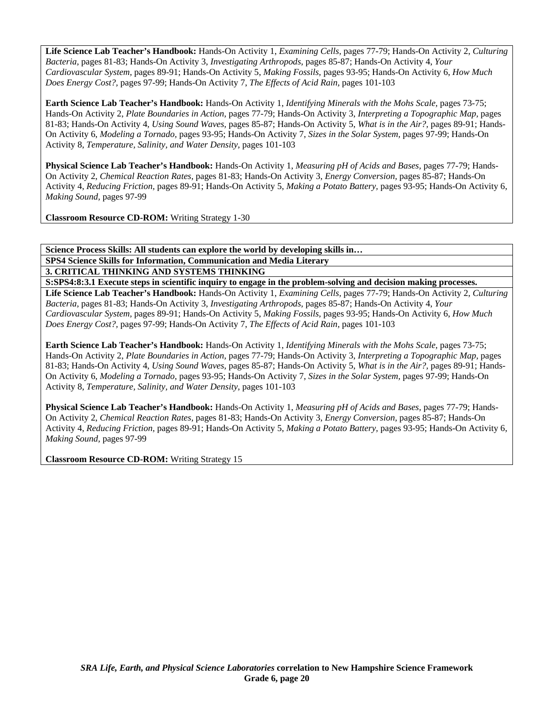**Life Science Lab Teacher's Handbook:** Hands-On Activity 1, *Examining Cells,* pages 77-79; Hands-On Activity 2, *Culturing Bacteria,* pages 81-83; Hands-On Activity 3, *Investigating Arthropods,* pages 85-87; Hands-On Activity 4, *Your Cardiovascular System,* pages 89-91; Hands-On Activity 5, *Making Fossils,* pages 93-95; Hands-On Activity 6, *How Much Does Energy Cost?,* pages 97-99; Hands-On Activity 7, *The Effects of Acid Rain,* pages 101-103

**Earth Science Lab Teacher's Handbook:** Hands-On Activity 1, *Identifying Minerals with the Mohs Scale,* pages 73-75; Hands-On Activity 2, *Plate Boundaries in Action,* pages 77-79; Hands-On Activity 3, *Interpreting a Topographic Map,* pages 81-83; Hands-On Activity 4, *Using Sound Waves,* pages 85-87; Hands-On Activity 5, *What is in the Air?,* pages 89-91; Hands-On Activity 6, *Modeling a Tornado,* pages 93-95; Hands-On Activity 7, *Sizes in the Solar System,* pages 97-99; Hands-On Activity 8, *Temperature, Salinity, and Water Density,* pages 101-103

**Physical Science Lab Teacher's Handbook:** Hands-On Activity 1, *Measuring pH of Acids and Bases,* pages 77-79; Hands-On Activity 2, *Chemical Reaction Rates,* pages 81-83; Hands-On Activity 3, *Energy Conversion,* pages 85-87; Hands-On Activity 4, *Reducing Friction,* pages 89-91; Hands-On Activity 5, *Making a Potato Battery,* pages 93-95; Hands-On Activity 6, *Making Sound,* pages 97-99

**Classroom Resource CD-ROM:** Writing Strategy 1-30

**Science Process Skills: All students can explore the world by developing skills in… SPS4 Science Skills for Information, Communication and Media Literary** 

**3. CRITICAL THINKING AND SYSTEMS THINKING** 

**S:SPS4:8:3.1 Execute steps in scientific inquiry to engage in the problem-solving and decision making processes.** 

**Life Science Lab Teacher's Handbook:** Hands-On Activity 1, *Examining Cells,* pages 77-79; Hands-On Activity 2, *Culturing Bacteria,* pages 81-83; Hands-On Activity 3, *Investigating Arthropods,* pages 85-87; Hands-On Activity 4, *Your Cardiovascular System,* pages 89-91; Hands-On Activity 5, *Making Fossils,* pages 93-95; Hands-On Activity 6, *How Much Does Energy Cost?,* pages 97-99; Hands-On Activity 7, *The Effects of Acid Rain,* pages 101-103

**Earth Science Lab Teacher's Handbook:** Hands-On Activity 1, *Identifying Minerals with the Mohs Scale,* pages 73-75; Hands-On Activity 2, *Plate Boundaries in Action,* pages 77-79; Hands-On Activity 3, *Interpreting a Topographic Map,* pages 81-83; Hands-On Activity 4, *Using Sound Waves,* pages 85-87; Hands-On Activity 5, *What is in the Air?,* pages 89-91; Hands-On Activity 6, *Modeling a Tornado,* pages 93-95; Hands-On Activity 7, *Sizes in the Solar System,* pages 97-99; Hands-On Activity 8, *Temperature, Salinity, and Water Density,* pages 101-103

**Physical Science Lab Teacher's Handbook:** Hands-On Activity 1, *Measuring pH of Acids and Bases,* pages 77-79; Hands-On Activity 2, *Chemical Reaction Rates,* pages 81-83; Hands-On Activity 3, *Energy Conversion,* pages 85-87; Hands-On Activity 4, *Reducing Friction,* pages 89-91; Hands-On Activity 5, *Making a Potato Battery,* pages 93-95; Hands-On Activity 6, *Making Sound,* pages 97-99

**Classroom Resource CD-ROM:** Writing Strategy 15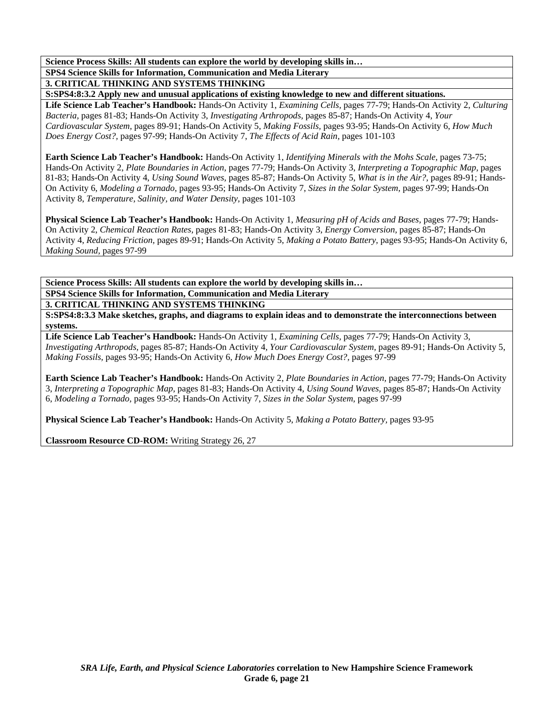**SPS4 Science Skills for Information, Communication and Media Literary** 

**3. CRITICAL THINKING AND SYSTEMS THINKING** 

**S:SPS4:8:3.2 Apply new and unusual applications of existing knowledge to new and different situations.** 

**Life Science Lab Teacher's Handbook:** Hands-On Activity 1, *Examining Cells,* pages 77-79; Hands-On Activity 2, *Culturing Bacteria,* pages 81-83; Hands-On Activity 3, *Investigating Arthropods,* pages 85-87; Hands-On Activity 4, *Your Cardiovascular System,* pages 89-91; Hands-On Activity 5, *Making Fossils,* pages 93-95; Hands-On Activity 6, *How Much Does Energy Cost?,* pages 97-99; Hands-On Activity 7, *The Effects of Acid Rain,* pages 101-103

**Earth Science Lab Teacher's Handbook:** Hands-On Activity 1, *Identifying Minerals with the Mohs Scale,* pages 73-75; Hands-On Activity 2, *Plate Boundaries in Action,* pages 77-79; Hands-On Activity 3, *Interpreting a Topographic Map,* pages 81-83; Hands-On Activity 4, *Using Sound Waves,* pages 85-87; Hands-On Activity 5, *What is in the Air?,* pages 89-91; Hands-On Activity 6, *Modeling a Tornado,* pages 93-95; Hands-On Activity 7, *Sizes in the Solar System,* pages 97-99; Hands-On Activity 8, *Temperature, Salinity, and Water Density,* pages 101-103

**Physical Science Lab Teacher's Handbook:** Hands-On Activity 1, *Measuring pH of Acids and Bases,* pages 77-79; Hands-On Activity 2, *Chemical Reaction Rates,* pages 81-83; Hands-On Activity 3, *Energy Conversion,* pages 85-87; Hands-On Activity 4, *Reducing Friction,* pages 89-91; Hands-On Activity 5, *Making a Potato Battery,* pages 93-95; Hands-On Activity 6, *Making Sound,* pages 97-99

**Science Process Skills: All students can explore the world by developing skills in… SPS4 Science Skills for Information, Communication and Media Literary** 

**3. CRITICAL THINKING AND SYSTEMS THINKING** 

**S:SPS4:8:3.3 Make sketches, graphs, and diagrams to explain ideas and to demonstrate the interconnections between systems.** 

**Life Science Lab Teacher's Handbook:** Hands-On Activity 1, *Examining Cells,* pages 77-79; Hands-On Activity 3, *Investigating Arthropods,* pages 85-87; Hands-On Activity 4, *Your Cardiovascular System,* pages 89-91; Hands-On Activity 5, *Making Fossils,* pages 93-95; Hands-On Activity 6, *How Much Does Energy Cost?,* pages 97-99

**Earth Science Lab Teacher's Handbook:** Hands-On Activity 2, *Plate Boundaries in Action,* pages 77-79; Hands-On Activity 3, *Interpreting a Topographic Map,* pages 81-83; Hands-On Activity 4, *Using Sound Waves,* pages 85-87; Hands-On Activity 6, *Modeling a Tornado,* pages 93-95; Hands-On Activity 7, *Sizes in the Solar System,* pages 97-99

**Physical Science Lab Teacher's Handbook:** Hands-On Activity 5, *Making a Potato Battery,* pages 93-95

**Classroom Resource CD-ROM:** Writing Strategy 26, 27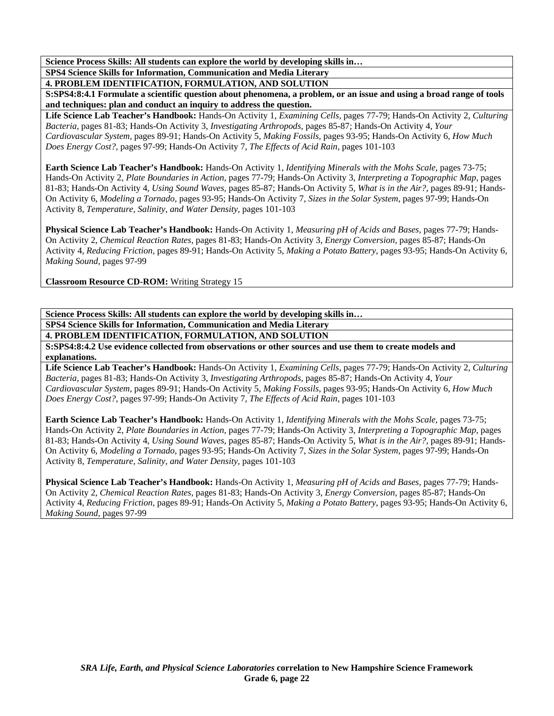**SPS4 Science Skills for Information, Communication and Media Literary 4. PROBLEM IDENTIFICATION, FORMULATION, AND SOLUTION** 

**S:SPS4:8:4.1 Formulate a scientific question about phenomena, a problem, or an issue and using a broad range of tools and techniques: plan and conduct an inquiry to address the question.** 

**Life Science Lab Teacher's Handbook:** Hands-On Activity 1, *Examining Cells,* pages 77-79; Hands-On Activity 2, *Culturing Bacteria,* pages 81-83; Hands-On Activity 3, *Investigating Arthropods,* pages 85-87; Hands-On Activity 4, *Your Cardiovascular System,* pages 89-91; Hands-On Activity 5, *Making Fossils,* pages 93-95; Hands-On Activity 6, *How Much Does Energy Cost?,* pages 97-99; Hands-On Activity 7, *The Effects of Acid Rain,* pages 101-103

**Earth Science Lab Teacher's Handbook:** Hands-On Activity 1, *Identifying Minerals with the Mohs Scale,* pages 73-75; Hands-On Activity 2, *Plate Boundaries in Action,* pages 77-79; Hands-On Activity 3, *Interpreting a Topographic Map,* pages 81-83; Hands-On Activity 4, *Using Sound Waves,* pages 85-87; Hands-On Activity 5, *What is in the Air?,* pages 89-91; Hands-On Activity 6, *Modeling a Tornado,* pages 93-95; Hands-On Activity 7, *Sizes in the Solar System,* pages 97-99; Hands-On Activity 8, *Temperature, Salinity, and Water Density,* pages 101-103

**Physical Science Lab Teacher's Handbook:** Hands-On Activity 1, *Measuring pH of Acids and Bases,* pages 77-79; Hands-On Activity 2, *Chemical Reaction Rates,* pages 81-83; Hands-On Activity 3, *Energy Conversion,* pages 85-87; Hands-On Activity 4, *Reducing Friction,* pages 89-91; Hands-On Activity 5, *Making a Potato Battery,* pages 93-95; Hands-On Activity 6, *Making Sound,* pages 97-99

**Classroom Resource CD-ROM:** Writing Strategy 15

**Science Process Skills: All students can explore the world by developing skills in…** 

**SPS4 Science Skills for Information, Communication and Media Literary** 

**4. PROBLEM IDENTIFICATION, FORMULATION, AND SOLUTION** 

**S:SPS4:8:4.2 Use evidence collected from observations or other sources and use them to create models and explanations.** 

**Life Science Lab Teacher's Handbook:** Hands-On Activity 1, *Examining Cells,* pages 77-79; Hands-On Activity 2, *Culturing Bacteria,* pages 81-83; Hands-On Activity 3, *Investigating Arthropods,* pages 85-87; Hands-On Activity 4, *Your Cardiovascular System,* pages 89-91; Hands-On Activity 5, *Making Fossils,* pages 93-95; Hands-On Activity 6, *How Much Does Energy Cost?,* pages 97-99; Hands-On Activity 7, *The Effects of Acid Rain,* pages 101-103

**Earth Science Lab Teacher's Handbook:** Hands-On Activity 1, *Identifying Minerals with the Mohs Scale,* pages 73-75; Hands-On Activity 2, *Plate Boundaries in Action,* pages 77-79; Hands-On Activity 3, *Interpreting a Topographic Map,* pages 81-83; Hands-On Activity 4, *Using Sound Waves,* pages 85-87; Hands-On Activity 5, *What is in the Air?,* pages 89-91; Hands-On Activity 6, *Modeling a Tornado,* pages 93-95; Hands-On Activity 7, *Sizes in the Solar System,* pages 97-99; Hands-On Activity 8, *Temperature, Salinity, and Water Density,* pages 101-103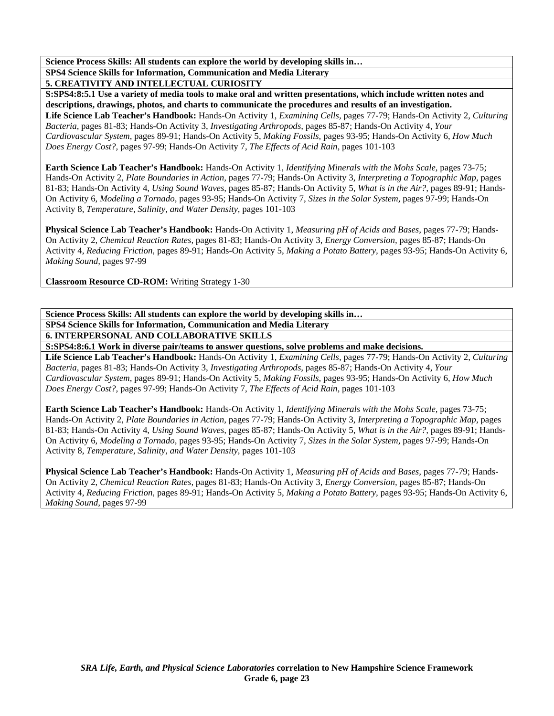**SPS4 Science Skills for Information, Communication and Media Literary** 

**5. CREATIVITY AND INTELLECTUAL CURIOSITY** 

**S:SPS4:8:5.1 Use a variety of media tools to make oral and written presentations, which include written notes and descriptions, drawings, photos, and charts to communicate the procedures and results of an investigation.** 

**Life Science Lab Teacher's Handbook:** Hands-On Activity 1, *Examining Cells,* pages 77-79; Hands-On Activity 2, *Culturing Bacteria,* pages 81-83; Hands-On Activity 3, *Investigating Arthropods,* pages 85-87; Hands-On Activity 4, *Your Cardiovascular System,* pages 89-91; Hands-On Activity 5, *Making Fossils,* pages 93-95; Hands-On Activity 6, *How Much Does Energy Cost?,* pages 97-99; Hands-On Activity 7, *The Effects of Acid Rain,* pages 101-103

**Earth Science Lab Teacher's Handbook:** Hands-On Activity 1, *Identifying Minerals with the Mohs Scale,* pages 73-75; Hands-On Activity 2, *Plate Boundaries in Action,* pages 77-79; Hands-On Activity 3, *Interpreting a Topographic Map,* pages 81-83; Hands-On Activity 4, *Using Sound Waves,* pages 85-87; Hands-On Activity 5, *What is in the Air?,* pages 89-91; Hands-On Activity 6, *Modeling a Tornado,* pages 93-95; Hands-On Activity 7, *Sizes in the Solar System,* pages 97-99; Hands-On Activity 8, *Temperature, Salinity, and Water Density,* pages 101-103

**Physical Science Lab Teacher's Handbook:** Hands-On Activity 1, *Measuring pH of Acids and Bases,* pages 77-79; Hands-On Activity 2, *Chemical Reaction Rates,* pages 81-83; Hands-On Activity 3, *Energy Conversion,* pages 85-87; Hands-On Activity 4, *Reducing Friction,* pages 89-91; Hands-On Activity 5, *Making a Potato Battery,* pages 93-95; Hands-On Activity 6, *Making Sound,* pages 97-99

**Classroom Resource CD-ROM:** Writing Strategy 1-30

**Science Process Skills: All students can explore the world by developing skills in… SPS4 Science Skills for Information, Communication and Media Literary** 

**6. INTERPERSONAL AND COLLABORATIVE SKILLS** 

**S:SPS4:8:6.1 Work in diverse pair/teams to answer questions, solve problems and make decisions.** 

**Life Science Lab Teacher's Handbook:** Hands-On Activity 1, *Examining Cells,* pages 77-79; Hands-On Activity 2, *Culturing Bacteria,* pages 81-83; Hands-On Activity 3, *Investigating Arthropods,* pages 85-87; Hands-On Activity 4, *Your Cardiovascular System,* pages 89-91; Hands-On Activity 5, *Making Fossils,* pages 93-95; Hands-On Activity 6, *How Much Does Energy Cost?,* pages 97-99; Hands-On Activity 7, *The Effects of Acid Rain,* pages 101-103

**Earth Science Lab Teacher's Handbook:** Hands-On Activity 1, *Identifying Minerals with the Mohs Scale,* pages 73-75; Hands-On Activity 2, *Plate Boundaries in Action,* pages 77-79; Hands-On Activity 3, *Interpreting a Topographic Map,* pages 81-83; Hands-On Activity 4, *Using Sound Waves,* pages 85-87; Hands-On Activity 5, *What is in the Air?,* pages 89-91; Hands-On Activity 6, *Modeling a Tornado,* pages 93-95; Hands-On Activity 7, *Sizes in the Solar System,* pages 97-99; Hands-On Activity 8, *Temperature, Salinity, and Water Density,* pages 101-103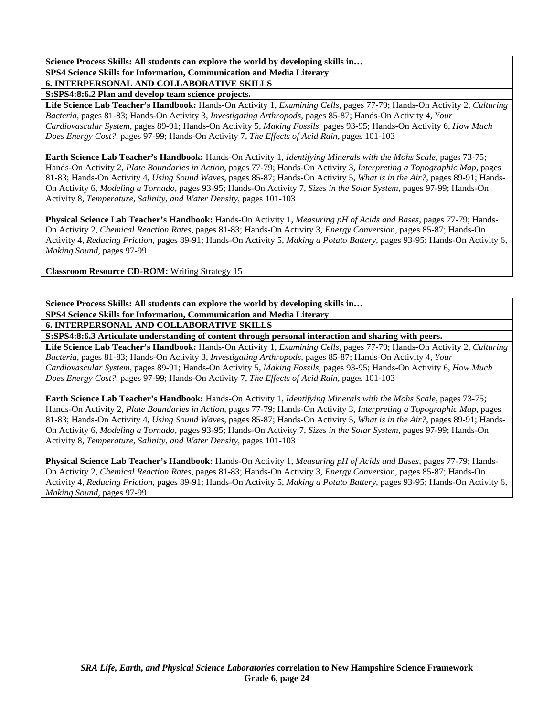**SPS4 Science Skills for Information, Communication and Media Literary** 

**6. INTERPERSONAL AND COLLABORATIVE SKILLS** 

**S:SPS4:8:6.2 Plan and develop team science projects.** 

**Life Science Lab Teacher's Handbook:** Hands-On Activity 1, *Examining Cells,* pages 77-79; Hands-On Activity 2, *Culturing Bacteria,* pages 81-83; Hands-On Activity 3, *Investigating Arthropods,* pages 85-87; Hands-On Activity 4, *Your Cardiovascular System,* pages 89-91; Hands-On Activity 5, *Making Fossils,* pages 93-95; Hands-On Activity 6, *How Much Does Energy Cost?,* pages 97-99; Hands-On Activity 7, *The Effects of Acid Rain,* pages 101-103

**Earth Science Lab Teacher's Handbook:** Hands-On Activity 1, *Identifying Minerals with the Mohs Scale,* pages 73-75; Hands-On Activity 2, *Plate Boundaries in Action,* pages 77-79; Hands-On Activity 3, *Interpreting a Topographic Map,* pages 81-83; Hands-On Activity 4, *Using Sound Waves,* pages 85-87; Hands-On Activity 5, *What is in the Air?,* pages 89-91; Hands-On Activity 6, *Modeling a Tornado,* pages 93-95; Hands-On Activity 7, *Sizes in the Solar System,* pages 97-99; Hands-On Activity 8, *Temperature, Salinity, and Water Density,* pages 101-103

**Physical Science Lab Teacher's Handbook:** Hands-On Activity 1, *Measuring pH of Acids and Bases,* pages 77-79; Hands-On Activity 2, *Chemical Reaction Rates,* pages 81-83; Hands-On Activity 3, *Energy Conversion,* pages 85-87; Hands-On Activity 4, *Reducing Friction,* pages 89-91; Hands-On Activity 5, *Making a Potato Battery,* pages 93-95; Hands-On Activity 6, *Making Sound,* pages 97-99

**Classroom Resource CD-ROM:** Writing Strategy 15

**Science Process Skills: All students can explore the world by developing skills in… SPS4 Science Skills for Information, Communication and Media Literary 6. INTERPERSONAL AND COLLABORATIVE SKILLS** 

**S:SPS4:8:6.3 Articulate understanding of content through personal interaction and sharing with peers.** 

**Life Science Lab Teacher's Handbook:** Hands-On Activity 1, *Examining Cells,* pages 77-79; Hands-On Activity 2, *Culturing Bacteria,* pages 81-83; Hands-On Activity 3, *Investigating Arthropods,* pages 85-87; Hands-On Activity 4, *Your Cardiovascular System,* pages 89-91; Hands-On Activity 5, *Making Fossils,* pages 93-95; Hands-On Activity 6, *How Much Does Energy Cost?,* pages 97-99; Hands-On Activity 7, *The Effects of Acid Rain,* pages 101-103

**Earth Science Lab Teacher's Handbook:** Hands-On Activity 1, *Identifying Minerals with the Mohs Scale,* pages 73-75; Hands-On Activity 2, *Plate Boundaries in Action,* pages 77-79; Hands-On Activity 3, *Interpreting a Topographic Map,* pages 81-83; Hands-On Activity 4, *Using Sound Waves,* pages 85-87; Hands-On Activity 5, *What is in the Air?,* pages 89-91; Hands-On Activity 6, *Modeling a Tornado,* pages 93-95; Hands-On Activity 7, *Sizes in the Solar System,* pages 97-99; Hands-On Activity 8, *Temperature, Salinity, and Water Density,* pages 101-103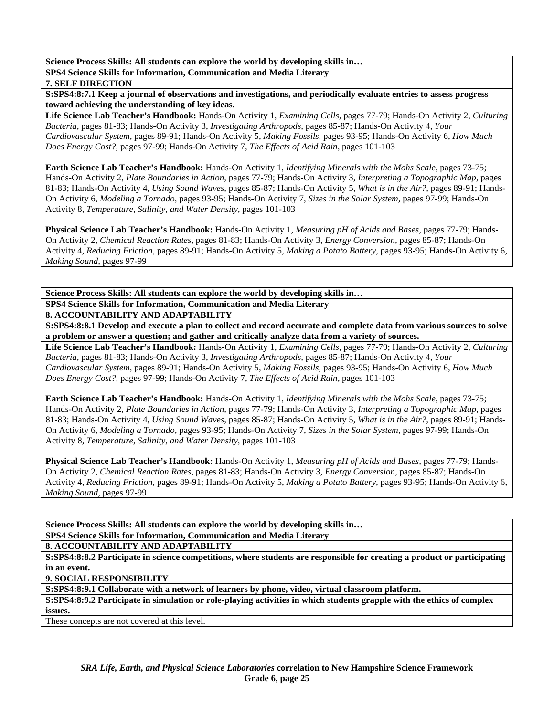**SPS4 Science Skills for Information, Communication and Media Literary** 

#### **7. SELF DIRECTION**

**S:SPS4:8:7.1 Keep a journal of observations and investigations, and periodically evaluate entries to assess progress toward achieving the understanding of key ideas.** 

**Life Science Lab Teacher's Handbook:** Hands-On Activity 1, *Examining Cells,* pages 77-79; Hands-On Activity 2, *Culturing Bacteria,* pages 81-83; Hands-On Activity 3, *Investigating Arthropods,* pages 85-87; Hands-On Activity 4, *Your Cardiovascular System,* pages 89-91; Hands-On Activity 5, *Making Fossils,* pages 93-95; Hands-On Activity 6, *How Much Does Energy Cost?,* pages 97-99; Hands-On Activity 7, *The Effects of Acid Rain,* pages 101-103

**Earth Science Lab Teacher's Handbook:** Hands-On Activity 1, *Identifying Minerals with the Mohs Scale,* pages 73-75; Hands-On Activity 2, *Plate Boundaries in Action,* pages 77-79; Hands-On Activity 3, *Interpreting a Topographic Map,* pages 81-83; Hands-On Activity 4, *Using Sound Waves,* pages 85-87; Hands-On Activity 5, *What is in the Air?,* pages 89-91; Hands-On Activity 6, *Modeling a Tornado,* pages 93-95; Hands-On Activity 7, *Sizes in the Solar System,* pages 97-99; Hands-On Activity 8, *Temperature, Salinity, and Water Density,* pages 101-103

**Physical Science Lab Teacher's Handbook:** Hands-On Activity 1, *Measuring pH of Acids and Bases,* pages 77-79; Hands-On Activity 2, *Chemical Reaction Rates,* pages 81-83; Hands-On Activity 3, *Energy Conversion,* pages 85-87; Hands-On Activity 4, *Reducing Friction,* pages 89-91; Hands-On Activity 5, *Making a Potato Battery,* pages 93-95; Hands-On Activity 6, *Making Sound,* pages 97-99

**Science Process Skills: All students can explore the world by developing skills in… SPS4 Science Skills for Information, Communication and Media Literary** 

## **8. ACCOUNTABILITY AND ADAPTABILITY**

**S:SPS4:8:8.1 Develop and execute a plan to collect and record accurate and complete data from various sources to solve a problem or answer a question; and gather and critically analyze data from a variety of sources.** 

**Life Science Lab Teacher's Handbook:** Hands-On Activity 1, *Examining Cells,* pages 77-79; Hands-On Activity 2, *Culturing Bacteria,* pages 81-83; Hands-On Activity 3, *Investigating Arthropods,* pages 85-87; Hands-On Activity 4, *Your Cardiovascular System,* pages 89-91; Hands-On Activity 5, *Making Fossils,* pages 93-95; Hands-On Activity 6, *How Much Does Energy Cost?,* pages 97-99; Hands-On Activity 7, *The Effects of Acid Rain,* pages 101-103

**Earth Science Lab Teacher's Handbook:** Hands-On Activity 1, *Identifying Minerals with the Mohs Scale,* pages 73-75; Hands-On Activity 2, *Plate Boundaries in Action,* pages 77-79; Hands-On Activity 3, *Interpreting a Topographic Map,* pages 81-83; Hands-On Activity 4, *Using Sound Waves,* pages 85-87; Hands-On Activity 5, *What is in the Air?,* pages 89-91; Hands-On Activity 6, *Modeling a Tornado,* pages 93-95; Hands-On Activity 7, *Sizes in the Solar System,* pages 97-99; Hands-On Activity 8, *Temperature, Salinity, and Water Density,* pages 101-103

**Physical Science Lab Teacher's Handbook:** Hands-On Activity 1, *Measuring pH of Acids and Bases,* pages 77-79; Hands-On Activity 2, *Chemical Reaction Rates,* pages 81-83; Hands-On Activity 3, *Energy Conversion,* pages 85-87; Hands-On Activity 4, *Reducing Friction,* pages 89-91; Hands-On Activity 5, *Making a Potato Battery,* pages 93-95; Hands-On Activity 6, *Making Sound,* pages 97-99

**Science Process Skills: All students can explore the world by developing skills in… SPS4 Science Skills for Information, Communication and Media Literary** 

**8. ACCOUNTABILITY AND ADAPTABILITY** 

**S:SPS4:8:8.2 Participate in science competitions, where students are responsible for creating a product or participating in an event.** 

**9. SOCIAL RESPONSIBILITY** 

**S:SPS4:8:9.1 Collaborate with a network of learners by phone, video, virtual classroom platform.** 

**S:SPS4:8:9.2 Participate in simulation or role-playing activities in which students grapple with the ethics of complex issues.** 

These concepts are not covered at this level.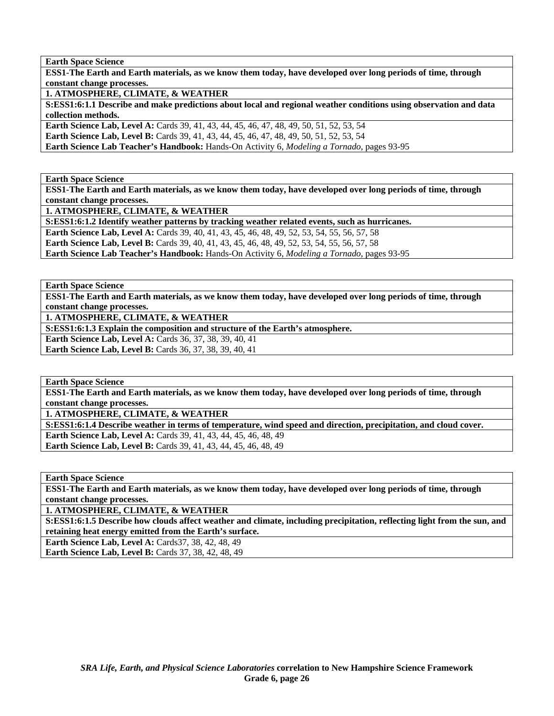**ESS1-The Earth and Earth materials, as we know them today, have developed over long periods of time, through constant change processes.** 

**1. ATMOSPHERE, CLIMATE, & WEATHER** 

**S:ESS1:6:1.1 Describe and make predictions about local and regional weather conditions using observation and data collection methods.** 

**Earth Science Lab, Level A:** Cards 39, 41, 43, 44, 45, 46, 47, 48, 49, 50, 51, 52, 53, 54 **Earth Science Lab, Level B:** Cards 39, 41, 43, 44, 45, 46, 47, 48, 49, 50, 51, 52, 53, 54 **Earth Science Lab Teacher's Handbook:** Hands-On Activity 6, *Modeling a Tornado,* pages 93-95

**Earth Space Science** 

**ESS1-The Earth and Earth materials, as we know them today, have developed over long periods of time, through constant change processes.** 

**1. ATMOSPHERE, CLIMATE, & WEATHER** 

**S:ESS1:6:1.2 Identify weather patterns by tracking weather related events, such as hurricanes. Earth Science Lab, Level A:** Cards 39, 40, 41, 43, 45, 46, 48, 49, 52, 53, 54, 55, 56, 57, 58 **Earth Science Lab, Level B:** Cards 39, 40, 41, 43, 45, 46, 48, 49, 52, 53, 54, 55, 56, 57, 58 **Earth Science Lab Teacher's Handbook:** Hands-On Activity 6, *Modeling a Tornado,* pages 93-95

**Earth Space Science** 

**ESS1-The Earth and Earth materials, as we know them today, have developed over long periods of time, through constant change processes.** 

**1. ATMOSPHERE, CLIMATE, & WEATHER** 

**S:ESS1:6:1.3 Explain the composition and structure of the Earth's atmosphere.** 

**Earth Science Lab, Level A:** Cards 36, 37, 38, 39, 40, 41 **Earth Science Lab, Level B: Cards 36, 37, 38, 39, 40, 41** 

**Earth Space Science** 

**ESS1-The Earth and Earth materials, as we know them today, have developed over long periods of time, through constant change processes.** 

**1. ATMOSPHERE, CLIMATE, & WEATHER** 

**S:ESS1:6:1.4 Describe weather in terms of temperature, wind speed and direction, precipitation, and cloud cover.** 

**Earth Science Lab, Level A:** Cards 39, 41, 43, 44, 45, 46, 48, 49 **Earth Science Lab, Level B:** Cards 39, 41, 43, 44, 45, 46, 48, 49

**Earth Space Science** 

**ESS1-The Earth and Earth materials, as we know them today, have developed over long periods of time, through constant change processes.** 

**1. ATMOSPHERE, CLIMATE, & WEATHER** 

**S:ESS1:6:1.5 Describe how clouds affect weather and climate, including precipitation, reflecting light from the sun, and retaining heat energy emitted from the Earth's surface.** 

**Earth Science Lab, Level A: Cards37, 38, 42, 48, 49** 

**Earth Science Lab, Level B: Cards 37, 38, 42, 48, 49**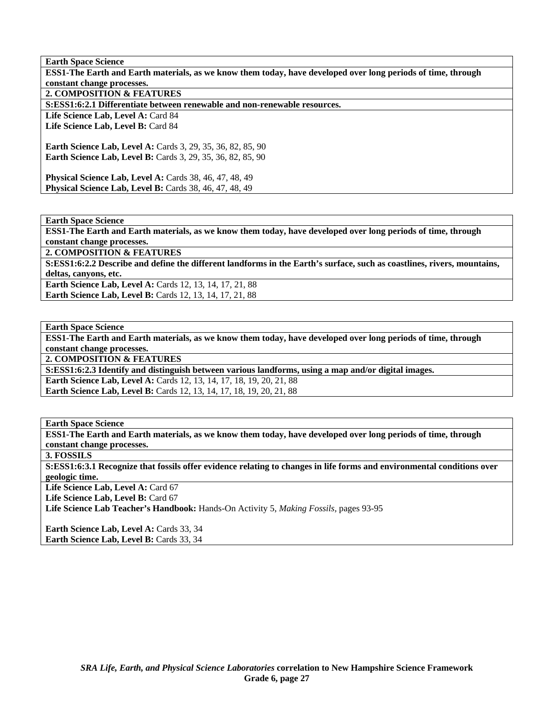**Earth Space Science ESS1-The Earth and Earth materials, as we know them today, have developed over long periods of time, through constant change processes. 2. COMPOSITION & FEATURES S:ESS1:6:2.1 Differentiate between renewable and non-renewable resources.**  Life Science Lab, Level A: Card 84 Life Science Lab, Level B: Card 84 **Earth Science Lab, Level A:** Cards 3, 29, 35, 36, 82, 85, 90 **Earth Science Lab, Level B:** Cards 3, 29, 35, 36, 82, 85, 90 **Physical Science Lab, Level A:** Cards 38, 46, 47, 48, 49 **Physical Science Lab, Level B: Cards 38, 46, 47, 48, 49** 

**Earth Space Science** 

**ESS1-The Earth and Earth materials, as we know them today, have developed over long periods of time, through constant change processes.** 

**2. COMPOSITION & FEATURES** 

**S:ESS1:6:2.2 Describe and define the different landforms in the Earth's surface, such as coastlines, rivers, mountains, deltas, canyons, etc.** 

**Earth Science Lab, Level A:** Cards 12, 13, 14, 17, 21, 88 **Earth Science Lab, Level B:** Cards 12, 13, 14, 17, 21, 88

**Earth Space Science** 

**ESS1-The Earth and Earth materials, as we know them today, have developed over long periods of time, through constant change processes.** 

**2. COMPOSITION & FEATURES** 

**S:ESS1:6:2.3 Identify and distinguish between various landforms, using a map and/or digital images.** 

**Earth Science Lab, Level A: Cards 12, 13, 14, 17, 18, 19, 20, 21, 88** 

**Earth Science Lab, Level B:** Cards 12, 13, 14, 17, 18, 19, 20, 21, 88

**Earth Space Science** 

**ESS1-The Earth and Earth materials, as we know them today, have developed over long periods of time, through constant change processes.** 

**3. FOSSILS** 

**S:ESS1:6:3.1 Recognize that fossils offer evidence relating to changes in life forms and environmental conditions over geologic time.** 

Life Science Lab, Level A: Card 67

Life Science Lab, Level B: Card 67

**Life Science Lab Teacher's Handbook:** Hands-On Activity 5, *Making Fossils,* pages 93-95

**Earth Science Lab, Level A: Cards 33, 34 Earth Science Lab, Level B: Cards 33, 34**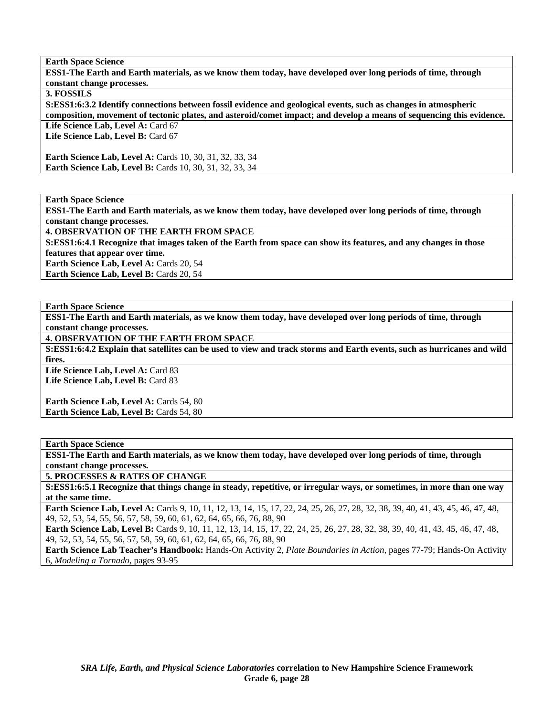**ESS1-The Earth and Earth materials, as we know them today, have developed over long periods of time, through constant change processes.** 

#### **3. FOSSILS**

**S:ESS1:6:3.2 Identify connections between fossil evidence and geological events, such as changes in atmospheric composition, movement of tectonic plates, and asteroid/comet impact; and develop a means of sequencing this evidence.**  Life Science Lab, Level A: Card 67

Life Science Lab, Level B: Card 67

**Earth Science Lab, Level A: Cards 10, 30, 31, 32, 33, 34 Earth Science Lab, Level B:** Cards 10, 30, 31, 32, 33, 34

**Earth Space Science** 

**ESS1-The Earth and Earth materials, as we know them today, have developed over long periods of time, through constant change processes.** 

**4. OBSERVATION OF THE EARTH FROM SPACE** 

**S:ESS1:6:4.1 Recognize that images taken of the Earth from space can show its features, and any changes in those** 

**features that appear over time.** 

Earth Science Lab, Level A: Cards 20, 54

**Earth Science Lab, Level B: Cards 20, 54** 

#### **Earth Space Science**

**ESS1-The Earth and Earth materials, as we know them today, have developed over long periods of time, through constant change processes.** 

**4. OBSERVATION OF THE EARTH FROM SPACE** 

**S:ESS1:6:4.2 Explain that satellites can be used to view and track storms and Earth events, such as hurricanes and wild fires.** 

Life Science Lab, Level A: Card 83 Life Science Lab, Level B: Card 83

Earth Science Lab, Level A: Cards 54, 80 Earth Science Lab, Level B: Cards 54, 80

**Earth Space Science** 

**ESS1-The Earth and Earth materials, as we know them today, have developed over long periods of time, through constant change processes.** 

**5. PROCESSES & RATES OF CHANGE** 

**S:ESS1:6:5.1 Recognize that things change in steady, repetitive, or irregular ways, or sometimes, in more than one way at the same time.** 

**Earth Science Lab, Level A:** Cards 9, 10, 11, 12, 13, 14, 15, 17, 22, 24, 25, 26, 27, 28, 32, 38, 39, 40, 41, 43, 45, 46, 47, 48, 49, 52, 53, 54, 55, 56, 57, 58, 59, 60, 61, 62, 64, 65, 66, 76, 88, 90

Earth Science Lab, Level B: Cards 9, 10, 11, 12, 13, 14, 15, 17, 22, 24, 25, 26, 27, 28, 32, 38, 39, 40, 41, 43, 45, 46, 47, 48, 49, 52, 53, 54, 55, 56, 57, 58, 59, 60, 61, 62, 64, 65, 66, 76, 88, 90

**Earth Science Lab Teacher's Handbook:** Hands-On Activity 2, *Plate Boundaries in Action,* pages 77-79; Hands-On Activity 6, *Modeling a Tornado,* pages 93-95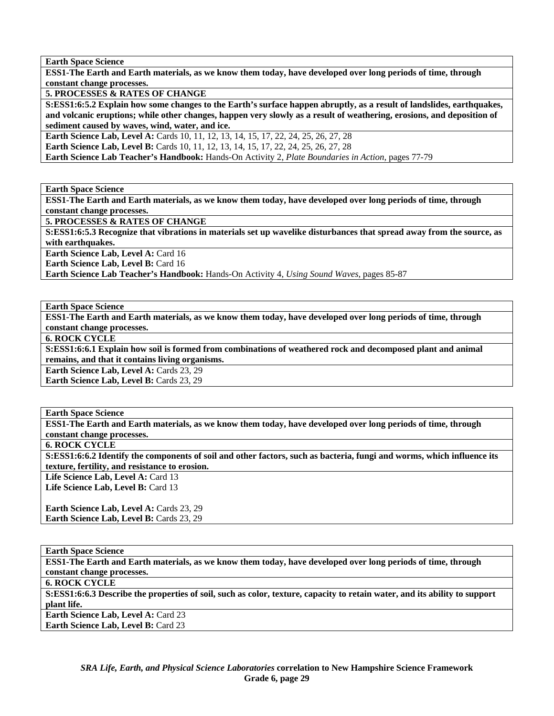**ESS1-The Earth and Earth materials, as we know them today, have developed over long periods of time, through constant change processes.** 

**5. PROCESSES & RATES OF CHANGE** 

**S:ESS1:6:5.2 Explain how some changes to the Earth's surface happen abruptly, as a result of landslides, earthquakes, and volcanic eruptions; while other changes, happen very slowly as a result of weathering, erosions, and deposition of sediment caused by waves, wind, water, and ice.** 

**Earth Science Lab, Level A:** Cards 10, 11, 12, 13, 14, 15, 17, 22, 24, 25, 26, 27, 28

**Earth Science Lab, Level B:** Cards 10, 11, 12, 13, 14, 15, 17, 22, 24, 25, 26, 27, 28

**Earth Science Lab Teacher's Handbook:** Hands-On Activity 2, *Plate Boundaries in Action,* pages 77-79

**Earth Space Science** 

**ESS1-The Earth and Earth materials, as we know them today, have developed over long periods of time, through constant change processes.** 

**5. PROCESSES & RATES OF CHANGE** 

**S:ESS1:6:5.3 Recognize that vibrations in materials set up wavelike disturbances that spread away from the source, as with earthquakes.** 

**Earth Science Lab, Level A: Card 16** 

**Earth Science Lab, Level B: Card 16** 

**Earth Science Lab Teacher's Handbook:** Hands-On Activity 4, *Using Sound Waves,* pages 85-87

**Earth Space Science** 

**ESS1-The Earth and Earth materials, as we know them today, have developed over long periods of time, through constant change processes.** 

**6. ROCK CYCLE** 

**S:ESS1:6:6.1 Explain how soil is formed from combinations of weathered rock and decomposed plant and animal remains, and that it contains living organisms.** 

**Earth Science Lab, Level A: Cards 23, 29** 

Earth Science Lab, Level B: Cards 23, 29

**Earth Space Science** 

**ESS1-The Earth and Earth materials, as we know them today, have developed over long periods of time, through constant change processes.** 

**6. ROCK CYCLE** 

**S:ESS1:6:6.2 Identify the components of soil and other factors, such as bacteria, fungi and worms, which influence its texture, fertility, and resistance to erosion.** 

Life Science Lab, Level A: Card 13 Life Science Lab, Level B: Card 13

**Earth Science Lab, Level A: Cards 23, 29 Earth Science Lab, Level B: Cards 23, 29** 

**Earth Space Science** 

**ESS1-The Earth and Earth materials, as we know them today, have developed over long periods of time, through constant change processes.** 

**6. ROCK CYCLE** 

**S:ESS1:6:6.3 Describe the properties of soil, such as color, texture, capacity to retain water, and its ability to support plant life.** 

**Earth Science Lab, Level A: Card 23 Earth Science Lab, Level B: Card 23**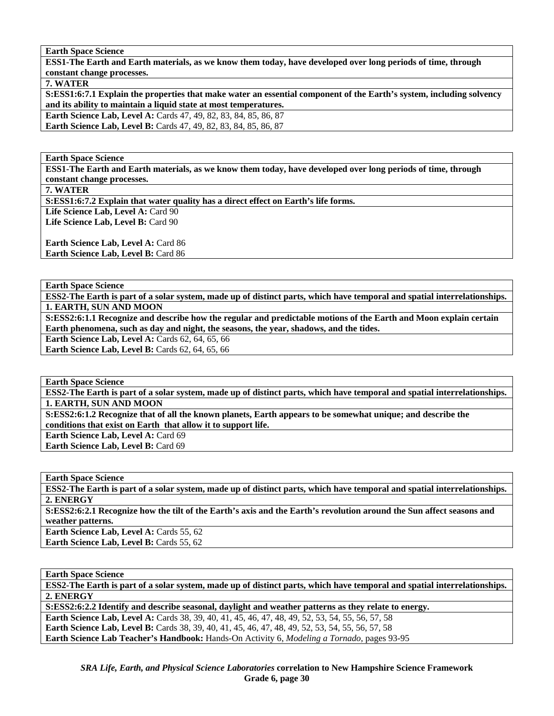**ESS1-The Earth and Earth materials, as we know them today, have developed over long periods of time, through constant change processes.** 

**7. WATER** 

**S:ESS1:6:7.1 Explain the properties that make water an essential component of the Earth's system, including solvency and its ability to maintain a liquid state at most temperatures.** 

**Earth Science Lab, Level A:** Cards 47, 49, 82, 83, 84, 85, 86, 87 **Earth Science Lab, Level B:** Cards 47, 49, 82, 83, 84, 85, 86, 87

**Earth Space Science** 

**ESS1-The Earth and Earth materials, as we know them today, have developed over long periods of time, through constant change processes.** 

**7. WATER** 

**S:ESS1:6:7.2 Explain that water quality has a direct effect on Earth's life forms.** 

Life Science Lab, Level A: Card 90 Life Science Lab, Level B: Card 90

Earth Science Lab, Level A: Card 86 **Earth Science Lab, Level B: Card 86** 

**Earth Space Science** 

**ESS2-The Earth is part of a solar system, made up of distinct parts, which have temporal and spatial interrelationships. 1. EARTH, SUN AND MOON** 

**S:ESS2:6:1.1 Recognize and describe how the regular and predictable motions of the Earth and Moon explain certain Earth phenomena, such as day and night, the seasons, the year, shadows, and the tides.** 

**Earth Science Lab, Level A: Cards 62, 64, 65, 66** 

**Earth Science Lab, Level B: Cards 62, 64, 65, 66** 

**Earth Space Science** 

**ESS2-The Earth is part of a solar system, made up of distinct parts, which have temporal and spatial interrelationships. 1. EARTH, SUN AND MOON** 

**S:ESS2:6:1.2 Recognize that of all the known planets, Earth appears to be somewhat unique; and describe the conditions that exist on Earth that allow it to support life.** 

**Earth Science Lab, Level A:** Card 69

**Earth Science Lab, Level B: Card 69** 

**Earth Space Science** 

**ESS2-The Earth is part of a solar system, made up of distinct parts, which have temporal and spatial interrelationships. 2. ENERGY** 

**S:ESS2:6:2.1 Recognize how the tilt of the Earth's axis and the Earth's revolution around the Sun affect seasons and weather patterns.** 

Earth Science Lab, Level A: Cards 55, 62 Earth Science Lab, Level B: Cards 55, 62

**Earth Space Science** 

**ESS2-The Earth is part of a solar system, made up of distinct parts, which have temporal and spatial interrelationships. 2. ENERGY** 

**S:ESS2:6:2.2 Identify and describe seasonal, daylight and weather patterns as they relate to energy.** 

**Earth Science Lab, Level A:** Cards 38, 39, 40, 41, 45, 46, 47, 48, 49, 52, 53, 54, 55, 56, 57, 58

**Earth Science Lab, Level B:** Cards 38, 39, 40, 41, 45, 46, 47, 48, 49, 52, 53, 54, 55, 56, 57, 58

**Earth Science Lab Teacher's Handbook:** Hands-On Activity 6, *Modeling a Tornado,* pages 93-95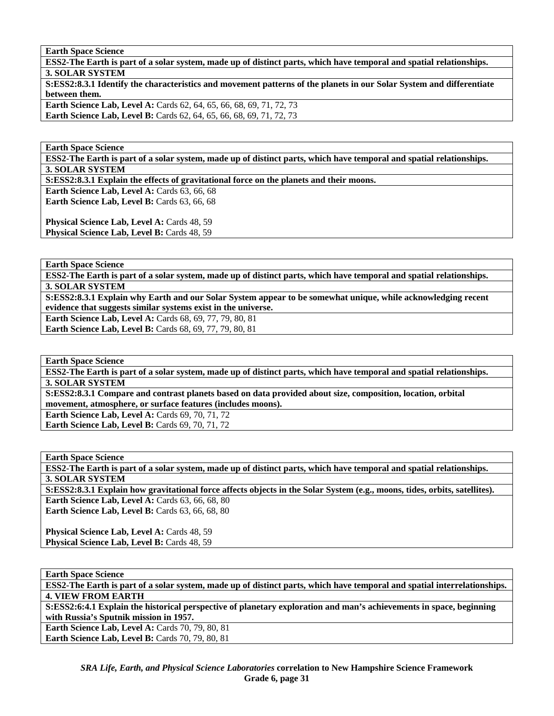**ESS2-The Earth is part of a solar system, made up of distinct parts, which have temporal and spatial relationships. 3. SOLAR SYSTEM S:ESS2:8.3.1 Identify the characteristics and movement patterns of the planets in our Solar System and differentiate between them. Earth Science Lab, Level A: Cards 62, 64, 65, 66, 68, 69, 71, 72, 73 Earth Science Lab, Level B:** Cards 62, 64, 65, 66, 68, 69, 71, 72, 73

**Earth Space Science** 

**ESS2-The Earth is part of a solar system, made up of distinct parts, which have temporal and spatial relationships. 3. SOLAR SYSTEM** 

**S:ESS2:8.3.1 Explain the effects of gravitational force on the planets and their moons.** 

**Earth Science Lab, Level A: Cards 63, 66, 68 Earth Science Lab, Level B: Cards 63, 66, 68** 

Physical Science Lab, Level A: Cards 48, 59 **Physical Science Lab, Level B: Cards 48, 59** 

**Earth Space Science** 

**ESS2-The Earth is part of a solar system, made up of distinct parts, which have temporal and spatial relationships. 3. SOLAR SYSTEM** 

**S:ESS2:8.3.1 Explain why Earth and our Solar System appear to be somewhat unique, while acknowledging recent evidence that suggests similar systems exist in the universe.** 

**Earth Science Lab, Level A:** Cards 68, 69, 77, 79, 80, 81

**Earth Science Lab, Level B:** Cards 68, 69, 77, 79, 80, 81

**Earth Space Science** 

**ESS2-The Earth is part of a solar system, made up of distinct parts, which have temporal and spatial relationships. 3. SOLAR SYSTEM** 

**S:ESS2:8.3.1 Compare and contrast planets based on data provided about size, composition, location, orbital movement, atmosphere, or surface features (includes moons).** 

**Earth Science Lab, Level A: Cards 69, 70, 71, 72 Earth Science Lab, Level B: Cards 69, 70, 71, 72** 

**Earth Space Science** 

**ESS2-The Earth is part of a solar system, made up of distinct parts, which have temporal and spatial relationships. 3. SOLAR SYSTEM** 

**S:ESS2:8.3.1 Explain how gravitational force affects objects in the Solar System (e.g., moons, tides, orbits, satellites). Earth Science Lab, Level A: Cards 63, 66, 68, 80** 

**Earth Science Lab, Level B: Cards 63, 66, 68, 80** 

**Physical Science Lab, Level A: Cards 48, 59** Physical Science Lab, Level B: Cards 48, 59

**Earth Space Science** 

**ESS2-The Earth is part of a solar system, made up of distinct parts, which have temporal and spatial interrelationships. 4. VIEW FROM EARTH** 

**S:ESS2:6:4.1 Explain the historical perspective of planetary exploration and man's achievements in space, beginning with Russia's Sputnik mission in 1957.** 

**Earth Science Lab, Level A: Cards 70, 79, 80, 81 Earth Science Lab, Level B: Cards 70, 79, 80, 81**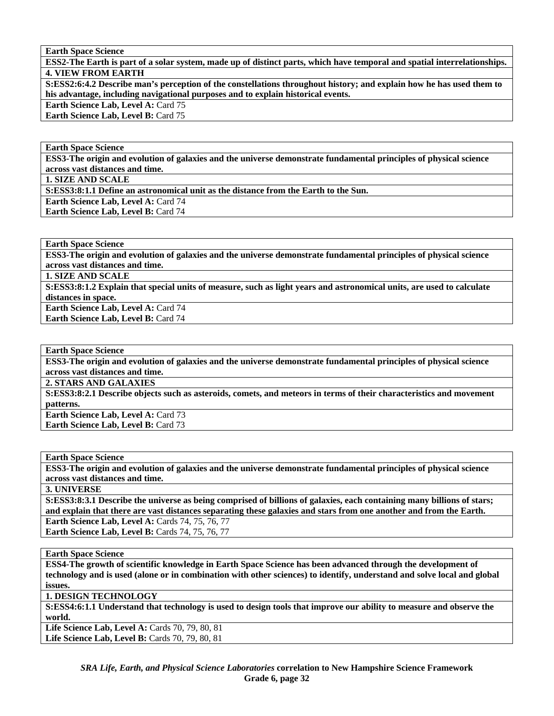**ESS2-The Earth is part of a solar system, made up of distinct parts, which have temporal and spatial interrelationships. 4. VIEW FROM EARTH** 

**S:ESS2:6:4.2 Describe man's perception of the constellations throughout history; and explain how he has used them to his advantage, including navigational purposes and to explain historical events.** 

**Earth Science Lab, Level A: Card 75** 

**Earth Science Lab, Level B: Card 75** 

**Earth Space Science** 

**ESS3-The origin and evolution of galaxies and the universe demonstrate fundamental principles of physical science across vast distances and time.** 

**1. SIZE AND SCALE** 

**S:ESS3:8:1.1 Define an astronomical unit as the distance from the Earth to the Sun.** 

Earth Science Lab, Level A: Card 74

**Earth Science Lab, Level B: Card 74** 

**Earth Space Science** 

**ESS3-The origin and evolution of galaxies and the universe demonstrate fundamental principles of physical science across vast distances and time.** 

**1. SIZE AND SCALE** 

**S:ESS3:8:1.2 Explain that special units of measure, such as light years and astronomical units, are used to calculate distances in space.** 

**Earth Science Lab, Level A: Card 74 Earth Science Lab, Level B:** Card 74

**Earth Space Science** 

**ESS3-The origin and evolution of galaxies and the universe demonstrate fundamental principles of physical science across vast distances and time.** 

**2. STARS AND GALAXIES** 

**S:ESS3:8:2.1 Describe objects such as asteroids, comets, and meteors in terms of their characteristics and movement patterns.** 

**Earth Science Lab, Level A: Card 73 Earth Science Lab, Level B: Card 73** 

**Earth Space Science** 

**ESS3-The origin and evolution of galaxies and the universe demonstrate fundamental principles of physical science across vast distances and time.** 

**3. UNIVERSE** 

**S:ESS3:8:3.1 Describe the universe as being comprised of billions of galaxies, each containing many billions of stars; and explain that there are vast distances separating these galaxies and stars from one another and from the Earth.** 

**Earth Science Lab, Level A: Cards 74, 75, 76, 77 Earth Science Lab, Level B:** Cards 74, 75, 76, 77

**Earth Space Science** 

**ESS4-The growth of scientific knowledge in Earth Space Science has been advanced through the development of technology and is used (alone or in combination with other sciences) to identify, understand and solve local and global issues.** 

**1. DESIGN TECHNOLOGY** 

**S:ESS4:6:1.1 Understand that technology is used to design tools that improve our ability to measure and observe the world.** 

Life Science Lab, Level A: Cards 70, 79, 80, 81 Life Science Lab, Level B: Cards 70, 79, 80, 81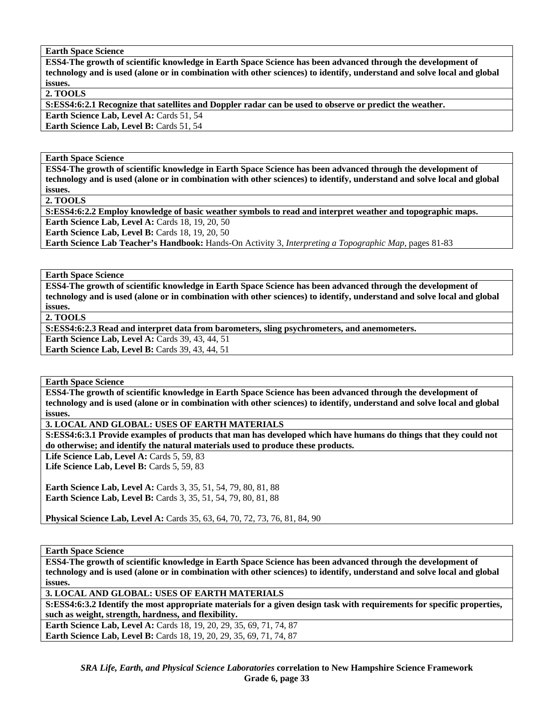**ESS4-The growth of scientific knowledge in Earth Space Science has been advanced through the development of technology and is used (alone or in combination with other sciences) to identify, understand and solve local and global issues.** 

**2. TOOLS** 

**S:ESS4:6:2.1 Recognize that satellites and Doppler radar can be used to observe or predict the weather.** 

Earth Science Lab, Level A: Cards 51, 54 Earth Science Lab, Level B: Cards 51, 54

#### **Earth Space Science**

**ESS4-The growth of scientific knowledge in Earth Space Science has been advanced through the development of technology and is used (alone or in combination with other sciences) to identify, understand and solve local and global issues.** 

**2. TOOLS** 

**S:ESS4:6:2.2 Employ knowledge of basic weather symbols to read and interpret weather and topographic maps.** 

**Earth Science Lab, Level A: Cards 18, 19, 20, 50 Earth Science Lab, Level B: Cards 18, 19, 20, 50** 

**Earth Science Lab Teacher's Handbook:** Hands-On Activity 3, *Interpreting a Topographic Map,* pages 81-83

**Earth Space Science** 

**ESS4-The growth of scientific knowledge in Earth Space Science has been advanced through the development of technology and is used (alone or in combination with other sciences) to identify, understand and solve local and global issues.** 

**2. TOOLS** 

**S:ESS4:6:2.3 Read and interpret data from barometers, sling psychrometers, and anemometers.** 

**Earth Science Lab, Level A: Cards 39, 43, 44, 51** 

**Earth Science Lab, Level B: Cards 39, 43, 44, 51** 

**Earth Space Science** 

**ESS4-The growth of scientific knowledge in Earth Space Science has been advanced through the development of technology and is used (alone or in combination with other sciences) to identify, understand and solve local and global issues.** 

**3. LOCAL AND GLOBAL: USES OF EARTH MATERIALS** 

**S:ESS4:6:3.1 Provide examples of products that man has developed which have humans do things that they could not do otherwise; and identify the natural materials used to produce these products.** 

Life Science Lab, Level A: Cards 5, 59, 83

Life Science Lab, Level B: Cards 5, 59, 83

**Earth Science Lab, Level A: Cards 3, 35, 51, 54, 79, 80, 81, 88 Earth Science Lab, Level B:** Cards 3, 35, 51, 54, 79, 80, 81, 88

**Physical Science Lab, Level A:** Cards 35, 63, 64, 70, 72, 73, 76, 81, 84, 90

**Earth Space Science** 

**ESS4-The growth of scientific knowledge in Earth Space Science has been advanced through the development of technology and is used (alone or in combination with other sciences) to identify, understand and solve local and global issues.** 

**3. LOCAL AND GLOBAL: USES OF EARTH MATERIALS** 

**S:ESS4:6:3.2 Identify the most appropriate materials for a given design task with requirements for specific properties, such as weight, strength, hardness, and flexibility.** 

**Earth Science Lab, Level A:** Cards 18, 19, 20, 29, 35, 69, 71, 74, 87 **Earth Science Lab, Level B:** Cards 18, 19, 20, 29, 35, 69, 71, 74, 87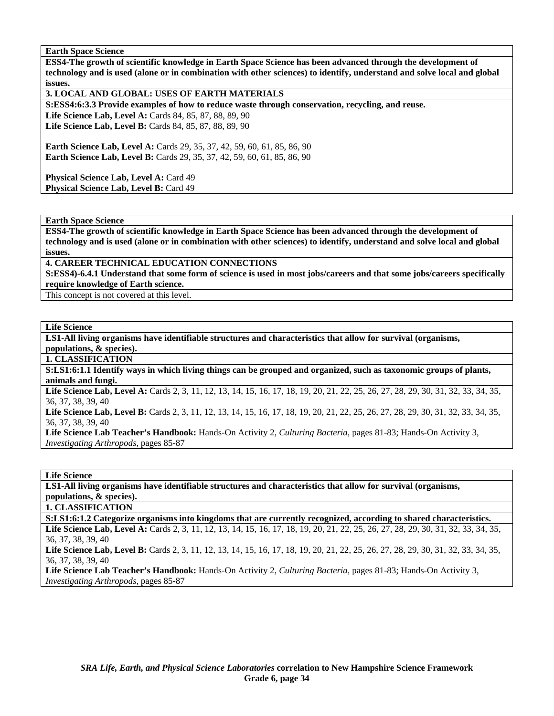**ESS4-The growth of scientific knowledge in Earth Space Science has been advanced through the development of technology and is used (alone or in combination with other sciences) to identify, understand and solve local and global issues.** 

**3. LOCAL AND GLOBAL: USES OF EARTH MATERIALS** 

**S:ESS4:6:3.3 Provide examples of how to reduce waste through conservation, recycling, and reuse.** 

Life Science Lab, Level A: Cards 84, 85, 87, 88, 89, 90 Life Science Lab, Level B: Cards 84, 85, 87, 88, 89, 90

**Earth Science Lab, Level A:** Cards 29, 35, 37, 42, 59, 60, 61, 85, 86, 90 **Earth Science Lab, Level B:** Cards 29, 35, 37, 42, 59, 60, 61, 85, 86, 90

Physical Science Lab, Level A: Card 49 Physical Science Lab, Level B: Card 49

#### **Earth Space Science**

**ESS4-The growth of scientific knowledge in Earth Space Science has been advanced through the development of technology and is used (alone or in combination with other sciences) to identify, understand and solve local and global issues.** 

**4. CAREER TECHNICAL EDUCATION CONNECTIONS** 

**S:ESS4)-6.4.1 Understand that some form of science is used in most jobs/careers and that some jobs/careers specifically require knowledge of Earth science.** 

This concept is not covered at this level.

#### **Life Science**

**LS1-All living organisms have identifiable structures and characteristics that allow for survival (organisms, populations, & species).** 

**1. CLASSIFICATION** 

**S:LS1:6:1.1 Identify ways in which living things can be grouped and organized, such as taxonomic groups of plants, animals and fungi.** 

Life Science Lab, Level A: Cards 2, 3, 11, 12, 13, 14, 15, 16, 17, 18, 19, 20, 21, 22, 25, 26, 27, 28, 29, 30, 31, 32, 33, 34, 35, 36, 37, 38, 39, 40

Life Science Lab, Level B: Cards 2, 3, 11, 12, 13, 14, 15, 16, 17, 18, 19, 20, 21, 22, 25, 26, 27, 28, 29, 30, 31, 32, 33, 34, 35, 36, 37, 38, 39, 40

**Life Science Lab Teacher's Handbook:** Hands-On Activity 2, *Culturing Bacteria,* pages 81-83; Hands-On Activity 3, *Investigating Arthropods,* pages 85-87

**Life Science** 

**LS1-All living organisms have identifiable structures and characteristics that allow for survival (organisms, populations, & species).** 

**1. CLASSIFICATION** 

**S:LS1:6:1.2 Categorize organisms into kingdoms that are currently recognized, according to shared characteristics.** 

Life Science Lab, Level A: Cards 2, 3, 11, 12, 13, 14, 15, 16, 17, 18, 19, 20, 21, 22, 25, 26, 27, 28, 29, 30, 31, 32, 33, 34, 35, 36, 37, 38, 39, 40

Life Science Lab, Level B: Cards 2, 3, 11, 12, 13, 14, 15, 16, 17, 18, 19, 20, 21, 22, 25, 26, 27, 28, 29, 30, 31, 32, 33, 34, 35, 36, 37, 38, 39, 40

**Life Science Lab Teacher's Handbook:** Hands-On Activity 2, *Culturing Bacteria,* pages 81-83; Hands-On Activity 3, *Investigating Arthropods,* pages 85-87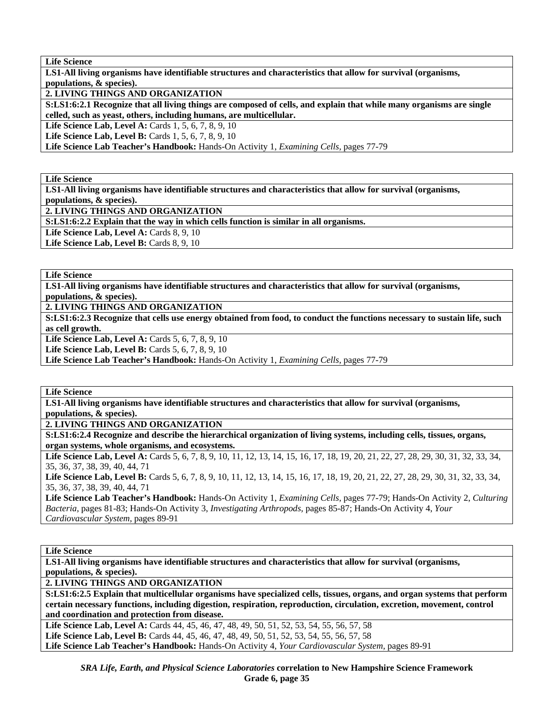**Life Science** 

**LS1-All living organisms have identifiable structures and characteristics that allow for survival (organisms, populations, & species).** 

**2. LIVING THINGS AND ORGANIZATION** 

**S:LS1:6:2.1 Recognize that all living things are composed of cells, and explain that while many organisms are single celled, such as yeast, others, including humans, are multicellular.** 

**Life Science Lab, Level A:** Cards 1, 5, 6, 7, 8, 9, 10

**Life Science Lab, Level B:** Cards 1, 5, 6, 7, 8, 9, 10

**Life Science Lab Teacher's Handbook:** Hands-On Activity 1, *Examining Cells,* pages 77-79

**Life Science** 

**LS1-All living organisms have identifiable structures and characteristics that allow for survival (organisms, populations, & species).** 

**2. LIVING THINGS AND ORGANIZATION** 

**S:LS1:6:2.2 Explain that the way in which cells function is similar in all organisms.** 

Life Science Lab, Level A: Cards 8, 9, 10

Life Science Lab, Level B: Cards 8, 9, 10

**Life Science** 

**LS1-All living organisms have identifiable structures and characteristics that allow for survival (organisms, populations, & species).** 

**2. LIVING THINGS AND ORGANIZATION** 

**S:LS1:6:2.3 Recognize that cells use energy obtained from food, to conduct the functions necessary to sustain life, such as cell growth.** 

**Life Science Lab, Level A: Cards 5, 6, 7, 8, 9, 10** 

**Life Science Lab, Level B:** Cards 5, 6, 7, 8, 9, 10

**Life Science Lab Teacher's Handbook:** Hands-On Activity 1, *Examining Cells,* pages 77-79

**Life Science** 

**LS1-All living organisms have identifiable structures and characteristics that allow for survival (organisms, populations, & species).** 

**2. LIVING THINGS AND ORGANIZATION** 

**S:LS1:6:2.4 Recognize and describe the hierarchical organization of living systems, including cells, tissues, organs, organ systems, whole organisms, and ecosystems.** 

Life Science Lab, Level A: Cards 5, 6, 7, 8, 9, 10, 11, 12, 13, 14, 15, 16, 17, 18, 19, 20, 21, 22, 27, 28, 29, 30, 31, 32, 33, 34, 35, 36, 37, 38, 39, 40, 44, 71

Life Science Lab, Level B: Cards 5, 6, 7, 8, 9, 10, 11, 12, 13, 14, 15, 16, 17, 18, 19, 20, 21, 22, 27, 28, 29, 30, 31, 32, 33, 34, 35, 36, 37, 38, 39, 40, 44, 71

**Life Science Lab Teacher's Handbook:** Hands-On Activity 1, *Examining Cells,* pages 77-79; Hands-On Activity 2, *Culturing Bacteria,* pages 81-83; Hands-On Activity 3, *Investigating Arthropods,* pages 85-87; Hands-On Activity 4, *Your Cardiovascular System,* pages 89-91

**Life Science** 

**LS1-All living organisms have identifiable structures and characteristics that allow for survival (organisms, populations, & species).** 

**2. LIVING THINGS AND ORGANIZATION** 

**S:LS1:6:2.5 Explain that multicellular organisms have specialized cells, tissues, organs, and organ systems that perform certain necessary functions, including digestion, respiration, reproduction, circulation, excretion, movement, control and coordination and protection from disease.** 

Life Science Lab, Level A: Cards 44, 45, 46, 47, 48, 49, 50, 51, 52, 53, 54, 55, 56, 57, 58 Life Science Lab, Level B: Cards 44, 45, 46, 47, 48, 49, 50, 51, 52, 53, 54, 55, 56, 57, 58 **Life Science Lab Teacher's Handbook:** Hands-On Activity 4, *Your Cardiovascular System,* pages 89-91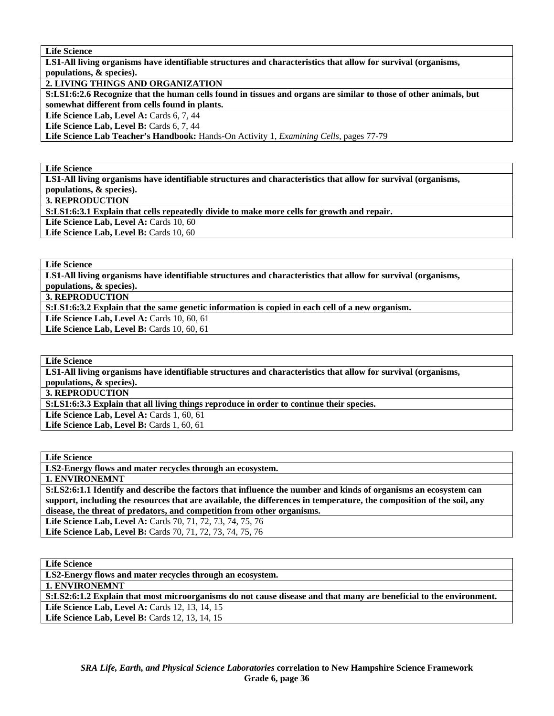**Life Science** 

**LS1-All living organisms have identifiable structures and characteristics that allow for survival (organisms, populations, & species).** 

**2. LIVING THINGS AND ORGANIZATION** 

**S:LS1:6:2.6 Recognize that the human cells found in tissues and organs are similar to those of other animals, but somewhat different from cells found in plants.** 

Life Science Lab, Level A: Cards 6, 7, 44

Life Science Lab, Level B: Cards 6, 7, 44

**Life Science Lab Teacher's Handbook:** Hands-On Activity 1, *Examining Cells,* pages 77-79

#### **Life Science**

**LS1-All living organisms have identifiable structures and characteristics that allow for survival (organisms, populations, & species).** 

**3. REPRODUCTION** 

**S:LS1:6:3.1 Explain that cells repeatedly divide to make more cells for growth and repair.** 

Life Science Lab, Level A: Cards 10, 60

Life Science Lab, Level B: Cards 10, 60

**Life Science** 

**LS1-All living organisms have identifiable structures and characteristics that allow for survival (organisms, populations, & species).** 

**3. REPRODUCTION** 

**S:LS1:6:3.2 Explain that the same genetic information is copied in each cell of a new organism.** 

Life Science Lab, Level A: Cards 10, 60, 61

Life Science Lab, Level B: Cards 10, 60, 61

**Life Science** 

**LS1-All living organisms have identifiable structures and characteristics that allow for survival (organisms, populations, & species).** 

**3. REPRODUCTION** 

**S:LS1:6:3.3 Explain that all living things reproduce in order to continue their species.** 

Life Science Lab, Level A: Cards 1, 60, 61 **Life Science Lab, Level B: Cards 1, 60, 61** 

**Life Science** 

**LS2-Energy flows and mater recycles through an ecosystem.** 

**1. ENVIRONEMNT** 

**S:LS2:6:1.1 Identify and describe the factors that influence the number and kinds of organisms an ecosystem can support, including the resources that are available, the differences in temperature, the composition of the soil, any disease, the threat of predators, and competition from other organisms.** 

**Life Science Lab, Level A:** Cards 70, 71, 72, 73, 74, 75, 76 **Life Science Lab, Level B:** Cards 70, 71, 72, 73, 74, 75, 76

**Life Science** 

**LS2-Energy flows and mater recycles through an ecosystem.** 

**1. ENVIRONEMNT** 

**S:LS2:6:1.2 Explain that most microorganisms do not cause disease and that many are beneficial to the environment.**  Life Science Lab, Level A: Cards 12, 13, 14, 15

**Life Science Lab, Level B:** Cards 12, 13, 14, 15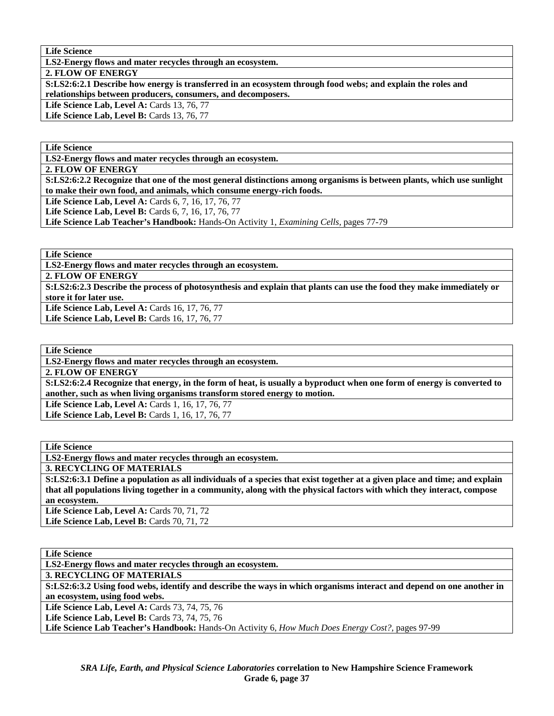**LS2-Energy flows and mater recycles through an ecosystem.** 

**2. FLOW OF ENERGY** 

**S:LS2:6:2.1 Describe how energy is transferred in an ecosystem through food webs; and explain the roles and relationships between producers, consumers, and decomposers.** 

**Life Science Lab, Level A: Cards 13, 76, 77** 

Life Science Lab, Level B: Cards 13, 76, 77

**Life Science** 

**LS2-Energy flows and mater recycles through an ecosystem.** 

**2. FLOW OF ENERGY** 

**S:LS2:6:2.2 Recognize that one of the most general distinctions among organisms is between plants, which use sunlight to make their own food, and animals, which consume energy-rich foods.** 

Life Science Lab, Level A: Cards 6, 7, 16, 17, 76, 77

**Life Science Lab, Level B:** Cards 6, 7, 16, 17, 76, 77

**Life Science Lab Teacher's Handbook:** Hands-On Activity 1, *Examining Cells,* pages 77-79

**Life Science** 

**LS2-Energy flows and mater recycles through an ecosystem.** 

**2. FLOW OF ENERGY** 

**S:LS2:6:2.3 Describe the process of photosynthesis and explain that plants can use the food they make immediately or store it for later use.** 

Life Science Lab, Level A: Cards 16, 17, 76, 77 Life Science Lab, Level B: Cards 16, 17, 76, 77

**Life Science** 

**LS2-Energy flows and mater recycles through an ecosystem.** 

**2. FLOW OF ENERGY** 

**S:LS2:6:2.4 Recognize that energy, in the form of heat, is usually a byproduct when one form of energy is converted to another, such as when living organisms transform stored energy to motion.** 

**Life Science Lab, Level A: Cards 1, 16, 17, 76, 77 Life Science Lab, Level B: Cards 1, 16, 17, 76, 77** 

**Life Science** 

**LS2-Energy flows and mater recycles through an ecosystem.** 

**3. RECYCLING OF MATERIALS** 

**S:LS2:6:3.1 Define a population as all individuals of a species that exist together at a given place and time; and explain that all populations living together in a community, along with the physical factors with which they interact, compose an ecosystem.** 

**Life Science Lab, Level A: Cards 70, 71, 72 Life Science Lab, Level B: Cards 70, 71, 72** 

**Life Science** 

**LS2-Energy flows and mater recycles through an ecosystem.** 

**3. RECYCLING OF MATERIALS** 

**S:LS2:6:3.2 Using food webs, identify and describe the ways in which organisms interact and depend on one another in an ecosystem, using food webs.** 

Life Science Lab, Level A: Cards 73, 74, 75, 76

**Life Science Lab, Level B:** Cards 73, 74, 75, 76

**Life Science Lab Teacher's Handbook:** Hands-On Activity 6, *How Much Does Energy Cost?,* pages 97-99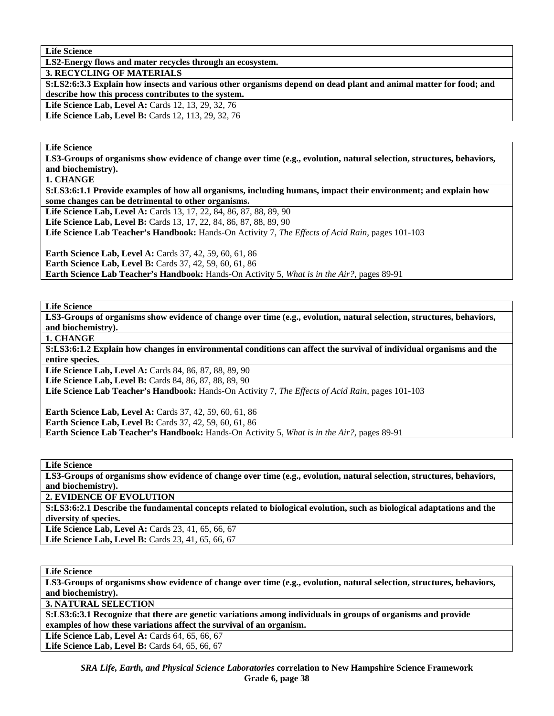**LS2-Energy flows and mater recycles through an ecosystem.** 

**3. RECYCLING OF MATERIALS** 

**S:LS2:6:3.3 Explain how insects and various other organisms depend on dead plant and animal matter for food; and describe how this process contributes to the system.** 

**Life Science Lab, Level A: Cards 12, 13, 29, 32, 76** 

Life Science Lab, Level B: Cards 12, 113, 29, 32, 76

**Life Science** 

**LS3-Groups of organisms show evidence of change over time (e.g., evolution, natural selection, structures, behaviors, and biochemistry).** 

**1. CHANGE** 

**S:LS3:6:1.1 Provide examples of how all organisms, including humans, impact their environment; and explain how some changes can be detrimental to other organisms.** 

Life Science Lab, Level A: Cards 13, 17, 22, 84, 86, 87, 88, 89, 90 **Life Science Lab, Level B:** Cards 13, 17, 22, 84, 86, 87, 88, 89, 90 **Life Science Lab Teacher's Handbook:** Hands-On Activity 7, *The Effects of Acid Rain,* pages 101-103 **Earth Science Lab, Level A: Cards 37, 42, 59, 60, 61, 86** 

**Earth Science Lab, Level B:** Cards 37, 42, 59, 60, 61, 86 **Earth Science Lab Teacher's Handbook:** Hands-On Activity 5, *What is in the Air?,* pages 89-91

**Life Science** 

**LS3-Groups of organisms show evidence of change over time (e.g., evolution, natural selection, structures, behaviors, and biochemistry).** 

**1. CHANGE** 

**S:LS3:6:1.2 Explain how changes in environmental conditions can affect the survival of individual organisms and the entire species.** 

Life Science Lab, Level A: Cards 84, 86, 87, 88, 89, 90 Life Science Lab, Level B: Cards 84, 86, 87, 88, 89, 90 **Life Science Lab Teacher's Handbook:** Hands-On Activity 7, *The Effects of Acid Rain,* pages 101-103

**Earth Science Lab, Level A: Cards 37, 42, 59, 60, 61, 86 Earth Science Lab, Level B:** Cards 37, 42, 59, 60, 61, 86 **Earth Science Lab Teacher's Handbook:** Hands-On Activity 5, *What is in the Air?,* pages 89-91

**Life Science** 

**LS3-Groups of organisms show evidence of change over time (e.g., evolution, natural selection, structures, behaviors, and biochemistry).** 

**2. EVIDENCE OF EVOLUTION** 

**S:LS3:6:2.1 Describe the fundamental concepts related to biological evolution, such as biological adaptations and the diversity of species.** 

Life Science Lab, Level A: Cards 23, 41, 65, 66, 67 **Life Science Lab, Level B:** Cards 23, 41, 65, 66, 67

**Life Science** 

**LS3-Groups of organisms show evidence of change over time (e.g., evolution, natural selection, structures, behaviors, and biochemistry).** 

**3. NATURAL SELECTION** 

**S:LS3:6:3.1 Recognize that there are genetic variations among individuals in groups of organisms and provide examples of how these variations affect the survival of an organism.** 

Life Science Lab, Level A: Cards 64, 65, 66, 67

Life Science Lab, Level B: Cards 64, 65, 66, 67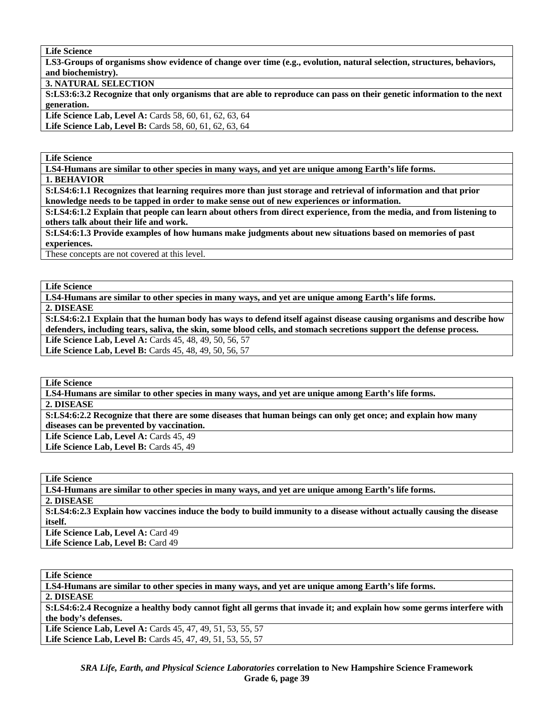**LS3-Groups of organisms show evidence of change over time (e.g., evolution, natural selection, structures, behaviors, and biochemistry).** 

**3. NATURAL SELECTION** 

**S:LS3:6:3.2 Recognize that only organisms that are able to reproduce can pass on their genetic information to the next generation.** 

Life Science Lab, Level A: Cards 58, 60, 61, 62, 63, 64 Life Science Lab, Level B: Cards 58, 60, 61, 62, 63, 64

**Life Science** 

**LS4-Humans are similar to other species in many ways, and yet are unique among Earth's life forms.** 

**1. BEHAVIOR** 

**S:LS4:6:1.1 Recognizes that learning requires more than just storage and retrieval of information and that prior knowledge needs to be tapped in order to make sense out of new experiences or information.** 

**S:LS4:6:1.2 Explain that people can learn about others from direct experience, from the media, and from listening to others talk about their life and work.** 

**S:LS4:6:1.3 Provide examples of how humans make judgments about new situations based on memories of past experiences.** 

These concepts are not covered at this level.

**Life Science** 

**LS4-Humans are similar to other species in many ways, and yet are unique among Earth's life forms.** 

**2. DISEASE** 

**S:LS4:6:2.1 Explain that the human body has ways to defend itself against disease causing organisms and describe how defenders, including tears, saliva, the skin, some blood cells, and stomach secretions support the defense process.**  Life Science Lab, Level A: Cards 45, 48, 49, 50, 56, 57

**Life Science Lab, Level B:** Cards 45, 48, 49, 50, 56, 57

**Life Science** 

**LS4-Humans are similar to other species in many ways, and yet are unique among Earth's life forms.** 

**2. DISEASE** 

**S:LS4:6:2.2 Recognize that there are some diseases that human beings can only get once; and explain how many diseases can be prevented by vaccination.** 

Life Science Lab, Level A: Cards 45, 49

Life Science Lab, Level B: Cards 45, 49

**Life Science LS4-Humans are similar to other species in many ways, and yet are unique among Earth's life forms. 2. DISEASE S:LS4:6:2.3 Explain how vaccines induce the body to build immunity to a disease without actually causing the disease itself.**  Life Science Lab, Level A: Card 49 Life Science Lab, Level B: Card 49

**Life Science LS4-Humans are similar to other species in many ways, and yet are unique among Earth's life forms. 2. DISEASE S:LS4:6:2.4 Recognize a healthy body cannot fight all germs that invade it; and explain how some germs interfere with the body's defenses. Life Science Lab, Level A:** Cards 45, 47, 49, 51, 53, 55, 57 **Life Science Lab, Level B:** Cards 45, 47, 49, 51, 53, 55, 57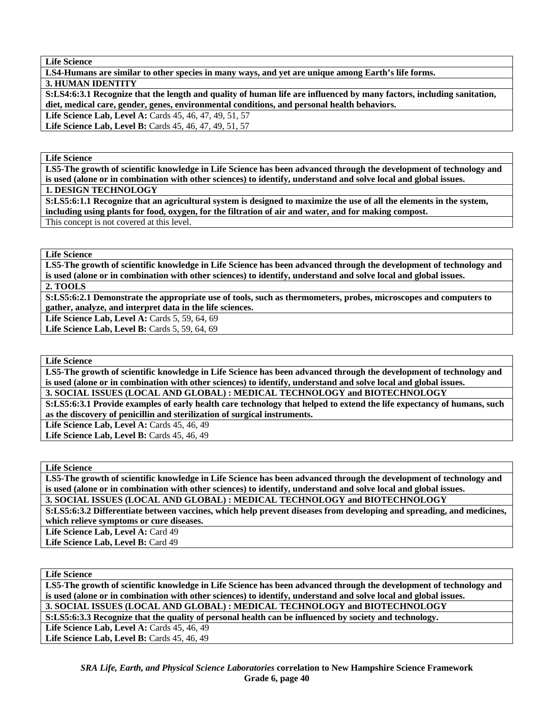**LS4-Humans are similar to other species in many ways, and yet are unique among Earth's life forms.** 

**3. HUMAN IDENTITY** 

**S:LS4:6:3.1 Recognize that the length and quality of human life are influenced by many factors, including sanitation, diet, medical care, gender, genes, environmental conditions, and personal health behaviors.** 

**Life Science Lab, Level A:** Cards 45, 46, 47, 49, 51, 57 **Life Science Lab, Level B:** Cards 45, 46, 47, 49, 51, 57

**Life Science** 

**LS5-The growth of scientific knowledge in Life Science has been advanced through the development of technology and is used (alone or in combination with other sciences) to identify, understand and solve local and global issues.** 

**1. DESIGN TECHNOLOGY** 

**S:LS5:6:1.1 Recognize that an agricultural system is designed to maximize the use of all the elements in the system, including using plants for food, oxygen, for the filtration of air and water, and for making compost.**  This concept is not covered at this level.

#### **Life Science**

**LS5-The growth of scientific knowledge in Life Science has been advanced through the development of technology and is used (alone or in combination with other sciences) to identify, understand and solve local and global issues. 2. TOOLS** 

**S:LS5:6:2.1 Demonstrate the appropriate use of tools, such as thermometers, probes, microscopes and computers to gather, analyze, and interpret data in the life sciences.** 

Life Science Lab, Level A: Cards 5, 59, 64, 69

Life Science Lab, Level B: Cards 5, 59, 64, 69

#### **Life Science**

**LS5-The growth of scientific knowledge in Life Science has been advanced through the development of technology and is used (alone or in combination with other sciences) to identify, understand and solve local and global issues. 3. SOCIAL ISSUES (LOCAL AND GLOBAL) : MEDICAL TECHNOLOGY and BIOTECHNOLOGY** 

**S:LS5:6:3.1 Provide examples of early health care technology that helped to extend the life expectancy of humans, such as the discovery of penicillin and sterilization of surgical instruments.** 

**Life Science Lab, Level A: Cards 45, 46, 49** 

**Life Science Lab, Level B:** Cards 45, 46, 49

**Life Science** 

**LS5-The growth of scientific knowledge in Life Science has been advanced through the development of technology and is used (alone or in combination with other sciences) to identify, understand and solve local and global issues. 3. SOCIAL ISSUES (LOCAL AND GLOBAL) : MEDICAL TECHNOLOGY and BIOTECHNOLOGY** 

**S:LS5:6:3.2 Differentiate between vaccines, which help prevent diseases from developing and spreading, and medicines, which relieve symptoms or cure diseases.** 

Life Science Lab, Level A: Card 49

Life Science Lab, Level B: Card 49

#### **Life Science**

**LS5-The growth of scientific knowledge in Life Science has been advanced through the development of technology and is used (alone or in combination with other sciences) to identify, understand and solve local and global issues. 3. SOCIAL ISSUES (LOCAL AND GLOBAL) : MEDICAL TECHNOLOGY and BIOTECHNOLOGY** 

**S:LS5:6:3.3 Recognize that the quality of personal health can be influenced by society and technology.** 

**Life Science Lab, Level A: Cards 45, 46, 49** 

Life Science Lab, Level B: Cards 45, 46, 49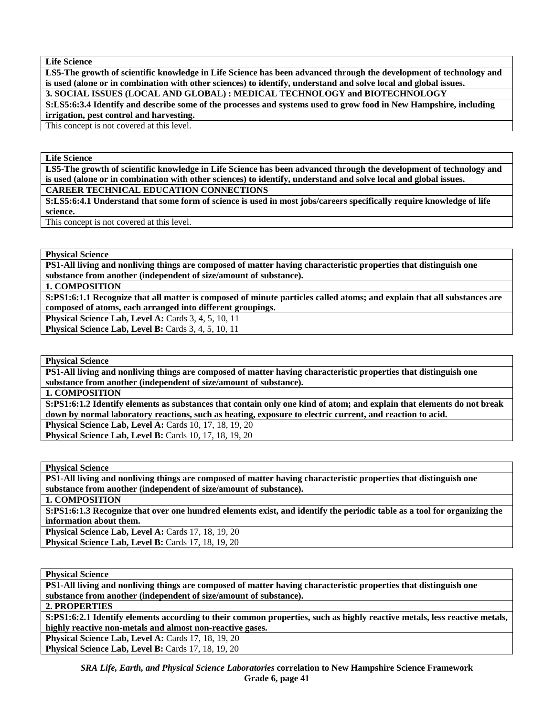**LS5-The growth of scientific knowledge in Life Science has been advanced through the development of technology and is used (alone or in combination with other sciences) to identify, understand and solve local and global issues. 3. SOCIAL ISSUES (LOCAL AND GLOBAL) : MEDICAL TECHNOLOGY and BIOTECHNOLOGY** 

**S:LS5:6:3.4 Identify and describe some of the processes and systems used to grow food in New Hampshire, including irrigation, pest control and harvesting.** 

This concept is not covered at this level.

**Life Science** 

**LS5-The growth of scientific knowledge in Life Science has been advanced through the development of technology and is used (alone or in combination with other sciences) to identify, understand and solve local and global issues.** 

**CAREER TECHNICAL EDUCATION CONNECTIONS** 

**S:LS5:6:4.1 Understand that some form of science is used in most jobs/careers specifically require knowledge of life science.** 

This concept is not covered at this level.

**Physical Science** 

**PS1-All living and nonliving things are composed of matter having characteristic properties that distinguish one substance from another (independent of size/amount of substance).** 

**1. COMPOSITION** 

**S:PS1:6:1.1 Recognize that all matter is composed of minute particles called atoms; and explain that all substances are composed of atoms, each arranged into different groupings.** 

**Physical Science Lab, Level A: Cards 3, 4, 5, 10, 11** 

**Physical Science Lab, Level B: Cards 3, 4, 5, 10, 11** 

**Physical Science** 

**PS1-All living and nonliving things are composed of matter having characteristic properties that distinguish one substance from another (independent of size/amount of substance).** 

**1. COMPOSITION** 

**S:PS1:6:1.2 Identify elements as substances that contain only one kind of atom; and explain that elements do not break down by normal laboratory reactions, such as heating, exposure to electric current, and reaction to acid. Physical Science Lab, Level A: Cards 10, 17, 18, 19, 20** 

**Physical Science Lab, Level B: Cards 10, 17, 18, 19, 20** 

**Physical Science** 

**PS1-All living and nonliving things are composed of matter having characteristic properties that distinguish one substance from another (independent of size/amount of substance).** 

**1. COMPOSITION** 

**S:PS1:6:1.3 Recognize that over one hundred elements exist, and identify the periodic table as a tool for organizing the information about them.** 

**Physical Science Lab, Level A: Cards 17, 18, 19, 20 Physical Science Lab, Level B: Cards 17, 18, 19, 20** 

**Physical Science** 

**PS1-All living and nonliving things are composed of matter having characteristic properties that distinguish one substance from another (independent of size/amount of substance).** 

**2. PROPERTIES** 

**S:PS1:6:2.1 Identify elements according to their common properties, such as highly reactive metals, less reactive metals, highly reactive non-metals and almost non-reactive gases.** 

**Physical Science Lab, Level A: Cards 17, 18, 19, 20 Physical Science Lab, Level B: Cards 17, 18, 19, 20**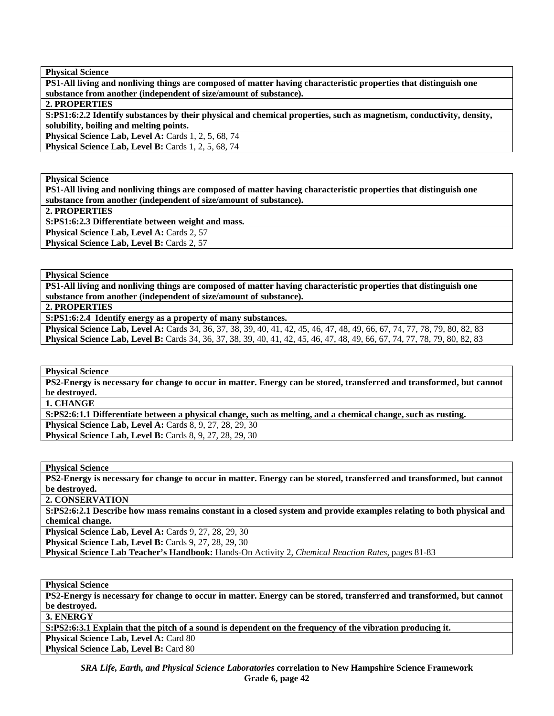**PS1-All living and nonliving things are composed of matter having characteristic properties that distinguish one substance from another (independent of size/amount of substance).** 

**2. PROPERTIES** 

**S:PS1:6:2.2 Identify substances by their physical and chemical properties, such as magnetism, conductivity, density, solubility, boiling and melting points.** 

**Physical Science Lab, Level A: Cards 1, 2, 5, 68, 74** 

**Physical Science Lab, Level B:** Cards 1, 2, 5, 68, 74

**Physical Science** 

**PS1-All living and nonliving things are composed of matter having characteristic properties that distinguish one substance from another (independent of size/amount of substance).** 

**2. PROPERTIES** 

**S:PS1:6:2.3 Differentiate between weight and mass.** 

Physical Science Lab, Level A: Cards 2, 57

Physical Science Lab, Level B: Cards 2, 57

**Physical Science** 

**PS1-All living and nonliving things are composed of matter having characteristic properties that distinguish one substance from another (independent of size/amount of substance).** 

**2. PROPERTIES** 

**S:PS1:6:2.4 Identify energy as a property of many substances.** 

Physical Science Lab, Level A: Cards 34, 36, 37, 38, 39, 40, 41, 42, 45, 46, 47, 48, 49, 66, 67, 74, 77, 78, 79, 80, 82, 83 **Physical Science Lab, Level B:** Cards 34, 36, 37, 38, 39, 40, 41, 42, 45, 46, 47, 48, 49, 66, 67, 74, 77, 78, 79, 80, 82, 83

**Physical Science** 

**PS2-Energy is necessary for change to occur in matter. Energy can be stored, transferred and transformed, but cannot be destroyed.** 

**1. CHANGE** 

**S:PS2:6:1.1 Differentiate between a physical change, such as melting, and a chemical change, such as rusting. Physical Science Lab, Level A: Cards 8, 9, 27, 28, 29, 30 Physical Science Lab, Level B:** Cards 8, 9, 27, 28, 29, 30

**Physical Science** 

**PS2-Energy is necessary for change to occur in matter. Energy can be stored, transferred and transformed, but cannot be destroyed.** 

**2. CONSERVATION** 

**S:PS2:6:2.1 Describe how mass remains constant in a closed system and provide examples relating to both physical and chemical change.** 

**Physical Science Lab, Level A: Cards 9, 27, 28, 29, 30** 

**Physical Science Lab, Level B: Cards 9, 27, 28, 29, 30** 

**Physical Science Lab Teacher's Handbook:** Hands-On Activity 2, *Chemical Reaction Rates,* pages 81-83

**Physical Science** 

**PS2-Energy is necessary for change to occur in matter. Energy can be stored, transferred and transformed, but cannot be destroyed.** 

**3. ENERGY** 

**S:PS2:6:3.1 Explain that the pitch of a sound is dependent on the frequency of the vibration producing it.** 

**Physical Science Lab, Level A: Card 80** 

**Physical Science Lab, Level B: Card 80**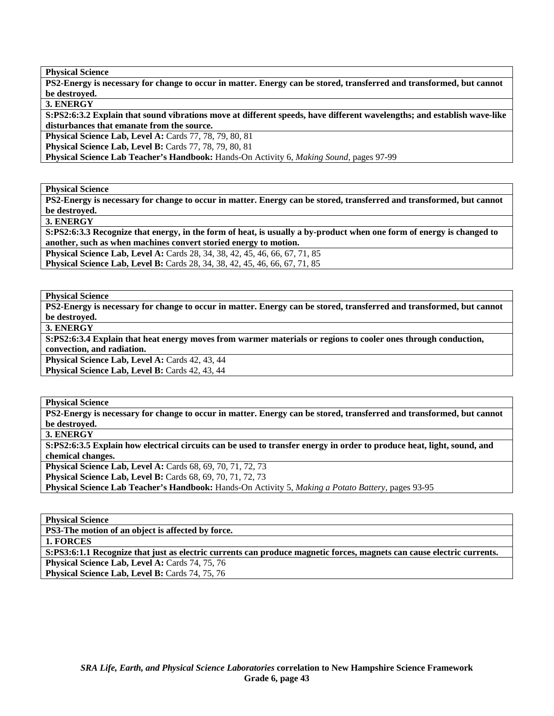**PS2-Energy is necessary for change to occur in matter. Energy can be stored, transferred and transformed, but cannot be destroyed.** 

**3. ENERGY** 

**S:PS2:6:3.2 Explain that sound vibrations move at different speeds, have different wavelengths; and establish wave-like disturbances that emanate from the source.** 

**Physical Science Lab, Level A: Cards 77, 78, 79, 80, 81** 

**Physical Science Lab, Level B:** Cards 77, 78, 79, 80, 81

**Physical Science Lab Teacher's Handbook:** Hands-On Activity 6, *Making Sound,* pages 97-99

**Physical Science** 

**PS2-Energy is necessary for change to occur in matter. Energy can be stored, transferred and transformed, but cannot be destroyed.** 

**3. ENERGY** 

**S:PS2:6:3.3 Recognize that energy, in the form of heat, is usually a by-product when one form of energy is changed to another, such as when machines convert storied energy to motion.** 

**Physical Science Lab, Level A:** Cards 28, 34, 38, 42, 45, 46, 66, 67, 71, 85 **Physical Science Lab, Level B:** Cards 28, 34, 38, 42, 45, 46, 66, 67, 71, 85

**Physical Science** 

**PS2-Energy is necessary for change to occur in matter. Energy can be stored, transferred and transformed, but cannot be destroyed.** 

**3. ENERGY** 

**S:PS2:6:3.4 Explain that heat energy moves from warmer materials or regions to cooler ones through conduction, convection, and radiation.** 

Physical Science Lab, Level A: Cards 42, 43, 44

**Physical Science Lab, Level B: Cards 42, 43, 44** 

**Physical Science** 

**PS2-Energy is necessary for change to occur in matter. Energy can be stored, transferred and transformed, but cannot be destroyed.** 

**3. ENERGY** 

**S:PS2:6:3.5 Explain how electrical circuits can be used to transfer energy in order to produce heat, light, sound, and chemical changes.** 

**Physical Science Lab, Level A:** Cards 68, 69, 70, 71, 72, 73 **Physical Science Lab, Level B:** Cards 68, 69, 70, 71, 72, 73

**Physical Science Lab Teacher's Handbook:** Hands-On Activity 5, *Making a Potato Battery,* pages 93-95

**Physical Science PS3-The motion of an object is affected by force. 1. FORCES S:PS3:6:1.1 Recognize that just as electric currents can produce magnetic forces, magnets can cause electric currents.**  Physical Science Lab, Level A: Cards 74, 75, 76 **Physical Science Lab, Level B: Cards 74, 75, 76**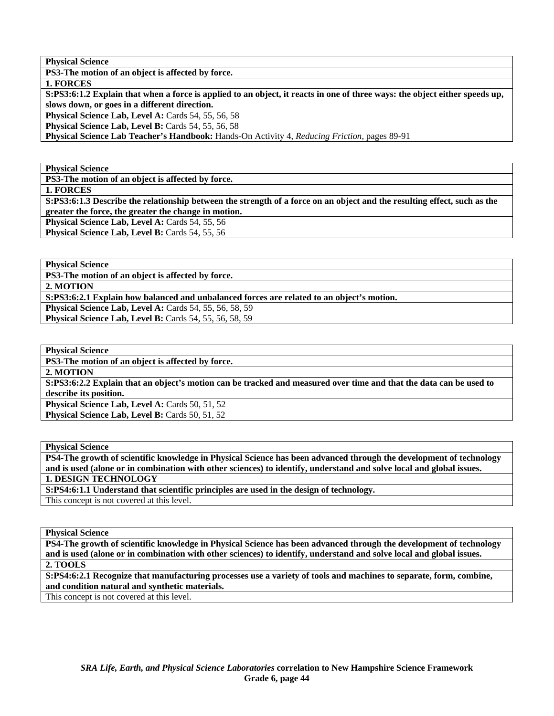**PS3-The motion of an object is affected by force.** 

**1. FORCES** 

**S:PS3:6:1.2 Explain that when a force is applied to an object, it reacts in one of three ways: the object either speeds up, slows down, or goes in a different direction.** 

**Physical Science Lab, Level A:** Cards 54, 55, 56, 58

**Physical Science Lab, Level B: Cards 54, 55, 56, 58** 

**Physical Science Lab Teacher's Handbook:** Hands-On Activity 4, *Reducing Friction,* pages 89-91

**Physical Science** 

**PS3-The motion of an object is affected by force.** 

**1. FORCES** 

**S:PS3:6:1.3 Describe the relationship between the strength of a force on an object and the resulting effect, such as the greater the force, the greater the change in motion.** 

**Physical Science Lab, Level A: Cards 54, 55, 56** Physical Science Lab, Level B: Cards 54, 55, 56

**Physical Science** 

**PS3-The motion of an object is affected by force. 2. MOTION** 

**S:PS3:6:2.1 Explain how balanced and unbalanced forces are related to an object's motion.** 

**Physical Science Lab, Level A: Cards 54, 55, 56, 58, 59 Physical Science Lab, Level B:** Cards 54, 55, 56, 58, 59

**Physical Science** 

**PS3-The motion of an object is affected by force.** 

**2. MOTION** 

**S:PS3:6:2.2 Explain that an object's motion can be tracked and measured over time and that the data can be used to describe its position.** 

Physical Science Lab, Level A: Cards 50, 51, 52 **Physical Science Lab, Level B: Cards 50, 51, 52** 

**Physical Science** 

**PS4-The growth of scientific knowledge in Physical Science has been advanced through the development of technology and is used (alone or in combination with other sciences) to identify, understand and solve local and global issues. 1. DESIGN TECHNOLOGY** 

**S:PS4:6:1.1 Understand that scientific principles are used in the design of technology.**  This concept is not covered at this level.

**Physical Science** 

**PS4-The growth of scientific knowledge in Physical Science has been advanced through the development of technology and is used (alone or in combination with other sciences) to identify, understand and solve local and global issues. 2. TOOLS** 

**S:PS4:6:2.1 Recognize that manufacturing processes use a variety of tools and machines to separate, form, combine, and condition natural and synthetic materials.** 

This concept is not covered at this level.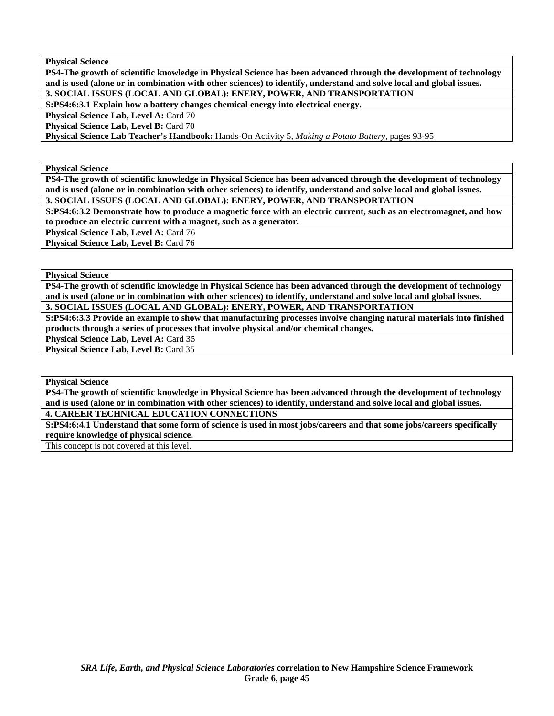**PS4-The growth of scientific knowledge in Physical Science has been advanced through the development of technology and is used (alone or in combination with other sciences) to identify, understand and solve local and global issues. 3. SOCIAL ISSUES (LOCAL AND GLOBAL): ENERY, POWER, AND TRANSPORTATION** 

**S:PS4:6:3.1 Explain how a battery changes chemical energy into electrical energy.** 

**Physical Science Lab, Level A: Card 70** 

**Physical Science Lab, Level B: Card 70** 

**Physical Science Lab Teacher's Handbook:** Hands-On Activity 5, *Making a Potato Battery,* pages 93-95

**Physical Science** 

**PS4-The growth of scientific knowledge in Physical Science has been advanced through the development of technology and is used (alone or in combination with other sciences) to identify, understand and solve local and global issues. 3. SOCIAL ISSUES (LOCAL AND GLOBAL): ENERY, POWER, AND TRANSPORTATION** 

**S:PS4:6:3.2 Demonstrate how to produce a magnetic force with an electric current, such as an electromagnet, and how to produce an electric current with a magnet, such as a generator.** 

Physical Science Lab, Level A: Card 76

Physical Science Lab, Level B: Card 76

**Physical Science** 

**PS4-The growth of scientific knowledge in Physical Science has been advanced through the development of technology and is used (alone or in combination with other sciences) to identify, understand and solve local and global issues. 3. SOCIAL ISSUES (LOCAL AND GLOBAL): ENERY, POWER, AND TRANSPORTATION** 

**S:PS4:6:3.3 Provide an example to show that manufacturing processes involve changing natural materials into finished products through a series of processes that involve physical and/or chemical changes.** 

Physical Science Lab, Level A: Card 35

Physical Science Lab, Level B: Card 35

**Physical Science** 

**PS4-The growth of scientific knowledge in Physical Science has been advanced through the development of technology and is used (alone or in combination with other sciences) to identify, understand and solve local and global issues. 4. CAREER TECHNICAL EDUCATION CONNECTIONS** 

**S:PS4:6:4.1 Understand that some form of science is used in most jobs/careers and that some jobs/careers specifically require knowledge of physical science.** 

This concept is not covered at this level.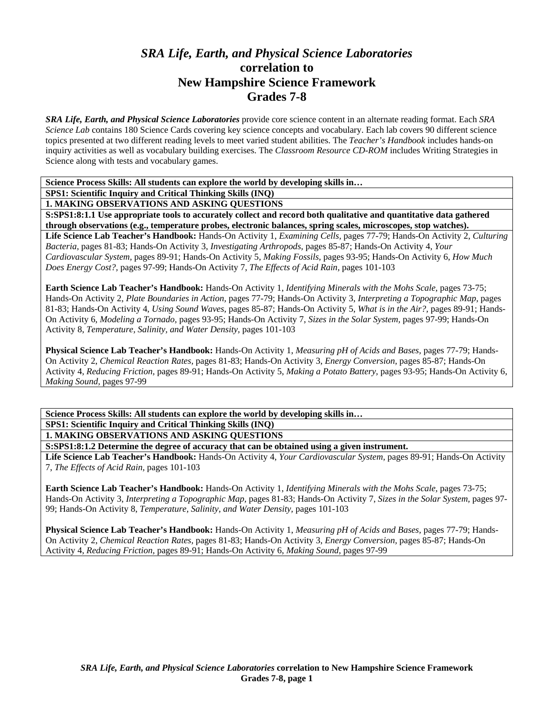# *SRA Life, Earth, and Physical Science Laboratories*  **correlation to New Hampshire Science Framework Grades 7-8**

*SRA Life, Earth, and Physical Science Laboratories* provide core science content in an alternate reading format. Each *SRA Science Lab* contains 180 Science Cards covering key science concepts and vocabulary. Each lab covers 90 different science topics presented at two different reading levels to meet varied student abilities. The *Teacher's Handbook* includes hands-on inquiry activities as well as vocabulary building exercises. The *Classroom Resource CD-ROM* includes Writing Strategies in Science along with tests and vocabulary games.

**Science Process Skills: All students can explore the world by developing skills in…** 

**SPS1: Scientific Inquiry and Critical Thinking Skills (INQ)** 

**1. MAKING OBSERVATIONS AND ASKING QUESTIONS** 

**S:SPS1:8:1.1 Use appropriate tools to accurately collect and record both qualitative and quantitative data gathered through observations (e.g., temperature probes, electronic balances, spring scales, microscopes, stop watches). Life Science Lab Teacher's Handbook:** Hands-On Activity 1, *Examining Cells,* pages 77-79; Hands-On Activity 2, *Culturing Bacteria,* pages 81-83; Hands-On Activity 3, *Investigating Arthropods,* pages 85-87; Hands-On Activity 4, *Your Cardiovascular System,* pages 89-91; Hands-On Activity 5, *Making Fossils,* pages 93-95; Hands-On Activity 6, *How Much* 

*Does Energy Cost?,* pages 97-99; Hands-On Activity 7, *The Effects of Acid Rain,* pages 101-103

**Earth Science Lab Teacher's Handbook:** Hands-On Activity 1, *Identifying Minerals with the Mohs Scale,* pages 73-75; Hands-On Activity 2, *Plate Boundaries in Action,* pages 77-79; Hands-On Activity 3, *Interpreting a Topographic Map,* pages 81-83; Hands-On Activity 4, *Using Sound Waves,* pages 85-87; Hands-On Activity 5, *What is in the Air?,* pages 89-91; Hands-On Activity 6, *Modeling a Tornado,* pages 93-95; Hands-On Activity 7, *Sizes in the Solar System,* pages 97-99; Hands-On Activity 8, *Temperature, Salinity, and Water Density,* pages 101-103

**Physical Science Lab Teacher's Handbook:** Hands-On Activity 1, *Measuring pH of Acids and Bases,* pages 77-79; Hands-On Activity 2, *Chemical Reaction Rates,* pages 81-83; Hands-On Activity 3, *Energy Conversion,* pages 85-87; Hands-On Activity 4, *Reducing Friction,* pages 89-91; Hands-On Activity 5, *Making a Potato Battery,* pages 93-95; Hands-On Activity 6, *Making Sound,* pages 97-99

**Science Process Skills: All students can explore the world by developing skills in… SPS1: Scientific Inquiry and Critical Thinking Skills (INQ) 1. MAKING OBSERVATIONS AND ASKING QUESTIONS** 

**S:SPS1:8:1.2 Determine the degree of accuracy that can be obtained using a given instrument.** 

**Life Science Lab Teacher's Handbook:** Hands-On Activity 4, *Your Cardiovascular System,* pages 89-91; Hands-On Activity 7, *The Effects of Acid Rain,* pages 101-103

**Earth Science Lab Teacher's Handbook:** Hands-On Activity 1, *Identifying Minerals with the Mohs Scale,* pages 73-75; Hands-On Activity 3, *Interpreting a Topographic Map,* pages 81-83; Hands-On Activity 7, *Sizes in the Solar System,* pages 97- 99; Hands-On Activity 8, *Temperature, Salinity, and Water Density,* pages 101-103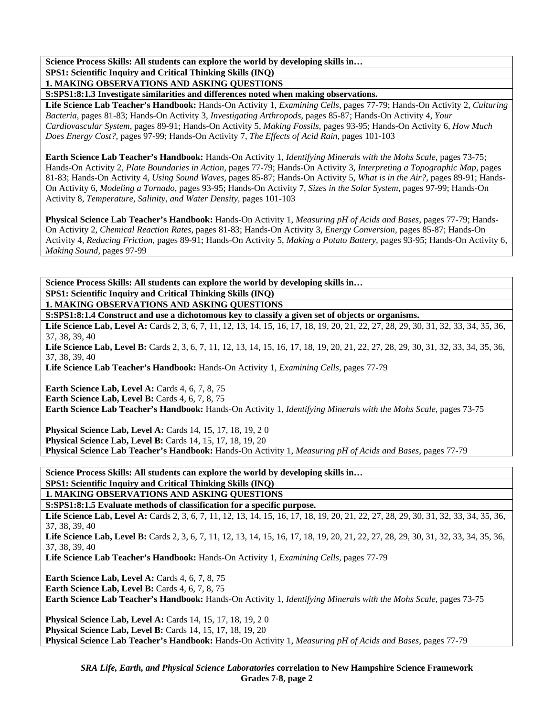### **SPS1: Scientific Inquiry and Critical Thinking Skills (INQ)**

**1. MAKING OBSERVATIONS AND ASKING QUESTIONS** 

**S:SPS1:8:1.3 Investigate similarities and differences noted when making observations.** 

**Life Science Lab Teacher's Handbook:** Hands-On Activity 1, *Examining Cells,* pages 77-79; Hands-On Activity 2, *Culturing Bacteria,* pages 81-83; Hands-On Activity 3, *Investigating Arthropods,* pages 85-87; Hands-On Activity 4, *Your Cardiovascular System,* pages 89-91; Hands-On Activity 5, *Making Fossils,* pages 93-95; Hands-On Activity 6, *How Much Does Energy Cost?,* pages 97-99; Hands-On Activity 7, *The Effects of Acid Rain,* pages 101-103

**Earth Science Lab Teacher's Handbook:** Hands-On Activity 1, *Identifying Minerals with the Mohs Scale,* pages 73-75; Hands-On Activity 2, *Plate Boundaries in Action,* pages 77-79; Hands-On Activity 3, *Interpreting a Topographic Map,* pages 81-83; Hands-On Activity 4, *Using Sound Waves,* pages 85-87; Hands-On Activity 5, *What is in the Air?,* pages 89-91; Hands-On Activity 6, *Modeling a Tornado,* pages 93-95; Hands-On Activity 7, *Sizes in the Solar System,* pages 97-99; Hands-On Activity 8, *Temperature, Salinity, and Water Density,* pages 101-103

**Physical Science Lab Teacher's Handbook:** Hands-On Activity 1, *Measuring pH of Acids and Bases,* pages 77-79; Hands-On Activity 2, *Chemical Reaction Rates,* pages 81-83; Hands-On Activity 3, *Energy Conversion,* pages 85-87; Hands-On Activity 4, *Reducing Friction,* pages 89-91; Hands-On Activity 5, *Making a Potato Battery,* pages 93-95; Hands-On Activity 6, *Making Sound,* pages 97-99

**Science Process Skills: All students can explore the world by developing skills in… SPS1: Scientific Inquiry and Critical Thinking Skills (INQ)** 

**1. MAKING OBSERVATIONS AND ASKING QUESTIONS** 

**S:SPS1:8:1.4 Construct and use a dichotomous key to classify a given set of objects or organisms.** 

Life Science Lab, Level A: Cards 2, 3, 6, 7, 11, 12, 13, 14, 15, 16, 17, 18, 19, 20, 21, 22, 27, 28, 29, 30, 31, 32, 33, 34, 35, 36, 37, 38, 39, 40

Life Science Lab, Level B: Cards 2, 3, 6, 7, 11, 12, 13, 14, 15, 16, 17, 18, 19, 20, 21, 22, 27, 28, 29, 30, 31, 32, 33, 34, 35, 36, 37, 38, 39, 40

**Life Science Lab Teacher's Handbook:** Hands-On Activity 1, *Examining Cells,* pages 77-79

**Earth Science Lab, Level A: Cards 4, 6, 7, 8, 75 Earth Science Lab, Level B:** Cards 4, 6, 7, 8, 75

**Earth Science Lab Teacher's Handbook:** Hands-On Activity 1, *Identifying Minerals with the Mohs Scale,* pages 73-75

**Physical Science Lab, Level A: Cards 14, 15, 17, 18, 19, 20 Physical Science Lab, Level B: Cards 14, 15, 17, 18, 19, 20 Physical Science Lab Teacher's Handbook:** Hands-On Activity 1, *Measuring pH of Acids and Bases,* pages 77-79

**Science Process Skills: All students can explore the world by developing skills in… SPS1: Scientific Inquiry and Critical Thinking Skills (INQ) 1. MAKING OBSERVATIONS AND ASKING QUESTIONS** 

**S:SPS1:8:1.5 Evaluate methods of classification for a specific purpose.** 

Life Science Lab, Level A: Cards 2, 3, 6, 7, 11, 12, 13, 14, 15, 16, 17, 18, 19, 20, 21, 22, 27, 28, 29, 30, 31, 32, 33, 34, 35, 36, 37, 38, 39, 40

Life Science Lab, Level B: Cards 2, 3, 6, 7, 11, 12, 13, 14, 15, 16, 17, 18, 19, 20, 21, 22, 27, 28, 29, 30, 31, 32, 33, 34, 35, 36, 37, 38, 39, 40

**Life Science Lab Teacher's Handbook:** Hands-On Activity 1, *Examining Cells,* pages 77-79

**Earth Science Lab, Level A: Cards 4, 6, 7, 8, 75** 

**Earth Science Lab, Level B:** Cards 4, 6, 7, 8, 75

**Earth Science Lab Teacher's Handbook:** Hands-On Activity 1, *Identifying Minerals with the Mohs Scale,* pages 73-75

**Physical Science Lab, Level A: Cards 14, 15, 17, 18, 19, 20 Physical Science Lab, Level B: Cards 14, 15, 17, 18, 19, 20 Physical Science Lab Teacher's Handbook:** Hands-On Activity 1, *Measuring pH of Acids and Bases,* pages 77-79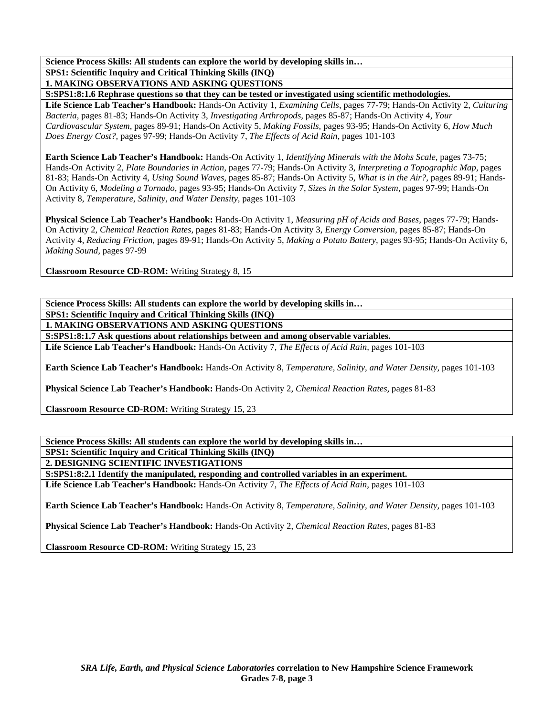**SPS1: Scientific Inquiry and Critical Thinking Skills (INQ)** 

**1. MAKING OBSERVATIONS AND ASKING QUESTIONS S:SPS1:8:1.6 Rephrase questions so that they can be tested or investigated using scientific methodologies.** 

**Life Science Lab Teacher's Handbook:** Hands-On Activity 1, *Examining Cells,* pages 77-79; Hands-On Activity 2, *Culturing Bacteria,* pages 81-83; Hands-On Activity 3, *Investigating Arthropods,* pages 85-87; Hands-On Activity 4, *Your Cardiovascular System,* pages 89-91; Hands-On Activity 5, *Making Fossils,* pages 93-95; Hands-On Activity 6, *How Much Does Energy Cost?,* pages 97-99; Hands-On Activity 7, *The Effects of Acid Rain,* pages 101-103

**Earth Science Lab Teacher's Handbook:** Hands-On Activity 1, *Identifying Minerals with the Mohs Scale,* pages 73-75; Hands-On Activity 2, *Plate Boundaries in Action,* pages 77-79; Hands-On Activity 3, *Interpreting a Topographic Map,* pages 81-83; Hands-On Activity 4, *Using Sound Waves,* pages 85-87; Hands-On Activity 5, *What is in the Air?,* pages 89-91; Hands-On Activity 6, *Modeling a Tornado,* pages 93-95; Hands-On Activity 7, *Sizes in the Solar System,* pages 97-99; Hands-On Activity 8, *Temperature, Salinity, and Water Density,* pages 101-103

**Physical Science Lab Teacher's Handbook:** Hands-On Activity 1, *Measuring pH of Acids and Bases,* pages 77-79; Hands-On Activity 2, *Chemical Reaction Rates,* pages 81-83; Hands-On Activity 3, *Energy Conversion,* pages 85-87; Hands-On Activity 4, *Reducing Friction,* pages 89-91; Hands-On Activity 5, *Making a Potato Battery,* pages 93-95; Hands-On Activity 6, *Making Sound,* pages 97-99

**Classroom Resource CD-ROM:** Writing Strategy 8, 15

**Science Process Skills: All students can explore the world by developing skills in… SPS1: Scientific Inquiry and Critical Thinking Skills (INQ) 1. MAKING OBSERVATIONS AND ASKING QUESTIONS** 

**S:SPS1:8:1.7 Ask questions about relationships between and among observable variables.** 

**Life Science Lab Teacher's Handbook:** Hands-On Activity 7, *The Effects of Acid Rain,* pages 101-103

**Earth Science Lab Teacher's Handbook:** Hands-On Activity 8, *Temperature, Salinity, and Water Density,* pages 101-103

**Physical Science Lab Teacher's Handbook:** Hands-On Activity 2, *Chemical Reaction Rates,* pages 81-83

**Classroom Resource CD-ROM:** Writing Strategy 15, 23

**Science Process Skills: All students can explore the world by developing skills in… SPS1: Scientific Inquiry and Critical Thinking Skills (INQ) 2. DESIGNING SCIENTIFIC INVESTIGATIONS** 

**S:SPS1:8:2.1 Identify the manipulated, responding and controlled variables in an experiment.** 

**Life Science Lab Teacher's Handbook:** Hands-On Activity 7, *The Effects of Acid Rain,* pages 101-103

**Earth Science Lab Teacher's Handbook:** Hands-On Activity 8, *Temperature, Salinity, and Water Density,* pages 101-103

**Physical Science Lab Teacher's Handbook:** Hands-On Activity 2, *Chemical Reaction Rates,* pages 81-83

**Classroom Resource CD-ROM:** Writing Strategy 15, 23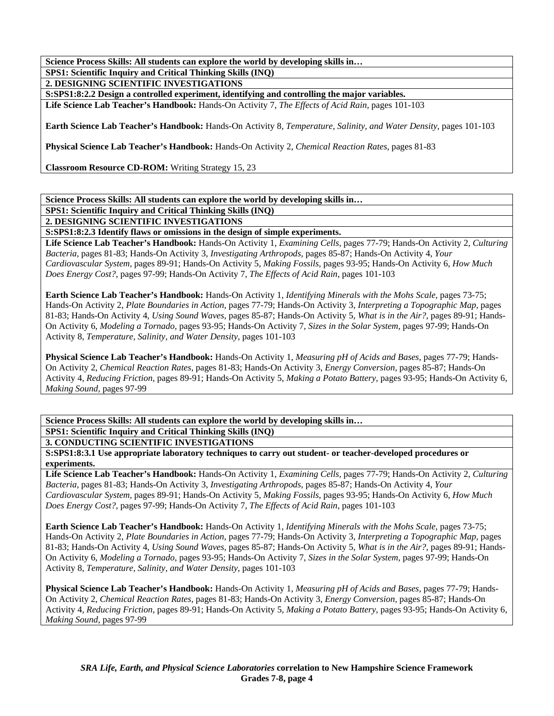**SPS1: Scientific Inquiry and Critical Thinking Skills (INQ)** 

**2. DESIGNING SCIENTIFIC INVESTIGATIONS** 

**S:SPS1:8:2.2 Design a controlled experiment, identifying and controlling the major variables.** 

**Life Science Lab Teacher's Handbook:** Hands-On Activity 7, *The Effects of Acid Rain,* pages 101-103

**Earth Science Lab Teacher's Handbook:** Hands-On Activity 8, *Temperature, Salinity, and Water Density,* pages 101-103

**Physical Science Lab Teacher's Handbook:** Hands-On Activity 2, *Chemical Reaction Rates,* pages 81-83

**Classroom Resource CD-ROM:** Writing Strategy 15, 23

### **Science Process Skills: All students can explore the world by developing skills in…**

**SPS1: Scientific Inquiry and Critical Thinking Skills (INQ)** 

**2. DESIGNING SCIENTIFIC INVESTIGATIONS** 

**S:SPS1:8:2.3 Identify flaws or omissions in the design of simple experiments.** 

**Life Science Lab Teacher's Handbook:** Hands-On Activity 1, *Examining Cells,* pages 77-79; Hands-On Activity 2, *Culturing Bacteria,* pages 81-83; Hands-On Activity 3, *Investigating Arthropods,* pages 85-87; Hands-On Activity 4, *Your Cardiovascular System,* pages 89-91; Hands-On Activity 5, *Making Fossils,* pages 93-95; Hands-On Activity 6, *How Much Does Energy Cost?,* pages 97-99; Hands-On Activity 7, *The Effects of Acid Rain,* pages 101-103

**Earth Science Lab Teacher's Handbook:** Hands-On Activity 1, *Identifying Minerals with the Mohs Scale,* pages 73-75; Hands-On Activity 2, *Plate Boundaries in Action,* pages 77-79; Hands-On Activity 3, *Interpreting a Topographic Map,* pages 81-83; Hands-On Activity 4, *Using Sound Waves,* pages 85-87; Hands-On Activity 5, *What is in the Air?,* pages 89-91; Hands-On Activity 6, *Modeling a Tornado,* pages 93-95; Hands-On Activity 7, *Sizes in the Solar System,* pages 97-99; Hands-On Activity 8, *Temperature, Salinity, and Water Density,* pages 101-103

**Physical Science Lab Teacher's Handbook:** Hands-On Activity 1, *Measuring pH of Acids and Bases,* pages 77-79; Hands-On Activity 2, *Chemical Reaction Rates,* pages 81-83; Hands-On Activity 3, *Energy Conversion,* pages 85-87; Hands-On Activity 4, *Reducing Friction,* pages 89-91; Hands-On Activity 5, *Making a Potato Battery,* pages 93-95; Hands-On Activity 6, *Making Sound,* pages 97-99

**Science Process Skills: All students can explore the world by developing skills in… SPS1: Scientific Inquiry and Critical Thinking Skills (INQ)** 

**3. CONDUCTING SCIENTIFIC INVESTIGATIONS** 

**S:SPS1:8:3.1 Use appropriate laboratory techniques to carry out student- or teacher-developed procedures or experiments.** 

**Life Science Lab Teacher's Handbook:** Hands-On Activity 1, *Examining Cells,* pages 77-79; Hands-On Activity 2, *Culturing Bacteria,* pages 81-83; Hands-On Activity 3, *Investigating Arthropods,* pages 85-87; Hands-On Activity 4, *Your Cardiovascular System,* pages 89-91; Hands-On Activity 5, *Making Fossils,* pages 93-95; Hands-On Activity 6, *How Much Does Energy Cost?,* pages 97-99; Hands-On Activity 7, *The Effects of Acid Rain,* pages 101-103

**Earth Science Lab Teacher's Handbook:** Hands-On Activity 1, *Identifying Minerals with the Mohs Scale,* pages 73-75; Hands-On Activity 2, *Plate Boundaries in Action,* pages 77-79; Hands-On Activity 3, *Interpreting a Topographic Map,* pages 81-83; Hands-On Activity 4, *Using Sound Waves,* pages 85-87; Hands-On Activity 5, *What is in the Air?,* pages 89-91; Hands-On Activity 6, *Modeling a Tornado,* pages 93-95; Hands-On Activity 7, *Sizes in the Solar System,* pages 97-99; Hands-On Activity 8, *Temperature, Salinity, and Water Density,* pages 101-103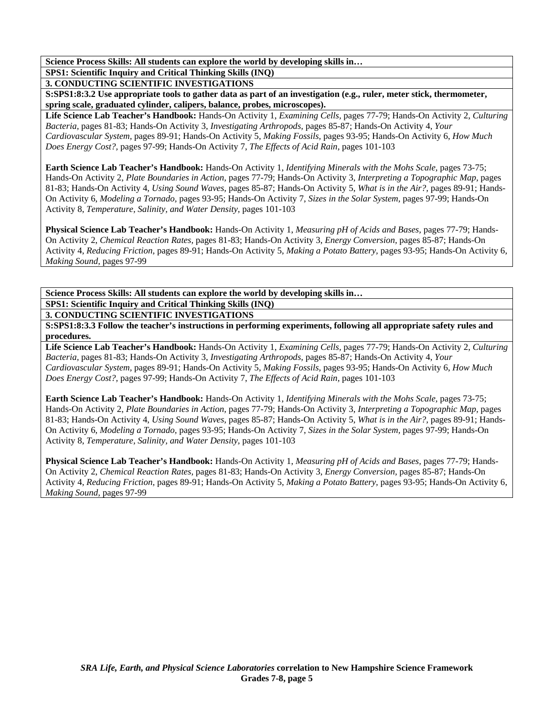**SPS1: Scientific Inquiry and Critical Thinking Skills (INQ)** 

**3. CONDUCTING SCIENTIFIC INVESTIGATIONS** 

**S:SPS1:8:3.2 Use appropriate tools to gather data as part of an investigation (e.g., ruler, meter stick, thermometer, spring scale, graduated cylinder, calipers, balance, probes, microscopes).** 

**Life Science Lab Teacher's Handbook:** Hands-On Activity 1, *Examining Cells,* pages 77-79; Hands-On Activity 2, *Culturing Bacteria,* pages 81-83; Hands-On Activity 3, *Investigating Arthropods,* pages 85-87; Hands-On Activity 4, *Your Cardiovascular System,* pages 89-91; Hands-On Activity 5, *Making Fossils,* pages 93-95; Hands-On Activity 6, *How Much Does Energy Cost?,* pages 97-99; Hands-On Activity 7, *The Effects of Acid Rain,* pages 101-103

**Earth Science Lab Teacher's Handbook:** Hands-On Activity 1, *Identifying Minerals with the Mohs Scale,* pages 73-75; Hands-On Activity 2, *Plate Boundaries in Action,* pages 77-79; Hands-On Activity 3, *Interpreting a Topographic Map,* pages 81-83; Hands-On Activity 4, *Using Sound Waves,* pages 85-87; Hands-On Activity 5, *What is in the Air?,* pages 89-91; Hands-On Activity 6, *Modeling a Tornado,* pages 93-95; Hands-On Activity 7, *Sizes in the Solar System,* pages 97-99; Hands-On Activity 8, *Temperature, Salinity, and Water Density,* pages 101-103

**Physical Science Lab Teacher's Handbook:** Hands-On Activity 1, *Measuring pH of Acids and Bases,* pages 77-79; Hands-On Activity 2, *Chemical Reaction Rates,* pages 81-83; Hands-On Activity 3, *Energy Conversion,* pages 85-87; Hands-On Activity 4, *Reducing Friction,* pages 89-91; Hands-On Activity 5, *Making a Potato Battery,* pages 93-95; Hands-On Activity 6, *Making Sound,* pages 97-99

**Science Process Skills: All students can explore the world by developing skills in… SPS1: Scientific Inquiry and Critical Thinking Skills (INQ)** 

**3. CONDUCTING SCIENTIFIC INVESTIGATIONS** 

**S:SPS1:8:3.3 Follow the teacher's instructions in performing experiments, following all appropriate safety rules and procedures.** 

**Life Science Lab Teacher's Handbook:** Hands-On Activity 1, *Examining Cells,* pages 77-79; Hands-On Activity 2, *Culturing Bacteria,* pages 81-83; Hands-On Activity 3, *Investigating Arthropods,* pages 85-87; Hands-On Activity 4, *Your Cardiovascular System,* pages 89-91; Hands-On Activity 5, *Making Fossils,* pages 93-95; Hands-On Activity 6, *How Much Does Energy Cost?,* pages 97-99; Hands-On Activity 7, *The Effects of Acid Rain,* pages 101-103

**Earth Science Lab Teacher's Handbook:** Hands-On Activity 1, *Identifying Minerals with the Mohs Scale,* pages 73-75; Hands-On Activity 2, *Plate Boundaries in Action,* pages 77-79; Hands-On Activity 3, *Interpreting a Topographic Map,* pages 81-83; Hands-On Activity 4, *Using Sound Waves,* pages 85-87; Hands-On Activity 5, *What is in the Air?,* pages 89-91; Hands-On Activity 6, *Modeling a Tornado,* pages 93-95; Hands-On Activity 7, *Sizes in the Solar System,* pages 97-99; Hands-On Activity 8, *Temperature, Salinity, and Water Density,* pages 101-103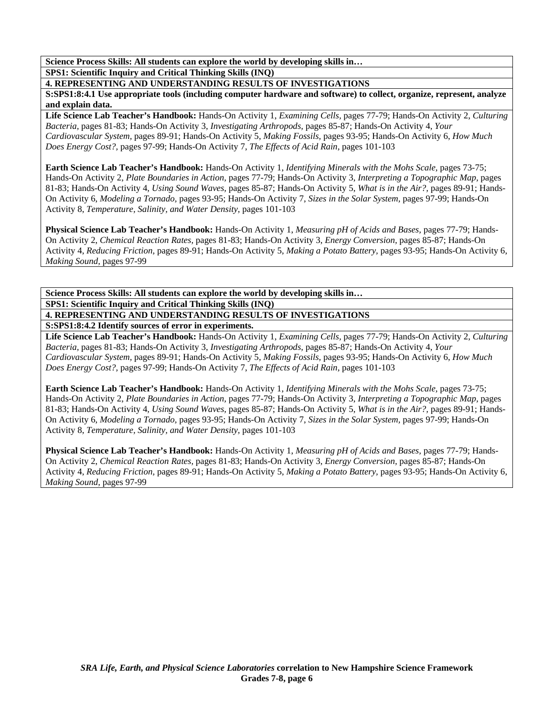**Science Process Skills: All students can explore the world by developing skills in… SPS1: Scientific Inquiry and Critical Thinking Skills (INQ)** 

**4. REPRESENTING AND UNDERSTANDING RESULTS OF INVESTIGATIONS** 

**S:SPS1:8:4.1 Use appropriate tools (including computer hardware and software) to collect, organize, represent, analyze and explain data.** 

**Life Science Lab Teacher's Handbook:** Hands-On Activity 1, *Examining Cells,* pages 77-79; Hands-On Activity 2, *Culturing Bacteria,* pages 81-83; Hands-On Activity 3, *Investigating Arthropods,* pages 85-87; Hands-On Activity 4, *Your Cardiovascular System,* pages 89-91; Hands-On Activity 5, *Making Fossils,* pages 93-95; Hands-On Activity 6, *How Much Does Energy Cost?,* pages 97-99; Hands-On Activity 7, *The Effects of Acid Rain,* pages 101-103

**Earth Science Lab Teacher's Handbook:** Hands-On Activity 1, *Identifying Minerals with the Mohs Scale,* pages 73-75; Hands-On Activity 2, *Plate Boundaries in Action,* pages 77-79; Hands-On Activity 3, *Interpreting a Topographic Map,* pages 81-83; Hands-On Activity 4, *Using Sound Waves,* pages 85-87; Hands-On Activity 5, *What is in the Air?,* pages 89-91; Hands-On Activity 6, *Modeling a Tornado,* pages 93-95; Hands-On Activity 7, *Sizes in the Solar System,* pages 97-99; Hands-On Activity 8, *Temperature, Salinity, and Water Density,* pages 101-103

**Physical Science Lab Teacher's Handbook:** Hands-On Activity 1, *Measuring pH of Acids and Bases,* pages 77-79; Hands-On Activity 2, *Chemical Reaction Rates,* pages 81-83; Hands-On Activity 3, *Energy Conversion,* pages 85-87; Hands-On Activity 4, *Reducing Friction,* pages 89-91; Hands-On Activity 5, *Making a Potato Battery,* pages 93-95; Hands-On Activity 6, *Making Sound,* pages 97-99

**Science Process Skills: All students can explore the world by developing skills in… SPS1: Scientific Inquiry and Critical Thinking Skills (INQ) 4. REPRESENTING AND UNDERSTANDING RESULTS OF INVESTIGATIONS S:SPS1:8:4.2 Identify sources of error in experiments.** 

**Life Science Lab Teacher's Handbook:** Hands-On Activity 1, *Examining Cells,* pages 77-79; Hands-On Activity 2, *Culturing Bacteria,* pages 81-83; Hands-On Activity 3, *Investigating Arthropods,* pages 85-87; Hands-On Activity 4, *Your Cardiovascular System,* pages 89-91; Hands-On Activity 5, *Making Fossils,* pages 93-95; Hands-On Activity 6, *How Much Does Energy Cost?,* pages 97-99; Hands-On Activity 7, *The Effects of Acid Rain,* pages 101-103

**Earth Science Lab Teacher's Handbook:** Hands-On Activity 1, *Identifying Minerals with the Mohs Scale,* pages 73-75; Hands-On Activity 2, *Plate Boundaries in Action,* pages 77-79; Hands-On Activity 3, *Interpreting a Topographic Map,* pages 81-83; Hands-On Activity 4, *Using Sound Waves,* pages 85-87; Hands-On Activity 5, *What is in the Air?,* pages 89-91; Hands-On Activity 6, *Modeling a Tornado,* pages 93-95; Hands-On Activity 7, *Sizes in the Solar System,* pages 97-99; Hands-On Activity 8, *Temperature, Salinity, and Water Density,* pages 101-103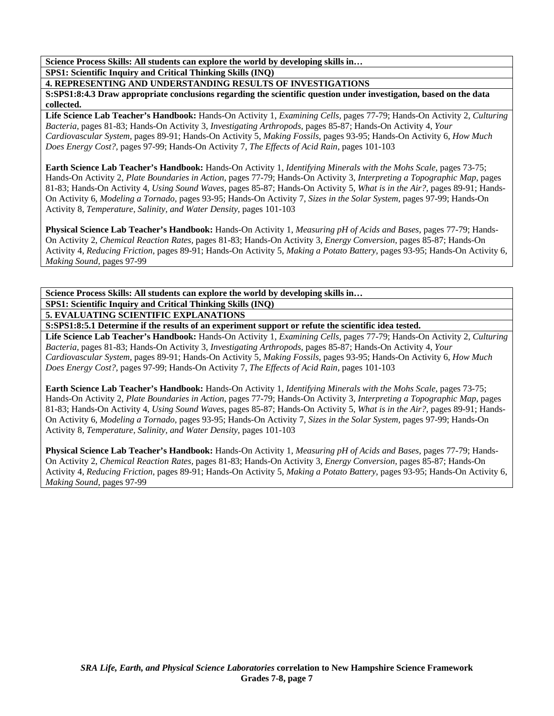**Science Process Skills: All students can explore the world by developing skills in… SPS1: Scientific Inquiry and Critical Thinking Skills (INQ)** 

**4. REPRESENTING AND UNDERSTANDING RESULTS OF INVESTIGATIONS** 

**S:SPS1:8:4.3 Draw appropriate conclusions regarding the scientific question under investigation, based on the data collected.** 

**Life Science Lab Teacher's Handbook:** Hands-On Activity 1, *Examining Cells,* pages 77-79; Hands-On Activity 2, *Culturing Bacteria,* pages 81-83; Hands-On Activity 3, *Investigating Arthropods,* pages 85-87; Hands-On Activity 4, *Your Cardiovascular System,* pages 89-91; Hands-On Activity 5, *Making Fossils,* pages 93-95; Hands-On Activity 6, *How Much Does Energy Cost?,* pages 97-99; Hands-On Activity 7, *The Effects of Acid Rain,* pages 101-103

**Earth Science Lab Teacher's Handbook:** Hands-On Activity 1, *Identifying Minerals with the Mohs Scale,* pages 73-75; Hands-On Activity 2, *Plate Boundaries in Action,* pages 77-79; Hands-On Activity 3, *Interpreting a Topographic Map,* pages 81-83; Hands-On Activity 4, *Using Sound Waves,* pages 85-87; Hands-On Activity 5, *What is in the Air?,* pages 89-91; Hands-On Activity 6, *Modeling a Tornado,* pages 93-95; Hands-On Activity 7, *Sizes in the Solar System,* pages 97-99; Hands-On Activity 8, *Temperature, Salinity, and Water Density,* pages 101-103

**Physical Science Lab Teacher's Handbook:** Hands-On Activity 1, *Measuring pH of Acids and Bases,* pages 77-79; Hands-On Activity 2, *Chemical Reaction Rates,* pages 81-83; Hands-On Activity 3, *Energy Conversion,* pages 85-87; Hands-On Activity 4, *Reducing Friction,* pages 89-91; Hands-On Activity 5, *Making a Potato Battery,* pages 93-95; Hands-On Activity 6, *Making Sound,* pages 97-99

**Science Process Skills: All students can explore the world by developing skills in… SPS1: Scientific Inquiry and Critical Thinking Skills (INQ) 5. EVALUATING SCIENTIFIC EXPLANATIONS** 

**S:SPS1:8:5.1 Determine if the results of an experiment support or refute the scientific idea tested.** 

**Life Science Lab Teacher's Handbook:** Hands-On Activity 1, *Examining Cells,* pages 77-79; Hands-On Activity 2, *Culturing Bacteria,* pages 81-83; Hands-On Activity 3, *Investigating Arthropods,* pages 85-87; Hands-On Activity 4, *Your Cardiovascular System,* pages 89-91; Hands-On Activity 5, *Making Fossils,* pages 93-95; Hands-On Activity 6, *How Much Does Energy Cost?,* pages 97-99; Hands-On Activity 7, *The Effects of Acid Rain,* pages 101-103

**Earth Science Lab Teacher's Handbook:** Hands-On Activity 1, *Identifying Minerals with the Mohs Scale,* pages 73-75; Hands-On Activity 2, *Plate Boundaries in Action,* pages 77-79; Hands-On Activity 3, *Interpreting a Topographic Map,* pages 81-83; Hands-On Activity 4, *Using Sound Waves,* pages 85-87; Hands-On Activity 5, *What is in the Air?,* pages 89-91; Hands-On Activity 6, *Modeling a Tornado,* pages 93-95; Hands-On Activity 7, *Sizes in the Solar System,* pages 97-99; Hands-On Activity 8, *Temperature, Salinity, and Water Density,* pages 101-103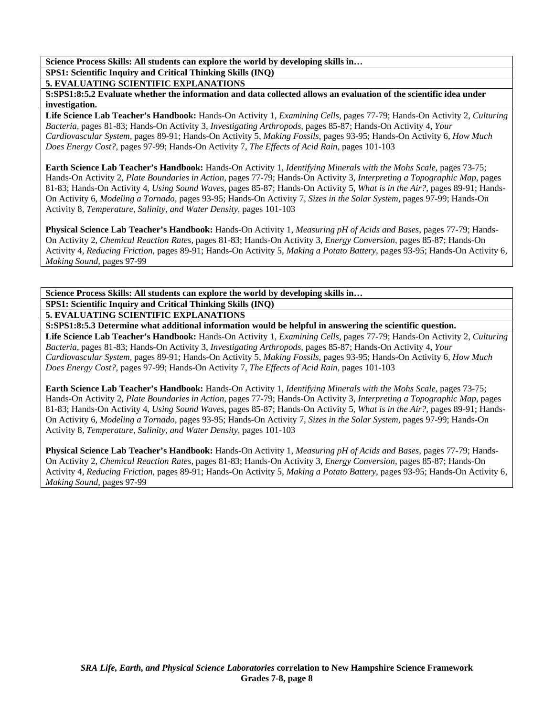**SPS1: Scientific Inquiry and Critical Thinking Skills (INQ)** 

**5. EVALUATING SCIENTIFIC EXPLANATIONS** 

**S:SPS1:8:5.2 Evaluate whether the information and data collected allows an evaluation of the scientific idea under investigation.** 

**Life Science Lab Teacher's Handbook:** Hands-On Activity 1, *Examining Cells,* pages 77-79; Hands-On Activity 2, *Culturing Bacteria,* pages 81-83; Hands-On Activity 3, *Investigating Arthropods,* pages 85-87; Hands-On Activity 4, *Your Cardiovascular System,* pages 89-91; Hands-On Activity 5, *Making Fossils,* pages 93-95; Hands-On Activity 6, *How Much Does Energy Cost?,* pages 97-99; Hands-On Activity 7, *The Effects of Acid Rain,* pages 101-103

**Earth Science Lab Teacher's Handbook:** Hands-On Activity 1, *Identifying Minerals with the Mohs Scale,* pages 73-75; Hands-On Activity 2, *Plate Boundaries in Action,* pages 77-79; Hands-On Activity 3, *Interpreting a Topographic Map,* pages 81-83; Hands-On Activity 4, *Using Sound Waves,* pages 85-87; Hands-On Activity 5, *What is in the Air?,* pages 89-91; Hands-On Activity 6, *Modeling a Tornado,* pages 93-95; Hands-On Activity 7, *Sizes in the Solar System,* pages 97-99; Hands-On Activity 8, *Temperature, Salinity, and Water Density,* pages 101-103

**Physical Science Lab Teacher's Handbook:** Hands-On Activity 1, *Measuring pH of Acids and Bases,* pages 77-79; Hands-On Activity 2, *Chemical Reaction Rates,* pages 81-83; Hands-On Activity 3, *Energy Conversion,* pages 85-87; Hands-On Activity 4, *Reducing Friction,* pages 89-91; Hands-On Activity 5, *Making a Potato Battery,* pages 93-95; Hands-On Activity 6, *Making Sound,* pages 97-99

**Science Process Skills: All students can explore the world by developing skills in… SPS1: Scientific Inquiry and Critical Thinking Skills (INQ) 5. EVALUATING SCIENTIFIC EXPLANATIONS** 

**S:SPS1:8:5.3 Determine what additional information would be helpful in answering the scientific question.** 

**Life Science Lab Teacher's Handbook:** Hands-On Activity 1, *Examining Cells,* pages 77-79; Hands-On Activity 2, *Culturing Bacteria,* pages 81-83; Hands-On Activity 3, *Investigating Arthropods,* pages 85-87; Hands-On Activity 4, *Your Cardiovascular System,* pages 89-91; Hands-On Activity 5, *Making Fossils,* pages 93-95; Hands-On Activity 6, *How Much Does Energy Cost?,* pages 97-99; Hands-On Activity 7, *The Effects of Acid Rain,* pages 101-103

**Earth Science Lab Teacher's Handbook:** Hands-On Activity 1, *Identifying Minerals with the Mohs Scale,* pages 73-75; Hands-On Activity 2, *Plate Boundaries in Action,* pages 77-79; Hands-On Activity 3, *Interpreting a Topographic Map,* pages 81-83; Hands-On Activity 4, *Using Sound Waves,* pages 85-87; Hands-On Activity 5, *What is in the Air?,* pages 89-91; Hands-On Activity 6, *Modeling a Tornado,* pages 93-95; Hands-On Activity 7, *Sizes in the Solar System,* pages 97-99; Hands-On Activity 8, *Temperature, Salinity, and Water Density,* pages 101-103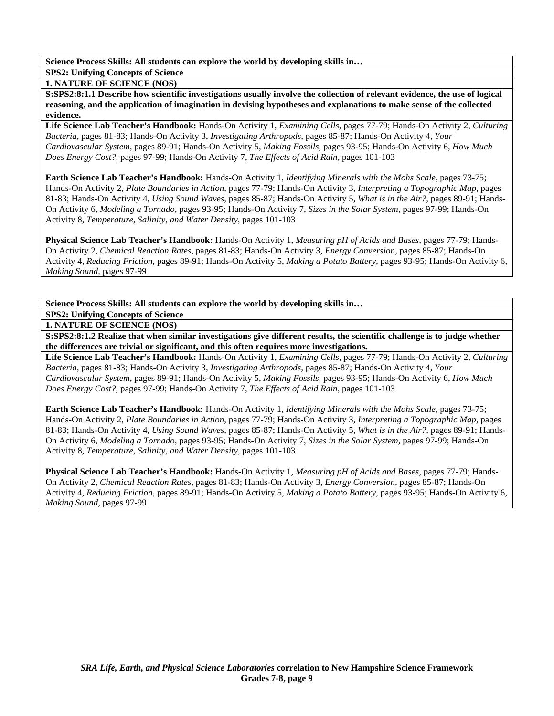**SPS2: Unifying Concepts of Science** 

**1. NATURE OF SCIENCE (NOS)** 

**S:SPS2:8:1.1 Describe how scientific investigations usually involve the collection of relevant evidence, the use of logical reasoning, and the application of imagination in devising hypotheses and explanations to make sense of the collected evidence.** 

**Life Science Lab Teacher's Handbook:** Hands-On Activity 1, *Examining Cells,* pages 77-79; Hands-On Activity 2, *Culturing Bacteria,* pages 81-83; Hands-On Activity 3, *Investigating Arthropods,* pages 85-87; Hands-On Activity 4, *Your Cardiovascular System,* pages 89-91; Hands-On Activity 5, *Making Fossils,* pages 93-95; Hands-On Activity 6, *How Much Does Energy Cost?,* pages 97-99; Hands-On Activity 7, *The Effects of Acid Rain,* pages 101-103

**Earth Science Lab Teacher's Handbook:** Hands-On Activity 1, *Identifying Minerals with the Mohs Scale,* pages 73-75; Hands-On Activity 2, *Plate Boundaries in Action,* pages 77-79; Hands-On Activity 3, *Interpreting a Topographic Map,* pages 81-83; Hands-On Activity 4, *Using Sound Waves,* pages 85-87; Hands-On Activity 5, *What is in the Air?,* pages 89-91; Hands-On Activity 6, *Modeling a Tornado,* pages 93-95; Hands-On Activity 7, *Sizes in the Solar System,* pages 97-99; Hands-On Activity 8, *Temperature, Salinity, and Water Density,* pages 101-103

**Physical Science Lab Teacher's Handbook:** Hands-On Activity 1, *Measuring pH of Acids and Bases,* pages 77-79; Hands-On Activity 2, *Chemical Reaction Rates,* pages 81-83; Hands-On Activity 3, *Energy Conversion,* pages 85-87; Hands-On Activity 4, *Reducing Friction,* pages 89-91; Hands-On Activity 5, *Making a Potato Battery,* pages 93-95; Hands-On Activity 6, *Making Sound,* pages 97-99

**Science Process Skills: All students can explore the world by developing skills in…** 

**SPS2: Unifying Concepts of Science** 

**1. NATURE OF SCIENCE (NOS)** 

**S:SPS2:8:1.2 Realize that when similar investigations give different results, the scientific challenge is to judge whether the differences are trivial or significant, and this often requires more investigations.** 

**Life Science Lab Teacher's Handbook:** Hands-On Activity 1, *Examining Cells,* pages 77-79; Hands-On Activity 2, *Culturing Bacteria,* pages 81-83; Hands-On Activity 3, *Investigating Arthropods,* pages 85-87; Hands-On Activity 4, *Your Cardiovascular System,* pages 89-91; Hands-On Activity 5, *Making Fossils,* pages 93-95; Hands-On Activity 6, *How Much Does Energy Cost?,* pages 97-99; Hands-On Activity 7, *The Effects of Acid Rain,* pages 101-103

**Earth Science Lab Teacher's Handbook:** Hands-On Activity 1, *Identifying Minerals with the Mohs Scale,* pages 73-75; Hands-On Activity 2, *Plate Boundaries in Action,* pages 77-79; Hands-On Activity 3, *Interpreting a Topographic Map,* pages 81-83; Hands-On Activity 4, *Using Sound Waves,* pages 85-87; Hands-On Activity 5, *What is in the Air?,* pages 89-91; Hands-On Activity 6, *Modeling a Tornado,* pages 93-95; Hands-On Activity 7, *Sizes in the Solar System,* pages 97-99; Hands-On Activity 8, *Temperature, Salinity, and Water Density,* pages 101-103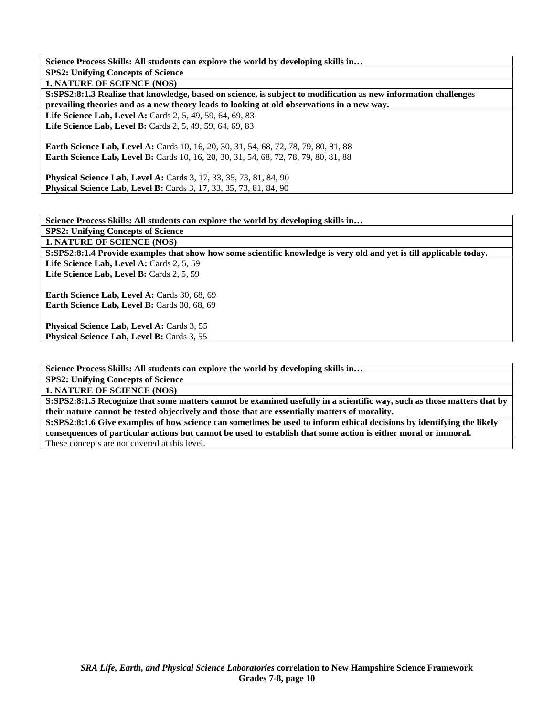| Science Process Skills: All students can explore the world by developing skills in                                                                     |
|--------------------------------------------------------------------------------------------------------------------------------------------------------|
| <b>SPS2: Unifying Concepts of Science</b>                                                                                                              |
| <b>1. NATURE OF SCIENCE (NOS)</b>                                                                                                                      |
| S:SPS2:8:1.3 Realize that knowledge, based on science, is subject to modification as new information challenges                                        |
| prevailing theories and as a new theory leads to looking at old observations in a new way.                                                             |
| <b>Life Science Lab, Level A:</b> Cards 2, 5, 49, 59, 64, 69, 83                                                                                       |
| <b>Life Science Lab, Level B:</b> Cards 2, 5, 49, 59, 64, 69, 83                                                                                       |
| <b>Earth Science Lab, Level A:</b> Cards 10, 16, 20, 30, 31, 54, 68, 72, 78, 79, 80, 81, 88                                                            |
| <b>Earth Science Lab, Level B:</b> Cards 10, 16, 20, 30, 31, 54, 68, 72, 78, 79, 80, 81, 88                                                            |
| <b>Physical Science Lab, Level A:</b> Cards 3, 17, 33, 35, 73, 81, 84, 90<br><b>Physical Science Lab, Level B:</b> Cards 3, 17, 33, 35, 73, 81, 84, 90 |

**Science Process Skills: All students can explore the world by developing skills in… SPS2: Unifying Concepts of Science 1. NATURE OF SCIENCE (NOS) S:SPS2:8:1.4 Provide examples that show how some scientific knowledge is very old and yet is till applicable today.**  Life Science Lab, Level A: Cards 2, 5, 59

Life Science Lab, Level B: Cards 2, 5, 59

**Earth Science Lab, Level A: Cards 30, 68, 69** Earth Science Lab, Level B: Cards 30, 68, 69

Physical Science Lab, Level A: Cards 3, 55 **Physical Science Lab, Level B: Cards 3, 55** 

**Science Process Skills: All students can explore the world by developing skills in…** 

**SPS2: Unifying Concepts of Science** 

**1. NATURE OF SCIENCE (NOS)** 

**S:SPS2:8:1.5 Recognize that some matters cannot be examined usefully in a scientific way, such as those matters that by their nature cannot be tested objectively and those that are essentially matters of morality.** 

**S:SPS2:8:1.6 Give examples of how science can sometimes be used to inform ethical decisions by identifying the likely consequences of particular actions but cannot be used to establish that some action is either moral or immoral.**  These concepts are not covered at this level.

*SRA Life, Earth, and Physical Science Laboratories* **correlation to New Hampshire Science Framework Grades 7-8, page 10**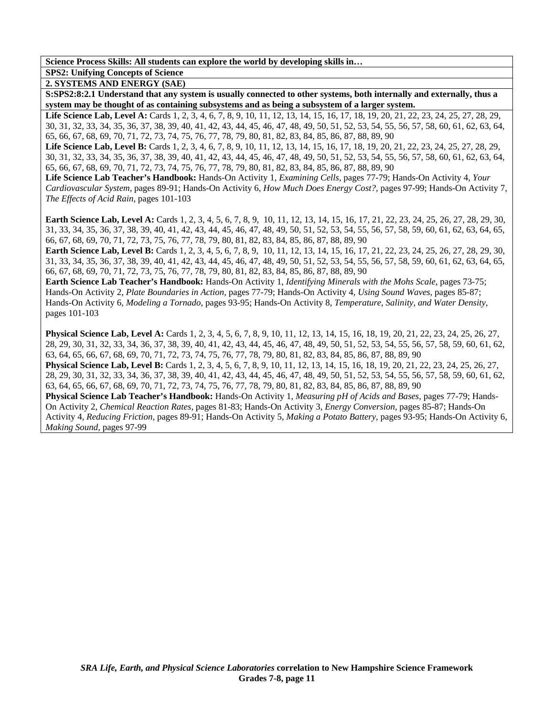## **SPS2: Unifying Concepts of Science**

**2. SYSTEMS AND ENERGY (SAE)** 

**S:SPS2:8:2.1 Understand that any system is usually connected to other systems, both internally and externally, thus a system may be thought of as containing subsystems and as being a subsystem of a larger system.** 

Life Science Lab, Level A: Cards 1, 2, 3, 4, 6, 7, 8, 9, 10, 11, 12, 13, 14, 15, 16, 17, 18, 19, 20, 21, 22, 23, 24, 25, 27, 28, 29, 30, 31, 32, 33, 34, 35, 36, 37, 38, 39, 40, 41, 42, 43, 44, 45, 46, 47, 48, 49, 50, 51, 52, 53, 54, 55, 56, 57, 58, 60, 61, 62, 63, 64, 65, 66, 67, 68, 69, 70, 71, 72, 73, 74, 75, 76, 77, 78, 79, 80, 81, 82, 83, 84, 85, 86, 87, 88, 89, 90

Life Science Lab, Level B: Cards 1, 2, 3, 4, 6, 7, 8, 9, 10, 11, 12, 13, 14, 15, 16, 17, 18, 19, 20, 21, 22, 23, 24, 25, 27, 28, 29, 30, 31, 32, 33, 34, 35, 36, 37, 38, 39, 40, 41, 42, 43, 44, 45, 46, 47, 48, 49, 50, 51, 52, 53, 54, 55, 56, 57, 58, 60, 61, 62, 63, 64, 65, 66, 67, 68, 69, 70, 71, 72, 73, 74, 75, 76, 77, 78, 79, 80, 81, 82, 83, 84, 85, 86, 87, 88, 89, 90

**Life Science Lab Teacher's Handbook:** Hands-On Activity 1, *Examining Cells,* pages 77-79; Hands-On Activity 4, *Your Cardiovascular System,* pages 89-91; Hands-On Activity 6, *How Much Does Energy Cost?,* pages 97-99; Hands-On Activity 7, *The Effects of Acid Rain,* pages 101-103

**Earth Science Lab, Level A:** Cards 1, 2, 3, 4, 5, 6, 7, 8, 9, 10, 11, 12, 13, 14, 15, 16, 17, 21, 22, 23, 24, 25, 26, 27, 28, 29, 30, 31, 33, 34, 35, 36, 37, 38, 39, 40, 41, 42, 43, 44, 45, 46, 47, 48, 49, 50, 51, 52, 53, 54, 55, 56, 57, 58, 59, 60, 61, 62, 63, 64, 65, 66, 67, 68, 69, 70, 71, 72, 73, 75, 76, 77, 78, 79, 80, 81, 82, 83, 84, 85, 86, 87, 88, 89, 90

**Earth Science Lab, Level B:** Cards 1, 2, 3, 4, 5, 6, 7, 8, 9, 10, 11, 12, 13, 14, 15, 16, 17, 21, 22, 23, 24, 25, 26, 27, 28, 29, 30, 31, 33, 34, 35, 36, 37, 38, 39, 40, 41, 42, 43, 44, 45, 46, 47, 48, 49, 50, 51, 52, 53, 54, 55, 56, 57, 58, 59, 60, 61, 62, 63, 64, 65, 66, 67, 68, 69, 70, 71, 72, 73, 75, 76, 77, 78, 79, 80, 81, 82, 83, 84, 85, 86, 87, 88, 89, 90

**Earth Science Lab Teacher's Handbook:** Hands-On Activity 1, *Identifying Minerals with the Mohs Scale,* pages 73-75; Hands-On Activity 2, *Plate Boundaries in Action,* pages 77-79; Hands-On Activity 4, *Using Sound Waves,* pages 85-87; Hands-On Activity 6, *Modeling a Tornado,* pages 93-95; Hands-On Activity 8, *Temperature, Salinity, and Water Density,* pages 101-103

**Physical Science Lab, Level A:** Cards 1, 2, 3, 4, 5, 6, 7, 8, 9, 10, 11, 12, 13, 14, 15, 16, 18, 19, 20, 21, 22, 23, 24, 25, 26, 27, 28, 29, 30, 31, 32, 33, 34, 36, 37, 38, 39, 40, 41, 42, 43, 44, 45, 46, 47, 48, 49, 50, 51, 52, 53, 54, 55, 56, 57, 58, 59, 60, 61, 62, 63, 64, 65, 66, 67, 68, 69, 70, 71, 72, 73, 74, 75, 76, 77, 78, 79, 80, 81, 82, 83, 84, 85, 86, 87, 88, 89, 90 **Physical Science Lab, Level B:** Cards 1, 2, 3, 4, 5, 6, 7, 8, 9, 10, 11, 12, 13, 14, 15, 16, 18, 19, 20, 21, 22, 23, 24, 25, 26, 27, 28, 29, 30, 31, 32, 33, 34, 36, 37, 38, 39, 40, 41, 42, 43, 44, 45, 46, 47, 48, 49, 50, 51, 52, 53, 54, 55, 56, 57, 58, 59, 60, 61, 62, 63, 64, 65, 66, 67, 68, 69, 70, 71, 72, 73, 74, 75, 76, 77, 78, 79, 80, 81, 82, 83, 84, 85, 86, 87, 88, 89, 90 **Physical Science Lab Teacher's Handbook:** Hands-On Activity 1, *Measuring pH of Acids and Bases,* pages 77-79; Hands-On Activity 2, *Chemical Reaction Rates,* pages 81-83; Hands-On Activity 3, *Energy Conversion,* pages 85-87; Hands-On Activity 4, *Reducing Friction,* pages 89-91; Hands-On Activity 5, *Making a Potato Battery,* pages 93-95; Hands-On Activity 6,

*Making Sound,* pages 97-99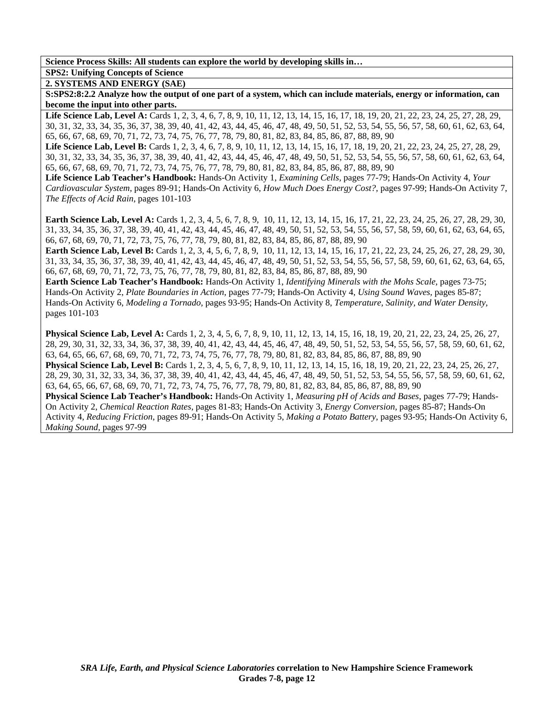# **SPS2: Unifying Concepts of Science**

**2. SYSTEMS AND ENERGY (SAE)** 

**S:SPS2:8:2.2 Analyze how the output of one part of a system, which can include materials, energy or information, can become the input into other parts.** 

Life Science Lab, Level A: Cards 1, 2, 3, 4, 6, 7, 8, 9, 10, 11, 12, 13, 14, 15, 16, 17, 18, 19, 20, 21, 22, 23, 24, 25, 27, 28, 29, 30, 31, 32, 33, 34, 35, 36, 37, 38, 39, 40, 41, 42, 43, 44, 45, 46, 47, 48, 49, 50, 51, 52, 53, 54, 55, 56, 57, 58, 60, 61, 62, 63, 64, 65, 66, 67, 68, 69, 70, 71, 72, 73, 74, 75, 76, 77, 78, 79, 80, 81, 82, 83, 84, 85, 86, 87, 88, 89, 90

Life Science Lab, Level B: Cards 1, 2, 3, 4, 6, 7, 8, 9, 10, 11, 12, 13, 14, 15, 16, 17, 18, 19, 20, 21, 22, 23, 24, 25, 27, 28, 29, 30, 31, 32, 33, 34, 35, 36, 37, 38, 39, 40, 41, 42, 43, 44, 45, 46, 47, 48, 49, 50, 51, 52, 53, 54, 55, 56, 57, 58, 60, 61, 62, 63, 64, 65, 66, 67, 68, 69, 70, 71, 72, 73, 74, 75, 76, 77, 78, 79, 80, 81, 82, 83, 84, 85, 86, 87, 88, 89, 90

**Life Science Lab Teacher's Handbook:** Hands-On Activity 1, *Examining Cells,* pages 77-79; Hands-On Activity 4, *Your Cardiovascular System,* pages 89-91; Hands-On Activity 6, *How Much Does Energy Cost?,* pages 97-99; Hands-On Activity 7, *The Effects of Acid Rain,* pages 101-103

**Earth Science Lab, Level A:** Cards 1, 2, 3, 4, 5, 6, 7, 8, 9, 10, 11, 12, 13, 14, 15, 16, 17, 21, 22, 23, 24, 25, 26, 27, 28, 29, 30, 31, 33, 34, 35, 36, 37, 38, 39, 40, 41, 42, 43, 44, 45, 46, 47, 48, 49, 50, 51, 52, 53, 54, 55, 56, 57, 58, 59, 60, 61, 62, 63, 64, 65, 66, 67, 68, 69, 70, 71, 72, 73, 75, 76, 77, 78, 79, 80, 81, 82, 83, 84, 85, 86, 87, 88, 89, 90

**Earth Science Lab, Level B:** Cards 1, 2, 3, 4, 5, 6, 7, 8, 9, 10, 11, 12, 13, 14, 15, 16, 17, 21, 22, 23, 24, 25, 26, 27, 28, 29, 30, 31, 33, 34, 35, 36, 37, 38, 39, 40, 41, 42, 43, 44, 45, 46, 47, 48, 49, 50, 51, 52, 53, 54, 55, 56, 57, 58, 59, 60, 61, 62, 63, 64, 65, 66, 67, 68, 69, 70, 71, 72, 73, 75, 76, 77, 78, 79, 80, 81, 82, 83, 84, 85, 86, 87, 88, 89, 90

**Earth Science Lab Teacher's Handbook:** Hands-On Activity 1, *Identifying Minerals with the Mohs Scale,* pages 73-75; Hands-On Activity 2, *Plate Boundaries in Action,* pages 77-79; Hands-On Activity 4, *Using Sound Waves,* pages 85-87; Hands-On Activity 6, *Modeling a Tornado,* pages 93-95; Hands-On Activity 8, *Temperature, Salinity, and Water Density,* pages 101-103

**Physical Science Lab, Level A:** Cards 1, 2, 3, 4, 5, 6, 7, 8, 9, 10, 11, 12, 13, 14, 15, 16, 18, 19, 20, 21, 22, 23, 24, 25, 26, 27, 28, 29, 30, 31, 32, 33, 34, 36, 37, 38, 39, 40, 41, 42, 43, 44, 45, 46, 47, 48, 49, 50, 51, 52, 53, 54, 55, 56, 57, 58, 59, 60, 61, 62, 63, 64, 65, 66, 67, 68, 69, 70, 71, 72, 73, 74, 75, 76, 77, 78, 79, 80, 81, 82, 83, 84, 85, 86, 87, 88, 89, 90 **Physical Science Lab, Level B:** Cards 1, 2, 3, 4, 5, 6, 7, 8, 9, 10, 11, 12, 13, 14, 15, 16, 18, 19, 20, 21, 22, 23, 24, 25, 26, 27, 28, 29, 30, 31, 32, 33, 34, 36, 37, 38, 39, 40, 41, 42, 43, 44, 45, 46, 47, 48, 49, 50, 51, 52, 53, 54, 55, 56, 57, 58, 59, 60, 61, 62, 63, 64, 65, 66, 67, 68, 69, 70, 71, 72, 73, 74, 75, 76, 77, 78, 79, 80, 81, 82, 83, 84, 85, 86, 87, 88, 89, 90 **Physical Science Lab Teacher's Handbook:** Hands-On Activity 1, *Measuring pH of Acids and Bases,* pages 77-79; Hands-On Activity 2, *Chemical Reaction Rates,* pages 81-83; Hands-On Activity 3, *Energy Conversion,* pages 85-87; Hands-On Activity 4, *Reducing Friction,* pages 89-91; Hands-On Activity 5, *Making a Potato Battery,* pages 93-95; Hands-On Activity 6,

*Making Sound,* pages 97-99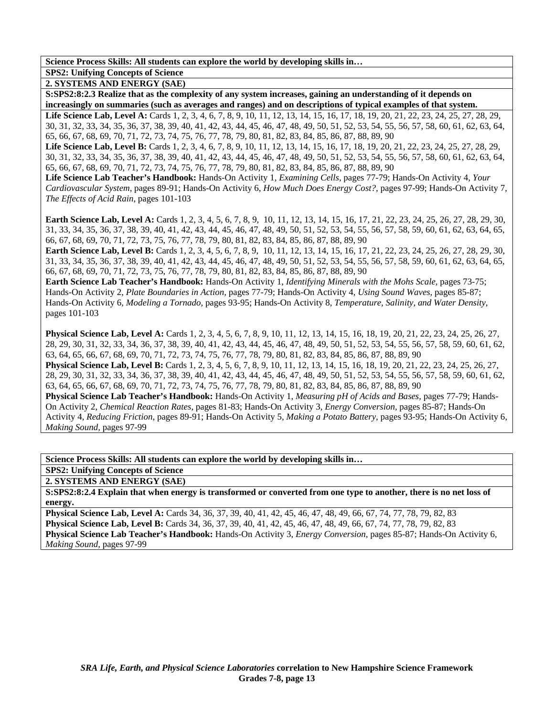**SPS2: Unifying Concepts of Science** 

**2. SYSTEMS AND ENERGY (SAE)** 

**S:SPS2:8:2.3 Realize that as the complexity of any system increases, gaining an understanding of it depends on increasingly on summaries (such as averages and ranges) and on descriptions of typical examples of that system.**  Life Science Lab, Level A: Cards 1, 2, 3, 4, 6, 7, 8, 9, 10, 11, 12, 13, 14, 15, 16, 17, 18, 19, 20, 21, 22, 23, 24, 25, 27, 28, 29,

30, 31, 32, 33, 34, 35, 36, 37, 38, 39, 40, 41, 42, 43, 44, 45, 46, 47, 48, 49, 50, 51, 52, 53, 54, 55, 56, 57, 58, 60, 61, 62, 63, 64, 65, 66, 67, 68, 69, 70, 71, 72, 73, 74, 75, 76, 77, 78, 79, 80, 81, 82, 83, 84, 85, 86, 87, 88, 89, 90

Life Science Lab, Level B: Cards 1, 2, 3, 4, 6, 7, 8, 9, 10, 11, 12, 13, 14, 15, 16, 17, 18, 19, 20, 21, 22, 23, 24, 25, 27, 28, 29, 30, 31, 32, 33, 34, 35, 36, 37, 38, 39, 40, 41, 42, 43, 44, 45, 46, 47, 48, 49, 50, 51, 52, 53, 54, 55, 56, 57, 58, 60, 61, 62, 63, 64, 65, 66, 67, 68, 69, 70, 71, 72, 73, 74, 75, 76, 77, 78, 79, 80, 81, 82, 83, 84, 85, 86, 87, 88, 89, 90

**Life Science Lab Teacher's Handbook:** Hands-On Activity 1, *Examining Cells,* pages 77-79; Hands-On Activity 4, *Your Cardiovascular System,* pages 89-91; Hands-On Activity 6, *How Much Does Energy Cost?,* pages 97-99; Hands-On Activity 7, *The Effects of Acid Rain,* pages 101-103

**Earth Science Lab, Level A:** Cards 1, 2, 3, 4, 5, 6, 7, 8, 9, 10, 11, 12, 13, 14, 15, 16, 17, 21, 22, 23, 24, 25, 26, 27, 28, 29, 30, 31, 33, 34, 35, 36, 37, 38, 39, 40, 41, 42, 43, 44, 45, 46, 47, 48, 49, 50, 51, 52, 53, 54, 55, 56, 57, 58, 59, 60, 61, 62, 63, 64, 65, 66, 67, 68, 69, 70, 71, 72, 73, 75, 76, 77, 78, 79, 80, 81, 82, 83, 84, 85, 86, 87, 88, 89, 90

**Earth Science Lab, Level B:** Cards 1, 2, 3, 4, 5, 6, 7, 8, 9, 10, 11, 12, 13, 14, 15, 16, 17, 21, 22, 23, 24, 25, 26, 27, 28, 29, 30, 31, 33, 34, 35, 36, 37, 38, 39, 40, 41, 42, 43, 44, 45, 46, 47, 48, 49, 50, 51, 52, 53, 54, 55, 56, 57, 58, 59, 60, 61, 62, 63, 64, 65, 66, 67, 68, 69, 70, 71, 72, 73, 75, 76, 77, 78, 79, 80, 81, 82, 83, 84, 85, 86, 87, 88, 89, 90

**Earth Science Lab Teacher's Handbook:** Hands-On Activity 1, *Identifying Minerals with the Mohs Scale,* pages 73-75; Hands-On Activity 2, *Plate Boundaries in Action,* pages 77-79; Hands-On Activity 4, *Using Sound Waves,* pages 85-87; Hands-On Activity 6, *Modeling a Tornado,* pages 93-95; Hands-On Activity 8, *Temperature, Salinity, and Water Density,* pages 101-103

**Physical Science Lab, Level A:** Cards 1, 2, 3, 4, 5, 6, 7, 8, 9, 10, 11, 12, 13, 14, 15, 16, 18, 19, 20, 21, 22, 23, 24, 25, 26, 27, 28, 29, 30, 31, 32, 33, 34, 36, 37, 38, 39, 40, 41, 42, 43, 44, 45, 46, 47, 48, 49, 50, 51, 52, 53, 54, 55, 56, 57, 58, 59, 60, 61, 62, 63, 64, 65, 66, 67, 68, 69, 70, 71, 72, 73, 74, 75, 76, 77, 78, 79, 80, 81, 82, 83, 84, 85, 86, 87, 88, 89, 90 **Physical Science Lab, Level B:** Cards 1, 2, 3, 4, 5, 6, 7, 8, 9, 10, 11, 12, 13, 14, 15, 16, 18, 19, 20, 21, 22, 23, 24, 25, 26, 27, 28, 29, 30, 31, 32, 33, 34, 36, 37, 38, 39, 40, 41, 42, 43, 44, 45, 46, 47, 48, 49, 50, 51, 52, 53, 54, 55, 56, 57, 58, 59, 60, 61, 62, 63, 64, 65, 66, 67, 68, 69, 70, 71, 72, 73, 74, 75, 76, 77, 78, 79, 80, 81, 82, 83, 84, 85, 86, 87, 88, 89, 90 **Physical Science Lab Teacher's Handbook:** Hands-On Activity 1, *Measuring pH of Acids and Bases,* pages 77-79; Hands-On Activity 2, *Chemical Reaction Rates,* pages 81-83; Hands-On Activity 3, *Energy Conversion,* pages 85-87; Hands-On Activity 4, *Reducing Friction,* pages 89-91; Hands-On Activity 5, *Making a Potato Battery,* pages 93-95; Hands-On Activity 6, *Making Sound,* pages 97-99

**Science Process Skills: All students can explore the world by developing skills in…** 

**SPS2: Unifying Concepts of Science** 

**2. SYSTEMS AND ENERGY (SAE)** 

**S:SPS2:8:2.4 Explain that when energy is transformed or converted from one type to another, there is no net loss of energy.** 

**Physical Science Lab, Level A:** Cards 34, 36, 37, 39, 40, 41, 42, 45, 46, 47, 48, 49, 66, 67, 74, 77, 78, 79, 82, 83 **Physical Science Lab, Level B:** Cards 34, 36, 37, 39, 40, 41, 42, 45, 46, 47, 48, 49, 66, 67, 74, 77, 78, 79, 82, 83 **Physical Science Lab Teacher's Handbook:** Hands-On Activity 3, *Energy Conversion,* pages 85-87; Hands-On Activity 6, *Making Sound,* pages 97-99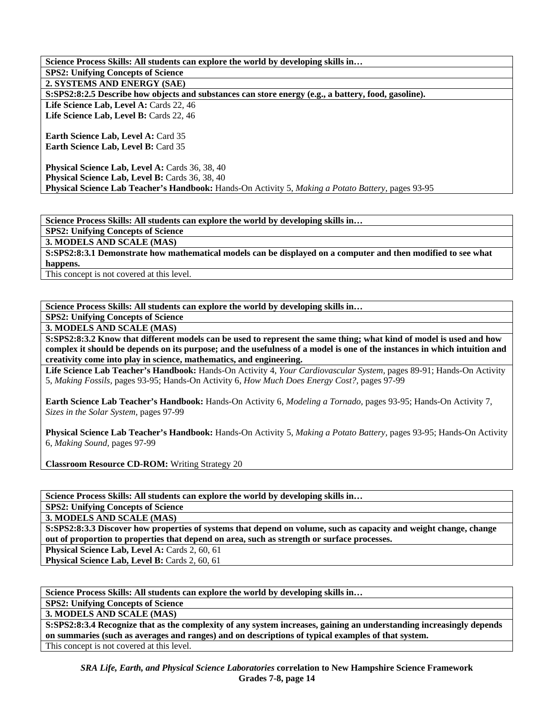**Science Process Skills: All students can explore the world by developing skills in… SPS2: Unifying Concepts of Science 2. SYSTEMS AND ENERGY (SAE) S:SPS2:8:2.5 Describe how objects and substances can store energy (e.g., a battery, food, gasoline).**  Life Science Lab, Level A: Cards 22, 46 Life Science Lab, Level B: Cards 22, 46 **Earth Science Lab, Level A: Card 35 Earth Science Lab, Level B:** Card 35 **Physical Science Lab, Level A: Cards 36, 38, 40** Physical Science Lab, Level B: Cards 36, 38, 40 **Physical Science Lab Teacher's Handbook:** Hands-On Activity 5, *Making a Potato Battery,* pages 93-95

**Science Process Skills: All students can explore the world by developing skills in…** 

**SPS2: Unifying Concepts of Science** 

**3. MODELS AND SCALE (MAS)** 

**S:SPS2:8:3.1 Demonstrate how mathematical models can be displayed on a computer and then modified to see what happens.** 

This concept is not covered at this level.

**Science Process Skills: All students can explore the world by developing skills in…** 

**SPS2: Unifying Concepts of Science** 

**3. MODELS AND SCALE (MAS)** 

**S:SPS2:8:3.2 Know that different models can be used to represent the same thing; what kind of model is used and how complex it should be depends on its purpose; and the usefulness of a model is one of the instances in which intuition and creativity come into play in science, mathematics, and engineering.** 

**Life Science Lab Teacher's Handbook:** Hands-On Activity 4, *Your Cardiovascular System,* pages 89-91; Hands-On Activity 5, *Making Fossils,* pages 93-95; Hands-On Activity 6, *How Much Does Energy Cost?,* pages 97-99

**Earth Science Lab Teacher's Handbook:** Hands-On Activity 6, *Modeling a Tornado,* pages 93-95; Hands-On Activity 7, *Sizes in the Solar System,* pages 97-99

**Physical Science Lab Teacher's Handbook:** Hands-On Activity 5, *Making a Potato Battery,* pages 93-95; Hands-On Activity 6, *Making Sound,* pages 97-99

**Classroom Resource CD-ROM:** Writing Strategy 20

**Science Process Skills: All students can explore the world by developing skills in…** 

**SPS2: Unifying Concepts of Science** 

**3. MODELS AND SCALE (MAS)** 

**S:SPS2:8:3.3 Discover how properties of systems that depend on volume, such as capacity and weight change, change out of proportion to properties that depend on area, such as strength or surface processes.** 

**Physical Science Lab, Level A: Cards 2, 60, 61** 

**Physical Science Lab, Level B: Cards 2, 60, 61** 

**Science Process Skills: All students can explore the world by developing skills in…** 

**SPS2: Unifying Concepts of Science** 

**3. MODELS AND SCALE (MAS)** 

**S:SPS2:8:3.4 Recognize that as the complexity of any system increases, gaining an understanding increasingly depends on summaries (such as averages and ranges) and on descriptions of typical examples of that system.**  This concept is not covered at this level.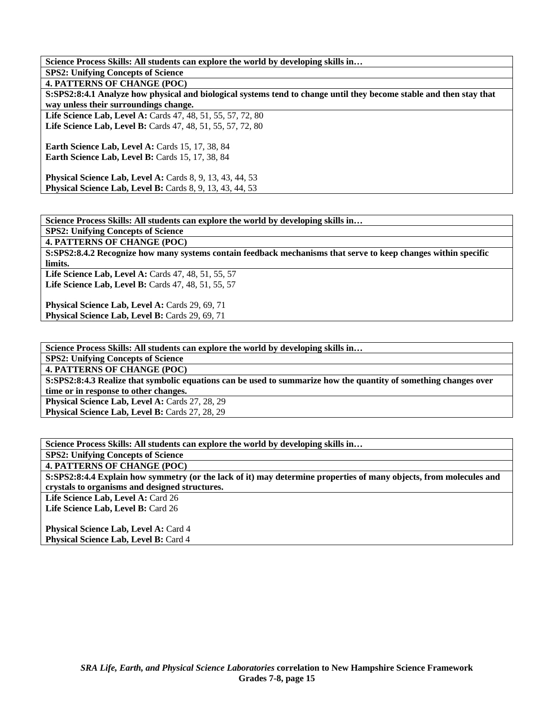**Science Process Skills: All students can explore the world by developing skills in… SPS2: Unifying Concepts of Science 4. PATTERNS OF CHANGE (POC) S:SPS2:8:4.1 Analyze how physical and biological systems tend to change until they become stable and then stay that way unless their surroundings change.**  Life Science Lab, Level A: Cards 47, 48, 51, 55, 57, 72, 80 **Life Science Lab, Level B:** Cards 47, 48, 51, 55, 57, 72, 80 **Earth Science Lab, Level A: Cards 15, 17, 38, 84 Earth Science Lab, Level B: Cards 15, 17, 38, 84 Physical Science Lab, Level A: Cards 8, 9, 13, 43, 44, 53 Physical Science Lab, Level B:** Cards 8, 9, 13, 43, 44, 53

**Science Process Skills: All students can explore the world by developing skills in…** 

**SPS2: Unifying Concepts of Science** 

**4. PATTERNS OF CHANGE (POC)** 

**S:SPS2:8.4.2 Recognize how many systems contain feedback mechanisms that serve to keep changes within specific limits.** 

Life Science Lab, Level A: Cards 47, 48, 51, 55, 57 Life Science Lab, Level B: Cards 47, 48, 51, 55, 57

**Physical Science Lab, Level A: Cards 29, 69, 71** Physical Science Lab, Level B: Cards 29, 69, 71

**Science Process Skills: All students can explore the world by developing skills in…** 

**SPS2: Unifying Concepts of Science 4. PATTERNS OF CHANGE (POC)** 

**S:SPS2:8:4.3 Realize that symbolic equations can be used to summarize how the quantity of something changes over** 

**time or in response to other changes.** 

Physical Science Lab, Level A: Cards 27, 28, 29 Physical Science Lab, Level B: Cards 27, 28, 29

**Science Process Skills: All students can explore the world by developing skills in…** 

**SPS2: Unifying Concepts of Science** 

**4. PATTERNS OF CHANGE (POC)** 

**S:SPS2:8:4.4 Explain how symmetry (or the lack of it) may determine properties of many objects, from molecules and crystals to organisms and designed structures.** 

Life Science Lab, Level A: Card 26 Life Science Lab, Level B: Card 26

**Physical Science Lab, Level A: Card 4 Physical Science Lab, Level B: Card 4**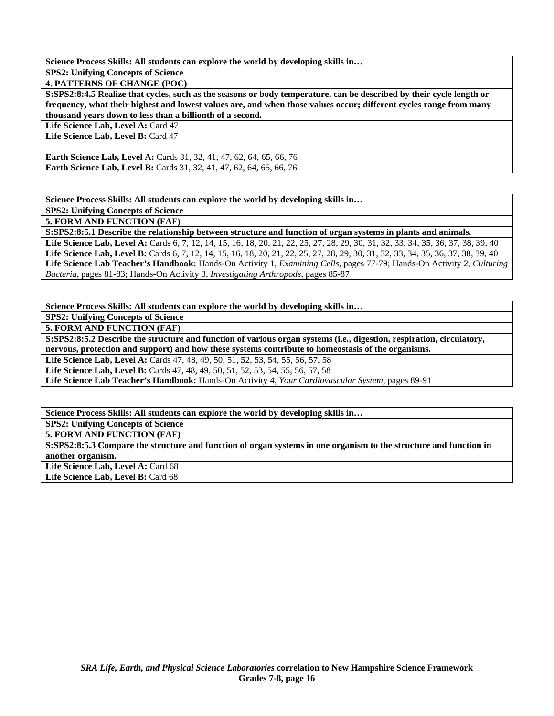**SPS2: Unifying Concepts of Science** 

**4. PATTERNS OF CHANGE (POC)** 

**S:SPS2:8:4.5 Realize that cycles, such as the seasons or body temperature, can be described by their cycle length or frequency, what their highest and lowest values are, and when those values occur; different cycles range from many thousand years down to less than a billionth of a second.** 

Life Science Lab, Level A: Card 47

Life Science Lab, Level B: Card 47

**Earth Science Lab, Level A:** Cards 31, 32, 41, 47, 62, 64, 65, 66, 76 **Earth Science Lab, Level B:** Cards 31, 32, 41, 47, 62, 64, 65, 66, 76

**Science Process Skills: All students can explore the world by developing skills in…** 

**SPS2: Unifying Concepts of Science** 

**5. FORM AND FUNCTION (FAF)** 

**S:SPS2:8:5.1 Describe the relationship between structure and function of organ systems in plants and animals.**  Life Science Lab, Level A: Cards 6, 7, 12, 14, 15, 16, 18, 20, 21, 22, 25, 27, 28, 29, 30, 31, 32, 33, 34, 35, 36, 37, 38, 39, 40 Life Science Lab, Level B: Cards 6, 7, 12, 14, 15, 16, 18, 20, 21, 22, 25, 27, 28, 29, 30, 31, 32, 33, 34, 35, 36, 37, 38, 39, 40 **Life Science Lab Teacher's Handbook:** Hands-On Activity 1, *Examining Cells,* pages 77-79; Hands-On Activity 2, *Culturing Bacteria,* pages 81-83; Hands-On Activity 3, *Investigating Arthropods,* pages 85-87

**Science Process Skills: All students can explore the world by developing skills in…** 

**SPS2: Unifying Concepts of Science** 

**5. FORM AND FUNCTION (FAF)** 

**S:SPS2:8:5.2 Describe the structure and function of various organ systems (i.e., digestion, respiration, circulatory, nervous, protection and support) and how these systems contribute to homeostasis of the organisms.** 

Life Science Lab, Level A: Cards 47, 48, 49, 50, 51, 52, 53, 54, 55, 56, 57, 58

Life Science Lab, Level B: Cards 47, 48, 49, 50, 51, 52, 53, 54, 55, 56, 57, 58

**Life Science Lab Teacher's Handbook:** Hands-On Activity 4, *Your Cardiovascular System,* pages 89-91

**Science Process Skills: All students can explore the world by developing skills in…** 

**SPS2: Unifying Concepts of Science** 

**5. FORM AND FUNCTION (FAF)** 

**S:SPS2:8:5.3 Compare the structure and function of organ systems in one organism to the structure and function in another organism.**  Life Science Lab, Level A: Card 68

Life Science Lab, Level B: Card 68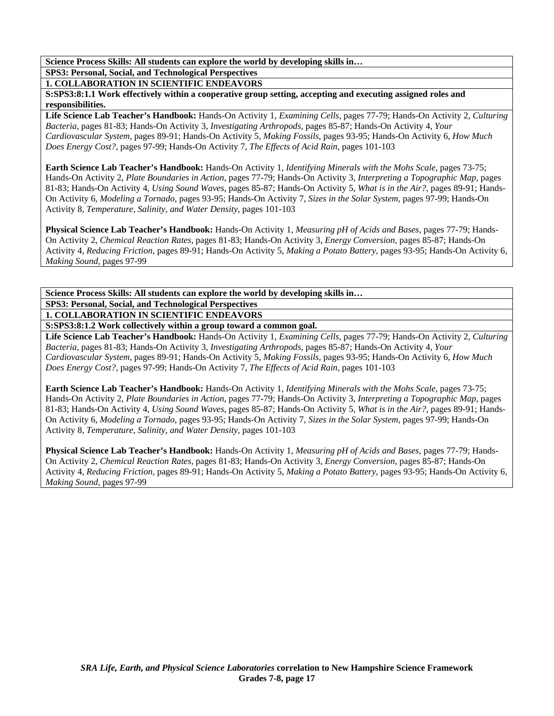**SPS3: Personal, Social, and Technological Perspectives** 

**1. COLLABORATION IN SCIENTIFIC ENDEAVORS** 

**S:SPS3:8:1.1 Work effectively within a cooperative group setting, accepting and executing assigned roles and responsibilities.** 

**Life Science Lab Teacher's Handbook:** Hands-On Activity 1, *Examining Cells,* pages 77-79; Hands-On Activity 2, *Culturing Bacteria,* pages 81-83; Hands-On Activity 3, *Investigating Arthropods,* pages 85-87; Hands-On Activity 4, *Your Cardiovascular System,* pages 89-91; Hands-On Activity 5, *Making Fossils,* pages 93-95; Hands-On Activity 6, *How Much Does Energy Cost?,* pages 97-99; Hands-On Activity 7, *The Effects of Acid Rain,* pages 101-103

**Earth Science Lab Teacher's Handbook:** Hands-On Activity 1, *Identifying Minerals with the Mohs Scale,* pages 73-75; Hands-On Activity 2, *Plate Boundaries in Action,* pages 77-79; Hands-On Activity 3, *Interpreting a Topographic Map,* pages 81-83; Hands-On Activity 4, *Using Sound Waves,* pages 85-87; Hands-On Activity 5, *What is in the Air?,* pages 89-91; Hands-On Activity 6, *Modeling a Tornado,* pages 93-95; Hands-On Activity 7, *Sizes in the Solar System,* pages 97-99; Hands-On Activity 8, *Temperature, Salinity, and Water Density,* pages 101-103

**Physical Science Lab Teacher's Handbook:** Hands-On Activity 1, *Measuring pH of Acids and Bases,* pages 77-79; Hands-On Activity 2, *Chemical Reaction Rates,* pages 81-83; Hands-On Activity 3, *Energy Conversion,* pages 85-87; Hands-On Activity 4, *Reducing Friction,* pages 89-91; Hands-On Activity 5, *Making a Potato Battery,* pages 93-95; Hands-On Activity 6, *Making Sound,* pages 97-99

**Science Process Skills: All students can explore the world by developing skills in… SPS3: Personal, Social, and Technological Perspectives 1. COLLABORATION IN SCIENTIFIC ENDEAVORS** 

**S:SPS3:8:1.2 Work collectively within a group toward a common goal.** 

**Life Science Lab Teacher's Handbook:** Hands-On Activity 1, *Examining Cells,* pages 77-79; Hands-On Activity 2, *Culturing Bacteria,* pages 81-83; Hands-On Activity 3, *Investigating Arthropods,* pages 85-87; Hands-On Activity 4, *Your Cardiovascular System,* pages 89-91; Hands-On Activity 5, *Making Fossils,* pages 93-95; Hands-On Activity 6, *How Much Does Energy Cost?,* pages 97-99; Hands-On Activity 7, *The Effects of Acid Rain,* pages 101-103

**Earth Science Lab Teacher's Handbook:** Hands-On Activity 1, *Identifying Minerals with the Mohs Scale,* pages 73-75; Hands-On Activity 2, *Plate Boundaries in Action,* pages 77-79; Hands-On Activity 3, *Interpreting a Topographic Map,* pages 81-83; Hands-On Activity 4, *Using Sound Waves,* pages 85-87; Hands-On Activity 5, *What is in the Air?,* pages 89-91; Hands-On Activity 6, *Modeling a Tornado,* pages 93-95; Hands-On Activity 7, *Sizes in the Solar System,* pages 97-99; Hands-On Activity 8, *Temperature, Salinity, and Water Density,* pages 101-103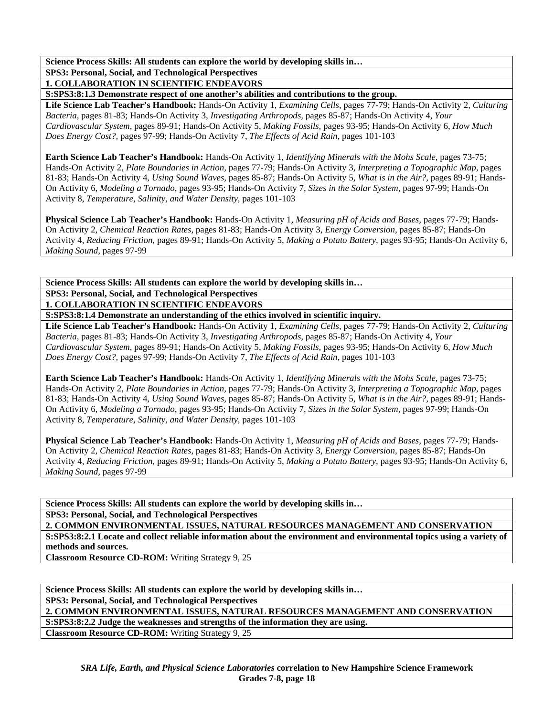**SPS3: Personal, Social, and Technological Perspectives** 

**1. COLLABORATION IN SCIENTIFIC ENDEAVORS** 

**S:SPS3:8:1.3 Demonstrate respect of one another's abilities and contributions to the group.** 

**Life Science Lab Teacher's Handbook:** Hands-On Activity 1, *Examining Cells,* pages 77-79; Hands-On Activity 2, *Culturing Bacteria,* pages 81-83; Hands-On Activity 3, *Investigating Arthropods,* pages 85-87; Hands-On Activity 4, *Your Cardiovascular System,* pages 89-91; Hands-On Activity 5, *Making Fossils,* pages 93-95; Hands-On Activity 6, *How Much Does Energy Cost?,* pages 97-99; Hands-On Activity 7, *The Effects of Acid Rain,* pages 101-103

**Earth Science Lab Teacher's Handbook:** Hands-On Activity 1, *Identifying Minerals with the Mohs Scale,* pages 73-75; Hands-On Activity 2, *Plate Boundaries in Action,* pages 77-79; Hands-On Activity 3, *Interpreting a Topographic Map,* pages 81-83; Hands-On Activity 4, *Using Sound Waves,* pages 85-87; Hands-On Activity 5, *What is in the Air?,* pages 89-91; Hands-On Activity 6, *Modeling a Tornado,* pages 93-95; Hands-On Activity 7, *Sizes in the Solar System,* pages 97-99; Hands-On Activity 8, *Temperature, Salinity, and Water Density,* pages 101-103

**Physical Science Lab Teacher's Handbook:** Hands-On Activity 1, *Measuring pH of Acids and Bases,* pages 77-79; Hands-On Activity 2, *Chemical Reaction Rates,* pages 81-83; Hands-On Activity 3, *Energy Conversion,* pages 85-87; Hands-On Activity 4, *Reducing Friction,* pages 89-91; Hands-On Activity 5, *Making a Potato Battery,* pages 93-95; Hands-On Activity 6, *Making Sound,* pages 97-99

**Science Process Skills: All students can explore the world by developing skills in… SPS3: Personal, Social, and Technological Perspectives** 

**1. COLLABORATION IN SCIENTIFIC ENDEAVORS** 

**S:SPS3:8:1.4 Demonstrate an understanding of the ethics involved in scientific inquiry.** 

**Life Science Lab Teacher's Handbook:** Hands-On Activity 1, *Examining Cells,* pages 77-79; Hands-On Activity 2, *Culturing Bacteria,* pages 81-83; Hands-On Activity 3, *Investigating Arthropods,* pages 85-87; Hands-On Activity 4, *Your Cardiovascular System,* pages 89-91; Hands-On Activity 5, *Making Fossils,* pages 93-95; Hands-On Activity 6, *How Much Does Energy Cost?,* pages 97-99; Hands-On Activity 7, *The Effects of Acid Rain,* pages 101-103

**Earth Science Lab Teacher's Handbook:** Hands-On Activity 1, *Identifying Minerals with the Mohs Scale,* pages 73-75; Hands-On Activity 2, *Plate Boundaries in Action,* pages 77-79; Hands-On Activity 3, *Interpreting a Topographic Map,* pages 81-83; Hands-On Activity 4, *Using Sound Waves,* pages 85-87; Hands-On Activity 5, *What is in the Air?,* pages 89-91; Hands-On Activity 6, *Modeling a Tornado,* pages 93-95; Hands-On Activity 7, *Sizes in the Solar System,* pages 97-99; Hands-On Activity 8, *Temperature, Salinity, and Water Density,* pages 101-103

**Physical Science Lab Teacher's Handbook:** Hands-On Activity 1, *Measuring pH of Acids and Bases,* pages 77-79; Hands-On Activity 2, *Chemical Reaction Rates,* pages 81-83; Hands-On Activity 3, *Energy Conversion,* pages 85-87; Hands-On Activity 4, *Reducing Friction,* pages 89-91; Hands-On Activity 5, *Making a Potato Battery,* pages 93-95; Hands-On Activity 6, *Making Sound,* pages 97-99

**Science Process Skills: All students can explore the world by developing skills in… SPS3: Personal, Social, and Technological Perspectives** 

**2. COMMON ENVIRONMENTAL ISSUES, NATURAL RESOURCES MANAGEMENT AND CONSERVATION S:SPS3:8:2.1 Locate and collect reliable information about the environment and environmental topics using a variety of methods and sources.** 

**Classroom Resource CD-ROM:** Writing Strategy 9, 25

**Science Process Skills: All students can explore the world by developing skills in…** 

**SPS3: Personal, Social, and Technological Perspectives** 

**2. COMMON ENVIRONMENTAL ISSUES, NATURAL RESOURCES MANAGEMENT AND CONSERVATION** 

**S:SPS3:8:2.2 Judge the weaknesses and strengths of the information they are using.** 

**Classroom Resource CD-ROM:** Writing Strategy 9, 25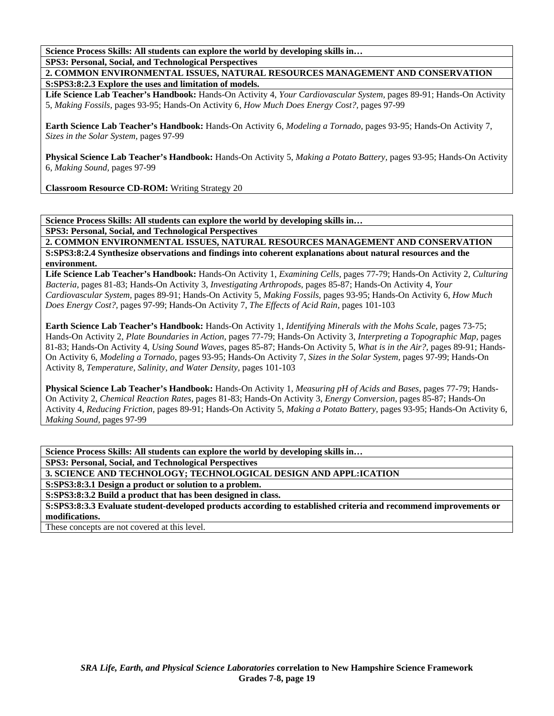**SPS3: Personal, Social, and Technological Perspectives** 

**2. COMMON ENVIRONMENTAL ISSUES, NATURAL RESOURCES MANAGEMENT AND CONSERVATION S:SPS3:8:2.3 Explore the uses and limitation of models.** 

**Life Science Lab Teacher's Handbook:** Hands-On Activity 4, *Your Cardiovascular System,* pages 89-91; Hands-On Activity 5, *Making Fossils,* pages 93-95; Hands-On Activity 6, *How Much Does Energy Cost?,* pages 97-99

**Earth Science Lab Teacher's Handbook:** Hands-On Activity 6, *Modeling a Tornado,* pages 93-95; Hands-On Activity 7, *Sizes in the Solar System,* pages 97-99

**Physical Science Lab Teacher's Handbook:** Hands-On Activity 5, *Making a Potato Battery,* pages 93-95; Hands-On Activity 6, *Making Sound,* pages 97-99

**Classroom Resource CD-ROM:** Writing Strategy 20

**Science Process Skills: All students can explore the world by developing skills in…** 

**SPS3: Personal, Social, and Technological Perspectives** 

**2. COMMON ENVIRONMENTAL ISSUES, NATURAL RESOURCES MANAGEMENT AND CONSERVATION S:SPS3:8:2.4 Synthesize observations and findings into coherent explanations about natural resources and the environment.** 

**Life Science Lab Teacher's Handbook:** Hands-On Activity 1, *Examining Cells,* pages 77-79; Hands-On Activity 2, *Culturing Bacteria,* pages 81-83; Hands-On Activity 3, *Investigating Arthropods,* pages 85-87; Hands-On Activity 4, *Your Cardiovascular System,* pages 89-91; Hands-On Activity 5, *Making Fossils,* pages 93-95; Hands-On Activity 6, *How Much Does Energy Cost?,* pages 97-99; Hands-On Activity 7, *The Effects of Acid Rain,* pages 101-103

**Earth Science Lab Teacher's Handbook:** Hands-On Activity 1, *Identifying Minerals with the Mohs Scale,* pages 73-75; Hands-On Activity 2, *Plate Boundaries in Action,* pages 77-79; Hands-On Activity 3, *Interpreting a Topographic Map,* pages 81-83; Hands-On Activity 4, *Using Sound Waves,* pages 85-87; Hands-On Activity 5, *What is in the Air?,* pages 89-91; Hands-On Activity 6, *Modeling a Tornado,* pages 93-95; Hands-On Activity 7, *Sizes in the Solar System,* pages 97-99; Hands-On Activity 8, *Temperature, Salinity, and Water Density,* pages 101-103

**Physical Science Lab Teacher's Handbook:** Hands-On Activity 1, *Measuring pH of Acids and Bases,* pages 77-79; Hands-On Activity 2, *Chemical Reaction Rates,* pages 81-83; Hands-On Activity 3, *Energy Conversion,* pages 85-87; Hands-On Activity 4, *Reducing Friction,* pages 89-91; Hands-On Activity 5, *Making a Potato Battery,* pages 93-95; Hands-On Activity 6, *Making Sound,* pages 97-99

**Science Process Skills: All students can explore the world by developing skills in…** 

**SPS3: Personal, Social, and Technological Perspectives** 

**3. SCIENCE AND TECHNOLOGY; TECHNOLOGICAL DESIGN AND APPL:ICATION** 

**S:SPS3:8:3.1 Design a product or solution to a problem.** 

**S:SPS3:8:3.2 Build a product that has been designed in class.** 

**S:SPS3:8:3.3 Evaluate student-developed products according to established criteria and recommend improvements or modifications.** 

These concepts are not covered at this level.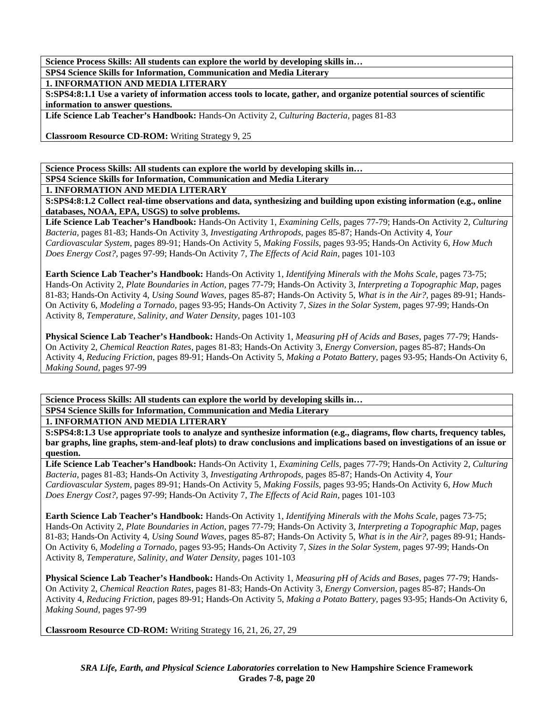**SPS4 Science Skills for Information, Communication and Media Literary** 

**1. INFORMATION AND MEDIA LITERARY** 

**S:SPS4:8:1.1 Use a variety of information access tools to locate, gather, and organize potential sources of scientific information to answer questions.** 

**Life Science Lab Teacher's Handbook:** Hands-On Activity 2, *Culturing Bacteria,* pages 81-83

**Classroom Resource CD-ROM:** Writing Strategy 9, 25

**Science Process Skills: All students can explore the world by developing skills in…** 

**SPS4 Science Skills for Information, Communication and Media Literary** 

**1. INFORMATION AND MEDIA LITERARY** 

**S:SPS4:8:1.2 Collect real-time observations and data, synthesizing and building upon existing information (e.g., online databases, NOAA, EPA, USGS) to solve problems.** 

**Life Science Lab Teacher's Handbook:** Hands-On Activity 1, *Examining Cells,* pages 77-79; Hands-On Activity 2, *Culturing Bacteria,* pages 81-83; Hands-On Activity 3, *Investigating Arthropods,* pages 85-87; Hands-On Activity 4, *Your Cardiovascular System,* pages 89-91; Hands-On Activity 5, *Making Fossils,* pages 93-95; Hands-On Activity 6, *How Much Does Energy Cost?,* pages 97-99; Hands-On Activity 7, *The Effects of Acid Rain,* pages 101-103

**Earth Science Lab Teacher's Handbook:** Hands-On Activity 1, *Identifying Minerals with the Mohs Scale,* pages 73-75; Hands-On Activity 2, *Plate Boundaries in Action,* pages 77-79; Hands-On Activity 3, *Interpreting a Topographic Map,* pages 81-83; Hands-On Activity 4, *Using Sound Waves,* pages 85-87; Hands-On Activity 5, *What is in the Air?,* pages 89-91; Hands-On Activity 6, *Modeling a Tornado,* pages 93-95; Hands-On Activity 7, *Sizes in the Solar System,* pages 97-99; Hands-On Activity 8, *Temperature, Salinity, and Water Density,* pages 101-103

**Physical Science Lab Teacher's Handbook:** Hands-On Activity 1, *Measuring pH of Acids and Bases,* pages 77-79; Hands-On Activity 2, *Chemical Reaction Rates,* pages 81-83; Hands-On Activity 3, *Energy Conversion,* pages 85-87; Hands-On Activity 4, *Reducing Friction,* pages 89-91; Hands-On Activity 5, *Making a Potato Battery,* pages 93-95; Hands-On Activity 6, *Making Sound,* pages 97-99

**Science Process Skills: All students can explore the world by developing skills in… SPS4 Science Skills for Information, Communication and Media Literary** 

**1. INFORMATION AND MEDIA LITERARY S:SPS4:8:1.3 Use appropriate tools to analyze and synthesize information (e.g., diagrams, flow charts, frequency tables, bar graphs, line graphs, stem-and-leaf plots) to draw conclusions and implications based on investigations of an issue or** 

**question.** 

**Life Science Lab Teacher's Handbook:** Hands-On Activity 1, *Examining Cells,* pages 77-79; Hands-On Activity 2, *Culturing Bacteria,* pages 81-83; Hands-On Activity 3, *Investigating Arthropods,* pages 85-87; Hands-On Activity 4, *Your Cardiovascular System,* pages 89-91; Hands-On Activity 5, *Making Fossils,* pages 93-95; Hands-On Activity 6, *How Much Does Energy Cost?,* pages 97-99; Hands-On Activity 7, *The Effects of Acid Rain,* pages 101-103

**Earth Science Lab Teacher's Handbook:** Hands-On Activity 1, *Identifying Minerals with the Mohs Scale,* pages 73-75; Hands-On Activity 2, *Plate Boundaries in Action,* pages 77-79; Hands-On Activity 3, *Interpreting a Topographic Map,* pages 81-83; Hands-On Activity 4, *Using Sound Waves,* pages 85-87; Hands-On Activity 5, *What is in the Air?,* pages 89-91; Hands-On Activity 6, *Modeling a Tornado,* pages 93-95; Hands-On Activity 7, *Sizes in the Solar System,* pages 97-99; Hands-On Activity 8, *Temperature, Salinity, and Water Density,* pages 101-103

**Physical Science Lab Teacher's Handbook:** Hands-On Activity 1, *Measuring pH of Acids and Bases,* pages 77-79; Hands-On Activity 2, *Chemical Reaction Rates,* pages 81-83; Hands-On Activity 3, *Energy Conversion,* pages 85-87; Hands-On Activity 4, *Reducing Friction,* pages 89-91; Hands-On Activity 5, *Making a Potato Battery,* pages 93-95; Hands-On Activity 6, *Making Sound,* pages 97-99

**Classroom Resource CD-ROM:** Writing Strategy 16, 21, 26, 27, 29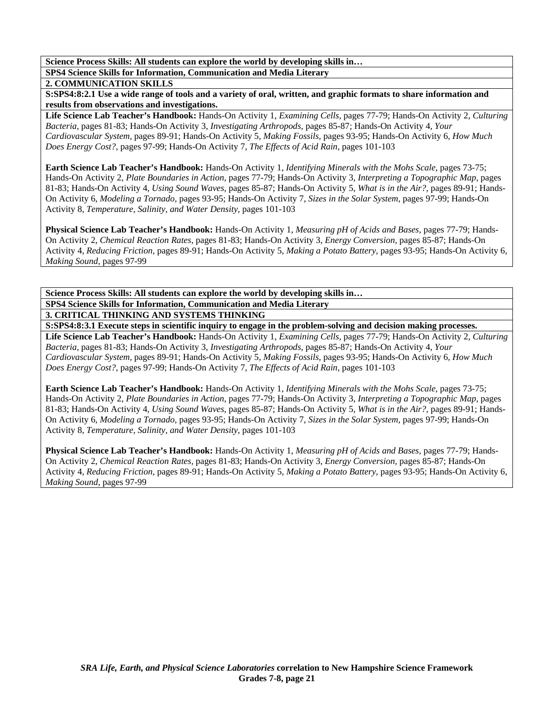**SPS4 Science Skills for Information, Communication and Media Literary** 

### **2. COMMUNICATION SKILLS**

**S:SPS4:8:2.1 Use a wide range of tools and a variety of oral, written, and graphic formats to share information and results from observations and investigations.** 

**Life Science Lab Teacher's Handbook:** Hands-On Activity 1, *Examining Cells,* pages 77-79; Hands-On Activity 2, *Culturing Bacteria,* pages 81-83; Hands-On Activity 3, *Investigating Arthropods,* pages 85-87; Hands-On Activity 4, *Your Cardiovascular System,* pages 89-91; Hands-On Activity 5, *Making Fossils,* pages 93-95; Hands-On Activity 6, *How Much Does Energy Cost?,* pages 97-99; Hands-On Activity 7, *The Effects of Acid Rain,* pages 101-103

**Earth Science Lab Teacher's Handbook:** Hands-On Activity 1, *Identifying Minerals with the Mohs Scale,* pages 73-75; Hands-On Activity 2, *Plate Boundaries in Action,* pages 77-79; Hands-On Activity 3, *Interpreting a Topographic Map,* pages 81-83; Hands-On Activity 4, *Using Sound Waves,* pages 85-87; Hands-On Activity 5, *What is in the Air?,* pages 89-91; Hands-On Activity 6, *Modeling a Tornado,* pages 93-95; Hands-On Activity 7, *Sizes in the Solar System,* pages 97-99; Hands-On Activity 8, *Temperature, Salinity, and Water Density,* pages 101-103

**Physical Science Lab Teacher's Handbook:** Hands-On Activity 1, *Measuring pH of Acids and Bases,* pages 77-79; Hands-On Activity 2, *Chemical Reaction Rates,* pages 81-83; Hands-On Activity 3, *Energy Conversion,* pages 85-87; Hands-On Activity 4, *Reducing Friction,* pages 89-91; Hands-On Activity 5, *Making a Potato Battery,* pages 93-95; Hands-On Activity 6, *Making Sound,* pages 97-99

**Science Process Skills: All students can explore the world by developing skills in… SPS4 Science Skills for Information, Communication and Media Literary 3. CRITICAL THINKING AND SYSTEMS THINKING** 

**S:SPS4:8:3.1 Execute steps in scientific inquiry to engage in the problem-solving and decision making processes.** 

**Life Science Lab Teacher's Handbook:** Hands-On Activity 1, *Examining Cells,* pages 77-79; Hands-On Activity 2, *Culturing Bacteria,* pages 81-83; Hands-On Activity 3, *Investigating Arthropods,* pages 85-87; Hands-On Activity 4, *Your Cardiovascular System,* pages 89-91; Hands-On Activity 5, *Making Fossils,* pages 93-95; Hands-On Activity 6, *How Much Does Energy Cost?,* pages 97-99; Hands-On Activity 7, *The Effects of Acid Rain,* pages 101-103

**Earth Science Lab Teacher's Handbook:** Hands-On Activity 1, *Identifying Minerals with the Mohs Scale,* pages 73-75; Hands-On Activity 2, *Plate Boundaries in Action,* pages 77-79; Hands-On Activity 3, *Interpreting a Topographic Map,* pages 81-83; Hands-On Activity 4, *Using Sound Waves,* pages 85-87; Hands-On Activity 5, *What is in the Air?,* pages 89-91; Hands-On Activity 6, *Modeling a Tornado,* pages 93-95; Hands-On Activity 7, *Sizes in the Solar System,* pages 97-99; Hands-On Activity 8, *Temperature, Salinity, and Water Density,* pages 101-103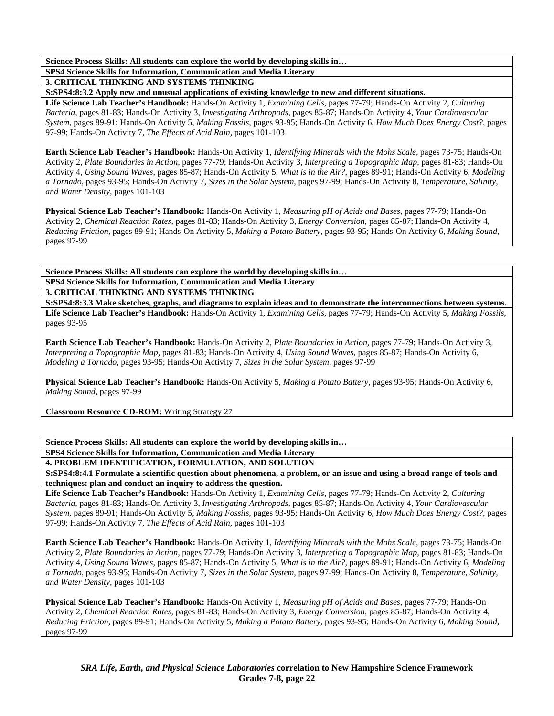**SPS4 Science Skills for Information, Communication and Media Literary** 

**3. CRITICAL THINKING AND SYSTEMS THINKING** 

**S:SPS4:8:3.2 Apply new and unusual applications of existing knowledge to new and different situations.** 

**Life Science Lab Teacher's Handbook:** Hands-On Activity 1, *Examining Cells,* pages 77-79; Hands-On Activity 2, *Culturing Bacteria,* pages 81-83; Hands-On Activity 3, *Investigating Arthropods,* pages 85-87; Hands-On Activity 4, *Your Cardiovascular System,* pages 89-91; Hands-On Activity 5, *Making Fossils,* pages 93-95; Hands-On Activity 6, *How Much Does Energy Cost?,* pages 97-99; Hands-On Activity 7, *The Effects of Acid Rain,* pages 101-103

**Earth Science Lab Teacher's Handbook:** Hands-On Activity 1, *Identifying Minerals with the Mohs Scale,* pages 73-75; Hands-On Activity 2, *Plate Boundaries in Action,* pages 77-79; Hands-On Activity 3, *Interpreting a Topographic Map,* pages 81-83; Hands-On Activity 4, *Using Sound Waves,* pages 85-87; Hands-On Activity 5, *What is in the Air?,* pages 89-91; Hands-On Activity 6, *Modeling a Tornado,* pages 93-95; Hands-On Activity 7, *Sizes in the Solar System,* pages 97-99; Hands-On Activity 8, *Temperature, Salinity, and Water Density,* pages 101-103

**Physical Science Lab Teacher's Handbook:** Hands-On Activity 1, *Measuring pH of Acids and Bases,* pages 77-79; Hands-On Activity 2, *Chemical Reaction Rates,* pages 81-83; Hands-On Activity 3, *Energy Conversion,* pages 85-87; Hands-On Activity 4, *Reducing Friction,* pages 89-91; Hands-On Activity 5, *Making a Potato Battery,* pages 93-95; Hands-On Activity 6, *Making Sound,* pages 97-99

**Science Process Skills: All students can explore the world by developing skills in… SPS4 Science Skills for Information, Communication and Media Literary 3. CRITICAL THINKING AND SYSTEMS THINKING** 

**S:SPS4:8:3.3 Make sketches, graphs, and diagrams to explain ideas and to demonstrate the interconnections between systems. Life Science Lab Teacher's Handbook:** Hands-On Activity 1, *Examining Cells,* pages 77-79; Hands-On Activity 5, *Making Fossils,* pages 93-95

**Earth Science Lab Teacher's Handbook:** Hands-On Activity 2, *Plate Boundaries in Action,* pages 77-79; Hands-On Activity 3, *Interpreting a Topographic Map,* pages 81-83; Hands-On Activity 4, *Using Sound Waves,* pages 85-87; Hands-On Activity 6, *Modeling a Tornado,* pages 93-95; Hands-On Activity 7, *Sizes in the Solar System,* pages 97-99

**Physical Science Lab Teacher's Handbook:** Hands-On Activity 5, *Making a Potato Battery,* pages 93-95; Hands-On Activity 6, *Making Sound,* pages 97-99

**Classroom Resource CD-ROM:** Writing Strategy 27

**Science Process Skills: All students can explore the world by developing skills in…** 

**SPS4 Science Skills for Information, Communication and Media Literary** 

**4. PROBLEM IDENTIFICATION, FORMULATION, AND SOLUTION** 

**S:SPS4:8:4.1 Formulate a scientific question about phenomena, a problem, or an issue and using a broad range of tools and techniques: plan and conduct an inquiry to address the question.** 

**Life Science Lab Teacher's Handbook:** Hands-On Activity 1, *Examining Cells,* pages 77-79; Hands-On Activity 2, *Culturing Bacteria,* pages 81-83; Hands-On Activity 3, *Investigating Arthropods,* pages 85-87; Hands-On Activity 4, *Your Cardiovascular System,* pages 89-91; Hands-On Activity 5, *Making Fossils,* pages 93-95; Hands-On Activity 6, *How Much Does Energy Cost?,* pages 97-99; Hands-On Activity 7, *The Effects of Acid Rain,* pages 101-103

**Earth Science Lab Teacher's Handbook:** Hands-On Activity 1, *Identifying Minerals with the Mohs Scale,* pages 73-75; Hands-On Activity 2, *Plate Boundaries in Action,* pages 77-79; Hands-On Activity 3, *Interpreting a Topographic Map,* pages 81-83; Hands-On Activity 4, *Using Sound Waves,* pages 85-87; Hands-On Activity 5, *What is in the Air?,* pages 89-91; Hands-On Activity 6, *Modeling a Tornado,* pages 93-95; Hands-On Activity 7, *Sizes in the Solar System,* pages 97-99; Hands-On Activity 8, *Temperature, Salinity, and Water Density,* pages 101-103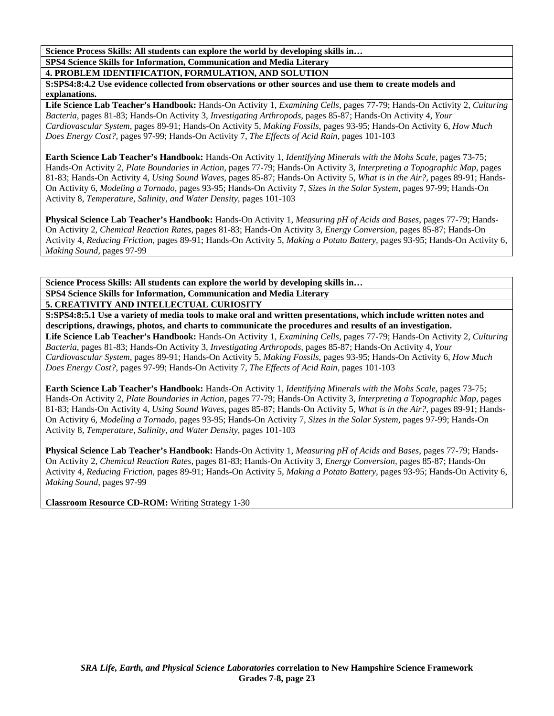**Science Process Skills: All students can explore the world by developing skills in… SPS4 Science Skills for Information, Communication and Media Literary** 

**4. PROBLEM IDENTIFICATION, FORMULATION, AND SOLUTION** 

**S:SPS4:8:4.2 Use evidence collected from observations or other sources and use them to create models and explanations.** 

**Life Science Lab Teacher's Handbook:** Hands-On Activity 1, *Examining Cells,* pages 77-79; Hands-On Activity 2, *Culturing Bacteria,* pages 81-83; Hands-On Activity 3, *Investigating Arthropods,* pages 85-87; Hands-On Activity 4, *Your Cardiovascular System,* pages 89-91; Hands-On Activity 5, *Making Fossils,* pages 93-95; Hands-On Activity 6, *How Much Does Energy Cost?,* pages 97-99; Hands-On Activity 7, *The Effects of Acid Rain,* pages 101-103

**Earth Science Lab Teacher's Handbook:** Hands-On Activity 1, *Identifying Minerals with the Mohs Scale,* pages 73-75; Hands-On Activity 2, *Plate Boundaries in Action,* pages 77-79; Hands-On Activity 3, *Interpreting a Topographic Map,* pages 81-83; Hands-On Activity 4, *Using Sound Waves,* pages 85-87; Hands-On Activity 5, *What is in the Air?,* pages 89-91; Hands-On Activity 6, *Modeling a Tornado,* pages 93-95; Hands-On Activity 7, *Sizes in the Solar System,* pages 97-99; Hands-On Activity 8, *Temperature, Salinity, and Water Density,* pages 101-103

**Physical Science Lab Teacher's Handbook:** Hands-On Activity 1, *Measuring pH of Acids and Bases,* pages 77-79; Hands-On Activity 2, *Chemical Reaction Rates,* pages 81-83; Hands-On Activity 3, *Energy Conversion,* pages 85-87; Hands-On Activity 4, *Reducing Friction,* pages 89-91; Hands-On Activity 5, *Making a Potato Battery,* pages 93-95; Hands-On Activity 6, *Making Sound,* pages 97-99

**Science Process Skills: All students can explore the world by developing skills in… SPS4 Science Skills for Information, Communication and Media Literary** 

**5. CREATIVITY AND INTELLECTUAL CURIOSITY** 

**S:SPS4:8:5.1 Use a variety of media tools to make oral and written presentations, which include written notes and descriptions, drawings, photos, and charts to communicate the procedures and results of an investigation.** 

**Life Science Lab Teacher's Handbook:** Hands-On Activity 1, *Examining Cells,* pages 77-79; Hands-On Activity 2, *Culturing Bacteria,* pages 81-83; Hands-On Activity 3, *Investigating Arthropods,* pages 85-87; Hands-On Activity 4, *Your Cardiovascular System,* pages 89-91; Hands-On Activity 5, *Making Fossils,* pages 93-95; Hands-On Activity 6, *How Much Does Energy Cost?,* pages 97-99; Hands-On Activity 7, *The Effects of Acid Rain,* pages 101-103

**Earth Science Lab Teacher's Handbook:** Hands-On Activity 1, *Identifying Minerals with the Mohs Scale,* pages 73-75; Hands-On Activity 2, *Plate Boundaries in Action,* pages 77-79; Hands-On Activity 3, *Interpreting a Topographic Map,* pages 81-83; Hands-On Activity 4, *Using Sound Waves,* pages 85-87; Hands-On Activity 5, *What is in the Air?,* pages 89-91; Hands-On Activity 6, *Modeling a Tornado,* pages 93-95; Hands-On Activity 7, *Sizes in the Solar System,* pages 97-99; Hands-On Activity 8, *Temperature, Salinity, and Water Density,* pages 101-103

**Physical Science Lab Teacher's Handbook:** Hands-On Activity 1, *Measuring pH of Acids and Bases,* pages 77-79; Hands-On Activity 2, *Chemical Reaction Rates,* pages 81-83; Hands-On Activity 3, *Energy Conversion,* pages 85-87; Hands-On Activity 4, *Reducing Friction,* pages 89-91; Hands-On Activity 5, *Making a Potato Battery,* pages 93-95; Hands-On Activity 6, *Making Sound,* pages 97-99

**Classroom Resource CD-ROM:** Writing Strategy 1-30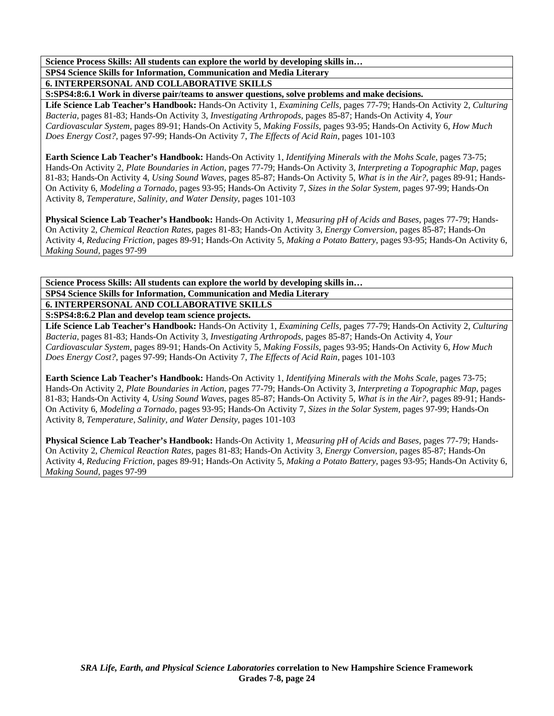**SPS4 Science Skills for Information, Communication and Media Literary** 

**6. INTERPERSONAL AND COLLABORATIVE SKILLS** 

**S:SPS4:8:6.1 Work in diverse pair/teams to answer questions, solve problems and make decisions.** 

**Life Science Lab Teacher's Handbook:** Hands-On Activity 1, *Examining Cells,* pages 77-79; Hands-On Activity 2, *Culturing Bacteria,* pages 81-83; Hands-On Activity 3, *Investigating Arthropods,* pages 85-87; Hands-On Activity 4, *Your Cardiovascular System,* pages 89-91; Hands-On Activity 5, *Making Fossils,* pages 93-95; Hands-On Activity 6, *How Much Does Energy Cost?,* pages 97-99; Hands-On Activity 7, *The Effects of Acid Rain,* pages 101-103

**Earth Science Lab Teacher's Handbook:** Hands-On Activity 1, *Identifying Minerals with the Mohs Scale,* pages 73-75; Hands-On Activity 2, *Plate Boundaries in Action,* pages 77-79; Hands-On Activity 3, *Interpreting a Topographic Map,* pages 81-83; Hands-On Activity 4, *Using Sound Waves,* pages 85-87; Hands-On Activity 5, *What is in the Air?,* pages 89-91; Hands-On Activity 6, *Modeling a Tornado,* pages 93-95; Hands-On Activity 7, *Sizes in the Solar System,* pages 97-99; Hands-On Activity 8, *Temperature, Salinity, and Water Density,* pages 101-103

**Physical Science Lab Teacher's Handbook:** Hands-On Activity 1, *Measuring pH of Acids and Bases,* pages 77-79; Hands-On Activity 2, *Chemical Reaction Rates,* pages 81-83; Hands-On Activity 3, *Energy Conversion,* pages 85-87; Hands-On Activity 4, *Reducing Friction,* pages 89-91; Hands-On Activity 5, *Making a Potato Battery,* pages 93-95; Hands-On Activity 6, *Making Sound,* pages 97-99

**Science Process Skills: All students can explore the world by developing skills in… SPS4 Science Skills for Information, Communication and Media Literary 6. INTERPERSONAL AND COLLABORATIVE SKILLS** 

**S:SPS4:8:6.2 Plan and develop team science projects.** 

**Life Science Lab Teacher's Handbook:** Hands-On Activity 1, *Examining Cells,* pages 77-79; Hands-On Activity 2, *Culturing Bacteria,* pages 81-83; Hands-On Activity 3, *Investigating Arthropods,* pages 85-87; Hands-On Activity 4, *Your Cardiovascular System,* pages 89-91; Hands-On Activity 5, *Making Fossils,* pages 93-95; Hands-On Activity 6, *How Much Does Energy Cost?,* pages 97-99; Hands-On Activity 7, *The Effects of Acid Rain,* pages 101-103

**Earth Science Lab Teacher's Handbook:** Hands-On Activity 1, *Identifying Minerals with the Mohs Scale,* pages 73-75; Hands-On Activity 2, *Plate Boundaries in Action,* pages 77-79; Hands-On Activity 3, *Interpreting a Topographic Map,* pages 81-83; Hands-On Activity 4, *Using Sound Waves,* pages 85-87; Hands-On Activity 5, *What is in the Air?,* pages 89-91; Hands-On Activity 6, *Modeling a Tornado,* pages 93-95; Hands-On Activity 7, *Sizes in the Solar System,* pages 97-99; Hands-On Activity 8, *Temperature, Salinity, and Water Density,* pages 101-103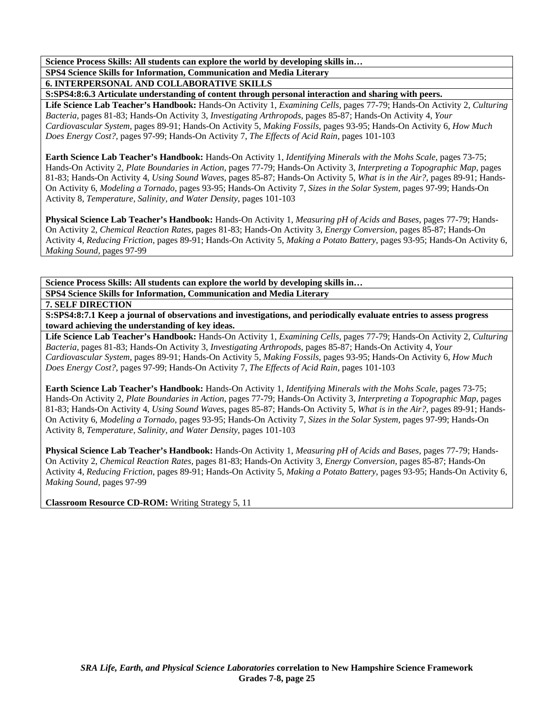**SPS4 Science Skills for Information, Communication and Media Literary** 

**6. INTERPERSONAL AND COLLABORATIVE SKILLS** 

**S:SPS4:8:6.3 Articulate understanding of content through personal interaction and sharing with peers.** 

**Life Science Lab Teacher's Handbook:** Hands-On Activity 1, *Examining Cells,* pages 77-79; Hands-On Activity 2, *Culturing Bacteria,* pages 81-83; Hands-On Activity 3, *Investigating Arthropods,* pages 85-87; Hands-On Activity 4, *Your Cardiovascular System,* pages 89-91; Hands-On Activity 5, *Making Fossils,* pages 93-95; Hands-On Activity 6, *How Much Does Energy Cost?,* pages 97-99; Hands-On Activity 7, *The Effects of Acid Rain,* pages 101-103

**Earth Science Lab Teacher's Handbook:** Hands-On Activity 1, *Identifying Minerals with the Mohs Scale,* pages 73-75; Hands-On Activity 2, *Plate Boundaries in Action,* pages 77-79; Hands-On Activity 3, *Interpreting a Topographic Map,* pages 81-83; Hands-On Activity 4, *Using Sound Waves,* pages 85-87; Hands-On Activity 5, *What is in the Air?,* pages 89-91; Hands-On Activity 6, *Modeling a Tornado,* pages 93-95; Hands-On Activity 7, *Sizes in the Solar System,* pages 97-99; Hands-On Activity 8, *Temperature, Salinity, and Water Density,* pages 101-103

**Physical Science Lab Teacher's Handbook:** Hands-On Activity 1, *Measuring pH of Acids and Bases,* pages 77-79; Hands-On Activity 2, *Chemical Reaction Rates,* pages 81-83; Hands-On Activity 3, *Energy Conversion,* pages 85-87; Hands-On Activity 4, *Reducing Friction,* pages 89-91; Hands-On Activity 5, *Making a Potato Battery,* pages 93-95; Hands-On Activity 6, *Making Sound,* pages 97-99

**Science Process Skills: All students can explore the world by developing skills in… SPS4 Science Skills for Information, Communication and Media Literary** 

**7. SELF DIRECTION** 

**S:SPS4:8:7.1 Keep a journal of observations and investigations, and periodically evaluate entries to assess progress toward achieving the understanding of key ideas.** 

**Life Science Lab Teacher's Handbook:** Hands-On Activity 1, *Examining Cells,* pages 77-79; Hands-On Activity 2, *Culturing Bacteria,* pages 81-83; Hands-On Activity 3, *Investigating Arthropods,* pages 85-87; Hands-On Activity 4, *Your Cardiovascular System,* pages 89-91; Hands-On Activity 5, *Making Fossils,* pages 93-95; Hands-On Activity 6, *How Much Does Energy Cost?,* pages 97-99; Hands-On Activity 7, *The Effects of Acid Rain,* pages 101-103

**Earth Science Lab Teacher's Handbook:** Hands-On Activity 1, *Identifying Minerals with the Mohs Scale,* pages 73-75; Hands-On Activity 2, *Plate Boundaries in Action,* pages 77-79; Hands-On Activity 3, *Interpreting a Topographic Map,* pages 81-83; Hands-On Activity 4, *Using Sound Waves,* pages 85-87; Hands-On Activity 5, *What is in the Air?,* pages 89-91; Hands-On Activity 6, *Modeling a Tornado,* pages 93-95; Hands-On Activity 7, *Sizes in the Solar System,* pages 97-99; Hands-On Activity 8, *Temperature, Salinity, and Water Density,* pages 101-103

**Physical Science Lab Teacher's Handbook:** Hands-On Activity 1, *Measuring pH of Acids and Bases,* pages 77-79; Hands-On Activity 2, *Chemical Reaction Rates,* pages 81-83; Hands-On Activity 3, *Energy Conversion,* pages 85-87; Hands-On Activity 4, *Reducing Friction,* pages 89-91; Hands-On Activity 5, *Making a Potato Battery,* pages 93-95; Hands-On Activity 6, *Making Sound,* pages 97-99

**Classroom Resource CD-ROM:** Writing Strategy 5, 11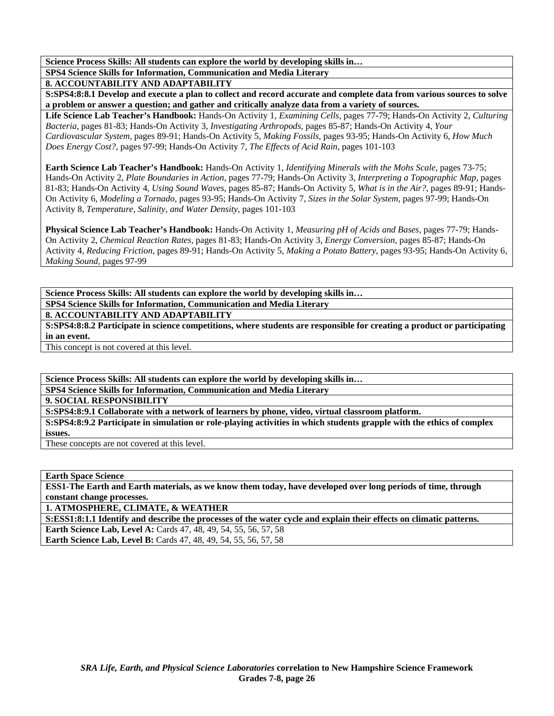**SPS4 Science Skills for Information, Communication and Media Literary** 

**8. ACCOUNTABILITY AND ADAPTABILITY** 

**S:SPS4:8:8.1 Develop and execute a plan to collect and record accurate and complete data from various sources to solve a problem or answer a question; and gather and critically analyze data from a variety of sources.** 

**Life Science Lab Teacher's Handbook:** Hands-On Activity 1, *Examining Cells,* pages 77-79; Hands-On Activity 2, *Culturing Bacteria,* pages 81-83; Hands-On Activity 3, *Investigating Arthropods,* pages 85-87; Hands-On Activity 4, *Your Cardiovascular System,* pages 89-91; Hands-On Activity 5, *Making Fossils,* pages 93-95; Hands-On Activity 6, *How Much Does Energy Cost?,* pages 97-99; Hands-On Activity 7, *The Effects of Acid Rain,* pages 101-103

**Earth Science Lab Teacher's Handbook:** Hands-On Activity 1, *Identifying Minerals with the Mohs Scale,* pages 73-75; Hands-On Activity 2, *Plate Boundaries in Action,* pages 77-79; Hands-On Activity 3, *Interpreting a Topographic Map,* pages 81-83; Hands-On Activity 4, *Using Sound Waves,* pages 85-87; Hands-On Activity 5, *What is in the Air?,* pages 89-91; Hands-On Activity 6, *Modeling a Tornado,* pages 93-95; Hands-On Activity 7, *Sizes in the Solar System,* pages 97-99; Hands-On Activity 8, *Temperature, Salinity, and Water Density,* pages 101-103

**Physical Science Lab Teacher's Handbook:** Hands-On Activity 1, *Measuring pH of Acids and Bases,* pages 77-79; Hands-On Activity 2, *Chemical Reaction Rates,* pages 81-83; Hands-On Activity 3, *Energy Conversion,* pages 85-87; Hands-On Activity 4, *Reducing Friction,* pages 89-91; Hands-On Activity 5, *Making a Potato Battery,* pages 93-95; Hands-On Activity 6, *Making Sound,* pages 97-99

**Science Process Skills: All students can explore the world by developing skills in… SPS4 Science Skills for Information, Communication and Media Literary** 

**8. ACCOUNTABILITY AND ADAPTABILITY** 

**S:SPS4:8:8.2 Participate in science competitions, where students are responsible for creating a product or participating in an event.** 

This concept is not covered at this level.

**Science Process Skills: All students can explore the world by developing skills in…** 

**SPS4 Science Skills for Information, Communication and Media Literary** 

**9. SOCIAL RESPONSIBILITY** 

**S:SPS4:8:9.1 Collaborate with a network of learners by phone, video, virtual classroom platform.** 

**S:SPS4:8:9.2 Participate in simulation or role-playing activities in which students grapple with the ethics of complex issues.** 

These concepts are not covered at this level.

**Earth Space Science** 

**ESS1-The Earth and Earth materials, as we know them today, have developed over long periods of time, through constant change processes.** 

**1. ATMOSPHERE, CLIMATE, & WEATHER** 

**S:ESS1:8:1.1 Identify and describe the processes of the water cycle and explain their effects on climatic patterns.** 

**Earth Science Lab, Level A:** Cards 47, 48, 49, 54, 55, 56, 57, 58

**Earth Science Lab, Level B:** Cards 47, 48, 49, 54, 55, 56, 57, 58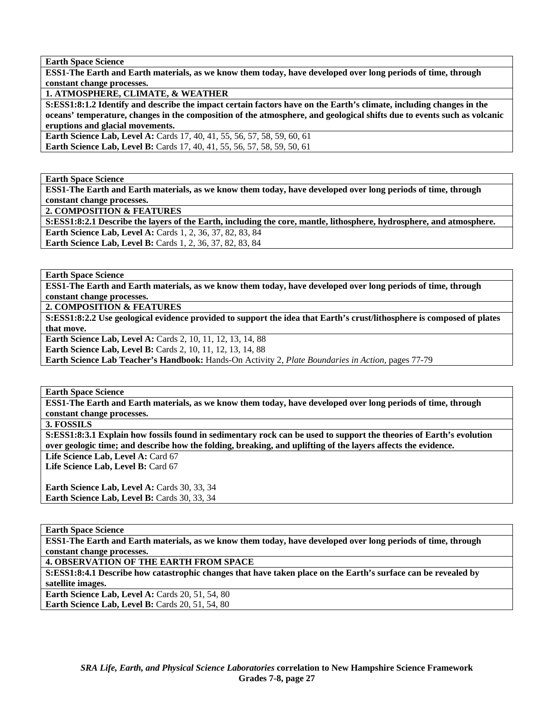**Earth Space Science** 

**ESS1-The Earth and Earth materials, as we know them today, have developed over long periods of time, through constant change processes.** 

**1. ATMOSPHERE, CLIMATE, & WEATHER** 

**S:ESS1:8:1.2 Identify and describe the impact certain factors have on the Earth's climate, including changes in the oceans' temperature, changes in the composition of the atmosphere, and geological shifts due to events such as volcanic eruptions and glacial movements.** 

**Earth Science Lab, Level A: Cards 17, 40, 41, 55, 56, 57, 58, 59, 60, 61 Earth Science Lab, Level B:** Cards 17, 40, 41, 55, 56, 57, 58, 59, 50, 61

**Earth Space Science** 

**ESS1-The Earth and Earth materials, as we know them today, have developed over long periods of time, through constant change processes.** 

**2. COMPOSITION & FEATURES** 

**S:ESS1:8:2.1 Describe the layers of the Earth, including the core, mantle, lithosphere, hydrosphere, and atmosphere. Earth Science Lab, Level A:** Cards 1, 2, 36, 37, 82, 83, 84 **Earth Science Lab, Level B:** Cards 1, 2, 36, 37, 82, 83, 84

**Earth Space Science** 

**ESS1-The Earth and Earth materials, as we know them today, have developed over long periods of time, through constant change processes.** 

**2. COMPOSITION & FEATURES** 

**S:ESS1:8:2.2 Use geological evidence provided to support the idea that Earth's crust/lithosphere is composed of plates that move.** 

**Earth Science Lab, Level A: Cards 2, 10, 11, 12, 13, 14, 88** 

**Earth Science Lab, Level B:** Cards 2, 10, 11, 12, 13, 14, 88

**Earth Science Lab Teacher's Handbook:** Hands-On Activity 2, *Plate Boundaries in Action,* pages 77-79

**Earth Space Science** 

**ESS1-The Earth and Earth materials, as we know them today, have developed over long periods of time, through constant change processes.** 

**3. FOSSILS** 

**S:ESS1:8:3.1 Explain how fossils found in sedimentary rock can be used to support the theories of Earth's evolution over geologic time; and describe how the folding, breaking, and uplifting of the layers affects the evidence.** 

Life Science Lab, Level A: Card 67

Life Science Lab, Level B: Card 67

Earth Science Lab, Level A: Cards 30, 33, 34 Earth Science Lab, Level B: Cards 30, 33, 34

**Earth Space Science** 

**ESS1-The Earth and Earth materials, as we know them today, have developed over long periods of time, through constant change processes.** 

**4. OBSERVATION OF THE EARTH FROM SPACE** 

**S:ESS1:8:4.1 Describe how catastrophic changes that have taken place on the Earth's surface can be revealed by satellite images.** 

**Earth Science Lab, Level A: Cards 20, 51, 54, 80 Earth Science Lab, Level B:** Cards 20, 51, 54, 80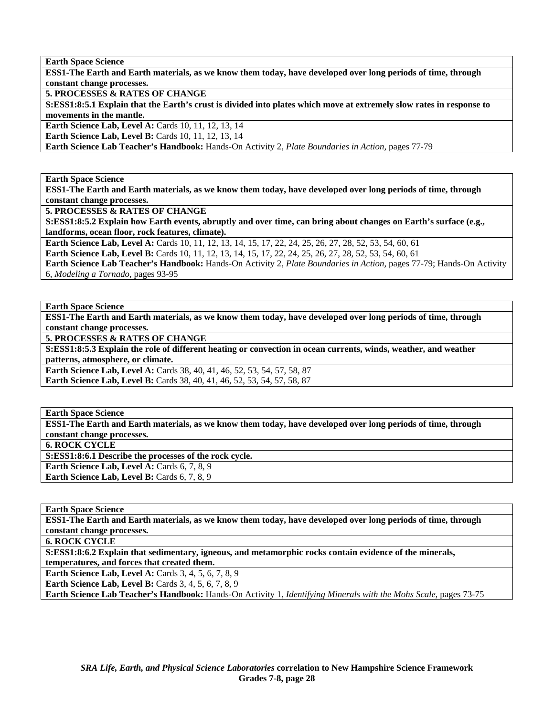**ESS1-The Earth and Earth materials, as we know them today, have developed over long periods of time, through constant change processes.** 

**5. PROCESSES & RATES OF CHANGE** 

**S:ESS1:8:5.1 Explain that the Earth's crust is divided into plates which move at extremely slow rates in response to movements in the mantle.** 

**Earth Science Lab, Level A: Cards 10, 11, 12, 13, 14** 

**Earth Science Lab, Level B: Cards 10, 11, 12, 13, 14** 

**Earth Science Lab Teacher's Handbook:** Hands-On Activity 2, *Plate Boundaries in Action,* pages 77-79

**Earth Space Science** 

**ESS1-The Earth and Earth materials, as we know them today, have developed over long periods of time, through constant change processes.** 

**5. PROCESSES & RATES OF CHANGE** 

**S:ESS1:8:5.2 Explain how Earth events, abruptly and over time, can bring about changes on Earth's surface (e.g., landforms, ocean floor, rock features, climate).** 

**Earth Science Lab, Level A:** Cards 10, 11, 12, 13, 14, 15, 17, 22, 24, 25, 26, 27, 28, 52, 53, 54, 60, 61

**Earth Science Lab, Level B:** Cards 10, 11, 12, 13, 14, 15, 17, 22, 24, 25, 26, 27, 28, 52, 53, 54, 60, 61

**Earth Science Lab Teacher's Handbook:** Hands-On Activity 2, *Plate Boundaries in Action,* pages 77-79; Hands-On Activity 6, *Modeling a Tornado,* pages 93-95

**Earth Space Science** 

**ESS1-The Earth and Earth materials, as we know them today, have developed over long periods of time, through constant change processes.** 

**5. PROCESSES & RATES OF CHANGE** 

**S:ESS1:8:5.3 Explain the role of different heating or convection in ocean currents, winds, weather, and weather patterns, atmosphere, or climate.** 

**Earth Science Lab, Level A: Cards 38, 40, 41, 46, 52, 53, 54, 57, 58, 87 Earth Science Lab, Level B:** Cards 38, 40, 41, 46, 52, 53, 54, 57, 58, 87

**Earth Space Science** 

**ESS1-The Earth and Earth materials, as we know them today, have developed over long periods of time, through constant change processes.** 

**6. ROCK CYCLE** 

**S:ESS1:8:6.1 Describe the processes of the rock cycle.** 

Earth Science Lab, Level A: Cards 6, 7, 8, 9

**Earth Science Lab, Level B:** Cards 6, 7, 8, 9

**Earth Space Science ESS1-The Earth and Earth materials, as we know them today, have developed over long periods of time, through constant change processes. 6. ROCK CYCLE S:ESS1:8:6.2 Explain that sedimentary, igneous, and metamorphic rocks contain evidence of the minerals, temperatures, and forces that created them. Earth Science Lab, Level A: Cards 3, 4, 5, 6, 7, 8, 9** 

**Earth Science Lab, Level B:** Cards 3, 4, 5, 6, 7, 8, 9

**Earth Science Lab Teacher's Handbook:** Hands-On Activity 1, *Identifying Minerals with the Mohs Scale,* pages 73-75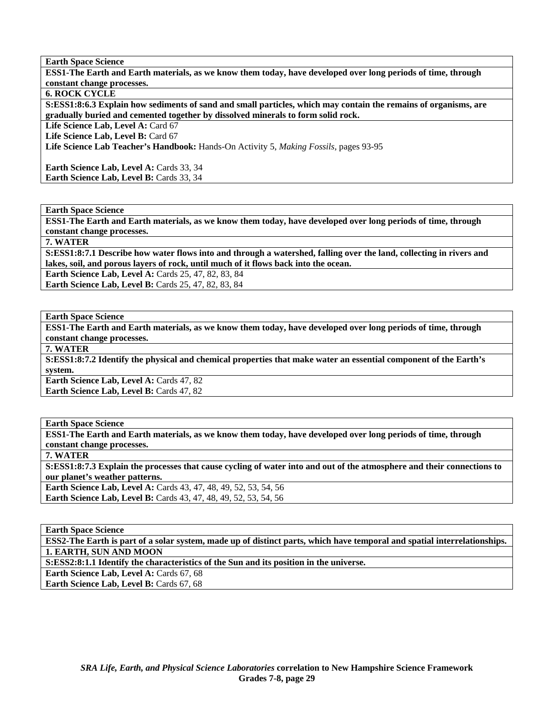**ESS1-The Earth and Earth materials, as we know them today, have developed over long periods of time, through constant change processes.** 

**6. ROCK CYCLE** 

**S:ESS1:8:6.3 Explain how sediments of sand and small particles, which may contain the remains of organisms, are gradually buried and cemented together by dissolved minerals to form solid rock.** 

Life Science Lab, Level A: Card 67

Life Science Lab, Level B: Card 67

**Life Science Lab Teacher's Handbook:** Hands-On Activity 5, *Making Fossils,* pages 93-95

Earth Science Lab, Level A: Cards 33, 34 Earth Science Lab, Level B: Cards 33, 34

**Earth Space Science** 

**ESS1-The Earth and Earth materials, as we know them today, have developed over long periods of time, through constant change processes.** 

**7. WATER** 

**S:ESS1:8:7.1 Describe how water flows into and through a watershed, falling over the land, collecting in rivers and lakes, soil, and porous layers of rock, until much of it flows back into the ocean.** 

**Earth Science Lab, Level A: Cards 25, 47, 82, 83, 84** 

**Earth Science Lab, Level B: Cards 25, 47, 82, 83, 84** 

**Earth Space Science** 

**ESS1-The Earth and Earth materials, as we know them today, have developed over long periods of time, through constant change processes.** 

**7. WATER** 

**S:ESS1:8:7.2 Identify the physical and chemical properties that make water an essential component of the Earth's system.** 

**Earth Science Lab, Level A: Cards 47, 82** 

**Earth Science Lab, Level B: Cards 47, 82** 

**Earth Space Science ESS1-The Earth and Earth materials, as we know them today, have developed over long periods of time, through constant change processes. 7. WATER S:ESS1:8:7.3 Explain the processes that cause cycling of water into and out of the atmosphere and their connections to our planet's weather patterns. Earth Science Lab, Level A:** Cards 43, 47, 48, 49, 52, 53, 54, 56

**Earth Science Lab, Level B:** Cards 43, 47, 48, 49, 52, 53, 54, 56

**Earth Space Science** 

**ESS2-The Earth is part of a solar system, made up of distinct parts, which have temporal and spatial interrelationships. 1. EARTH, SUN AND MOON** 

**S:ESS2:8:1.1 Identify the characteristics of the Sun and its position in the universe.** 

**Earth Science Lab, Level A: Cards 67, 68** 

**Earth Science Lab, Level B: Cards 67, 68**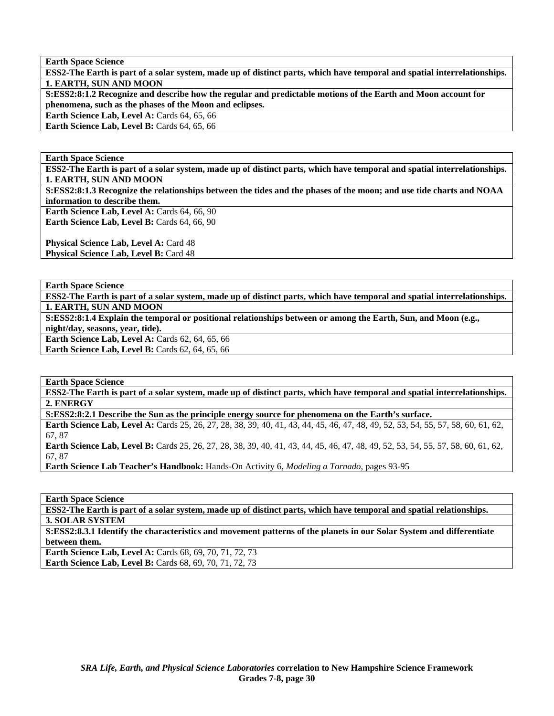**ESS2-The Earth is part of a solar system, made up of distinct parts, which have temporal and spatial interrelationships. 1. EARTH, SUN AND MOON** 

**S:ESS2:8:1.2 Recognize and describe how the regular and predictable motions of the Earth and Moon account for phenomena, such as the phases of the Moon and eclipses.** 

**Earth Science Lab, Level A: Cards 64, 65, 66** 

**Earth Science Lab, Level B: Cards 64, 65, 66** 

**Earth Space Science** 

**ESS2-The Earth is part of a solar system, made up of distinct parts, which have temporal and spatial interrelationships. 1. EARTH, SUN AND MOON** 

**S:ESS2:8:1.3 Recognize the relationships between the tides and the phases of the moon; and use tide charts and NOAA information to describe them.** 

Earth Science Lab, Level A: Cards 64, 66, 90 Earth Science Lab, Level B: Cards 64, 66, 90

**Physical Science Lab, Level A: Card 48 Physical Science Lab, Level B: Card 48** 

**Earth Space Science** 

**ESS2-The Earth is part of a solar system, made up of distinct parts, which have temporal and spatial interrelationships. 1. EARTH, SUN AND MOON** 

**S:ESS2:8:1.4 Explain the temporal or positional relationships between or among the Earth, Sun, and Moon (e.g.,** 

**night/day, seasons, year, tide).** 

**Earth Science Lab, Level A: Cards 62, 64, 65, 66** 

**Earth Science Lab, Level B: Cards 62, 64, 65, 66** 

**Earth Space Science** 

**ESS2-The Earth is part of a solar system, made up of distinct parts, which have temporal and spatial interrelationships. 2. ENERGY** 

**S:ESS2:8:2.1 Describe the Sun as the principle energy source for phenomena on the Earth's surface. Earth Science Lab, Level A:** Cards 25, 26, 27, 28, 38, 39, 40, 41, 43, 44, 45, 46, 47, 48, 49, 52, 53, 54, 55, 57, 58, 60, 61, 62, 67, 87

**Earth Science Lab, Level B:** Cards 25, 26, 27, 28, 38, 39, 40, 41, 43, 44, 45, 46, 47, 48, 49, 52, 53, 54, 55, 57, 58, 60, 61, 62, 67, 87

**Earth Science Lab Teacher's Handbook:** Hands-On Activity 6, *Modeling a Tornado,* pages 93-95

**Earth Space Science** 

**ESS2-The Earth is part of a solar system, made up of distinct parts, which have temporal and spatial relationships. 3. SOLAR SYSTEM** 

**S:ESS2:8.3.1 Identify the characteristics and movement patterns of the planets in our Solar System and differentiate between them.** 

**Earth Science Lab, Level A: Cards 68, 69, 70, 71, 72, 73 Earth Science Lab, Level B:** Cards 68, 69, 70, 71, 72, 73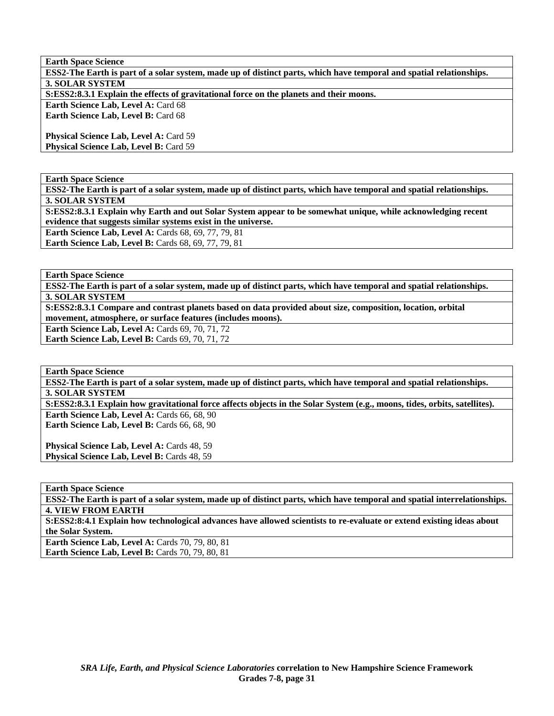| <b>Earth Space Science</b>                                                                                          |
|---------------------------------------------------------------------------------------------------------------------|
| ESS2-The Earth is part of a solar system, made up of distinct parts, which have temporal and spatial relationships. |
| <b>3. SOLAR SYSTEM</b>                                                                                              |
| S:ESS2:8.3.1 Explain the effects of gravitational force on the planets and their moons.                             |
| <b>Earth Science Lab, Level A: Card 68</b>                                                                          |
| <b>Earth Science Lab, Level B: Card 68</b>                                                                          |
|                                                                                                                     |
| <b>Physical Science Lab, Level A: Card 59</b>                                                                       |
| Physical Science Lab, Level B: Card 59                                                                              |
|                                                                                                                     |

**ESS2-The Earth is part of a solar system, made up of distinct parts, which have temporal and spatial relationships. 3. SOLAR SYSTEM** 

**S:ESS2:8.3.1 Explain why Earth and out Solar System appear to be somewhat unique, while acknowledging recent evidence that suggests similar systems exist in the universe. Earth Science Lab, Level A: Cards 68, 69, 77, 79, 81** 

**Earth Science Lab, Level B: Cards 68, 69, 77, 79, 81** 

**Earth Space Science** 

**ESS2-The Earth is part of a solar system, made up of distinct parts, which have temporal and spatial relationships. 3. SOLAR SYSTEM** 

**S:ESS2:8.3.1 Compare and contrast planets based on data provided about size, composition, location, orbital movement, atmosphere, or surface features (includes moons).** 

**Earth Science Lab, Level A: Cards 69, 70, 71, 72 Earth Science Lab, Level B: Cards 69, 70, 71, 72** 

**Earth Space Science** 

**ESS2-The Earth is part of a solar system, made up of distinct parts, which have temporal and spatial relationships. 3. SOLAR SYSTEM** 

**S:ESS2:8.3.1 Explain how gravitational force affects objects in the Solar System (e.g., moons, tides, orbits, satellites). Earth Science Lab, Level A: Cards 66, 68, 90** 

**Earth Science Lab, Level B:** Cards 66, 68, 90

Physical Science Lab, Level A: Cards 48, 59 Physical Science Lab, Level B: Cards 48, 59

**Earth Space Science** 

**ESS2-The Earth is part of a solar system, made up of distinct parts, which have temporal and spatial interrelationships. 4. VIEW FROM EARTH** 

**S:ESS2:8:4.1 Explain how technological advances have allowed scientists to re-evaluate or extend existing ideas about the Solar System.** 

**Earth Science Lab, Level A:** Cards 70, 79, 80, 81 **Earth Science Lab, Level B: Cards 70, 79, 80, 81**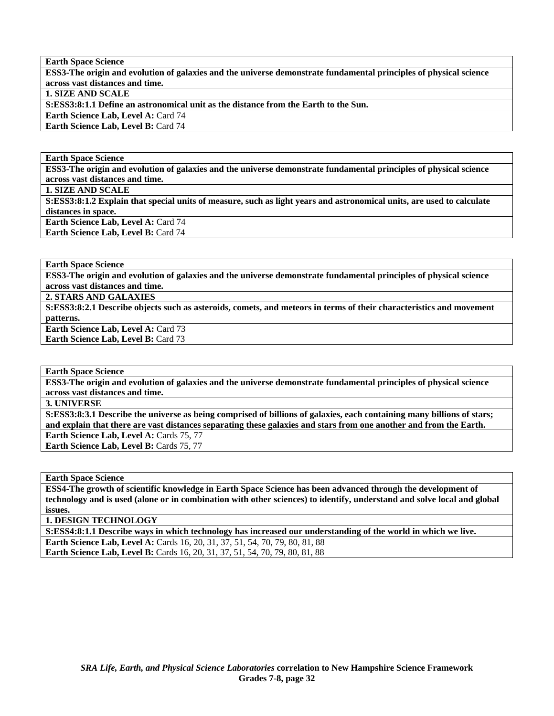**ESS3-The origin and evolution of galaxies and the universe demonstrate fundamental principles of physical science across vast distances and time.** 

**1. SIZE AND SCALE** 

**S:ESS3:8:1.1 Define an astronomical unit as the distance from the Earth to the Sun.** 

**Earth Science Lab, Level A:** Card 74 **Earth Science Lab, Level B:** Card 74

**Earth Space Science** 

**ESS3-The origin and evolution of galaxies and the universe demonstrate fundamental principles of physical science across vast distances and time.** 

**1. SIZE AND SCALE** 

**S:ESS3:8:1.2 Explain that special units of measure, such as light years and astronomical units, are used to calculate distances in space. Earth Science Lab, Level A: Card 74** 

**Earth Science Lab, Level B: Card 74** 

**Earth Space Science** 

**ESS3-The origin and evolution of galaxies and the universe demonstrate fundamental principles of physical science across vast distances and time.** 

**2. STARS AND GALAXIES** 

**S:ESS3:8:2.1 Describe objects such as asteroids, comets, and meteors in terms of their characteristics and movement patterns.** 

**Earth Science Lab, Level A: Card 73 Earth Science Lab, Level B: Card 73** 

**Earth Space Science** 

**ESS3-The origin and evolution of galaxies and the universe demonstrate fundamental principles of physical science across vast distances and time.** 

**3. UNIVERSE** 

**S:ESS3:8:3.1 Describe the universe as being comprised of billions of galaxies, each containing many billions of stars; and explain that there are vast distances separating these galaxies and stars from one another and from the Earth.** 

Earth Science Lab, Level A: Cards 75, 77

Earth Science Lab, Level B: Cards 75, 77

**Earth Space Science** 

**ESS4-The growth of scientific knowledge in Earth Space Science has been advanced through the development of technology and is used (alone or in combination with other sciences) to identify, understand and solve local and global issues.** 

**1. DESIGN TECHNOLOGY** 

**S:ESS4:8:1.1 Describe ways in which technology has increased our understanding of the world in which we live. Earth Science Lab, Level A: Cards 16, 20, 31, 37, 51, 54, 70, 79, 80, 81, 88 Earth Science Lab, Level B:** Cards 16, 20, 31, 37, 51, 54, 70, 79, 80, 81, 88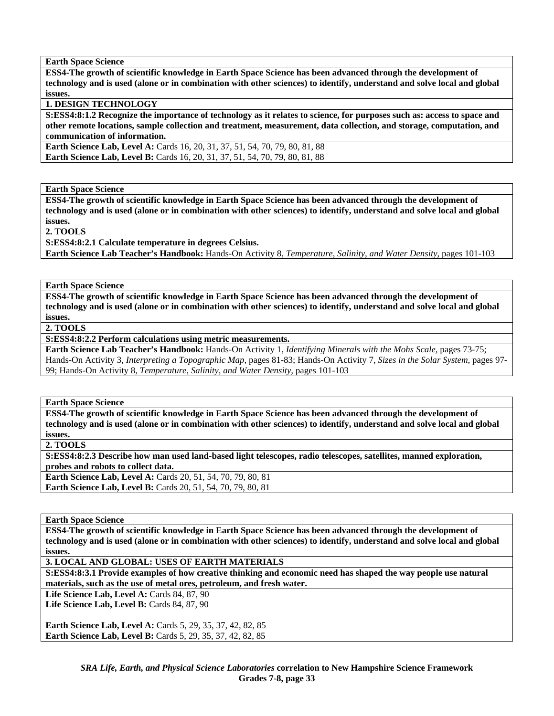**ESS4-The growth of scientific knowledge in Earth Space Science has been advanced through the development of technology and is used (alone or in combination with other sciences) to identify, understand and solve local and global issues.** 

# **1. DESIGN TECHNOLOGY**

**S:ESS4:8:1.2 Recognize the importance of technology as it relates to science, for purposes such as: access to space and other remote locations, sample collection and treatment, measurement, data collection, and storage, computation, and communication of information.** 

**Earth Science Lab, Level A:** Cards 16, 20, 31, 37, 51, 54, 70, 79, 80, 81, 88 **Earth Science Lab, Level B:** Cards 16, 20, 31, 37, 51, 54, 70, 79, 80, 81, 88

**Earth Space Science** 

**ESS4-The growth of scientific knowledge in Earth Space Science has been advanced through the development of technology and is used (alone or in combination with other sciences) to identify, understand and solve local and global issues.** 

**2. TOOLS** 

**S:ESS4:8:2.1 Calculate temperature in degrees Celsius.** 

**Earth Science Lab Teacher's Handbook:** Hands-On Activity 8, *Temperature, Salinity, and Water Density,* pages 101-103

**Earth Space Science** 

**ESS4-The growth of scientific knowledge in Earth Space Science has been advanced through the development of technology and is used (alone or in combination with other sciences) to identify, understand and solve local and global issues.** 

**2. TOOLS** 

**S:ESS4:8:2.2 Perform calculations using metric measurements.** 

**Earth Science Lab Teacher's Handbook:** Hands-On Activity 1, *Identifying Minerals with the Mohs Scale,* pages 73-75; Hands-On Activity 3, *Interpreting a Topographic Map,* pages 81-83; Hands-On Activity 7, *Sizes in the Solar System,* pages 97- 99; Hands-On Activity 8, *Temperature, Salinity, and Water Density,* pages 101-103

**Earth Space Science** 

**ESS4-The growth of scientific knowledge in Earth Space Science has been advanced through the development of technology and is used (alone or in combination with other sciences) to identify, understand and solve local and global issues.** 

**2. TOOLS** 

**S:ESS4:8:2.3 Describe how man used land-based light telescopes, radio telescopes, satellites, manned exploration, probes and robots to collect data.** 

**Earth Science Lab, Level A:** Cards 20, 51, 54, 70, 79, 80, 81 **Earth Science Lab, Level B:** Cards 20, 51, 54, 70, 79, 80, 81

**Earth Space Science** 

**ESS4-The growth of scientific knowledge in Earth Space Science has been advanced through the development of technology and is used (alone or in combination with other sciences) to identify, understand and solve local and global issues.** 

**3. LOCAL AND GLOBAL: USES OF EARTH MATERIALS** 

**S:ESS4:8:3.1 Provide examples of how creative thinking and economic need has shaped the way people use natural materials, such as the use of metal ores, petroleum, and fresh water.** 

**Life Science Lab, Level A: Cards 84, 87, 90** 

**Life Science Lab, Level B: Cards 84, 87, 90** 

**Earth Science Lab, Level A:** Cards 5, 29, 35, 37, 42, 82, 85 **Earth Science Lab, Level B:** Cards 5, 29, 35, 37, 42, 82, 85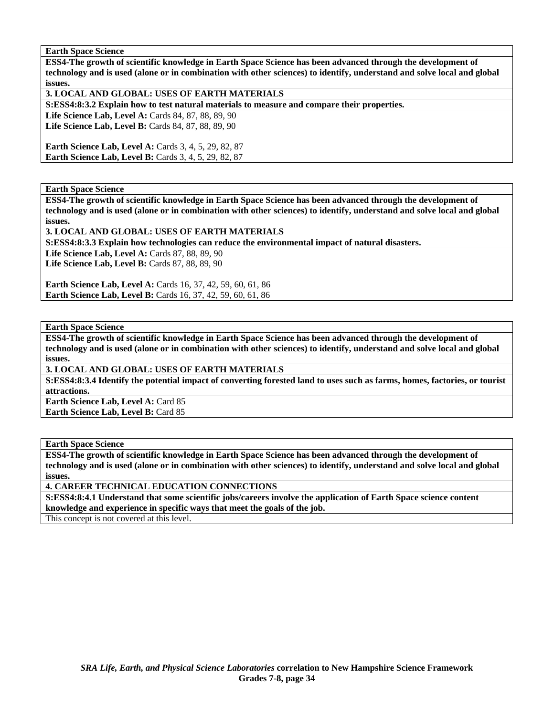**ESS4-The growth of scientific knowledge in Earth Space Science has been advanced through the development of technology and is used (alone or in combination with other sciences) to identify, understand and solve local and global issues.** 

**3. LOCAL AND GLOBAL: USES OF EARTH MATERIALS** 

**S:ESS4:8:3.2 Explain how to test natural materials to measure and compare their properties.** 

Life Science Lab, Level A: Cards 84, 87, 88, 89, 90 Life Science Lab, Level B: Cards 84, 87, 88, 89, 90

**Earth Science Lab, Level A: Cards 3, 4, 5, 29, 82, 87 Earth Science Lab, Level B:** Cards 3, 4, 5, 29, 82, 87

## **Earth Space Science**

**ESS4-The growth of scientific knowledge in Earth Space Science has been advanced through the development of technology and is used (alone or in combination with other sciences) to identify, understand and solve local and global issues.** 

# **3. LOCAL AND GLOBAL: USES OF EARTH MATERIALS**

**S:ESS4:8:3.3 Explain how technologies can reduce the environmental impact of natural disasters.** 

**Life Science Lab, Level A: Cards 87, 88, 89, 90** Life Science Lab, Level B: Cards 87, 88, 89, 90

**Earth Science Lab, Level A:** Cards 16, 37, 42, 59, 60, 61, 86 **Earth Science Lab, Level B:** Cards 16, 37, 42, 59, 60, 61, 86

**Earth Space Science** 

**ESS4-The growth of scientific knowledge in Earth Space Science has been advanced through the development of technology and is used (alone or in combination with other sciences) to identify, understand and solve local and global issues.** 

**3. LOCAL AND GLOBAL: USES OF EARTH MATERIALS** 

**S:ESS4:8:3.4 Identify the potential impact of converting forested land to uses such as farms, homes, factories, or tourist attractions.** 

**Earth Science Lab, Level A: Card 85 Earth Science Lab, Level B:** Card 85

**Earth Space Science** 

**ESS4-The growth of scientific knowledge in Earth Space Science has been advanced through the development of technology and is used (alone or in combination with other sciences) to identify, understand and solve local and global issues.** 

**4. CAREER TECHNICAL EDUCATION CONNECTIONS** 

**S:ESS4:8:4.1 Understand that some scientific jobs/careers involve the application of Earth Space science content knowledge and experience in specific ways that meet the goals of the job.** 

This concept is not covered at this level.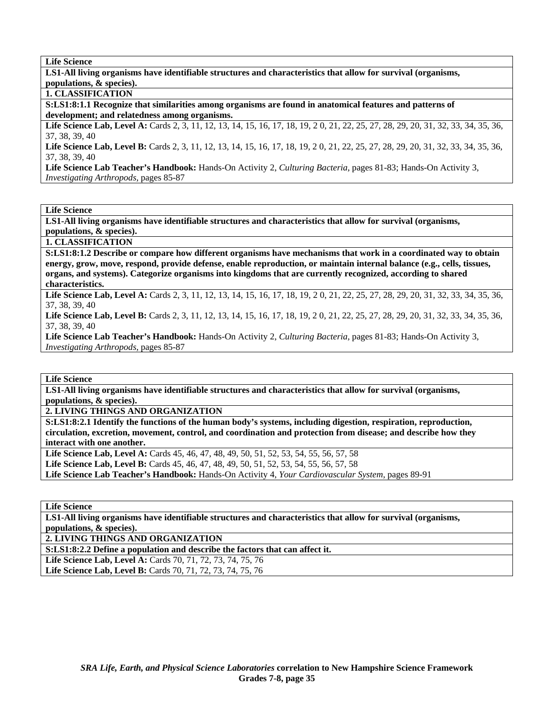**LS1-All living organisms have identifiable structures and characteristics that allow for survival (organisms, populations, & species).** 

## **1. CLASSIFICATION**

**S:LS1:8:1.1 Recognize that similarities among organisms are found in anatomical features and patterns of development; and relatedness among organisms.** 

Life Science Lab, Level A: Cards 2, 3, 11, 12, 13, 14, 15, 16, 17, 18, 19, 20, 21, 22, 25, 27, 28, 29, 20, 31, 32, 33, 34, 35, 36, 37, 38, 39, 40

Life Science Lab, Level B: Cards 2, 3, 11, 12, 13, 14, 15, 16, 17, 18, 19, 20, 21, 22, 25, 27, 28, 29, 20, 31, 32, 33, 34, 35, 36, 37, 38, 39, 40

**Life Science Lab Teacher's Handbook:** Hands-On Activity 2, *Culturing Bacteria,* pages 81-83; Hands-On Activity 3, *Investigating Arthropods,* pages 85-87

### **Life Science**

**LS1-All living organisms have identifiable structures and characteristics that allow for survival (organisms, populations, & species).** 

**1. CLASSIFICATION** 

**S:LS1:8:1.2 Describe or compare how different organisms have mechanisms that work in a coordinated way to obtain energy, grow, move, respond, provide defense, enable reproduction, or maintain internal balance (e.g., cells, tissues, organs, and systems). Categorize organisms into kingdoms that are currently recognized, according to shared characteristics.** 

Life Science Lab, Level A: Cards 2, 3, 11, 12, 13, 14, 15, 16, 17, 18, 19, 20, 21, 22, 25, 27, 28, 29, 20, 31, 32, 33, 34, 35, 36, 37, 38, 39, 40

Life Science Lab, Level B: Cards 2, 3, 11, 12, 13, 14, 15, 16, 17, 18, 19, 20, 21, 22, 25, 27, 28, 29, 20, 31, 32, 33, 34, 35, 36, 37, 38, 39, 40

**Life Science Lab Teacher's Handbook:** Hands-On Activity 2, *Culturing Bacteria,* pages 81-83; Hands-On Activity 3, *Investigating Arthropods,* pages 85-87

**Life Science** 

**LS1-All living organisms have identifiable structures and characteristics that allow for survival (organisms, populations, & species).** 

**2. LIVING THINGS AND ORGANIZATION** 

**S:LS1:8:2.1 Identify the functions of the human body's systems, including digestion, respiration, reproduction, circulation, excretion, movement, control, and coordination and protection from disease; and describe how they interact with one another.** 

**Life Science Lab, Level A:** Cards 45, 46, 47, 48, 49, 50, 51, 52, 53, 54, 55, 56, 57, 58 Life Science Lab, Level B: Cards 45, 46, 47, 48, 49, 50, 51, 52, 53, 54, 55, 56, 57, 58 **Life Science Lab Teacher's Handbook:** Hands-On Activity 4, *Your Cardiovascular System,* pages 89-91

**Life Science** 

**LS1-All living organisms have identifiable structures and characteristics that allow for survival (organisms, populations, & species).** 

**2. LIVING THINGS AND ORGANIZATION** 

**S:LS1:8:2.2 Define a population and describe the factors that can affect it.** 

**Life Science Lab, Level A:** Cards 70, 71, 72, 73, 74, 75, 76

**Life Science Lab, Level B:** Cards 70, 71, 72, 73, 74, 75, 76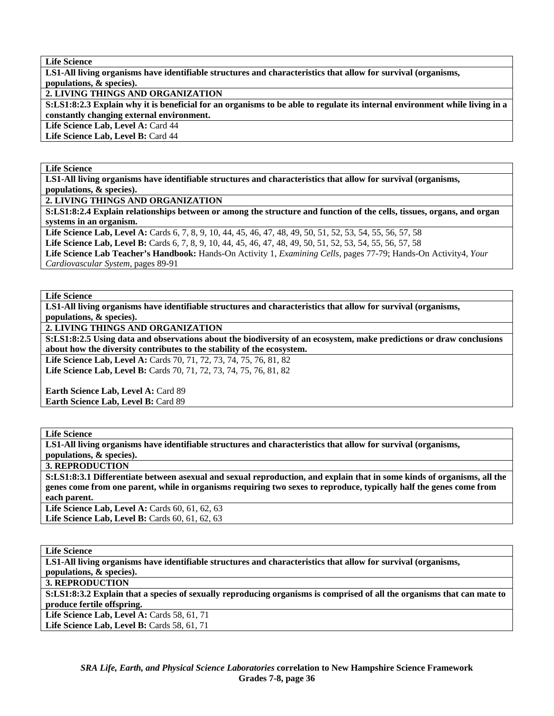**LS1-All living organisms have identifiable structures and characteristics that allow for survival (organisms, populations, & species).** 

**2. LIVING THINGS AND ORGANIZATION** 

**S:LS1:8:2.3 Explain why it is beneficial for an organisms to be able to regulate its internal environment while living in a constantly changing external environment.** 

Life Science Lab, Level A: Card 44

**Life Science Lab, Level B:** Card 44

### **Life Science**

**LS1-All living organisms have identifiable structures and characteristics that allow for survival (organisms, populations, & species).** 

**2. LIVING THINGS AND ORGANIZATION** 

**S:LS1:8:2.4 Explain relationships between or among the structure and function of the cells, tissues, organs, and organ systems in an organism.** 

Life Science Lab, Level A: Cards 6, 7, 8, 9, 10, 44, 45, 46, 47, 48, 49, 50, 51, 52, 53, 54, 55, 56, 57, 58

**Life Science Lab, Level B:** Cards 6, 7, 8, 9, 10, 44, 45, 46, 47, 48, 49, 50, 51, 52, 53, 54, 55, 56, 57, 58

**Life Science Lab Teacher's Handbook:** Hands-On Activity 1, *Examining Cells,* pages 77-79; Hands-On Activity4, *Your Cardiovascular System,* pages 89-91

### **Life Science**

**LS1-All living organisms have identifiable structures and characteristics that allow for survival (organisms, populations, & species).** 

**2. LIVING THINGS AND ORGANIZATION** 

**S:LS1:8:2.5 Using data and observations about the biodiversity of an ecosystem, make predictions or draw conclusions about how the diversity contributes to the stability of the ecosystem.** 

Life Science Lab, Level A: Cards 70, 71, 72, 73, 74, 75, 76, 81, 82 Life Science Lab, Level B: Cards 70, 71, 72, 73, 74, 75, 76, 81, 82

**Earth Science Lab, Level A: Card 89 Earth Science Lab, Level B:** Card 89

## **Life Science**

**LS1-All living organisms have identifiable structures and characteristics that allow for survival (organisms, populations, & species).** 

**3. REPRODUCTION** 

**S:LS1:8:3.1 Differentiate between asexual and sexual reproduction, and explain that in some kinds of organisms, all the genes come from one parent, while in organisms requiring two sexes to reproduce, typically half the genes come from each parent.** 

Life Science Lab, Level A: Cards 60, 61, 62, 63 Life Science Lab, Level B: Cards 60, 61, 62, 63

**Life Science LS1-All living organisms have identifiable structures and characteristics that allow for survival (organisms, populations, & species). 3. REPRODUCTION S:LS1:8:3.2 Explain that a species of sexually reproducing organisms is comprised of all the organisms that can mate to produce fertile offspring. Life Science Lab, Level A: Cards 58, 61, 71 Life Science Lab, Level B: Cards 58, 61, 71**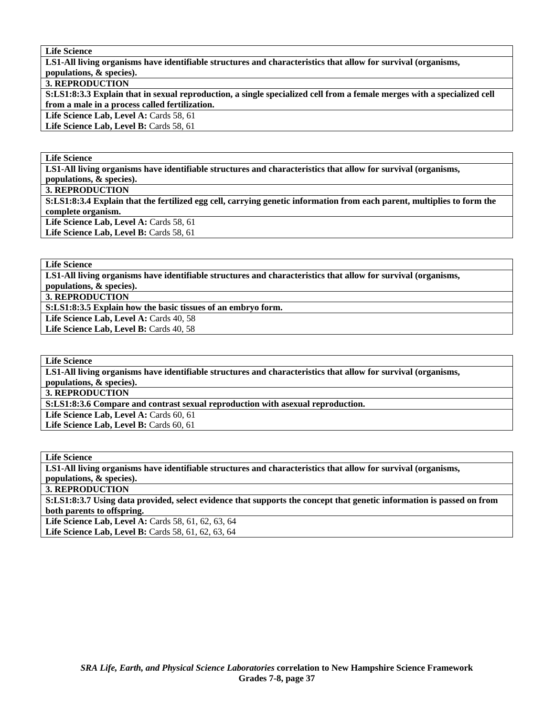**LS1-All living organisms have identifiable structures and characteristics that allow for survival (organisms, populations, & species).** 

## **3. REPRODUCTION**

**S:LS1:8:3.3 Explain that in sexual reproduction, a single specialized cell from a female merges with a specialized cell from a male in a process called fertilization.** 

Life Science Lab, Level A: Cards 58, 61 Life Science Lab, Level B: Cards 58, 61

### **Life Science**

**LS1-All living organisms have identifiable structures and characteristics that allow for survival (organisms,** 

**populations, & species).** 

**3. REPRODUCTION** 

**S:LS1:8:3.4 Explain that the fertilized egg cell, carrying genetic information from each parent, multiplies to form the complete organism.**  Life Science Lab, Level A: Cards 58, 61

Life Science Lab, Level B: Cards 58, 61

**Life Science** 

**LS1-All living organisms have identifiable structures and characteristics that allow for survival (organisms, populations, & species).** 

**3. REPRODUCTION** 

**S:LS1:8:3.5 Explain how the basic tissues of an embryo form.** 

Life Science Lab, Level A: Cards 40, 58

Life Science Lab, Level B: Cards 40, 58

#### **Life Science**

**LS1-All living organisms have identifiable structures and characteristics that allow for survival (organisms, populations, & species).** 

**3. REPRODUCTION** 

**S:LS1:8:3.6 Compare and contrast sexual reproduction with asexual reproduction.** 

Life Science Lab, Level A: Cards 60, 61

Life Science Lab, Level B: Cards 60, 61

**Life Science** 

**LS1-All living organisms have identifiable structures and characteristics that allow for survival (organisms, populations, & species).** 

**3. REPRODUCTION** 

**S:LS1:8:3.7 Using data provided, select evidence that supports the concept that genetic information is passed on from both parents to offspring.** 

Life Science Lab, Level A: Cards 58, 61, 62, 63, 64 **Life Science Lab, Level B:** Cards 58, 61, 62, 63, 64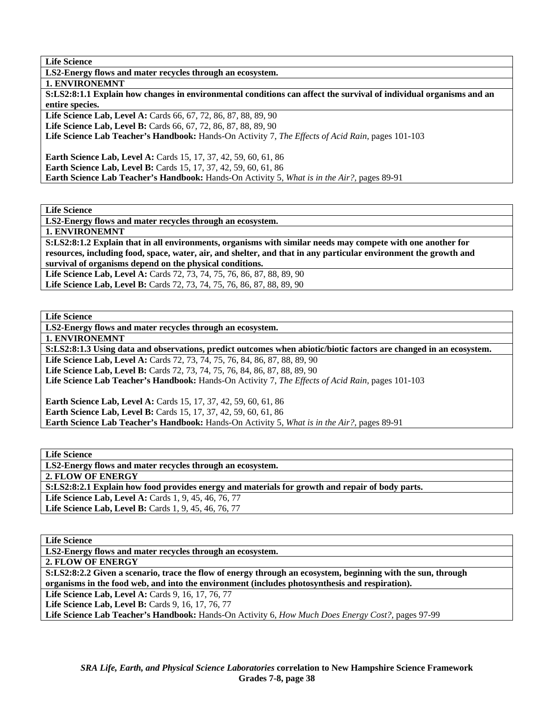**LS2-Energy flows and mater recycles through an ecosystem.** 

**1. ENVIRONEMNT** 

**S:LS2:8:1.1 Explain how changes in environmental conditions can affect the survival of individual organisms and an entire species.** 

Life Science Lab, Level A: Cards 66, 67, 72, 86, 87, 88, 89, 90

**Life Science Lab, Level B:** Cards 66, 67, 72, 86, 87, 88, 89, 90

**Life Science Lab Teacher's Handbook:** Hands-On Activity 7, *The Effects of Acid Rain,* pages 101-103

**Earth Science Lab, Level A:** Cards 15, 17, 37, 42, 59, 60, 61, 86 **Earth Science Lab, Level B:** Cards 15, 17, 37, 42, 59, 60, 61, 86 **Earth Science Lab Teacher's Handbook:** Hands-On Activity 5, *What is in the Air?,* pages 89-91

**Life Science** 

**LS2-Energy flows and mater recycles through an ecosystem.** 

**1. ENVIRONEMNT** 

**S:LS2:8:1.2 Explain that in all environments, organisms with similar needs may compete with one another for resources, including food, space, water, air, and shelter, and that in any particular environment the growth and survival of organisms depend on the physical conditions.** 

Life Science Lab, Level A: Cards 72, 73, 74, 75, 76, 86, 87, 88, 89, 90 Life Science Lab, Level B: Cards 72, 73, 74, 75, 76, 86, 87, 88, 89, 90

**Life Science** 

**LS2-Energy flows and mater recycles through an ecosystem.** 

**1. ENVIRONEMNT** 

**S:LS2:8:1.3 Using data and observations, predict outcomes when abiotic/biotic factors are changed in an ecosystem. Life Science Lab, Level A:** Cards 72, 73, 74, 75, 76, 84, 86, 87, 88, 89, 90

Life Science Lab, Level B: Cards 72, 73, 74, 75, 76, 84, 86, 87, 88, 89, 90

**Life Science Lab Teacher's Handbook:** Hands-On Activity 7, *The Effects of Acid Rain,* pages 101-103

**Earth Science Lab, Level A:** Cards 15, 17, 37, 42, 59, 60, 61, 86 **Earth Science Lab, Level B:** Cards 15, 17, 37, 42, 59, 60, 61, 86 **Earth Science Lab Teacher's Handbook:** Hands-On Activity 5, *What is in the Air?,* pages 89-91

**Life Science** 

**LS2-Energy flows and mater recycles through an ecosystem.** 

**2. FLOW OF ENERGY** 

**S:LS2:8:2.1 Explain how food provides energy and materials for growth and repair of body parts.** 

Life Science Lab, Level A: Cards 1, 9, 45, 46, 76, 77

**Life Science Lab, Level B:** Cards 1, 9, 45, 46, 76, 77

**Life Science** 

**LS2-Energy flows and mater recycles through an ecosystem.** 

**2. FLOW OF ENERGY** 

**S:LS2:8:2.2 Given a scenario, trace the flow of energy through an ecosystem, beginning with the sun, through organisms in the food web, and into the environment (includes photosynthesis and respiration).** 

**Life Science Lab, Level A: Cards 9, 16, 17, 76, 77** 

**Life Science Lab, Level B: Cards 9, 16, 17, 76, 77** 

**Life Science Lab Teacher's Handbook:** Hands-On Activity 6, *How Much Does Energy Cost?,* pages 97-99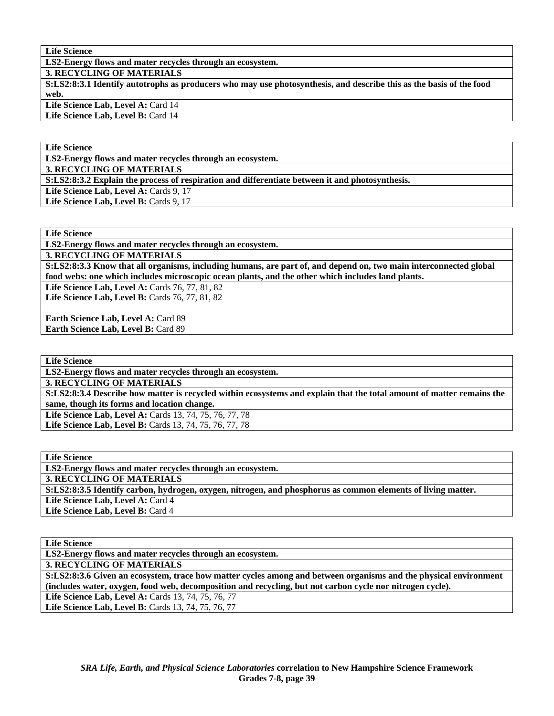**LS2-Energy flows and mater recycles through an ecosystem.** 

**3. RECYCLING OF MATERIALS** 

**S:LS2:8:3.1 Identify autotrophs as producers who may use photosynthesis, and describe this as the basis of the food web.** 

Life Science Lab, Level A: Card 14

Life Science Lab, Level B: Card 14

**Life Science** 

**LS2-Energy flows and mater recycles through an ecosystem.** 

**3. RECYCLING OF MATERIALS** 

**S:LS2:8:3.2 Explain the process of respiration and differentiate between it and photosynthesis.** 

Life Science Lab, Level A: Cards 9, 17 Life Science Lab, Level B: Cards 9, 17

**Life Science** 

**LS2-Energy flows and mater recycles through an ecosystem.** 

**3. RECYCLING OF MATERIALS** 

**S:LS2:8:3.3 Know that all organisms, including humans, are part of, and depend on, two main interconnected global food webs: one which includes microscopic ocean plants, and the other which includes land plants.** 

**Life Science Lab, Level A: Cards 76, 77, 81, 82 Life Science Lab, Level B:** Cards 76, 77, 81, 82

**Earth Science Lab, Level A:** Card 89 **Earth Science Lab, Level B:** Card 89

**Life Science** 

**LS2-Energy flows and mater recycles through an ecosystem.** 

**3. RECYCLING OF MATERIALS** 

**S:LS2:8:3.4 Describe how matter is recycled within ecosystems and explain that the total amount of matter remains the same, though its forms and location change.** 

Life Science Lab, Level A: Cards 13, 74, 75, 76, 77, 78 **Life Science Lab, Level B:** Cards 13, 74, 75, 76, 77, 78

**Life Science** 

**LS2-Energy flows and mater recycles through an ecosystem. 3. RECYCLING OF MATERIALS S:LS2:8:3.5 Identify carbon, hydrogen, oxygen, nitrogen, and phosphorus as common elements of living matter.**  Life Science Lab, Level A: Card 4 Life Science Lab, Level B: Card 4

**Life Science** 

**LS2-Energy flows and mater recycles through an ecosystem.** 

**3. RECYCLING OF MATERIALS** 

**S:LS2:8:3.6 Given an ecosystem, trace how matter cycles among and between organisms and the physical environment (includes water, oxygen, food web, decomposition and recycling, but not carbon cycle nor nitrogen cycle).** 

Life Science Lab, Level A: Cards 13, 74, 75, 76, 77 Life Science Lab, Level B: Cards 13, 74, 75, 76, 77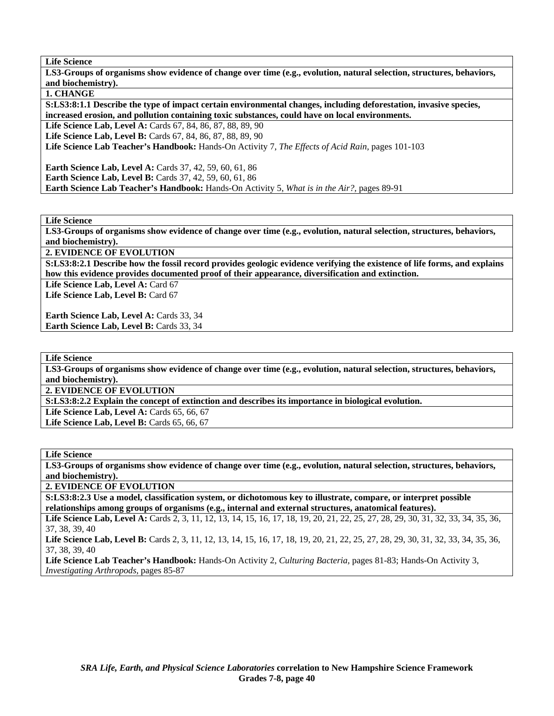**LS3-Groups of organisms show evidence of change over time (e.g., evolution, natural selection, structures, behaviors, and biochemistry).** 

**1. CHANGE** 

**S:LS3:8:1.1 Describe the type of impact certain environmental changes, including deforestation, invasive species, increased erosion, and pollution containing toxic substances, could have on local environments.** 

**Life Science Lab, Level A:** Cards 67, 84, 86, 87, 88, 89, 90

**Life Science Lab, Level B:** Cards 67, 84, 86, 87, 88, 89, 90

**Life Science Lab Teacher's Handbook:** Hands-On Activity 7, *The Effects of Acid Rain,* pages 101-103

**Earth Science Lab, Level A: Cards 37, 42, 59, 60, 61, 86** 

**Earth Science Lab, Level B:** Cards 37, 42, 59, 60, 61, 86

**Earth Science Lab Teacher's Handbook:** Hands-On Activity 5, *What is in the Air?,* pages 89-91

**Life Science** 

**LS3-Groups of organisms show evidence of change over time (e.g., evolution, natural selection, structures, behaviors, and biochemistry).** 

**2. EVIDENCE OF EVOLUTION** 

**S:LS3:8:2.1 Describe how the fossil record provides geologic evidence verifying the existence of life forms, and explains how this evidence provides documented proof of their appearance, diversification and extinction.** 

Life Science Lab, Level A: Card 67 Life Science Lab, Level B: Card 67

**Earth Science Lab, Level A: Cards 33, 34 Earth Science Lab, Level B: Cards 33, 34** 

**Life Science** 

**LS3-Groups of organisms show evidence of change over time (e.g., evolution, natural selection, structures, behaviors, and biochemistry).** 

**2. EVIDENCE OF EVOLUTION** 

**S:LS3:8:2.2 Explain the concept of extinction and describes its importance in biological evolution.** 

Life Science Lab, Level A: Cards 65, 66, 67

Life Science Lab, Level B: Cards 65, 66, 67

### **Life Science**

**LS3-Groups of organisms show evidence of change over time (e.g., evolution, natural selection, structures, behaviors, and biochemistry).** 

**2. EVIDENCE OF EVOLUTION** 

**S:LS3:8:2.3 Use a model, classification system, or dichotomous key to illustrate, compare, or interpret possible relationships among groups of organisms (e.g., internal and external structures, anatomical features).** 

Life Science Lab, Level A: Cards 2, 3, 11, 12, 13, 14, 15, 16, 17, 18, 19, 20, 21, 22, 25, 27, 28, 29, 30, 31, 32, 33, 34, 35, 36, 37, 38, 39, 40

Life Science Lab, Level B: Cards 2, 3, 11, 12, 13, 14, 15, 16, 17, 18, 19, 20, 21, 22, 25, 27, 28, 29, 30, 31, 32, 33, 34, 35, 36, 37, 38, 39, 40

**Life Science Lab Teacher's Handbook:** Hands-On Activity 2, *Culturing Bacteria,* pages 81-83; Hands-On Activity 3, *Investigating Arthropods,* pages 85-87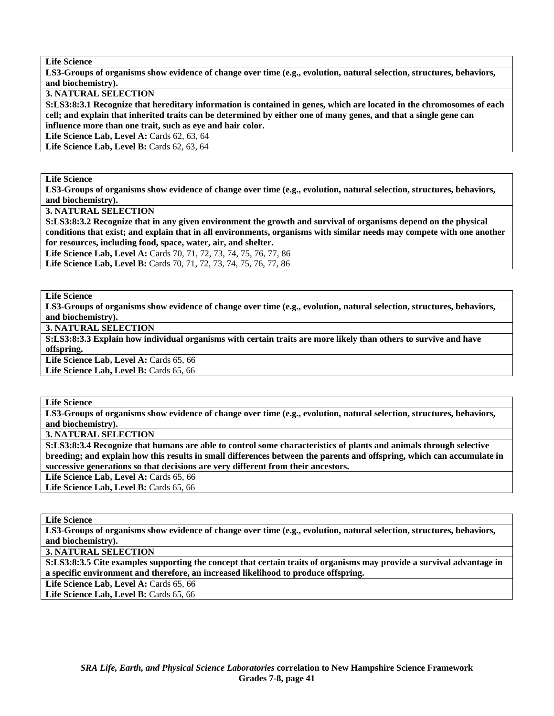**LS3-Groups of organisms show evidence of change over time (e.g., evolution, natural selection, structures, behaviors, and biochemistry).** 

**3. NATURAL SELECTION** 

**S:LS3:8:3.1 Recognize that hereditary information is contained in genes, which are located in the chromosomes of each cell; and explain that inherited traits can be determined by either one of many genes, and that a single gene can influence more than one trait, such as eye and hair color.** 

**Life Science Lab, Level A: Cards 62, 63, 64** 

**Life Science Lab, Level B:** Cards 62, 63, 64

**Life Science** 

**LS3-Groups of organisms show evidence of change over time (e.g., evolution, natural selection, structures, behaviors, and biochemistry).** 

**3. NATURAL SELECTION** 

**S:LS3:8:3.2 Recognize that in any given environment the growth and survival of organisms depend on the physical conditions that exist; and explain that in all environments, organisms with similar needs may compete with one another for resources, including food, space, water, air, and shelter.** 

**Life Science Lab, Level A:** Cards 70, 71, 72, 73, 74, 75, 76, 77, 86 Life Science Lab, Level B: Cards 70, 71, 72, 73, 74, 75, 76, 77, 86

**Life Science** 

**LS3-Groups of organisms show evidence of change over time (e.g., evolution, natural selection, structures, behaviors, and biochemistry).** 

**3. NATURAL SELECTION** 

**S:LS3:8:3.3 Explain how individual organisms with certain traits are more likely than others to survive and have offspring.** 

Life Science Lab, Level A: Cards 65, 66

Life Science Lab, Level B: Cards 65, 66

**Life Science** 

**LS3-Groups of organisms show evidence of change over time (e.g., evolution, natural selection, structures, behaviors, and biochemistry).** 

**3. NATURAL SELECTION** 

**S:LS3:8:3.4 Recognize that humans are able to control some characteristics of plants and animals through selective breeding; and explain how this results in small differences between the parents and offspring, which can accumulate in successive generations so that decisions are very different from their ancestors.** 

Life Science Lab, Level A: Cards 65, 66

Life Science Lab, Level B: Cards 65, 66

**Life Science** 

**LS3-Groups of organisms show evidence of change over time (e.g., evolution, natural selection, structures, behaviors, and biochemistry).** 

**3. NATURAL SELECTION** 

**S:LS3:8:3.5 Cite examples supporting the concept that certain traits of organisms may provide a survival advantage in a specific environment and therefore, an increased likelihood to produce offspring.** 

Life Science Lab, Level A: Cards 65, 66

Life Science Lab, Level B: Cards 65, 66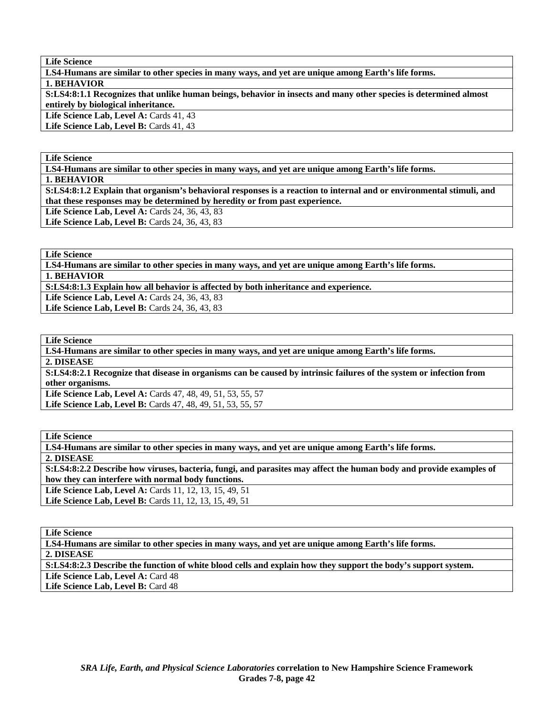**LS4-Humans are similar to other species in many ways, and yet are unique among Earth's life forms.** 

**1. BEHAVIOR** 

**S:LS4:8:1.1 Recognizes that unlike human beings, behavior in insects and many other species is determined almost entirely by biological inheritance.** 

Life Science Lab, Level A: Cards 41, 43 Life Science Lab, Level B: Cards 41, 43

## **Life Science**

**LS4-Humans are similar to other species in many ways, and yet are unique among Earth's life forms.** 

**1. BEHAVIOR** 

**S:LS4:8:1.2 Explain that organism's behavioral responses is a reaction to internal and or environmental stimuli, and that these responses may be determined by heredity or from past experience.** 

Life Science Lab, Level A: Cards 24, 36, 43, 83

**Life Science Lab, Level B: Cards 24, 36, 43, 83** 

**Life Science** 

**LS4-Humans are similar to other species in many ways, and yet are unique among Earth's life forms. 1. BEHAVIOR** 

**S:LS4:8:1.3 Explain how all behavior is affected by both inheritance and experience.** 

Life Science Lab, Level A: Cards 24, 36, 43, 83

Life Science Lab, Level B: Cards 24, 36, 43, 83

**Life Science** 

**LS4-Humans are similar to other species in many ways, and yet are unique among Earth's life forms.** 

**2. DISEASE** 

**S:LS4:8:2.1 Recognize that disease in organisms can be caused by intrinsic failures of the system or infection from other organisms.** 

**Life Science Lab, Level A:** Cards 47, 48, 49, 51, 53, 55, 57 **Life Science Lab, Level B:** Cards 47, 48, 49, 51, 53, 55, 57

**Life Science** 

**LS4-Humans are similar to other species in many ways, and yet are unique among Earth's life forms.** 

**2. DISEASE** 

**S:LS4:8:2.3 Describe the function of white blood cells and explain how they support the body's support system.** 

Life Science Lab, Level A: Card 48 Life Science Lab, Level B: Card 48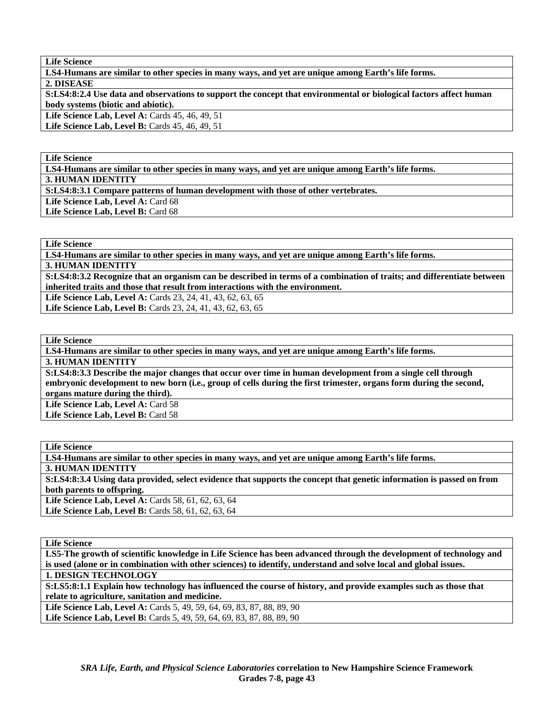**LS4-Humans are similar to other species in many ways, and yet are unique among Earth's life forms.** 

**2. DISEASE** 

**S:LS4:8:2.4 Use data and observations to support the concept that environmental or biological factors affect human body systems (biotic and abiotic).** 

Life Science Lab, Level A: Cards 45, 46, 49, 51

Life Science Lab, Level B: Cards 45, 46, 49, 51

**Life Science** 

**LS4-Humans are similar to other species in many ways, and yet are unique among Earth's life forms.** 

**3. HUMAN IDENTITY** 

**S:LS4:8:3.1 Compare patterns of human development with those of other vertebrates.** 

Life Science Lab, Level A: Card 68

Life Science Lab, Level B: Card 68

**Life Science** 

**LS4-Humans are similar to other species in many ways, and yet are unique among Earth's life forms.** 

**3. HUMAN IDENTITY** 

**S:LS4:8:3.2 Recognize that an organism can be described in terms of a combination of traits; and differentiate between inherited traits and those that result from interactions with the environment.** 

Life Science Lab, Level A: Cards 23, 24, 41, 43, 62, 63, 65

Life Science Lab, Level B: Cards 23, 24, 41, 43, 62, 63, 65

**Life Science** 

**LS4-Humans are similar to other species in many ways, and yet are unique among Earth's life forms.** 

**3. HUMAN IDENTITY** 

**S:LS4:8:3.3 Describe the major changes that occur over time in human development from a single cell through embryonic development to new born (i.e., group of cells during the first trimester, organs form during the second, organs mature during the third).** 

Life Science Lab, Level A: Card 58 Life Science Lab, Level B: Card 58

**Life Science LS4-Humans are similar to other species in many ways, and yet are unique among Earth's life forms. 3. HUMAN IDENTITY S:LS4:8:3.4 Using data provided, select evidence that supports the concept that genetic information is passed on from both parents to offspring.** 

Life Science Lab, Level A: Cards 58, 61, 62, 63, 64 **Life Science Lab, Level B:** Cards 58, 61, 62, 63, 64

**Life Science** 

**LS5-The growth of scientific knowledge in Life Science has been advanced through the development of technology and is used (alone or in combination with other sciences) to identify, understand and solve local and global issues. 1. DESIGN TECHNOLOGY** 

**S:LS5:8:1.1 Explain how technology has influenced the course of history, and provide examples such as those that relate to agriculture, sanitation and medicine.** 

Life Science Lab, Level A: Cards 5, 49, 59, 64, 69, 83, 87, 88, 89, 90 Life Science Lab, Level B: Cards 5, 49, 59, 64, 69, 83, 87, 88, 89, 90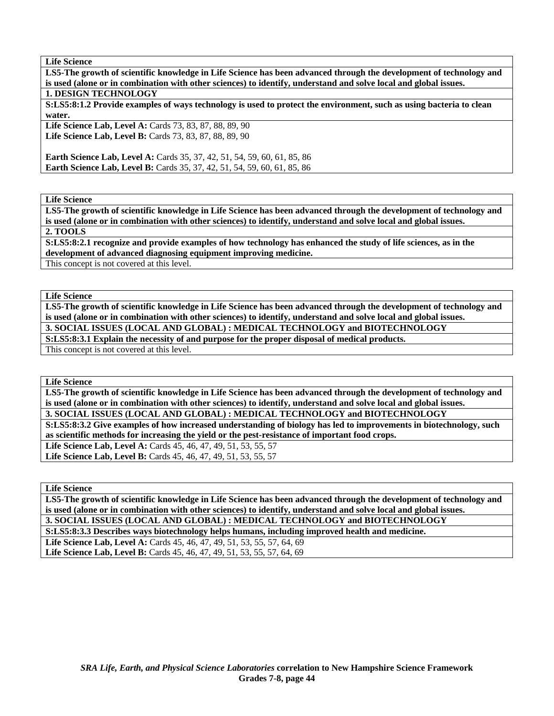**LS5-The growth of scientific knowledge in Life Science has been advanced through the development of technology and is used (alone or in combination with other sciences) to identify, understand and solve local and global issues. 1. DESIGN TECHNOLOGY** 

**S:LS5:8:1.2 Provide examples of ways technology is used to protect the environment, such as using bacteria to clean water.** 

Life Science Lab, Level A: Cards 73, 83, 87, 88, 89, 90 **Life Science Lab, Level B:** Cards 73, 83, 87, 88, 89, 90

**Earth Science Lab, Level A: Cards 35, 37, 42, 51, 54, 59, 60, 61, 85, 86 Earth Science Lab, Level B:** Cards 35, 37, 42, 51, 54, 59, 60, 61, 85, 86

**Life Science** 

**LS5-The growth of scientific knowledge in Life Science has been advanced through the development of technology and is used (alone or in combination with other sciences) to identify, understand and solve local and global issues.** 

**2. TOOLS** 

**S:LS5:8:2.1 recognize and provide examples of how technology has enhanced the study of life sciences, as in the development of advanced diagnosing equipment improving medicine.** 

This concept is not covered at this level.

**Life Science** 

**LS5-The growth of scientific knowledge in Life Science has been advanced through the development of technology and is used (alone or in combination with other sciences) to identify, understand and solve local and global issues.** 

**3. SOCIAL ISSUES (LOCAL AND GLOBAL) : MEDICAL TECHNOLOGY and BIOTECHNOLOGY S:LS5:8:3.1 Explain the necessity of and purpose for the proper disposal of medical products.** 

This concept is not covered at this level.

**Life Science** 

**LS5-The growth of scientific knowledge in Life Science has been advanced through the development of technology and is used (alone or in combination with other sciences) to identify, understand and solve local and global issues.** 

**3. SOCIAL ISSUES (LOCAL AND GLOBAL) : MEDICAL TECHNOLOGY and BIOTECHNOLOGY** 

**S:LS5:8:3.2 Give examples of how increased understanding of biology has led to improvements in biotechnology, such as scientific methods for increasing the yield or the pest-resistance of important food crops.** 

**Life Science Lab, Level A:** Cards 45, 46, 47, 49, 51, 53, 55, 57 **Life Science Lab, Level B:** Cards 45, 46, 47, 49, 51, 53, 55, 57

**Life Science** 

**LS5-The growth of scientific knowledge in Life Science has been advanced through the development of technology and is used (alone or in combination with other sciences) to identify, understand and solve local and global issues.** 

**3. SOCIAL ISSUES (LOCAL AND GLOBAL) : MEDICAL TECHNOLOGY and BIOTECHNOLOGY S:LS5:8:3.3 Describes ways biotechnology helps humans, including improved health and medicine.** 

Life Science Lab, Level A: Cards 45, 46, 47, 49, 51, 53, 55, 57, 64, 69 Life Science Lab, Level B: Cards 45, 46, 47, 49, 51, 53, 55, 57, 64, 69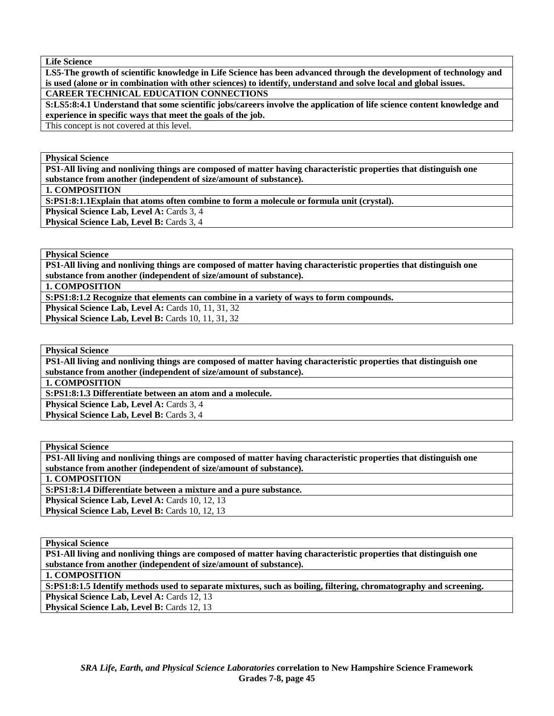**LS5-The growth of scientific knowledge in Life Science has been advanced through the development of technology and is used (alone or in combination with other sciences) to identify, understand and solve local and global issues. CAREER TECHNICAL EDUCATION CONNECTIONS** 

**S:LS5:8:4.1 Understand that some scientific jobs/careers involve the application of life science content knowledge and experience in specific ways that meet the goals of the job.** 

This concept is not covered at this level.

**Physical Science** 

**PS1-All living and nonliving things are composed of matter having characteristic properties that distinguish one substance from another (independent of size/amount of substance).** 

**1. COMPOSITION** 

**S:PS1:8:1.1Explain that atoms often combine to form a molecule or formula unit (crystal).** 

Physical Science Lab, Level A: Cards 3, 4

**Physical Science Lab, Level B: Cards 3, 4** 

**Physical Science** 

**PS1-All living and nonliving things are composed of matter having characteristic properties that distinguish one substance from another (independent of size/amount of substance).** 

**1. COMPOSITION** 

**S:PS1:8:1.2 Recognize that elements can combine in a variety of ways to form compounds.** 

**Physical Science Lab, Level A: Cards 10, 11, 31, 32 Physical Science Lab, Level B: Cards 10, 11, 31, 32** 

**Physical Science** 

**PS1-All living and nonliving things are composed of matter having characteristic properties that distinguish one substance from another (independent of size/amount of substance).** 

**1. COMPOSITION** 

**S:PS1:8:1.3 Differentiate between an atom and a molecule.** 

Physical Science Lab, Level A: Cards 3, 4

**Physical Science Lab, Level B: Cards 3, 4** 

**Physical Science PS1-All living and nonliving things are composed of matter having characteristic properties that distinguish one substance from another (independent of size/amount of substance).** 

**1. COMPOSITION** 

**S:PS1:8:1.4 Differentiate between a mixture and a pure substance.**  Physical Science Lab, Level A: Cards 10, 12, 13 **Physical Science Lab, Level B: Cards 10, 12, 13** 

**Physical Science** 

**PS1-All living and nonliving things are composed of matter having characteristic properties that distinguish one substance from another (independent of size/amount of substance). 1. COMPOSITION S:PS1:8:1.5 Identify methods used to separate mixtures, such as boiling, filtering, chromatography and screening.**  Physical Science Lab, Level A: Cards 12, 13 Physical Science Lab, Level B: Cards 12, 13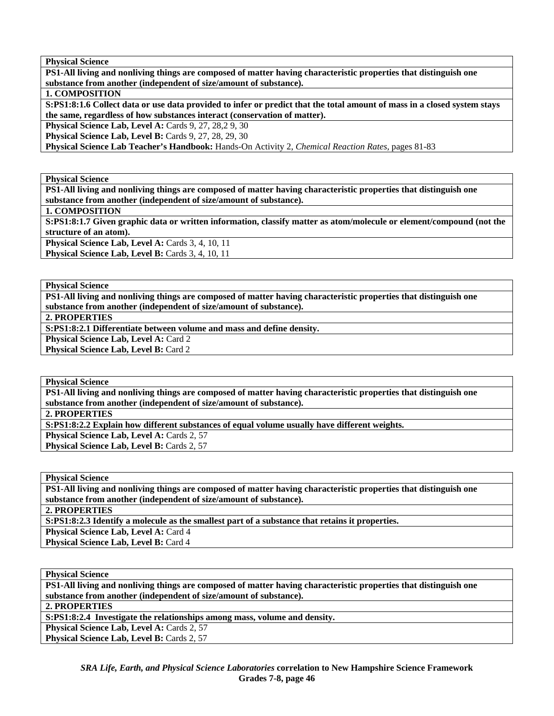**PS1-All living and nonliving things are composed of matter having characteristic properties that distinguish one substance from another (independent of size/amount of substance).** 

### **1. COMPOSITION**

**S:PS1:8:1.6 Collect data or use data provided to infer or predict that the total amount of mass in a closed system stays the same, regardless of how substances interact (conservation of matter).** 

**Physical Science Lab, Level A: Cards 9, 27, 28, 2 9, 30** 

**Physical Science Lab, Level B: Cards 9, 27, 28, 29, 30** 

**Physical Science Lab Teacher's Handbook:** Hands-On Activity 2, *Chemical Reaction Rates,* pages 81-83

**Physical Science** 

**PS1-All living and nonliving things are composed of matter having characteristic properties that distinguish one substance from another (independent of size/amount of substance).** 

**1. COMPOSITION** 

**S:PS1:8:1.7 Given graphic data or written information, classify matter as atom/molecule or element/compound (not the structure of an atom).** 

Physical Science Lab, Level A: Cards 3, 4, 10, 11

Physical Science Lab, Level B: Cards 3, 4, 10, 11

**Physical Science** 

**PS1-All living and nonliving things are composed of matter having characteristic properties that distinguish one substance from another (independent of size/amount of substance).** 

**2. PROPERTIES** 

**S:PS1:8:2.1 Differentiate between volume and mass and define density.** 

Physical Science Lab, Level A: Card 2 **Physical Science Lab, Level B: Card 2** 

**Physical Science** 

**PS1-All living and nonliving things are composed of matter having characteristic properties that distinguish one substance from another (independent of size/amount of substance).** 

**2. PROPERTIES** 

**S:PS1:8:2.2 Explain how different substances of equal volume usually have different weights.** 

Physical Science Lab, Level A: Cards 2, 57

Physical Science Lab, Level B: Cards 2, 57

**Physical Science** 

**PS1-All living and nonliving things are composed of matter having characteristic properties that distinguish one substance from another (independent of size/amount of substance).** 

**2. PROPERTIES** 

**S:PS1:8:2.3 Identify a molecule as the smallest part of a substance that retains it properties.** 

Physical Science Lab, Level A: Card 4

Physical Science Lab, Level B: Card 4

**Physical Science** 

**PS1-All living and nonliving things are composed of matter having characteristic properties that distinguish one substance from another (independent of size/amount of substance).** 

**2. PROPERTIES** 

**S:PS1:8:2.4 Investigate the relationships among mass, volume and density.** 

**Physical Science Lab, Level A: Cards 2, 57 Physical Science Lab, Level B: Cards 2, 57**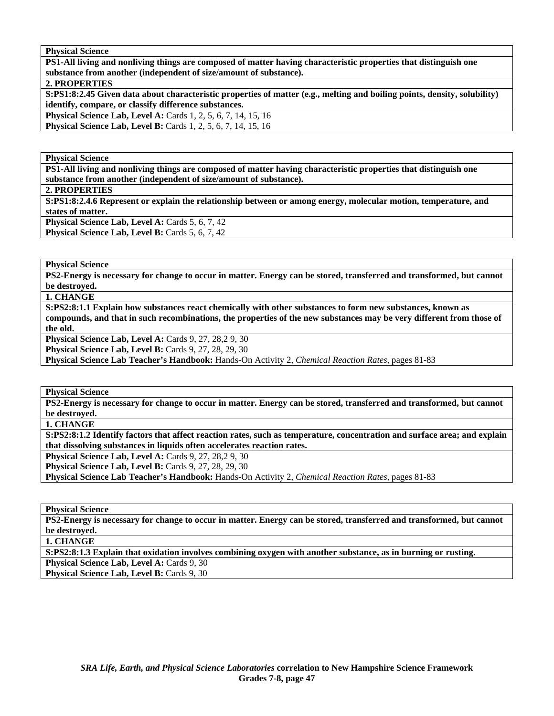**PS1-All living and nonliving things are composed of matter having characteristic properties that distinguish one substance from another (independent of size/amount of substance).** 

**2. PROPERTIES** 

**S:PS1:8:2.45 Given data about characteristic properties of matter (e.g., melting and boiling points, density, solubility) identify, compare, or classify difference substances.** 

**Physical Science Lab, Level A: Cards 1, 2, 5, 6, 7, 14, 15, 16 Physical Science Lab, Level B:** Cards 1, 2, 5, 6, 7, 14, 15, 16

**Physical Science** 

**PS1-All living and nonliving things are composed of matter having characteristic properties that distinguish one substance from another (independent of size/amount of substance).** 

**2. PROPERTIES** 

**S:PS1:8:2.4.6 Represent or explain the relationship between or among energy, molecular motion, temperature, and states of matter. Physical Science Lab, Level A: Cards 5, 6, 7, 42** 

**Physical Science Lab, Level B: Cards 5, 6, 7, 42** 

**Physical Science** 

**PS2-Energy is necessary for change to occur in matter. Energy can be stored, transferred and transformed, but cannot be destroyed.** 

**1. CHANGE** 

**S:PS2:8:1.1 Explain how substances react chemically with other substances to form new substances, known as compounds, and that in such recombinations, the properties of the new substances may be very different from those of the old.** 

**Physical Science Lab, Level A: Cards 9, 27, 28, 29, 30** 

**Physical Science Lab, Level B: Cards 9, 27, 28, 29, 30** 

**Physical Science Lab Teacher's Handbook:** Hands-On Activity 2, *Chemical Reaction Rates,* pages 81-83

**Physical Science** 

**PS2-Energy is necessary for change to occur in matter. Energy can be stored, transferred and transformed, but cannot be destroyed.** 

**1. CHANGE** 

**S:PS2:8:1.2 Identify factors that affect reaction rates, such as temperature, concentration and surface area; and explain that dissolving substances in liquids often accelerates reaction rates.** 

**Physical Science Lab, Level A: Cards 9, 27, 28, 29, 30 Physical Science Lab, Level B: Cards 9, 27, 28, 29, 30** 

**Physical Science Lab Teacher's Handbook:** Hands-On Activity 2, *Chemical Reaction Rates,* pages 81-83

**Physical Science** 

**PS2-Energy is necessary for change to occur in matter. Energy can be stored, transferred and transformed, but cannot be destroyed.** 

**1. CHANGE** 

**S:PS2:8:1.3 Explain that oxidation involves combining oxygen with another substance, as in burning or rusting.** 

Physical Science Lab, Level A: Cards 9, 30

**Physical Science Lab, Level B: Cards 9, 30**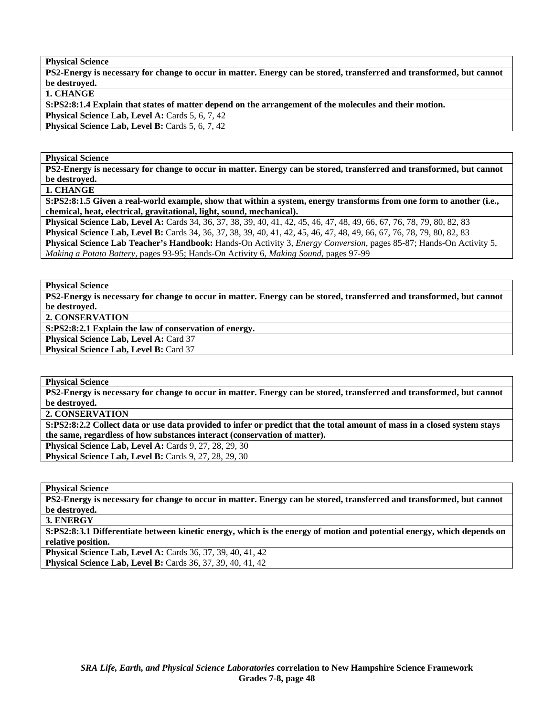**PS2-Energy is necessary for change to occur in matter. Energy can be stored, transferred and transformed, but cannot be destroyed.** 

**1. CHANGE** 

**S:PS2:8:1.4 Explain that states of matter depend on the arrangement of the molecules and their motion.** 

Physical Science Lab, Level A: Cards 5, 6, 7, 42

**Physical Science Lab, Level B:** Cards 5, 6, 7, 42

## **Physical Science**

**PS2-Energy is necessary for change to occur in matter. Energy can be stored, transferred and transformed, but cannot be destroyed.** 

**1. CHANGE** 

**S:PS2:8:1.5 Given a real-world example, show that within a system, energy transforms from one form to another (i.e., chemical, heat, electrical, gravitational, light, sound, mechanical).** 

**Physical Science Lab, Level A:** Cards 34, 36, 37, 38, 39, 40, 41, 42, 45, 46, 47, 48, 49, 66, 67, 76, 78, 79, 80, 82, 83 **Physical Science Lab, Level B:** Cards 34, 36, 37, 38, 39, 40, 41, 42, 45, 46, 47, 48, 49, 66, 67, 76, 78, 79, 80, 82, 83 **Physical Science Lab Teacher's Handbook:** Hands-On Activity 3, *Energy Conversion,* pages 85-87; Hands-On Activity 5, *Making a Potato Battery,* pages 93-95; Hands-On Activity 6, *Making Sound,* pages 97-99

**Physical Science** 

**PS2-Energy is necessary for change to occur in matter. Energy can be stored, transferred and transformed, but cannot be destroyed.** 

**2. CONSERVATION** 

**S:PS2:8:2.1 Explain the law of conservation of energy.** 

Physical Science Lab, Level A: Card 37 Physical Science Lab, Level B: Card 37

**Physical Science** 

**PS2-Energy is necessary for change to occur in matter. Energy can be stored, transferred and transformed, but cannot be destroyed.** 

**2. CONSERVATION** 

**S:PS2:8:2.2 Collect data or use data provided to infer or predict that the total amount of mass in a closed system stays the same, regardless of how substances interact (conservation of matter).** 

**Physical Science Lab, Level A: Cards 9, 27, 28, 29, 30 Physical Science Lab, Level B: Cards 9, 27, 28, 29, 30** 

**Physical Science** 

**PS2-Energy is necessary for change to occur in matter. Energy can be stored, transferred and transformed, but cannot be destroyed.** 

**3. ENERGY** 

**S:PS2:8:3.1 Differentiate between kinetic energy, which is the energy of motion and potential energy, which depends on relative position.** 

**Physical Science Lab, Level A: Cards 36, 37, 39, 40, 41, 42 Physical Science Lab, Level B:** Cards 36, 37, 39, 40, 41, 42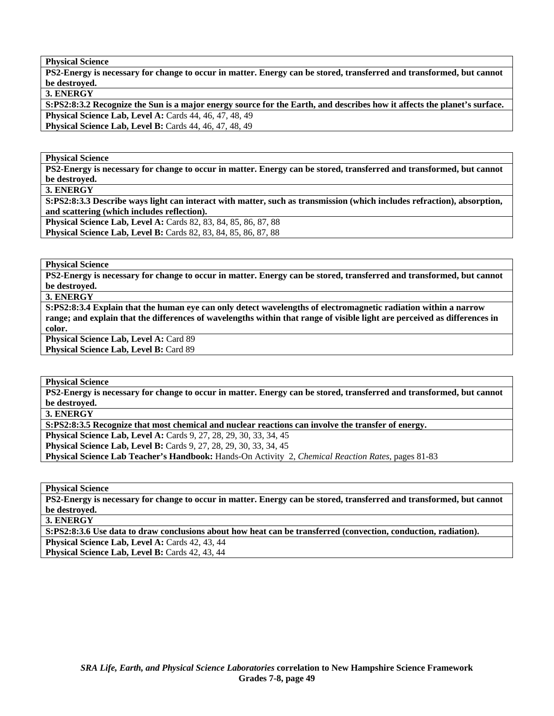**PS2-Energy is necessary for change to occur in matter. Energy can be stored, transferred and transformed, but cannot be destroyed.** 

**3. ENERGY** 

**S:PS2:8:3.2 Recognize the Sun is a major energy source for the Earth, and describes how it affects the planet's surface. Physical Science Lab, Level A:** Cards 44, 46, 47, 48, 49 **Physical Science Lab, Level B: Cards 44, 46, 47, 48, 49** 

**Physical Science** 

**PS2-Energy is necessary for change to occur in matter. Energy can be stored, transferred and transformed, but cannot be destroyed.** 

**3. ENERGY** 

**S:PS2:8:3.3 Describe ways light can interact with matter, such as transmission (which includes refraction), absorption, and scattering (which includes reflection).** 

**Physical Science Lab, Level A:** Cards 82, 83, 84, 85, 86, 87, 88 **Physical Science Lab, Level B:** Cards 82, 83, 84, 85, 86, 87, 88

**Physical Science** 

**PS2-Energy is necessary for change to occur in matter. Energy can be stored, transferred and transformed, but cannot be destroyed.** 

**3. ENERGY** 

**S:PS2:8:3.4 Explain that the human eye can only detect wavelengths of electromagnetic radiation within a narrow range; and explain that the differences of wavelengths within that range of visible light are perceived as differences in color.**  Physical Science Lab, Level A: Card 89

Physical Science Lab, Level B: Card 89

**Physical Science** 

**PS2-Energy is necessary for change to occur in matter. Energy can be stored, transferred and transformed, but cannot be destroyed.** 

**3. ENERGY** 

**S:PS2:8:3.5 Recognize that most chemical and nuclear reactions can involve the transfer of energy.** 

**Physical Science Lab, Level A:** Cards 9, 27, 28, 29, 30, 33, 34, 45

**Physical Science Lab, Level B:** Cards 9, 27, 28, 29, 30, 33, 34, 45

**Physical Science Lab Teacher's Handbook:** Hands-On Activity 2, *Chemical Reaction Rates,* pages 81-83

**Physical Science** 

**PS2-Energy is necessary for change to occur in matter. Energy can be stored, transferred and transformed, but cannot be destroyed.** 

**3. ENERGY** 

**S:PS2:8:3.6 Use data to draw conclusions about how heat can be transferred (convection, conduction, radiation).** 

Physical Science Lab, Level A: Cards 42, 43, 44 Physical Science Lab, Level B: Cards 42, 43, 44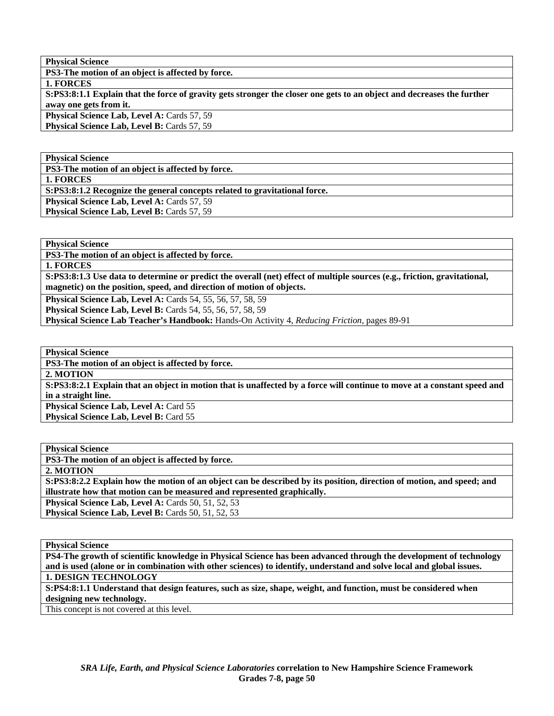**PS3-The motion of an object is affected by force.** 

**1. FORCES** 

**S:PS3:8:1.1 Explain that the force of gravity gets stronger the closer one gets to an object and decreases the further away one gets from it.** 

Physical Science Lab, Level A: Cards 57, 59 Physical Science Lab, Level B: Cards 57, 59

**Physical Science** 

**PS3-The motion of an object is affected by force.** 

**1. FORCES** 

**S:PS3:8:1.2 Recognize the general concepts related to gravitational force.** 

**Physical Science Lab, Level A: Cards 57, 59** 

**Physical Science Lab, Level B: Cards 57, 59** 

**Physical Science** 

**PS3-The motion of an object is affected by force.** 

**1. FORCES** 

**S:PS3:8:1.3 Use data to determine or predict the overall (net) effect of multiple sources (e.g., friction, gravitational, magnetic) on the position, speed, and direction of motion of objects.** 

**Physical Science Lab, Level A:** Cards 54, 55, 56, 57, 58, 59

**Physical Science Lab, Level B:** Cards 54, 55, 56, 57, 58, 59

**Physical Science Lab Teacher's Handbook:** Hands-On Activity 4, *Reducing Friction,* pages 89-91

**Physical Science** 

**PS3-The motion of an object is affected by force.** 

**2. MOTION S:PS3:8:2.1 Explain that an object in motion that is unaffected by a force will continue to move at a constant speed and in a straight line.** 

Physical Science Lab, Level A: Card 55 **Physical Science Lab, Level B: Card 55** 

**Physical Science PS3-The motion of an object is affected by force. 2. MOTION S:PS3:8:2.2 Explain how the motion of an object can be described by its position, direction of motion, and speed; and illustrate how that motion can be measured and represented graphically. Physical Science Lab, Level A: Cards 50, 51, 52, 53 Physical Science Lab, Level B: Cards 50, 51, 52, 53** 

**Physical Science** 

**PS4-The growth of scientific knowledge in Physical Science has been advanced through the development of technology and is used (alone or in combination with other sciences) to identify, understand and solve local and global issues. 1. DESIGN TECHNOLOGY** 

**S:PS4:8:1.1 Understand that design features, such as size, shape, weight, and function, must be considered when designing new technology.** 

This concept is not covered at this level.